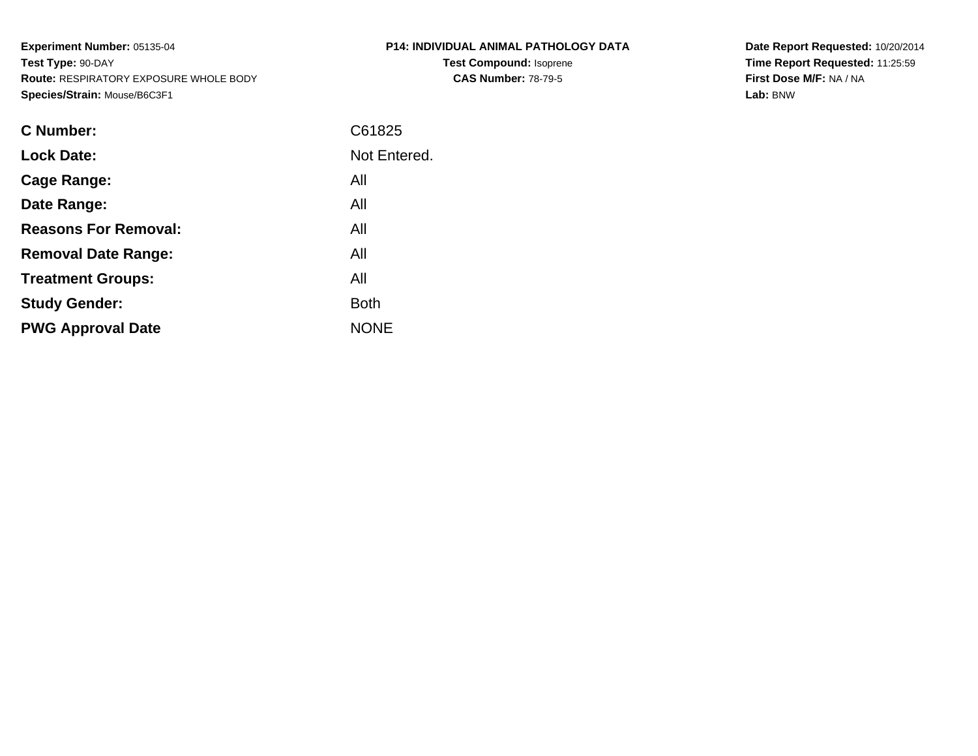**Experiment Number:** 05135-04**Test Type:** 90-DAY **Route:** RESPIRATORY EXPOSURE WHOLE BODY**Species/Strain:** Mouse/B6C3F1

| P14: INDIVIDUAL ANIMAL PATHOLOGY DATA |
|---------------------------------------|
| <b>Test Compound: Isoprene</b>        |
| <b>CAS Number: 78-79-5</b>            |

**Date Report Requested:** 10/20/2014 **Time Report Requested:** 11:25:59**First Dose M/F:** NA / NA**Lab:** BNW

| <b>C</b> Number:            | C61825       |
|-----------------------------|--------------|
| <b>Lock Date:</b>           | Not Entered. |
| Cage Range:                 | All          |
| Date Range:                 | All          |
| <b>Reasons For Removal:</b> | All          |
| <b>Removal Date Range:</b>  | All          |
| <b>Treatment Groups:</b>    | All          |
| <b>Study Gender:</b>        | <b>Both</b>  |
| <b>PWG Approval Date</b>    | <b>NONE</b>  |
|                             |              |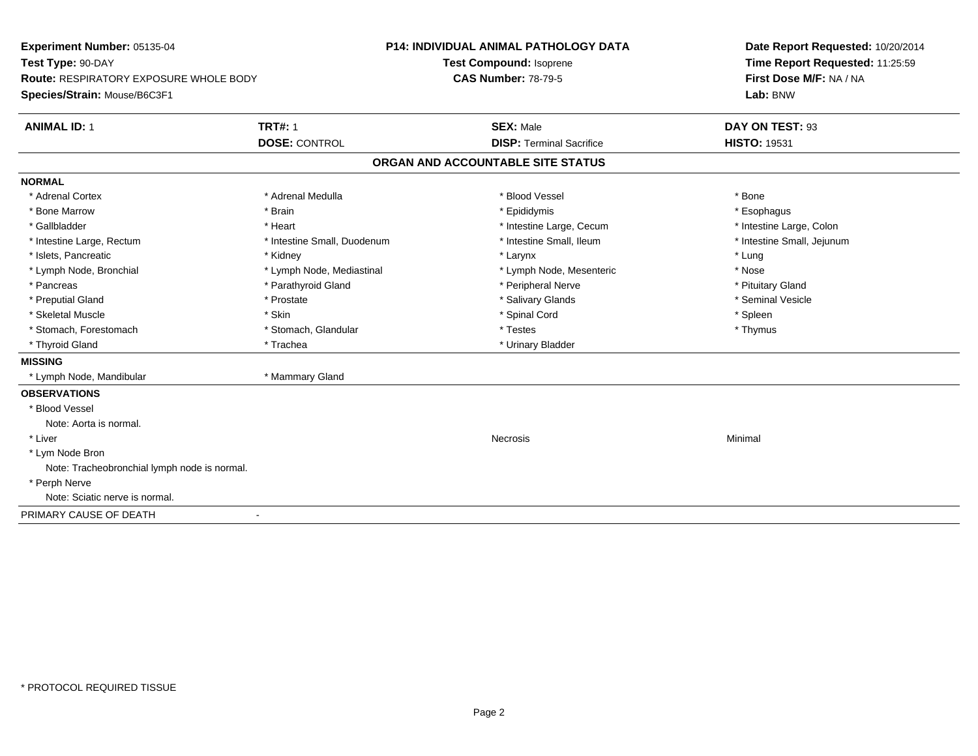| Experiment Number: 05135-04<br>Test Type: 90-DAY                       |                             | <b>P14: INDIVIDUAL ANIMAL PATHOLOGY DATA</b><br>Test Compound: Isoprene | Date Report Requested: 10/20/2014<br>Time Report Requested: 11:25:59 |
|------------------------------------------------------------------------|-----------------------------|-------------------------------------------------------------------------|----------------------------------------------------------------------|
| Route: RESPIRATORY EXPOSURE WHOLE BODY<br>Species/Strain: Mouse/B6C3F1 |                             | <b>CAS Number: 78-79-5</b>                                              | First Dose M/F: NA / NA<br>Lab: BNW                                  |
| <b>ANIMAL ID: 1</b>                                                    | <b>TRT#: 1</b>              | <b>SEX: Male</b>                                                        | DAY ON TEST: 93                                                      |
|                                                                        | <b>DOSE: CONTROL</b>        | <b>DISP: Terminal Sacrifice</b>                                         | <b>HISTO: 19531</b>                                                  |
|                                                                        |                             | ORGAN AND ACCOUNTABLE SITE STATUS                                       |                                                                      |
| <b>NORMAL</b>                                                          |                             |                                                                         |                                                                      |
| * Adrenal Cortex                                                       | * Adrenal Medulla           | * Blood Vessel                                                          | * Bone                                                               |
| * Bone Marrow                                                          | * Brain                     | * Epididymis                                                            | * Esophagus                                                          |
| * Gallbladder                                                          | * Heart                     | * Intestine Large, Cecum                                                | * Intestine Large, Colon                                             |
| * Intestine Large, Rectum                                              | * Intestine Small, Duodenum | * Intestine Small, Ileum                                                | * Intestine Small, Jejunum                                           |
| * Islets, Pancreatic                                                   | * Kidney                    | * Larynx                                                                | * Lung                                                               |
| * Lymph Node, Bronchial                                                | * Lymph Node, Mediastinal   | * Lymph Node, Mesenteric                                                | * Nose                                                               |
| * Pancreas                                                             | * Parathyroid Gland         | * Peripheral Nerve                                                      | * Pituitary Gland                                                    |
| * Preputial Gland                                                      | * Prostate                  | * Salivary Glands                                                       | * Seminal Vesicle                                                    |
| * Skeletal Muscle                                                      | * Skin                      | * Spinal Cord                                                           | * Spleen                                                             |
| * Stomach, Forestomach                                                 | * Stomach, Glandular        | * Testes                                                                | * Thymus                                                             |
| * Thyroid Gland                                                        | * Trachea                   | * Urinary Bladder                                                       |                                                                      |
| <b>MISSING</b>                                                         |                             |                                                                         |                                                                      |
| * Lymph Node, Mandibular                                               | * Mammary Gland             |                                                                         |                                                                      |
| <b>OBSERVATIONS</b>                                                    |                             |                                                                         |                                                                      |
| * Blood Vessel                                                         |                             |                                                                         |                                                                      |
| Note: Aorta is normal.                                                 |                             |                                                                         |                                                                      |
| * Liver                                                                |                             | Necrosis                                                                | Minimal                                                              |
| * Lym Node Bron                                                        |                             |                                                                         |                                                                      |
| Note: Tracheobronchial lymph node is normal.                           |                             |                                                                         |                                                                      |
| * Perph Nerve                                                          |                             |                                                                         |                                                                      |
| Note: Sciatic nerve is normal.                                         |                             |                                                                         |                                                                      |
| PRIMARY CAUSE OF DEATH                                                 |                             |                                                                         |                                                                      |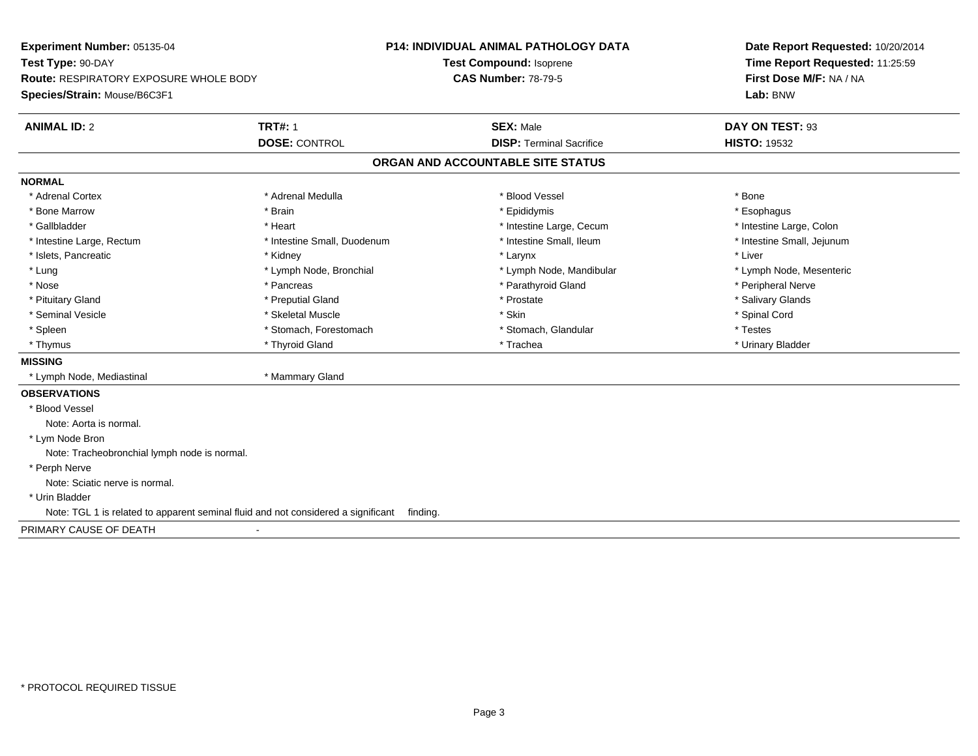**Experiment Number:** 05135-04**Test Type:** 90-DAY **Route:** RESPIRATORY EXPOSURE WHOLE BODY**Species/Strain:** Mouse/B6C3F1**P14: INDIVIDUAL ANIMAL PATHOLOGY DATATest Compound:** Isoprene**CAS Number:** 78-79-5**Date Report Requested:** 10/20/2014**Time Report Requested:** 11:25:59**First Dose M/F:** NA / NA**Lab:** BNW**ANIMAL ID:** 2**TRT#:** 1 **SEX:** Male **DAY ON TEST:** 93 **DOSE:** CONTROL**DISP:** Terminal Sacrifice **HISTO:** 19532 **ORGAN AND ACCOUNTABLE SITE STATUSNORMAL**\* Adrenal Cortex \* Adrenal Cortex \* \* Adrenal Medulla \* \* Adrenal Medulla \* \* Blood Vessel \* \* Brood Vessel \* \* Bone \* Esophagus \* Bone Marrow \* Brain \* Epididymis \* Esophagus \* Intestine Large, Colon \* Gallbladder \* The mode of the state of the state of the state of the state of the state of the state of the state of the state of the state of the state of the state of the state of the state of the state of the state of \* Intestine Small, Jejunum \* Intestine Large, Rectum \* Intestine Small, Duodenum \* Intestine Small, Ileum \* Intestine Small, Ileum \* Islets, Pancreatic \* \* \* Andrew \* Kidney \* \* Kidney \* \* Larynx \* Larynx \* \* Larynx \* \* Liver \* Liver \* Liver \* Lung \* Lymph Node, Bronchial \* Lymph Node, Mandibular \* Lymph Node, Mesenteric\* Nose \* \* Pancreas \* \* Pancreas \* \* Pancreas \* \* Parathyroid Gland \* \* Peripheral Nerve \* Peripheral Nerve \* \* Salivary Glands \* Pituitary Gland \* \* Then the state \* Preputial Gland \* Prosection \* Prostate \* \* Salivary Glands \* Salivary Glands \* Salivary Glands \* Salivary Glands \* Salivary Glands \* Salivary Glands \* Salivary Glands \* Salivary Glan \* Seminal Vesicle \* \* Spinal Cord \* Skeletal Muscle \* \* Skin \* \* Skin \* \* Spinal Vesicle \* Spinal Cord \* Spinal Cord \* Spleen \* Stomach, Forestomach \* Stomach \* Stomach, Slandular \* Testes \* Testes \* Urinary Bladder \* Thymus \* Thyroid Gland \* Trachea \* Urinary Bladder \* **MISSING** \* Lymph Node, Mediastinal \* Mammary Gland**OBSERVATIONS** \* Blood VesselNote: Aorta is normal. \* Lym Node Bron Note: Tracheobronchial lymph node is normal. \* Perph Nerve Note: Sciatic nerve is normal. \* Urin BladderNote: TGL 1 is related to apparent seminal fluid and not considered a significant finding.

PRIMARY CAUSE OF DEATH-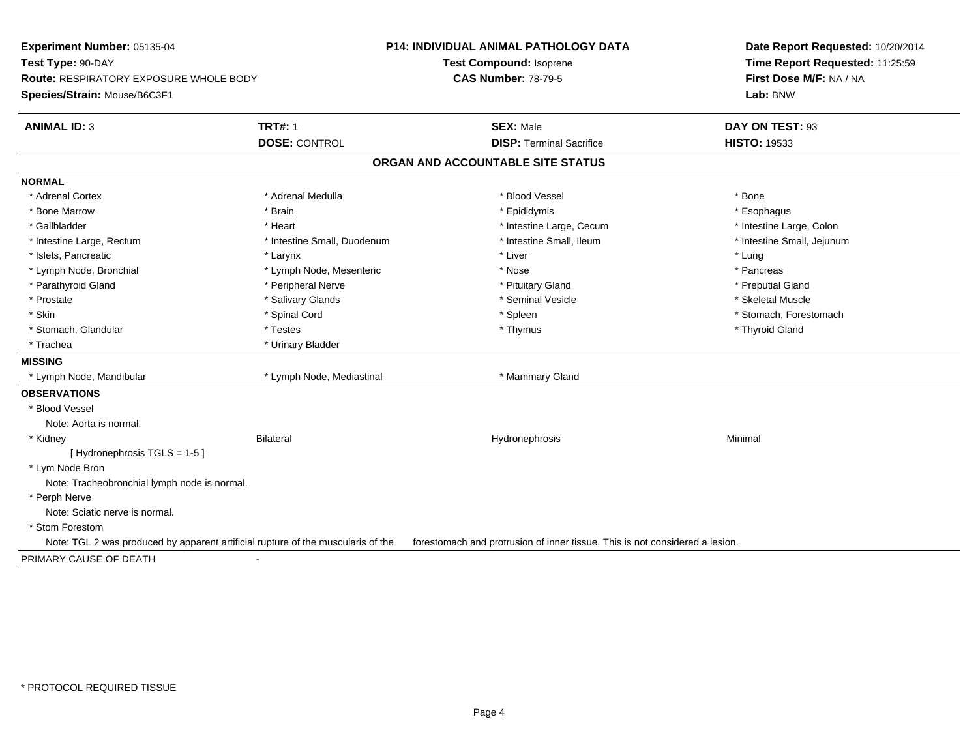| Experiment Number: 05135-04                                                      |                             | <b>P14: INDIVIDUAL ANIMAL PATHOLOGY DATA</b>                                 | Date Report Requested: 10/20/2014 |
|----------------------------------------------------------------------------------|-----------------------------|------------------------------------------------------------------------------|-----------------------------------|
| Test Type: 90-DAY                                                                |                             | <b>Test Compound: Isoprene</b>                                               | Time Report Requested: 11:25:59   |
| <b>Route: RESPIRATORY EXPOSURE WHOLE BODY</b>                                    |                             | <b>CAS Number: 78-79-5</b>                                                   | First Dose M/F: NA / NA           |
| Species/Strain: Mouse/B6C3F1                                                     |                             |                                                                              | Lab: BNW                          |
| <b>ANIMAL ID: 3</b>                                                              | <b>TRT#: 1</b>              | <b>SEX: Male</b>                                                             | DAY ON TEST: 93                   |
|                                                                                  | <b>DOSE: CONTROL</b>        | <b>DISP: Terminal Sacrifice</b>                                              | <b>HISTO: 19533</b>               |
|                                                                                  |                             | ORGAN AND ACCOUNTABLE SITE STATUS                                            |                                   |
| <b>NORMAL</b>                                                                    |                             |                                                                              |                                   |
| * Adrenal Cortex                                                                 | * Adrenal Medulla           | * Blood Vessel                                                               | * Bone                            |
| * Bone Marrow                                                                    | * Brain                     | * Epididymis                                                                 | * Esophagus                       |
| * Gallbladder                                                                    | * Heart                     | * Intestine Large, Cecum                                                     | * Intestine Large, Colon          |
| * Intestine Large, Rectum                                                        | * Intestine Small, Duodenum | * Intestine Small, Ileum                                                     | * Intestine Small, Jejunum        |
| * Islets, Pancreatic                                                             | * Larynx                    | * Liver                                                                      | * Lung                            |
| * Lymph Node, Bronchial                                                          | * Lymph Node, Mesenteric    | * Nose                                                                       | * Pancreas                        |
| * Parathyroid Gland                                                              | * Peripheral Nerve          | * Pituitary Gland                                                            | * Preputial Gland                 |
| * Prostate                                                                       | * Salivary Glands           | * Seminal Vesicle                                                            | * Skeletal Muscle                 |
| * Skin                                                                           | * Spinal Cord               | * Spleen                                                                     | * Stomach, Forestomach            |
| * Stomach, Glandular                                                             | * Testes                    | * Thymus                                                                     | * Thyroid Gland                   |
| * Trachea                                                                        | * Urinary Bladder           |                                                                              |                                   |
| <b>MISSING</b>                                                                   |                             |                                                                              |                                   |
| * Lymph Node, Mandibular                                                         | * Lymph Node, Mediastinal   | * Mammary Gland                                                              |                                   |
| <b>OBSERVATIONS</b>                                                              |                             |                                                                              |                                   |
| * Blood Vessel                                                                   |                             |                                                                              |                                   |
| Note: Aorta is normal.                                                           |                             |                                                                              |                                   |
| * Kidney                                                                         | <b>Bilateral</b>            | Hydronephrosis                                                               | Minimal                           |
| [Hydronephrosis TGLS = 1-5]                                                      |                             |                                                                              |                                   |
| * Lym Node Bron                                                                  |                             |                                                                              |                                   |
| Note: Tracheobronchial lymph node is normal.                                     |                             |                                                                              |                                   |
| * Perph Nerve                                                                    |                             |                                                                              |                                   |
| Note: Sciatic nerve is normal.                                                   |                             |                                                                              |                                   |
| * Stom Forestom                                                                  |                             |                                                                              |                                   |
| Note: TGL 2 was produced by apparent artificial rupture of the muscularis of the |                             | forestomach and protrusion of inner tissue. This is not considered a lesion. |                                   |
| PRIMARY CAUSE OF DEATH                                                           |                             |                                                                              |                                   |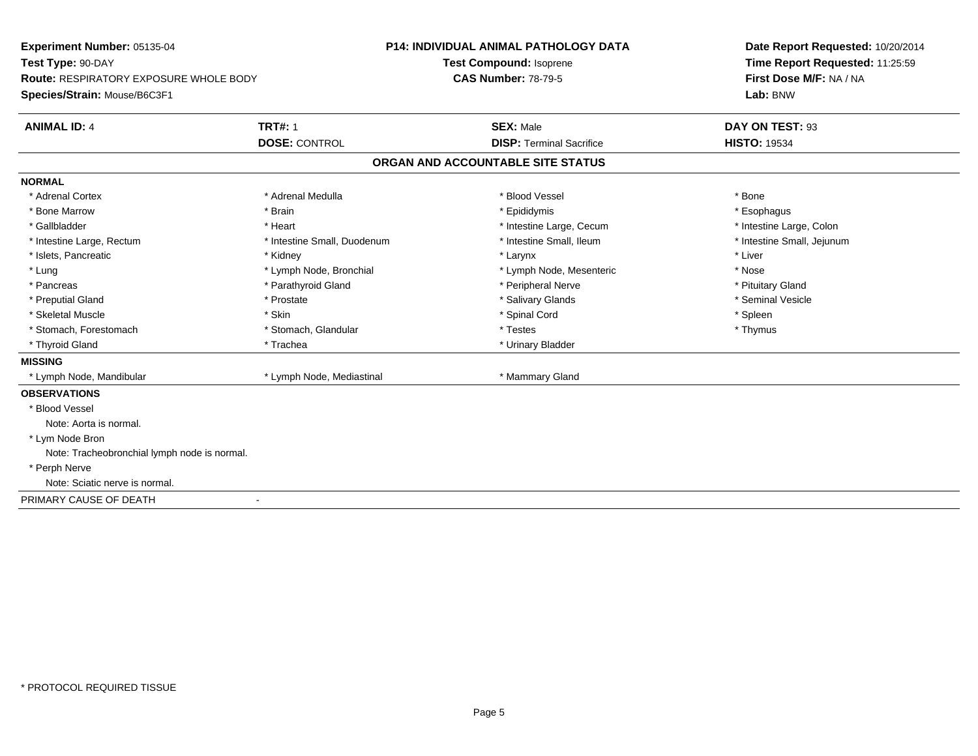**Experiment Number:** 05135-04**Test Type:** 90-DAY **Route:** RESPIRATORY EXPOSURE WHOLE BODY**Species/Strain:** Mouse/B6C3F1**P14: INDIVIDUAL ANIMAL PATHOLOGY DATATest Compound:** Isoprene**CAS Number:** 78-79-5**Date Report Requested:** 10/20/2014**Time Report Requested:** 11:25:59**First Dose M/F:** NA / NA**Lab:** BNW**ANIMAL ID:** 4**TRT#:** 1 **SEX:** Male **DAY ON TEST:** 93 **DOSE:** CONTROL**DISP:** Terminal Sacrifice **HISTO:** 19534 **ORGAN AND ACCOUNTABLE SITE STATUSNORMAL**\* Adrenal Cortex \* Adrenal Cortex \* \* Adrenal Medulla \* \* Adrenal Medulla \* \* Blood Vessel \* \* Brood Vessel \* \* Bone \* Esophagus \* Bone Marrow \* Brain \* Epididymis \* Esophagus \* Gallbladder \* Thestine Large, Colon \* Heart \* Heart \* Thestine Large, Cecum \* Intestine Large, Colon \* Intestine Large, Colon \* Intestine Large, Colon \* Intestine Small, Jejunum \* Intestine Large, Rectum \* Intestine Small, Duodenum \* Intestine Small, Ileum \* Intestine Small, Ileum \* Islets, Pancreatic \* \* \* Andrew \* Kidney \* \* Kidney \* \* Larynx \* Larynx \* \* Larynx \* \* Liver \* Liver \* Liver \* Lung \* Lymph Node, Bronchial \* Nose \* Lymph Node, Mesenteric \* Nose \* Nose \* Pituitary Gland \* Pancreas \* Parathyroid Gland \* Parathyroid Gland \* Peripheral Nerve \* Seminal Vesicle \* Preputial Gland \* \* Annual vesicle \* \* Prostate \* \* Salivary Glands \* \* Salivary Glands \* \* Seminal Vesicle \* \* Skeletal Muscle \* Skin \* Spinal Cord \* Spleen \* Thymus \* Stomach, Forestomach \* Testes \* Stomach, Glandular \* Testes \* Testes \* Testes \* Testes \* \* Testes \* \* Testes \* \* Testes \* \* Testes \* \* Testes \* \* Testes \* \* Testes \* \* Testes \* \* Testes \* \* Testes \* \* Testes \* \* Testes \* \* Thyroid Gland \* Trachea \* Trachea \* Trachea \* Trachea \* Urinary Bladder **MISSING** \* Lymph Node, Mandibular \* Lymph Node, Mediastinal \* Mammary Gland**OBSERVATIONS** \* Blood VesselNote: Aorta is normal. \* Lym Node Bron Note: Tracheobronchial lymph node is normal. \* Perph Nerve Note: Sciatic nerve is normal.PRIMARY CAUSE OF DEATH-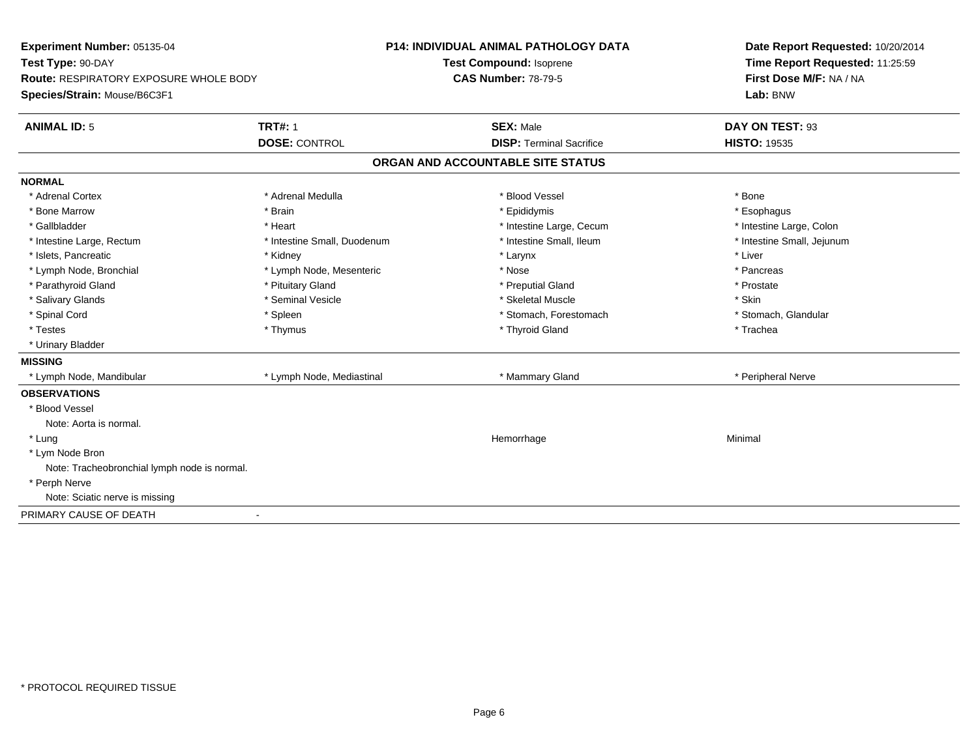| Experiment Number: 05135-04<br>Test Type: 90-DAY |                             | <b>P14: INDIVIDUAL ANIMAL PATHOLOGY DATA</b> | Date Report Requested: 10/20/2014 |
|--------------------------------------------------|-----------------------------|----------------------------------------------|-----------------------------------|
|                                                  |                             | Test Compound: Isoprene                      | Time Report Requested: 11:25:59   |
| Route: RESPIRATORY EXPOSURE WHOLE BODY           |                             | <b>CAS Number: 78-79-5</b>                   | First Dose M/F: NA / NA           |
| Species/Strain: Mouse/B6C3F1                     |                             |                                              | Lab: BNW                          |
| <b>ANIMAL ID: 5</b>                              | <b>TRT#: 1</b>              | <b>SEX: Male</b>                             | DAY ON TEST: 93                   |
|                                                  | <b>DOSE: CONTROL</b>        | <b>DISP: Terminal Sacrifice</b>              | <b>HISTO: 19535</b>               |
|                                                  |                             | ORGAN AND ACCOUNTABLE SITE STATUS            |                                   |
| <b>NORMAL</b>                                    |                             |                                              |                                   |
| * Adrenal Cortex                                 | * Adrenal Medulla           | * Blood Vessel                               | * Bone                            |
| * Bone Marrow                                    | * Brain                     | * Epididymis                                 | * Esophagus                       |
| * Gallbladder                                    | * Heart                     | * Intestine Large, Cecum                     | * Intestine Large, Colon          |
| * Intestine Large, Rectum                        | * Intestine Small, Duodenum | * Intestine Small. Ileum                     | * Intestine Small, Jejunum        |
| * Islets, Pancreatic                             | * Kidney                    | * Larynx                                     | * Liver                           |
| * Lymph Node, Bronchial                          | * Lymph Node, Mesenteric    | * Nose                                       | * Pancreas                        |
| * Parathyroid Gland                              | * Pituitary Gland           | * Preputial Gland                            | * Prostate                        |
| * Salivary Glands                                | * Seminal Vesicle           | * Skeletal Muscle                            | * Skin                            |
| * Spinal Cord                                    | * Spleen                    | * Stomach, Forestomach                       | * Stomach, Glandular              |
| * Testes                                         | * Thymus                    | * Thyroid Gland                              | * Trachea                         |
| * Urinary Bladder                                |                             |                                              |                                   |
| <b>MISSING</b>                                   |                             |                                              |                                   |
| * Lymph Node, Mandibular                         | * Lymph Node, Mediastinal   | * Mammary Gland                              | * Peripheral Nerve                |
| <b>OBSERVATIONS</b>                              |                             |                                              |                                   |
| * Blood Vessel                                   |                             |                                              |                                   |
| Note: Aorta is normal.                           |                             |                                              |                                   |
| * Lung                                           |                             | Hemorrhage                                   | Minimal                           |
| * Lym Node Bron                                  |                             |                                              |                                   |
| Note: Tracheobronchial lymph node is normal.     |                             |                                              |                                   |
| * Perph Nerve                                    |                             |                                              |                                   |
| Note: Sciatic nerve is missing                   |                             |                                              |                                   |
| PRIMARY CAUSE OF DEATH                           | $\blacksquare$              |                                              |                                   |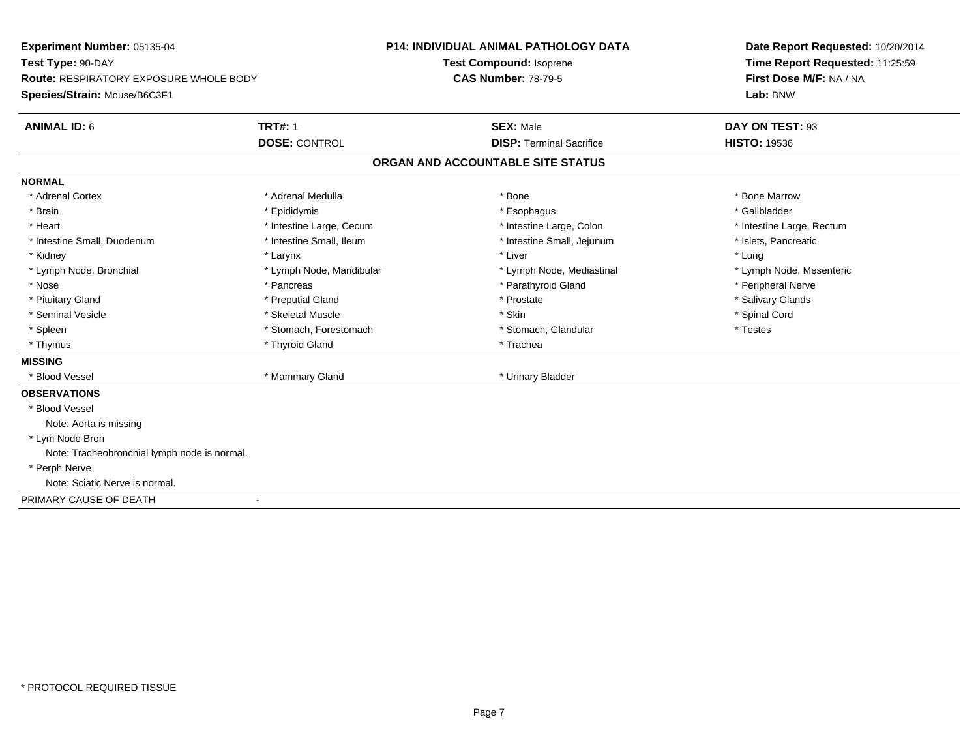**Experiment Number:** 05135-04**Test Type:** 90-DAY **Route:** RESPIRATORY EXPOSURE WHOLE BODY**Species/Strain:** Mouse/B6C3F1**P14: INDIVIDUAL ANIMAL PATHOLOGY DATATest Compound:** Isoprene**CAS Number:** 78-79-5**Date Report Requested:** 10/20/2014**Time Report Requested:** 11:25:59**First Dose M/F:** NA / NA**Lab:** BNW**ANIMAL ID:** 6**TRT#:** 1 **SEX:** Male **DAY ON TEST:** 93 **DOSE:** CONTROL**DISP:** Terminal Sacrifice **HISTO:** 19536 **ORGAN AND ACCOUNTABLE SITE STATUSNORMAL**\* Adrenal Cortex \* Adrenal Medulla \* Adrenal Medulla \* Bone \* Bone \* Bone \* Bone \* Bone Marrow \* Gallbladder \* Brain \* Allen the state of the state of the state of the state of the state of the state of the state of the state of the state of the state of the state of the state of the state of the state of the state of the state o \* Heart **\*** Intestine Large, Cecum **\* Intestine Large, Cecum** \* Intestine Large, Colon \* Intestine Large, Rectum \* Intestine Large, Rectum \* Intestine Small, Duodenum \* Intestine Small, Ileum \* 1ntestine Small, Intestine Small, Jejunum \* Islets, Pancreatic \* Kidney \* Larynx \* Liver \* Lung\* Lymph Node, Mesenteric \* Lymph Node, Bronchial \* Lymph Node, Mandibular \* Lymph Node, Mediastinal \* Lymph Node, Mediastinal \* Nose \* \* Pancreas \* \* Pancreas \* \* Pancreas \* \* Parathyroid Gland \* \* Peripheral Nerve \* Peripheral Nerve \* \* Salivary Glands \* Pituitary Gland \* \* Then the state \* Preputial Gland \* Prosection \* Prostate \* \* Salivary Glands \* Salivary Glands \* Salivary Glands \* Salivary Glands \* Salivary Glands \* Salivary Glands \* Salivary Glands \* Salivary Glan \* Seminal Vesicle \* \* Spinal Cord \* Skeletal Muscle \* \* Skin \* \* Skin \* \* Spinal Vesicle \* Spinal Cord \* Spinal Cord \* Spleen \* Stomach, Forestomach \* Stomach \* Stomach, Slandular \* Testes \* Testes \* Thyrnus \* Thyroid Gland \* Thyroid Gland \* The \* Trachea **MISSING**\* Blood Vessel \* Mammary Gland \* Urinary Bladder **OBSERVATIONS** \* Blood VesselNote: Aorta is missing \* Lym Node Bron Note: Tracheobronchial lymph node is normal. \* Perph Nerve Note: Sciatic Nerve is normal.PRIMARY CAUSE OF DEATH-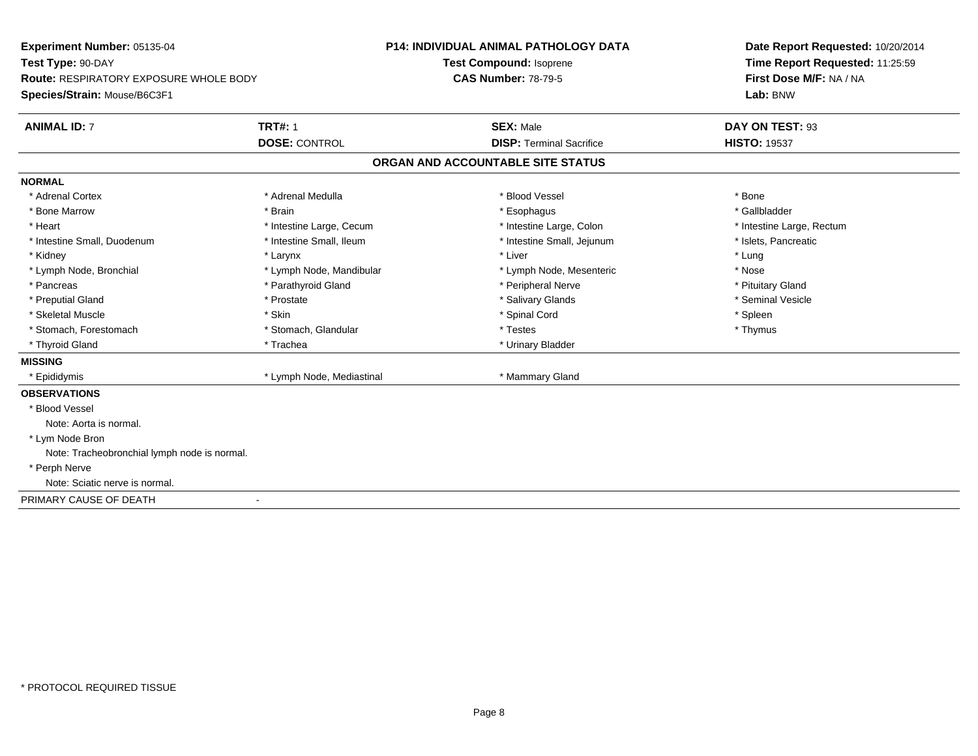**Experiment Number:** 05135-04**Test Type:** 90-DAY **Route:** RESPIRATORY EXPOSURE WHOLE BODY**Species/Strain:** Mouse/B6C3F1**P14: INDIVIDUAL ANIMAL PATHOLOGY DATATest Compound:** Isoprene**CAS Number:** 78-79-5**Date Report Requested:** 10/20/2014**Time Report Requested:** 11:25:59**First Dose M/F:** NA / NA**Lab:** BNW**ANIMAL ID:** 7**TRT#:** 1 **SEX:** Male **DAY ON TEST:** 93 **DOSE:** CONTROL**DISP:** Terminal Sacrifice **HISTO:** 19537 **ORGAN AND ACCOUNTABLE SITE STATUSNORMAL**\* Adrenal Cortex \* Adrenal Medulla \* Adrenal Medulla \* Blood Vessel \* Bood Vessel \* Bone \* Bone \* Bone \* Bone \* Bone \* Bone \* Bone \* Bone \* Bone \* Bone \* Bone \* Bone \* Bone \* Bone \* Bone \* Bone \* Bone \* Bone \* Bone \* Bone \* Bone \* Bone \* \* \* Gallbladder \* Bone Marrow \* \* Android \* Brain \* \* Brain \* \* Esophagus \* \* Esophagus \* \* Esophagus \* \* Gallbladder \* \* Gallbladder \* Heart **\*** Intestine Large, Cecum \* Intestine Large, Cecum \* Intestine Large, Colon \* <sup>\*</sup> Intestine Large, Rectum \* Intestine Small, Duodenum \* Intestine Small, Ileum \* Intestine Small, Intestine Small, Jejunum \* Islets, Pancreatic \* Kidney \* Larynx \* Liver \* Lung\* Nose \* Lymph Node, Bronchial \* Lymph Node, Mandibular \* Nosember is the Node, Mesenteric \* Pituitary Gland \* Pancreas \* Parathyroid Gland \* Parathyroid Gland \* Peripheral Nerve \* Seminal Vesicle \* Preputial Gland \* \* Annual vesicle \* \* Prostate \* \* Salivary Glands \* \* Salivary Glands \* \* Seminal Vesicle \* \* Skeletal Muscle \* Skin \* Spinal Cord \* Spleen \* Thymus \* Stomach, Forestomach \* Testes \* Stomach, Glandular \* Testes \* Testes \* Testes \* Testes \* \* Testes \* \* Testes \* \* Testes \* \* Testes \* \* Testes \* \* Testes \* \* Testes \* \* Testes \* \* Testes \* \* Testes \* \* Testes \* \* Testes \* \* Thyroid Gland \* Trachea \* Trachea \* Trachea \* Trachea \* Urinary Bladder **MISSING**\* Epididymis \* Lymph Node, Mediastinal \* \* Mammary Gland **OBSERVATIONS** \* Blood VesselNote: Aorta is normal. \* Lym Node Bron Note: Tracheobronchial lymph node is normal. \* Perph Nerve Note: Sciatic nerve is normal.PRIMARY CAUSE OF DEATH-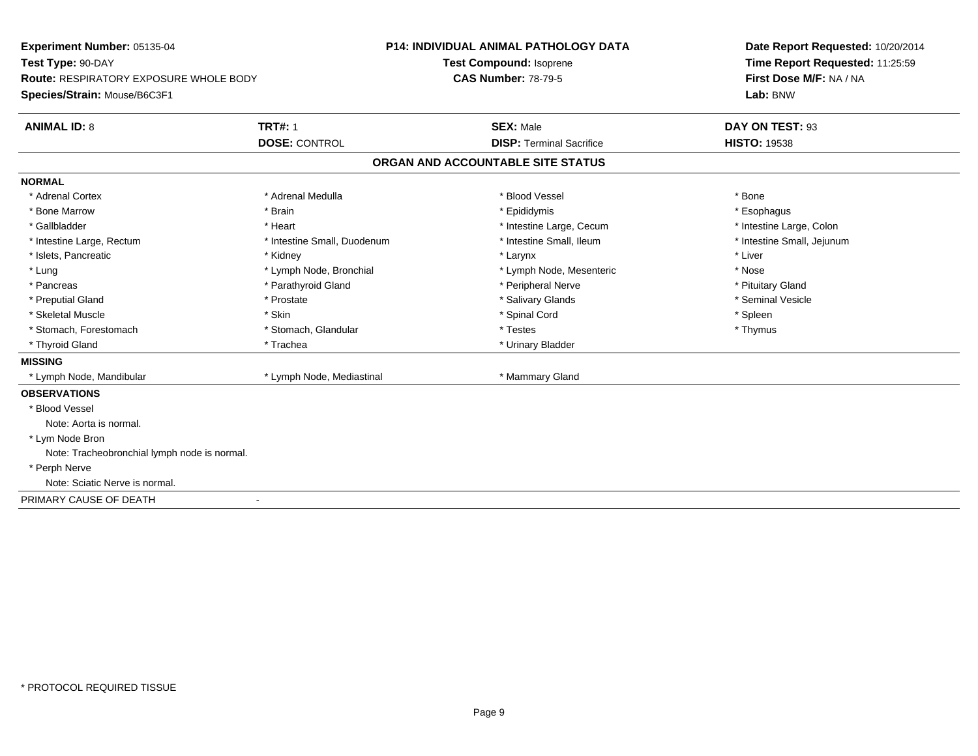**Experiment Number:** 05135-04**Test Type:** 90-DAY **Route:** RESPIRATORY EXPOSURE WHOLE BODY**Species/Strain:** Mouse/B6C3F1**P14: INDIVIDUAL ANIMAL PATHOLOGY DATATest Compound:** Isoprene**CAS Number:** 78-79-5**Date Report Requested:** 10/20/2014**Time Report Requested:** 11:25:59**First Dose M/F:** NA / NA**Lab:** BNW**ANIMAL ID:** 8**TRT#:** 1 **SEX:** Male **DAY ON TEST:** 93 **DOSE:** CONTROL**DISP:** Terminal Sacrifice **HISTO:** 19538 **ORGAN AND ACCOUNTABLE SITE STATUSNORMAL**\* Adrenal Cortex \* Adrenal Cortex \* \* Adrenal Medulla \* \* Adrenal Medulla \* \* Blood Vessel \* \* Brood Vessel \* \* Bone \* Esophagus \* Bone Marrow \* Brain \* Epididymis \* Esophagus \* Gallbladder \* Thestine Large, Colon \* Heart \* Heart \* Thestine Large, Cecum \* Intestine Large, Colon \* Intestine Large, Colon \* Intestine Large, Colon \* Intestine Small, Jejunum \* Intestine Large, Rectum \* Intestine Small, Duodenum \* Intestine Small, Ileum \* Intestine Small, Ileum \* Islets, Pancreatic \* \* \* Andrew \* Kidney \* \* Kidney \* \* Larynx \* Larynx \* \* Larynx \* \* Liver \* Liver \* Liver \* Lung \* Lymph Node, Bronchial \* Nose \* Lymph Node, Mesenteric \* Nose \* Nose \* Pituitary Gland \* Pancreas \* Parathyroid Gland \* Parathyroid Gland \* Peripheral Nerve \* Seminal Vesicle \* Preputial Gland \* \* Annual vesicle \* \* Prostate \* \* Salivary Glands \* \* Salivary Glands \* \* Seminal Vesicle \* \* Skeletal Muscle \* Skin \* Spinal Cord \* Spleen \* Thymus \* Stomach, Forestomach \* Testes \* Stomach, Glandular \* Testes \* Testes \* Testes \* Testes \* \* Testes \* \* Testes \* \* Testes \* \* Testes \* \* Testes \* \* Testes \* \* Testes \* \* Testes \* \* Testes \* \* Testes \* \* Testes \* \* Testes \* \* Thyroid Gland \* Trachea \* Trachea \* Trachea \* Thyroid Gland **MISSING** \* Lymph Node, Mandibular \* Lymph Node, Mediastinal \* Mammary Gland**OBSERVATIONS** \* Blood VesselNote: Aorta is normal. \* Lym Node Bron Note: Tracheobronchial lymph node is normal. \* Perph Nerve Note: Sciatic Nerve is normal.PRIMARY CAUSE OF DEATH-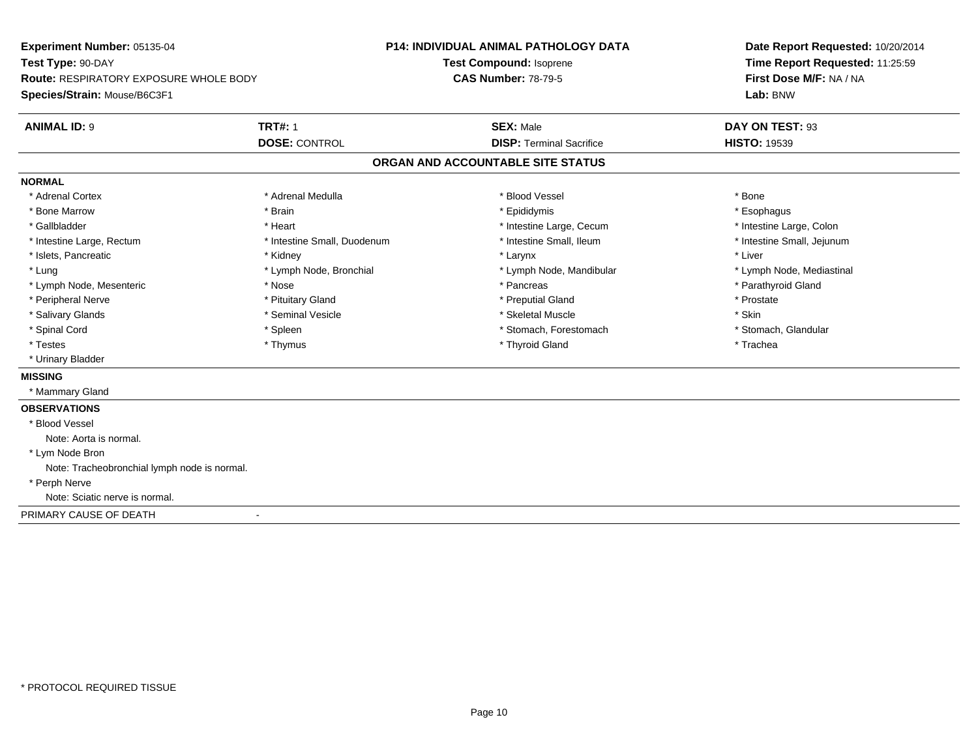**Experiment Number:** 05135-04**Test Type:** 90-DAY **Route:** RESPIRATORY EXPOSURE WHOLE BODY**Species/Strain:** Mouse/B6C3F1**P14: INDIVIDUAL ANIMAL PATHOLOGY DATATest Compound:** Isoprene**CAS Number:** 78-79-5**Date Report Requested:** 10/20/2014**Time Report Requested:** 11:25:59**First Dose M/F:** NA / NA**Lab:** BNW**ANIMAL ID:** 9**TRT#:** 1 **SEX:** Male **DAY ON TEST:** 93 **DOSE:** CONTROL**DISP:** Terminal Sacrifice **HISTO:** 19539 **ORGAN AND ACCOUNTABLE SITE STATUSNORMAL**\* Adrenal Cortex \* Adrenal Cortex \* \* Adrenal Medulla \* \* Adrenal Medulla \* \* Blood Vessel \* \* Brood Vessel \* \* Bone \* Esophagus \* Bone Marrow \* Brain \* Epididymis \* Esophagus \* Gallbladder \* Thestine Large, Colon \* Heart \* Heart \* Thestine Large, Cecum \* Intestine Large, Colon \* Intestine Large, Colon \* Intestine Large, Colon \* Intestine Small, Jejunum \* Intestine Large, Rectum \* Intestine Small, Duodenum \* Intestine Small, Ileum \* Intestine Small, Ileum \* Islets, Pancreatic \* \* \* Andrew \* Kidney \* \* Kidney \* \* Larynx \* Larynx \* \* Larynx \* \* Liver \* Liver \* Liver \* Lung \* Lymph Node, Bronchial \* Lymph Node, and ibular \* Lymph Node, Mandibular \* Lymph Node, Mediastinal \* Lymph Node, Mediastinal \* Lymph Node, Mesenteric \* The state of the state of the state of the state of the state of the state of the state of the state of the state of the state of the state of the state of the state of the state of the state of \* Peripheral Nerve \* \* \* Prostate \* \* Pretuitary Gland \* \* \* \* \* \* \* Preputial Gland \* \* \* Prostate \* Prostate \* Salivary Glands \* Seminal Vesicle \* Skeletal Muscle \* Skin\* Stomach, Glandular \* Spinal Cord \* Spinal Cord \* Spinal Cord \* Stomach, Forestomach \* Spinal Cord \* Stomach, Forestomach \* Testes \* Thymus \* Thyroid Gland \* Trachea \* Urinary Bladder**MISSING** \* Mammary Gland**OBSERVATIONS** \* Blood VesselNote: Aorta is normal. \* Lym Node Bron Note: Tracheobronchial lymph node is normal. \* Perph Nerve Note: Sciatic nerve is normal.PRIMARY CAUSE OF DEATH-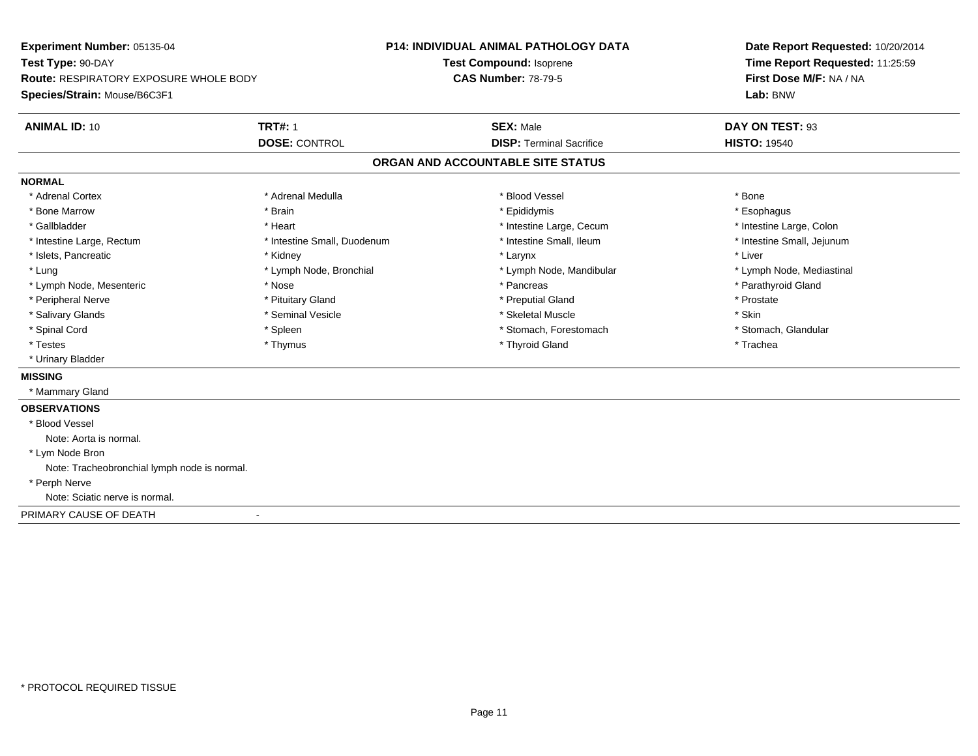**Experiment Number:** 05135-04**Test Type:** 90-DAY **Route:** RESPIRATORY EXPOSURE WHOLE BODY**Species/Strain:** Mouse/B6C3F1**P14: INDIVIDUAL ANIMAL PATHOLOGY DATATest Compound:** Isoprene**CAS Number:** 78-79-5**Date Report Requested:** 10/20/2014**Time Report Requested:** 11:25:59**First Dose M/F:** NA / NA**Lab:** BNW**ANIMAL ID:** 10**TRT#:** 1 **SEX:** Male **DAY ON TEST:** 93 **DOSE:** CONTROL**DISP:** Terminal Sacrifice **HISTO:** 19540 **ORGAN AND ACCOUNTABLE SITE STATUSNORMAL**\* Adrenal Cortex \* Adrenal Cortex \* \* Adrenal Medulla \* \* Adrenal Medulla \* \* Blood Vessel \* \* Brood Vessel \* \* Bone \* Esophagus \* Bone Marrow \* Brain \* Epididymis \* Esophagus \* Gallbladder \* Thestine Large, Colon \* Heart \* Heart \* Thestine Large, Cecum \* Intestine Large, Colon \* Intestine Large, Colon \* Intestine Large, Colon \* Intestine Small, Jejunum \* Intestine Large, Rectum \* Intestine Small, Duodenum \* Intestine Small, Ileum \* Intestine Small, Ileum \* Islets, Pancreatic \* \* \* Andrew \* Kidney \* \* Kidney \* \* Larynx \* Larynx \* \* Larynx \* \* Liver \* Liver \* Liver \* Lung \* Lymph Node, Bronchial \* Lymph Node, and ibular \* Lymph Node, Mandibular \* Lymph Node, Mediastinal \* Lymph Node, Mediastinal \* Lymph Node, Mesenteric \* The state of the state of the state of the state of the state of the state of the state of the state of the state of the state of the state of the state of the state of the state of the state of \* Peripheral Nerve \* \* \* Prostate \* \* Pretuitary Gland \* \* \* \* \* \* \* Preputial Gland \* \* \* Prostate \* Prostate \* Salivary Glands \* Seminal Vesicle \* Skeletal Muscle \* Skin\* Stomach, Glandular \* Spinal Cord \* Spinal Cord \* Spinal Cord \* Stomach, Forestomach \* Spinal Cord \* Stomach, Forestomach \* Testes \* Thymus \* Thyroid Gland \* Trachea \* Urinary Bladder**MISSING** \* Mammary Gland**OBSERVATIONS** \* Blood VesselNote: Aorta is normal. \* Lym Node Bron Note: Tracheobronchial lymph node is normal. \* Perph Nerve Note: Sciatic nerve is normal.PRIMARY CAUSE OF DEATH-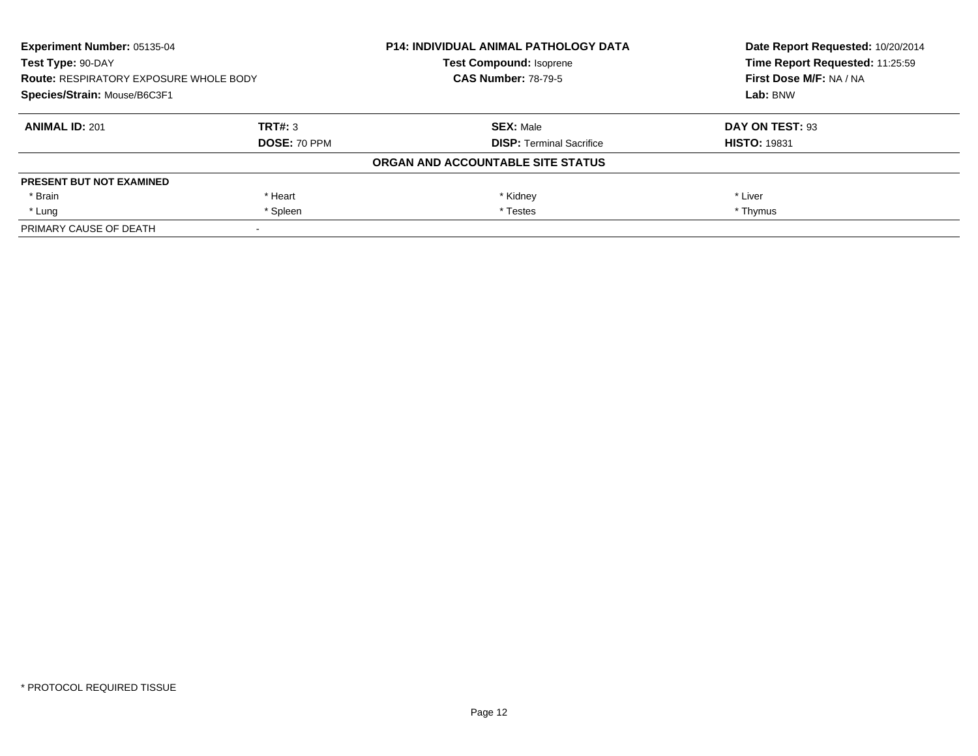| Experiment Number: 05135-04<br>Test Type: 90-DAY<br><b>Route: RESPIRATORY EXPOSURE WHOLE BODY</b><br>Species/Strain: Mouse/B6C3F1 |              | <b>P14: INDIVIDUAL ANIMAL PATHOLOGY DATA</b> | Date Report Requested: 10/20/2014 |
|-----------------------------------------------------------------------------------------------------------------------------------|--------------|----------------------------------------------|-----------------------------------|
|                                                                                                                                   |              | <b>Test Compound: Isoprene</b>               | Time Report Requested: 11:25:59   |
|                                                                                                                                   |              | <b>CAS Number: 78-79-5</b>                   | First Dose M/F: NA / NA           |
|                                                                                                                                   |              |                                              | Lab: BNW                          |
| <b>ANIMAL ID: 201</b>                                                                                                             | TRT#: 3      | <b>SEX: Male</b>                             | DAY ON TEST: 93                   |
|                                                                                                                                   | DOSE: 70 PPM | <b>DISP:</b> Terminal Sacrifice              | <b>HISTO: 19831</b>               |
|                                                                                                                                   |              | ORGAN AND ACCOUNTABLE SITE STATUS            |                                   |
| <b>PRESENT BUT NOT EXAMINED</b>                                                                                                   |              |                                              |                                   |
| * Brain                                                                                                                           | * Heart      | * Kidney                                     | * Liver                           |
| * Lung                                                                                                                            | * Spleen     | * Testes                                     | * Thymus                          |
| PRIMARY CAUSE OF DEATH                                                                                                            |              |                                              |                                   |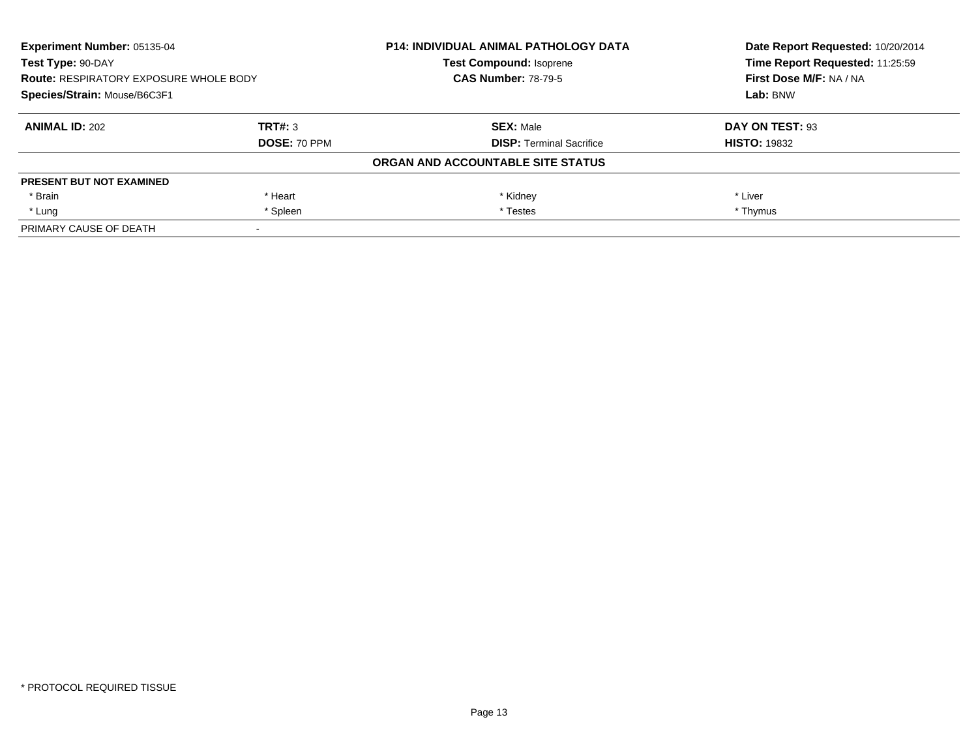| Experiment Number: 05135-04<br>Test Type: 90-DAY<br><b>Route: RESPIRATORY EXPOSURE WHOLE BODY</b><br>Species/Strain: Mouse/B6C3F1 |              | <b>P14: INDIVIDUAL ANIMAL PATHOLOGY DATA</b> | Date Report Requested: 10/20/2014 |
|-----------------------------------------------------------------------------------------------------------------------------------|--------------|----------------------------------------------|-----------------------------------|
|                                                                                                                                   |              | <b>Test Compound: Isoprene</b>               | Time Report Requested: 11:25:59   |
|                                                                                                                                   |              | <b>CAS Number: 78-79-5</b>                   | First Dose M/F: NA / NA           |
|                                                                                                                                   |              |                                              | Lab: BNW                          |
| <b>ANIMAL ID: 202</b>                                                                                                             | TRT#: 3      | <b>SEX: Male</b>                             | DAY ON TEST: 93                   |
|                                                                                                                                   | DOSE: 70 PPM | <b>DISP:</b> Terminal Sacrifice              | <b>HISTO: 19832</b>               |
|                                                                                                                                   |              | ORGAN AND ACCOUNTABLE SITE STATUS            |                                   |
| <b>PRESENT BUT NOT EXAMINED</b>                                                                                                   |              |                                              |                                   |
| * Brain                                                                                                                           | * Heart      | * Kidney                                     | * Liver                           |
| * Lung                                                                                                                            | * Spleen     | * Testes                                     | * Thymus                          |
| PRIMARY CAUSE OF DEATH                                                                                                            |              |                                              |                                   |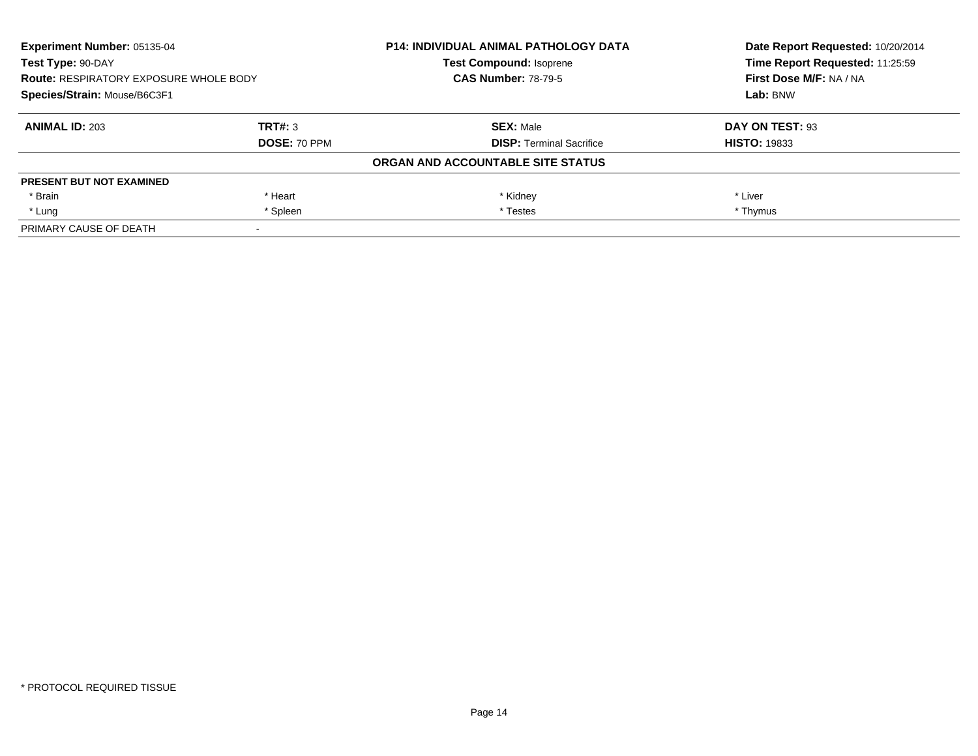| <b>Experiment Number: 05135-04</b><br>Test Type: 90-DAY<br><b>Route: RESPIRATORY EXPOSURE WHOLE BODY</b><br>Species/Strain: Mouse/B6C3F1 |                     | <b>P14: INDIVIDUAL ANIMAL PATHOLOGY DATA</b> | Date Report Requested: 10/20/2014 |
|------------------------------------------------------------------------------------------------------------------------------------------|---------------------|----------------------------------------------|-----------------------------------|
|                                                                                                                                          |                     | <b>Test Compound: Isoprene</b>               | Time Report Requested: 11:25:59   |
|                                                                                                                                          |                     | <b>CAS Number: 78-79-5</b>                   | First Dose M/F: NA / NA           |
|                                                                                                                                          |                     |                                              | Lab: BNW                          |
| <b>ANIMAL ID: 203</b>                                                                                                                    | TRT#: 3             | <b>SEX: Male</b>                             | DAY ON TEST: 93                   |
|                                                                                                                                          | <b>DOSE: 70 PPM</b> | <b>DISP:</b> Terminal Sacrifice              | <b>HISTO: 19833</b>               |
|                                                                                                                                          |                     | ORGAN AND ACCOUNTABLE SITE STATUS            |                                   |
| <b>PRESENT BUT NOT EXAMINED</b>                                                                                                          |                     |                                              |                                   |
| * Brain                                                                                                                                  | * Heart             | * Kidney                                     | * Liver                           |
| * Lung                                                                                                                                   | * Spleen            | * Testes                                     | * Thymus                          |
| PRIMARY CAUSE OF DEATH                                                                                                                   |                     |                                              |                                   |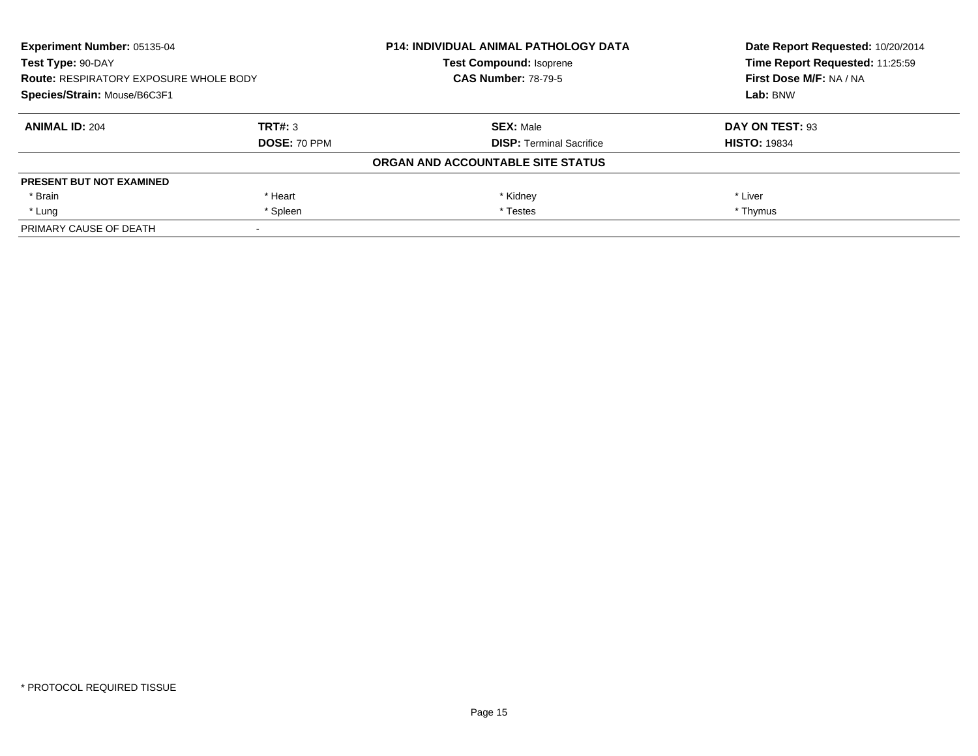| Experiment Number: 05135-04<br>Test Type: 90-DAY<br><b>Route: RESPIRATORY EXPOSURE WHOLE BODY</b><br>Species/Strain: Mouse/B6C3F1 |              | <b>P14: INDIVIDUAL ANIMAL PATHOLOGY DATA</b> | Date Report Requested: 10/20/2014 |
|-----------------------------------------------------------------------------------------------------------------------------------|--------------|----------------------------------------------|-----------------------------------|
|                                                                                                                                   |              | <b>Test Compound: Isoprene</b>               | Time Report Requested: 11:25:59   |
|                                                                                                                                   |              | <b>CAS Number: 78-79-5</b>                   | First Dose M/F: NA / NA           |
|                                                                                                                                   |              |                                              | Lab: BNW                          |
| <b>ANIMAL ID: 204</b>                                                                                                             | TRT#: 3      | <b>SEX: Male</b>                             | DAY ON TEST: 93                   |
|                                                                                                                                   | DOSE: 70 PPM | <b>DISP:</b> Terminal Sacrifice              | <b>HISTO: 19834</b>               |
|                                                                                                                                   |              | ORGAN AND ACCOUNTABLE SITE STATUS            |                                   |
| <b>PRESENT BUT NOT EXAMINED</b>                                                                                                   |              |                                              |                                   |
| * Brain                                                                                                                           | * Heart      | * Kidney                                     | * Liver                           |
| * Lung                                                                                                                            | * Spleen     | * Testes                                     | * Thymus                          |
| PRIMARY CAUSE OF DEATH                                                                                                            |              |                                              |                                   |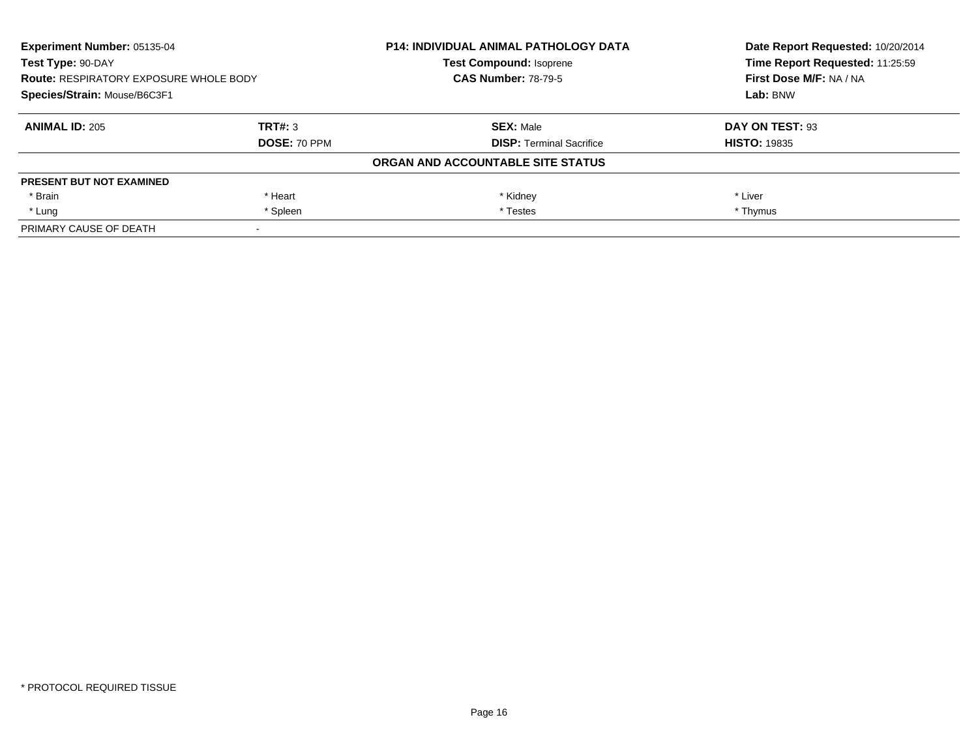| Experiment Number: 05135-04<br>Test Type: 90-DAY<br><b>Route: RESPIRATORY EXPOSURE WHOLE BODY</b><br>Species/Strain: Mouse/B6C3F1 |              | <b>P14: INDIVIDUAL ANIMAL PATHOLOGY DATA</b> | Date Report Requested: 10/20/2014 |
|-----------------------------------------------------------------------------------------------------------------------------------|--------------|----------------------------------------------|-----------------------------------|
|                                                                                                                                   |              | <b>Test Compound: Isoprene</b>               | Time Report Requested: 11:25:59   |
|                                                                                                                                   |              | <b>CAS Number: 78-79-5</b>                   | First Dose M/F: NA / NA           |
|                                                                                                                                   |              |                                              | Lab: BNW                          |
| <b>ANIMAL ID: 205</b>                                                                                                             | TRT#: 3      | <b>SEX: Male</b>                             | DAY ON TEST: 93                   |
|                                                                                                                                   | DOSE: 70 PPM | <b>DISP:</b> Terminal Sacrifice              | <b>HISTO: 19835</b>               |
|                                                                                                                                   |              | ORGAN AND ACCOUNTABLE SITE STATUS            |                                   |
| <b>PRESENT BUT NOT EXAMINED</b>                                                                                                   |              |                                              |                                   |
| * Brain                                                                                                                           | * Heart      | * Kidney                                     | * Liver                           |
| * Lung                                                                                                                            | * Spleen     | * Testes                                     | * Thymus                          |
| PRIMARY CAUSE OF DEATH                                                                                                            |              |                                              |                                   |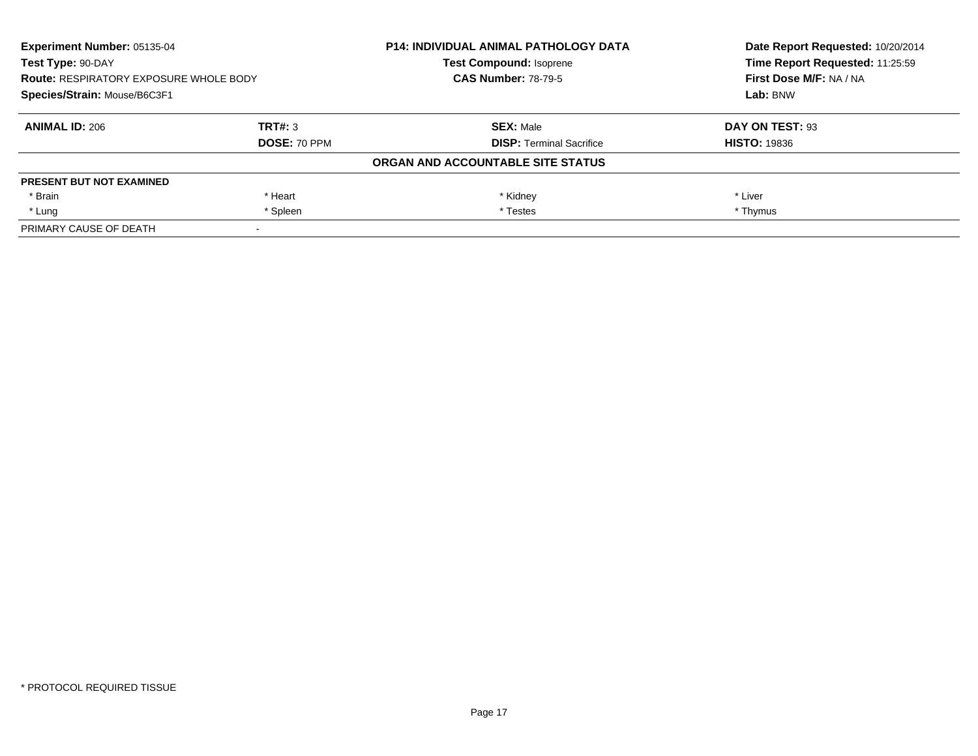| Experiment Number: 05135-04<br>Test Type: 90-DAY<br><b>Route: RESPIRATORY EXPOSURE WHOLE BODY</b><br>Species/Strain: Mouse/B6C3F1 |              | <b>P14: INDIVIDUAL ANIMAL PATHOLOGY DATA</b> | Date Report Requested: 10/20/2014 |
|-----------------------------------------------------------------------------------------------------------------------------------|--------------|----------------------------------------------|-----------------------------------|
|                                                                                                                                   |              | <b>Test Compound: Isoprene</b>               | Time Report Requested: 11:25:59   |
|                                                                                                                                   |              | <b>CAS Number: 78-79-5</b>                   | First Dose M/F: NA / NA           |
|                                                                                                                                   |              |                                              | Lab: BNW                          |
| <b>ANIMAL ID: 206</b>                                                                                                             | TRT#: 3      | <b>SEX: Male</b>                             | DAY ON TEST: 93                   |
|                                                                                                                                   | DOSE: 70 PPM | <b>DISP:</b> Terminal Sacrifice              | <b>HISTO: 19836</b>               |
|                                                                                                                                   |              | ORGAN AND ACCOUNTABLE SITE STATUS            |                                   |
| <b>PRESENT BUT NOT EXAMINED</b>                                                                                                   |              |                                              |                                   |
| * Brain                                                                                                                           | * Heart      | * Kidney                                     | * Liver                           |
| * Lung                                                                                                                            | * Spleen     | * Testes                                     | * Thymus                          |
| PRIMARY CAUSE OF DEATH                                                                                                            |              |                                              |                                   |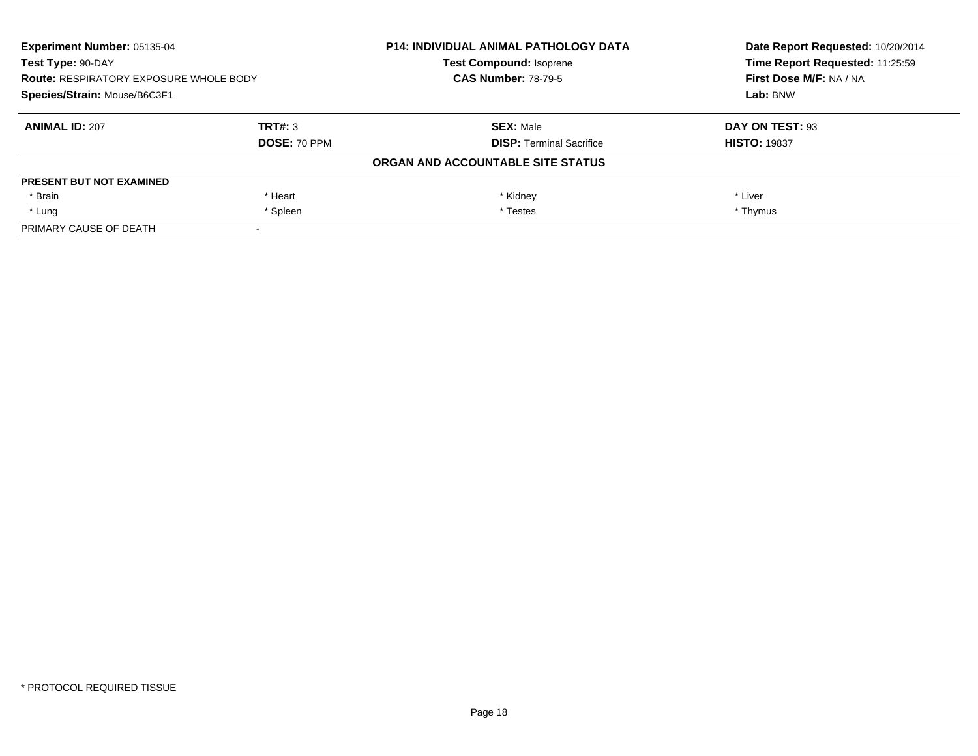| Experiment Number: 05135-04<br>Test Type: 90-DAY<br><b>Route: RESPIRATORY EXPOSURE WHOLE BODY</b><br>Species/Strain: Mouse/B6C3F1 |              | <b>P14: INDIVIDUAL ANIMAL PATHOLOGY DATA</b> | Date Report Requested: 10/20/2014<br>Time Report Requested: 11:25:59 |
|-----------------------------------------------------------------------------------------------------------------------------------|--------------|----------------------------------------------|----------------------------------------------------------------------|
|                                                                                                                                   |              | <b>Test Compound: Isoprene</b>               |                                                                      |
|                                                                                                                                   |              | <b>CAS Number: 78-79-5</b>                   | First Dose M/F: NA / NA                                              |
|                                                                                                                                   |              |                                              | Lab: BNW                                                             |
| <b>ANIMAL ID: 207</b>                                                                                                             | TRT#: 3      | <b>SEX: Male</b>                             | DAY ON TEST: 93                                                      |
|                                                                                                                                   | DOSE: 70 PPM | <b>DISP:</b> Terminal Sacrifice              | <b>HISTO: 19837</b>                                                  |
|                                                                                                                                   |              | ORGAN AND ACCOUNTABLE SITE STATUS            |                                                                      |
| <b>PRESENT BUT NOT EXAMINED</b>                                                                                                   |              |                                              |                                                                      |
| * Brain                                                                                                                           | * Heart      | * Kidney                                     | * Liver                                                              |
| * Lung                                                                                                                            | * Spleen     | * Testes                                     | * Thymus                                                             |
| PRIMARY CAUSE OF DEATH                                                                                                            |              |                                              |                                                                      |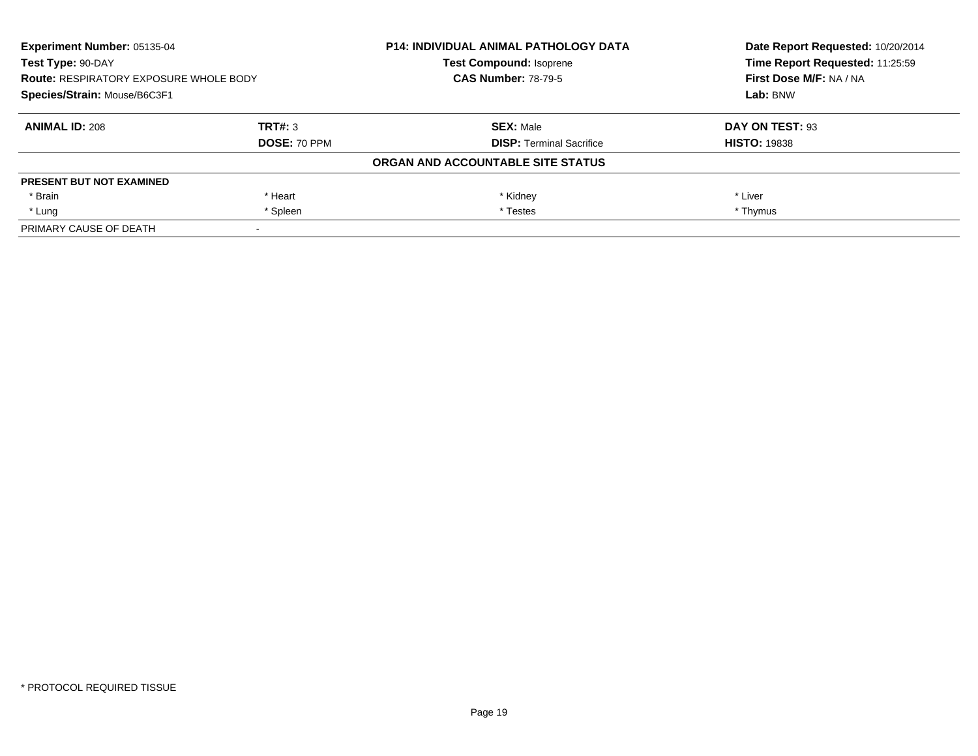| Experiment Number: 05135-04<br>Test Type: 90-DAY<br><b>Route: RESPIRATORY EXPOSURE WHOLE BODY</b><br>Species/Strain: Mouse/B6C3F1 |              | <b>P14: INDIVIDUAL ANIMAL PATHOLOGY DATA</b> | Date Report Requested: 10/20/2014<br>Time Report Requested: 11:25:59<br>First Dose M/F: NA / NA<br>Lab: BNW |
|-----------------------------------------------------------------------------------------------------------------------------------|--------------|----------------------------------------------|-------------------------------------------------------------------------------------------------------------|
|                                                                                                                                   |              | <b>Test Compound: Isoprene</b>               |                                                                                                             |
|                                                                                                                                   |              | <b>CAS Number: 78-79-5</b>                   |                                                                                                             |
|                                                                                                                                   |              |                                              |                                                                                                             |
| <b>ANIMAL ID: 208</b>                                                                                                             | TRT#: 3      | <b>SEX: Male</b>                             | DAY ON TEST: 93                                                                                             |
|                                                                                                                                   | DOSE: 70 PPM | <b>DISP:</b> Terminal Sacrifice              | <b>HISTO: 19838</b>                                                                                         |
|                                                                                                                                   |              | ORGAN AND ACCOUNTABLE SITE STATUS            |                                                                                                             |
| <b>PRESENT BUT NOT EXAMINED</b>                                                                                                   |              |                                              |                                                                                                             |
| * Brain                                                                                                                           | * Heart      | * Kidney                                     | * Liver                                                                                                     |
| * Lung                                                                                                                            | * Spleen     | * Testes                                     | * Thymus                                                                                                    |
| PRIMARY CAUSE OF DEATH                                                                                                            |              |                                              |                                                                                                             |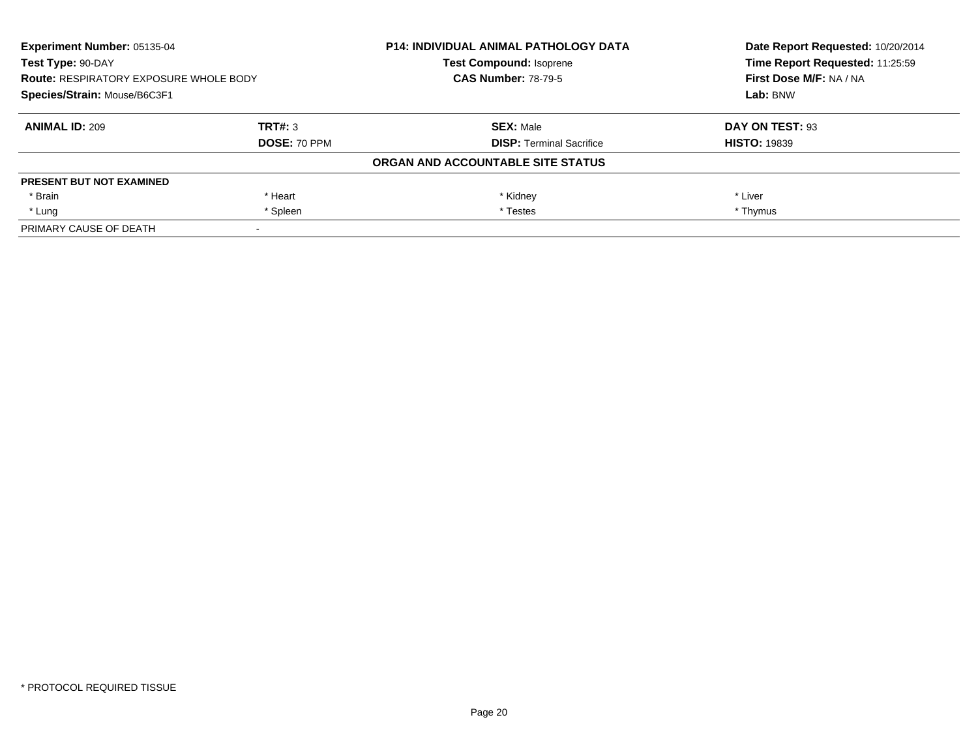| Experiment Number: 05135-04<br>Test Type: 90-DAY<br><b>Route: RESPIRATORY EXPOSURE WHOLE BODY</b><br>Species/Strain: Mouse/B6C3F1 |              | <b>P14: INDIVIDUAL ANIMAL PATHOLOGY DATA</b> | Date Report Requested: 10/20/2014<br>Time Report Requested: 11:25:59<br>First Dose M/F: NA / NA<br>Lab: BNW |
|-----------------------------------------------------------------------------------------------------------------------------------|--------------|----------------------------------------------|-------------------------------------------------------------------------------------------------------------|
|                                                                                                                                   |              | <b>Test Compound: Isoprene</b>               |                                                                                                             |
|                                                                                                                                   |              | <b>CAS Number: 78-79-5</b>                   |                                                                                                             |
|                                                                                                                                   |              |                                              |                                                                                                             |
| <b>ANIMAL ID: 209</b>                                                                                                             | TRT#: 3      | <b>SEX: Male</b>                             | DAY ON TEST: 93                                                                                             |
|                                                                                                                                   | DOSE: 70 PPM | <b>DISP:</b> Terminal Sacrifice              | <b>HISTO: 19839</b>                                                                                         |
|                                                                                                                                   |              | ORGAN AND ACCOUNTABLE SITE STATUS            |                                                                                                             |
| <b>PRESENT BUT NOT EXAMINED</b>                                                                                                   |              |                                              |                                                                                                             |
| * Brain                                                                                                                           | * Heart      | * Kidney                                     | * Liver                                                                                                     |
| * Lung                                                                                                                            | * Spleen     | * Testes                                     | * Thymus                                                                                                    |
| PRIMARY CAUSE OF DEATH                                                                                                            |              |                                              |                                                                                                             |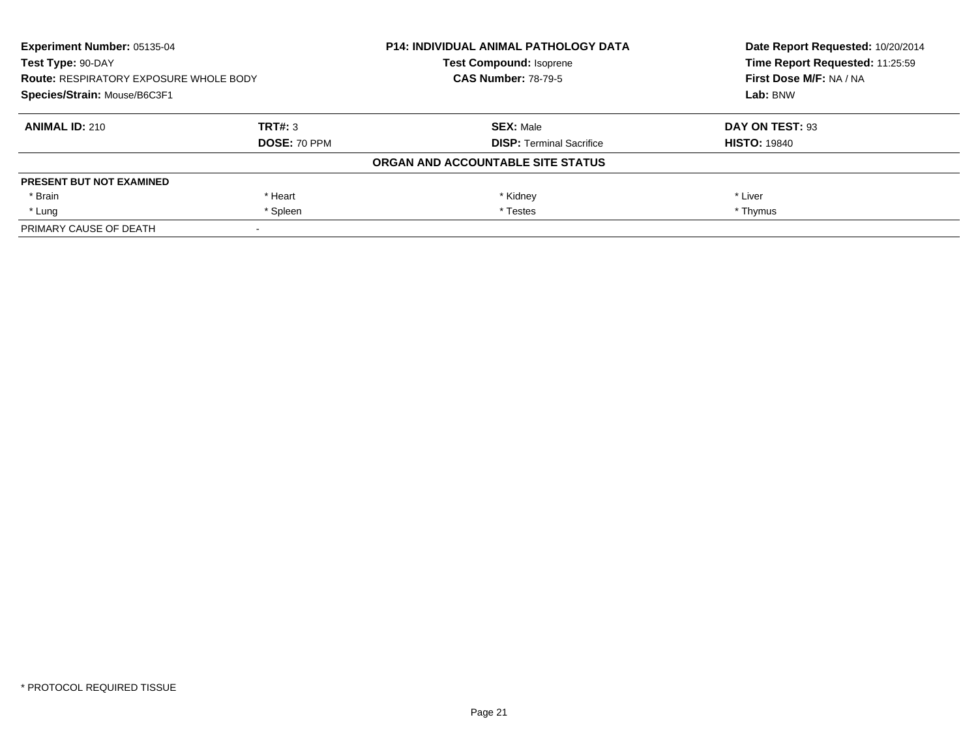| Experiment Number: 05135-04<br>Test Type: 90-DAY<br><b>Route: RESPIRATORY EXPOSURE WHOLE BODY</b><br>Species/Strain: Mouse/B6C3F1 |              | <b>P14: INDIVIDUAL ANIMAL PATHOLOGY DATA</b> | Date Report Requested: 10/20/2014<br>Time Report Requested: 11:25:59<br>First Dose M/F: NA / NA<br>Lab: BNW |
|-----------------------------------------------------------------------------------------------------------------------------------|--------------|----------------------------------------------|-------------------------------------------------------------------------------------------------------------|
|                                                                                                                                   |              | <b>Test Compound: Isoprene</b>               |                                                                                                             |
|                                                                                                                                   |              | <b>CAS Number: 78-79-5</b>                   |                                                                                                             |
|                                                                                                                                   |              |                                              |                                                                                                             |
| <b>ANIMAL ID: 210</b>                                                                                                             | TRT#: 3      | <b>SEX: Male</b>                             | DAY ON TEST: 93                                                                                             |
|                                                                                                                                   | DOSE: 70 PPM | <b>DISP:</b> Terminal Sacrifice              | <b>HISTO: 19840</b>                                                                                         |
|                                                                                                                                   |              | ORGAN AND ACCOUNTABLE SITE STATUS            |                                                                                                             |
| <b>PRESENT BUT NOT EXAMINED</b>                                                                                                   |              |                                              |                                                                                                             |
| * Brain                                                                                                                           | * Heart      | * Kidney                                     | * Liver                                                                                                     |
| * Lung                                                                                                                            | * Spleen     | * Testes                                     | * Thymus                                                                                                    |
| PRIMARY CAUSE OF DEATH                                                                                                            |              |                                              |                                                                                                             |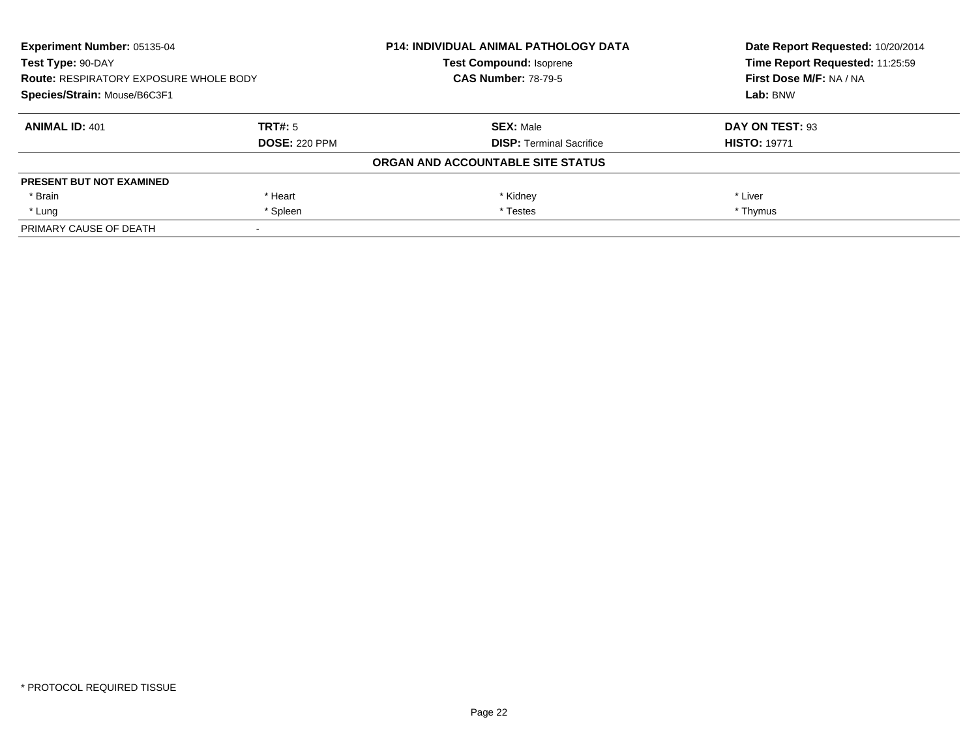| Experiment Number: 05135-04<br>Test Type: 90-DAY<br><b>Route: RESPIRATORY EXPOSURE WHOLE BODY</b><br>Species/Strain: Mouse/B6C3F1 |                      | <b>P14: INDIVIDUAL ANIMAL PATHOLOGY DATA</b> | Date Report Requested: 10/20/2014<br>Time Report Requested: 11:25:59<br>First Dose M/F: NA / NA<br>Lab: BNW |
|-----------------------------------------------------------------------------------------------------------------------------------|----------------------|----------------------------------------------|-------------------------------------------------------------------------------------------------------------|
|                                                                                                                                   |                      | <b>Test Compound: Isoprene</b>               |                                                                                                             |
|                                                                                                                                   |                      | <b>CAS Number: 78-79-5</b>                   |                                                                                                             |
|                                                                                                                                   |                      |                                              |                                                                                                             |
| <b>ANIMAL ID: 401</b>                                                                                                             | TRT#: 5              | <b>SEX: Male</b>                             | DAY ON TEST: 93                                                                                             |
|                                                                                                                                   | <b>DOSE: 220 PPM</b> | <b>DISP:</b> Terminal Sacrifice              | <b>HISTO: 19771</b>                                                                                         |
|                                                                                                                                   |                      | ORGAN AND ACCOUNTABLE SITE STATUS            |                                                                                                             |
| <b>PRESENT BUT NOT EXAMINED</b>                                                                                                   |                      |                                              |                                                                                                             |
| * Brain                                                                                                                           | * Heart              | * Kidney                                     | * Liver                                                                                                     |
| * Lung                                                                                                                            | * Spleen             | * Testes                                     | * Thymus                                                                                                    |
| PRIMARY CAUSE OF DEATH                                                                                                            |                      |                                              |                                                                                                             |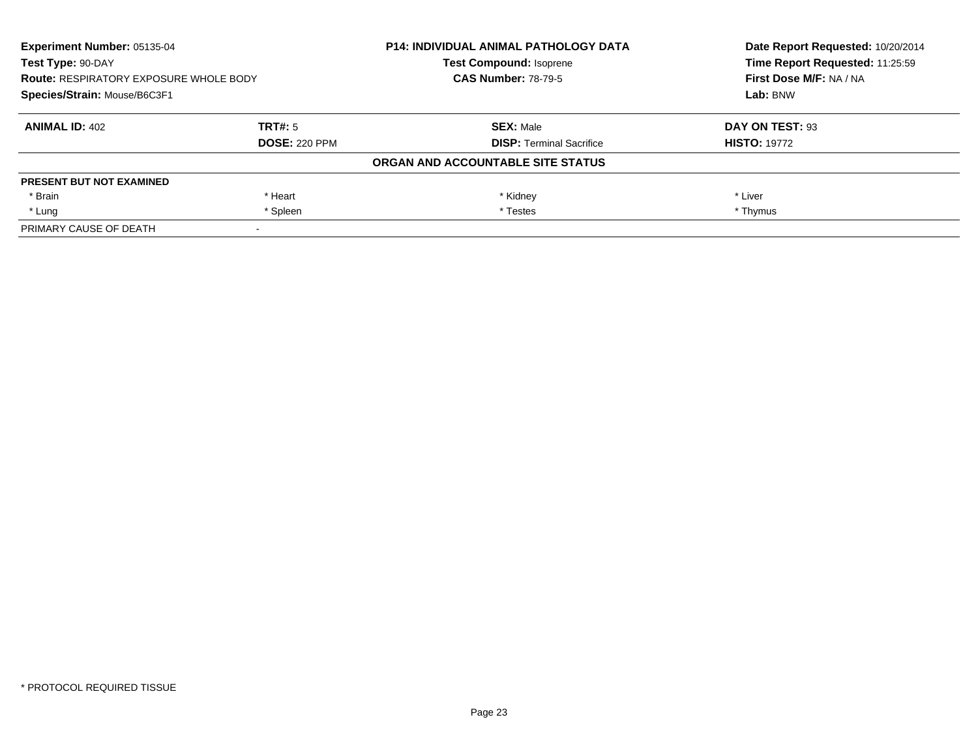| Experiment Number: 05135-04<br>Test Type: 90-DAY<br><b>Route: RESPIRATORY EXPOSURE WHOLE BODY</b><br>Species/Strain: Mouse/B6C3F1 |                      | <b>P14: INDIVIDUAL ANIMAL PATHOLOGY DATA</b> | Date Report Requested: 10/20/2014<br>Time Report Requested: 11:25:59<br>First Dose M/F: NA / NA<br>Lab: BNW |
|-----------------------------------------------------------------------------------------------------------------------------------|----------------------|----------------------------------------------|-------------------------------------------------------------------------------------------------------------|
|                                                                                                                                   |                      | <b>Test Compound: Isoprene</b>               |                                                                                                             |
|                                                                                                                                   |                      | <b>CAS Number: 78-79-5</b>                   |                                                                                                             |
|                                                                                                                                   |                      |                                              |                                                                                                             |
| <b>ANIMAL ID: 402</b>                                                                                                             | TRT#: 5              | <b>SEX: Male</b>                             | DAY ON TEST: 93                                                                                             |
|                                                                                                                                   | <b>DOSE: 220 PPM</b> | <b>DISP:</b> Terminal Sacrifice              | <b>HISTO: 19772</b>                                                                                         |
|                                                                                                                                   |                      | ORGAN AND ACCOUNTABLE SITE STATUS            |                                                                                                             |
| <b>PRESENT BUT NOT EXAMINED</b>                                                                                                   |                      |                                              |                                                                                                             |
| * Brain                                                                                                                           | * Heart              | * Kidney                                     | * Liver                                                                                                     |
| * Lung                                                                                                                            | * Spleen             | * Testes                                     | * Thymus                                                                                                    |
| PRIMARY CAUSE OF DEATH                                                                                                            |                      |                                              |                                                                                                             |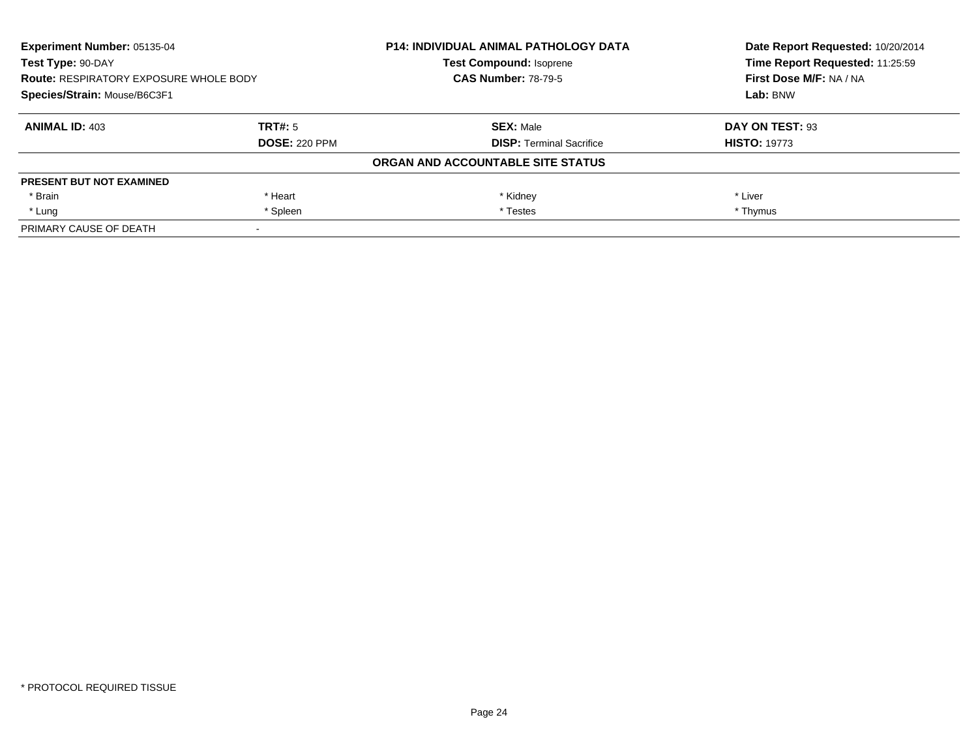| Experiment Number: 05135-04<br>Test Type: 90-DAY<br><b>Route: RESPIRATORY EXPOSURE WHOLE BODY</b><br>Species/Strain: Mouse/B6C3F1 |                      | <b>P14: INDIVIDUAL ANIMAL PATHOLOGY DATA</b> | Date Report Requested: 10/20/2014<br>Time Report Requested: 11:25:59<br>First Dose M/F: NA / NA<br>Lab: BNW |
|-----------------------------------------------------------------------------------------------------------------------------------|----------------------|----------------------------------------------|-------------------------------------------------------------------------------------------------------------|
|                                                                                                                                   |                      | <b>Test Compound: Isoprene</b>               |                                                                                                             |
|                                                                                                                                   |                      | <b>CAS Number: 78-79-5</b>                   |                                                                                                             |
|                                                                                                                                   |                      |                                              |                                                                                                             |
| <b>ANIMAL ID: 403</b>                                                                                                             | TRT#: 5              | <b>SEX: Male</b>                             | DAY ON TEST: 93                                                                                             |
|                                                                                                                                   | <b>DOSE: 220 PPM</b> | <b>DISP:</b> Terminal Sacrifice              | <b>HISTO: 19773</b>                                                                                         |
|                                                                                                                                   |                      | ORGAN AND ACCOUNTABLE SITE STATUS            |                                                                                                             |
| <b>PRESENT BUT NOT EXAMINED</b>                                                                                                   |                      |                                              |                                                                                                             |
| * Brain                                                                                                                           | * Heart              | * Kidney                                     | * Liver                                                                                                     |
| * Lung                                                                                                                            | * Spleen             | * Testes                                     | * Thymus                                                                                                    |
| PRIMARY CAUSE OF DEATH                                                                                                            |                      |                                              |                                                                                                             |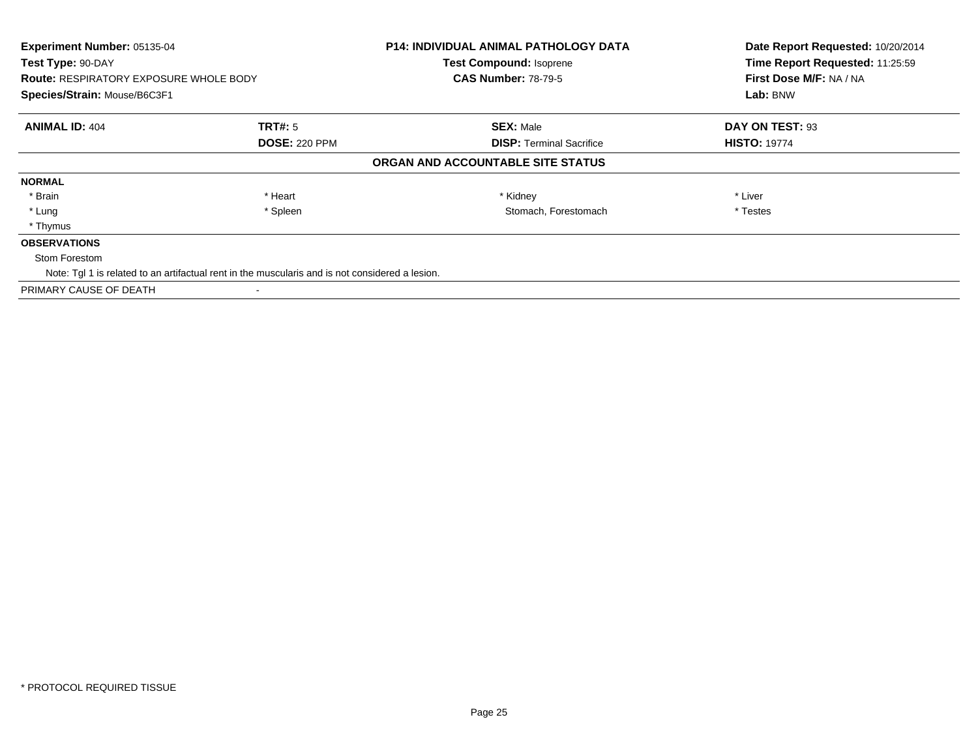| Experiment Number: 05135-04<br>Test Type: 90-DAY<br><b>Route: RESPIRATORY EXPOSURE WHOLE BODY</b><br>Species/Strain: Mouse/B6C3F1 |                                                                                                 | <b>P14: INDIVIDUAL ANIMAL PATHOLOGY DATA</b><br><b>Test Compound: Isoprene</b><br><b>CAS Number: 78-79-5</b> | Date Report Requested: 10/20/2014<br>Time Report Requested: 11:25:59<br>First Dose M/F: NA / NA<br>Lab: BNW |
|-----------------------------------------------------------------------------------------------------------------------------------|-------------------------------------------------------------------------------------------------|--------------------------------------------------------------------------------------------------------------|-------------------------------------------------------------------------------------------------------------|
| <b>ANIMAL ID: 404</b>                                                                                                             | <b>TRT#:</b> 5                                                                                  | <b>SEX: Male</b>                                                                                             | DAY ON TEST: 93                                                                                             |
|                                                                                                                                   | <b>DOSE: 220 PPM</b>                                                                            | <b>DISP: Terminal Sacrifice</b><br>ORGAN AND ACCOUNTABLE SITE STATUS                                         | <b>HISTO: 19774</b>                                                                                         |
| <b>NORMAL</b>                                                                                                                     |                                                                                                 |                                                                                                              |                                                                                                             |
| * Brain                                                                                                                           | * Heart                                                                                         | * Kidney                                                                                                     | * Liver                                                                                                     |
| * Lung                                                                                                                            | * Spleen                                                                                        | Stomach, Forestomach                                                                                         | * Testes                                                                                                    |
| * Thymus                                                                                                                          |                                                                                                 |                                                                                                              |                                                                                                             |
| <b>OBSERVATIONS</b>                                                                                                               |                                                                                                 |                                                                                                              |                                                                                                             |
| Stom Forestom                                                                                                                     |                                                                                                 |                                                                                                              |                                                                                                             |
|                                                                                                                                   | Note: Tgl 1 is related to an artifactual rent in the muscularis and is not considered a lesion. |                                                                                                              |                                                                                                             |
| PRIMARY CAUSE OF DEATH                                                                                                            |                                                                                                 |                                                                                                              |                                                                                                             |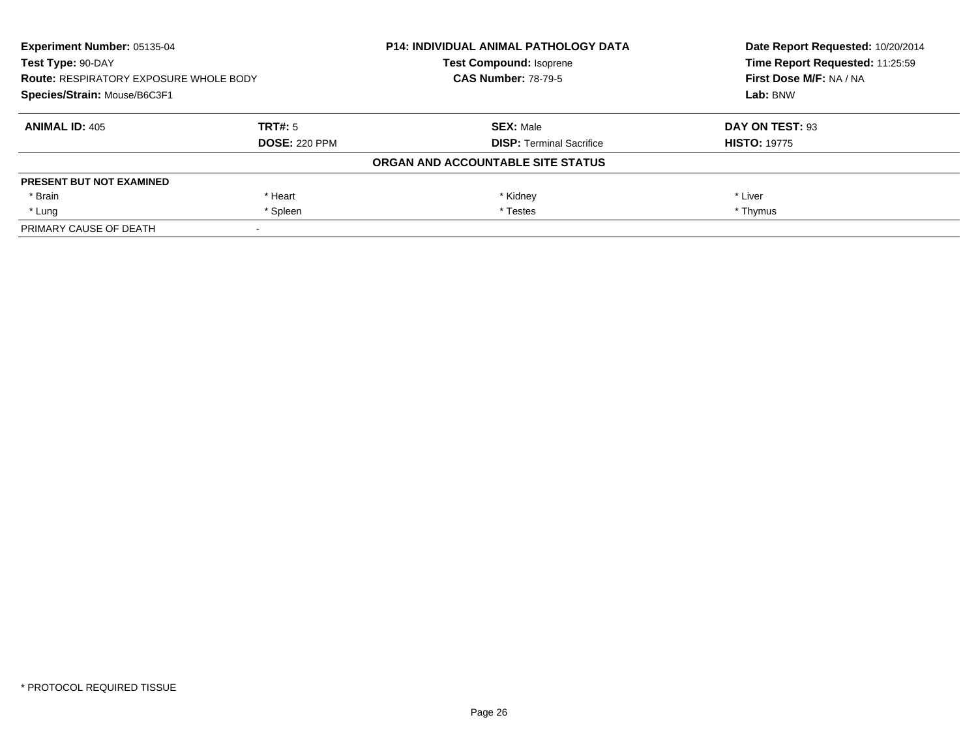| Experiment Number: 05135-04<br>Test Type: 90-DAY<br><b>Route: RESPIRATORY EXPOSURE WHOLE BODY</b><br>Species/Strain: Mouse/B6C3F1 |                      | <b>P14: INDIVIDUAL ANIMAL PATHOLOGY DATA</b> | Date Report Requested: 10/20/2014<br>Time Report Requested: 11:25:59<br>First Dose M/F: NA / NA<br>Lab: BNW |
|-----------------------------------------------------------------------------------------------------------------------------------|----------------------|----------------------------------------------|-------------------------------------------------------------------------------------------------------------|
|                                                                                                                                   |                      | <b>Test Compound: Isoprene</b>               |                                                                                                             |
|                                                                                                                                   |                      | <b>CAS Number: 78-79-5</b>                   |                                                                                                             |
|                                                                                                                                   |                      |                                              |                                                                                                             |
| <b>ANIMAL ID: 405</b>                                                                                                             | TRT#: 5              | <b>SEX: Male</b>                             | DAY ON TEST: 93                                                                                             |
|                                                                                                                                   | <b>DOSE: 220 PPM</b> | <b>DISP:</b> Terminal Sacrifice              | <b>HISTO: 19775</b>                                                                                         |
|                                                                                                                                   |                      | ORGAN AND ACCOUNTABLE SITE STATUS            |                                                                                                             |
| <b>PRESENT BUT NOT EXAMINED</b>                                                                                                   |                      |                                              |                                                                                                             |
| * Brain                                                                                                                           | * Heart              | * Kidney                                     | * Liver                                                                                                     |
| * Lung                                                                                                                            | * Spleen             | * Testes                                     | * Thymus                                                                                                    |
| PRIMARY CAUSE OF DEATH                                                                                                            |                      |                                              |                                                                                                             |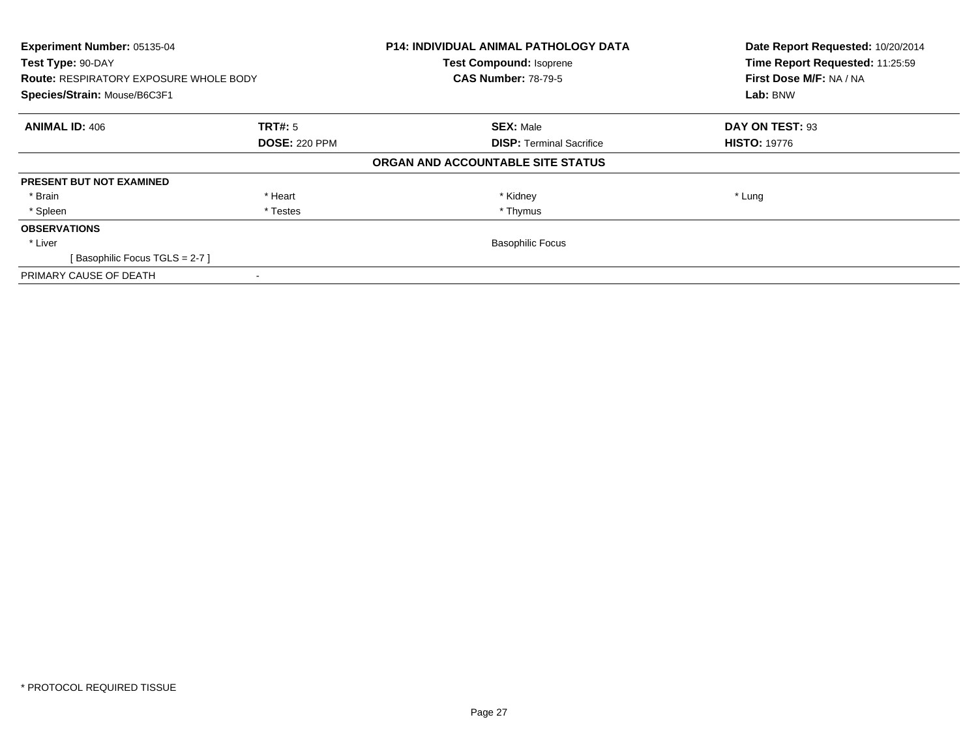| Experiment Number: 05135-04                   |                      | <b>P14: INDIVIDUAL ANIMAL PATHOLOGY DATA</b> | Date Report Requested: 10/20/2014 |
|-----------------------------------------------|----------------------|----------------------------------------------|-----------------------------------|
| Test Type: 90-DAY                             |                      | <b>Test Compound: Isoprene</b>               | Time Report Requested: 11:25:59   |
| <b>Route: RESPIRATORY EXPOSURE WHOLE BODY</b> |                      | <b>CAS Number: 78-79-5</b>                   | First Dose M/F: NA / NA           |
| Species/Strain: Mouse/B6C3F1                  |                      |                                              | Lab: BNW                          |
| <b>ANIMAL ID: 406</b>                         | <b>TRT#:</b> 5       | <b>SEX: Male</b>                             | DAY ON TEST: 93                   |
|                                               | <b>DOSE: 220 PPM</b> | <b>DISP:</b> Terminal Sacrifice              | <b>HISTO: 19776</b>               |
|                                               |                      | ORGAN AND ACCOUNTABLE SITE STATUS            |                                   |
| <b>PRESENT BUT NOT EXAMINED</b>               |                      |                                              |                                   |
| * Brain                                       | * Heart              | * Kidney                                     | * Lung                            |
| * Spleen                                      | * Testes             | * Thymus                                     |                                   |
| <b>OBSERVATIONS</b>                           |                      |                                              |                                   |
| * Liver                                       |                      | <b>Basophilic Focus</b>                      |                                   |
| [Basophilic Focus TGLS = 2-7 ]                |                      |                                              |                                   |
| PRIMARY CAUSE OF DEATH                        |                      |                                              |                                   |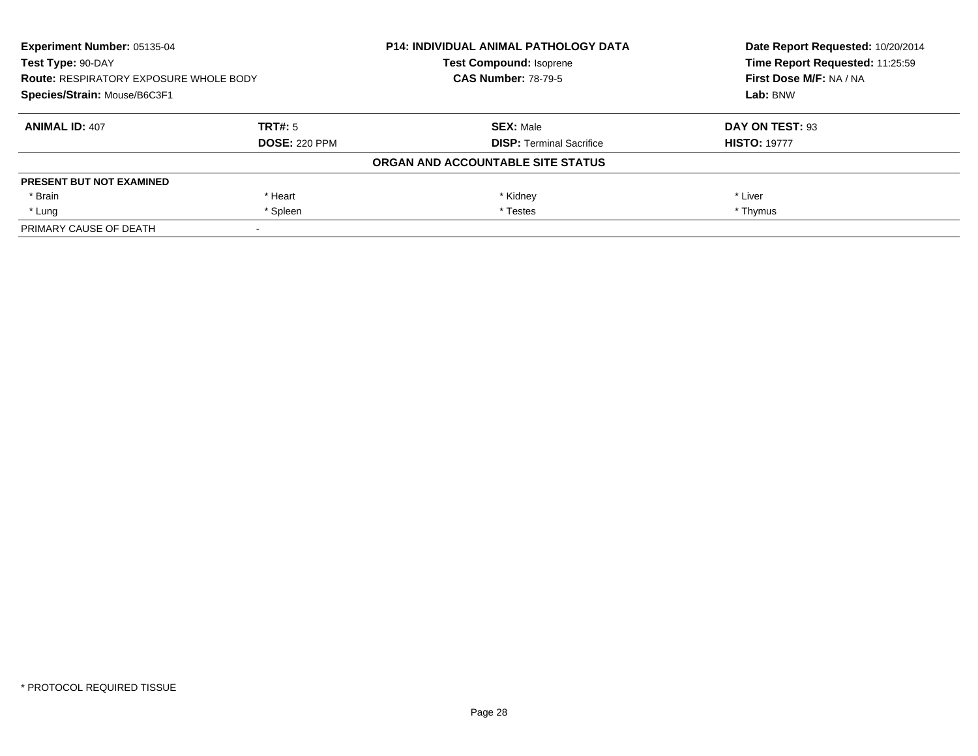| <b>Experiment Number: 05135-04</b><br>Test Type: 90-DAY<br><b>Route: RESPIRATORY EXPOSURE WHOLE BODY</b><br>Species/Strain: Mouse/B6C3F1 |                      | <b>P14: INDIVIDUAL ANIMAL PATHOLOGY DATA</b> | Date Report Requested: 10/20/2014<br>Time Report Requested: 11:25:59<br>First Dose M/F: NA / NA<br>Lab: BNW |
|------------------------------------------------------------------------------------------------------------------------------------------|----------------------|----------------------------------------------|-------------------------------------------------------------------------------------------------------------|
|                                                                                                                                          |                      | <b>Test Compound: Isoprene</b>               |                                                                                                             |
|                                                                                                                                          |                      | <b>CAS Number: 78-79-5</b>                   |                                                                                                             |
|                                                                                                                                          |                      |                                              |                                                                                                             |
| <b>ANIMAL ID: 407</b>                                                                                                                    | TRT#: 5              | <b>SEX: Male</b>                             | DAY ON TEST: 93                                                                                             |
|                                                                                                                                          | <b>DOSE: 220 PPM</b> | <b>DISP:</b> Terminal Sacrifice              | <b>HISTO: 19777</b>                                                                                         |
|                                                                                                                                          |                      | ORGAN AND ACCOUNTABLE SITE STATUS            |                                                                                                             |
| <b>PRESENT BUT NOT EXAMINED</b>                                                                                                          |                      |                                              |                                                                                                             |
| * Brain                                                                                                                                  | * Heart              | * Kidney                                     | * Liver                                                                                                     |
| * Lung                                                                                                                                   | * Spleen             | * Testes                                     | * Thymus                                                                                                    |
| PRIMARY CAUSE OF DEATH                                                                                                                   |                      |                                              |                                                                                                             |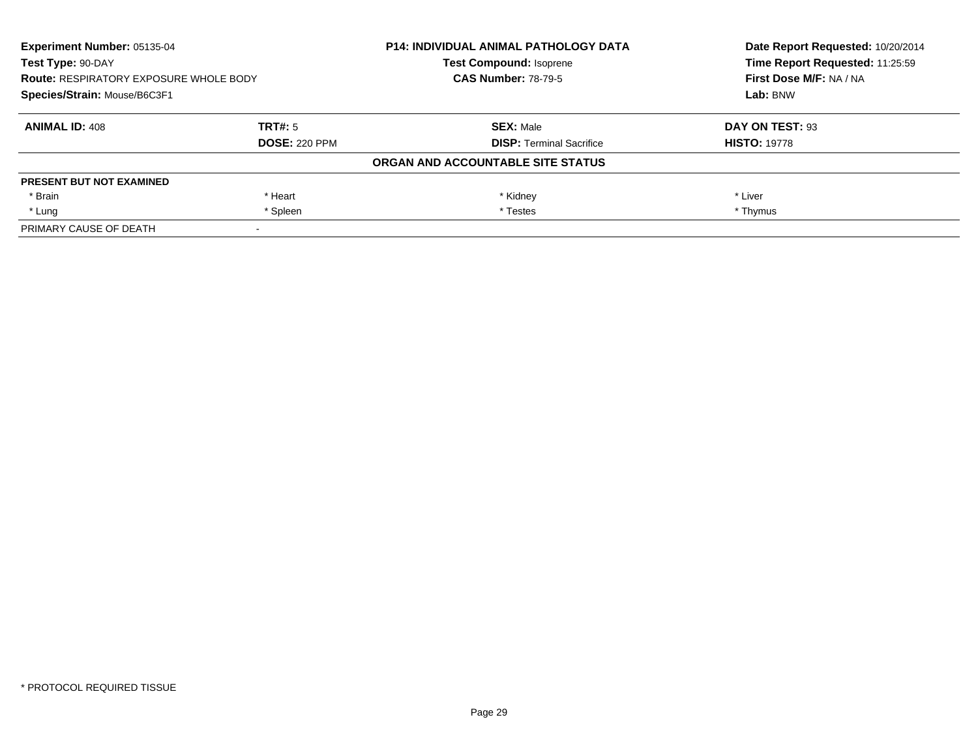| <b>Experiment Number: 05135-04</b><br>Test Type: 90-DAY<br><b>Route: RESPIRATORY EXPOSURE WHOLE BODY</b><br>Species/Strain: Mouse/B6C3F1 |                      | <b>P14: INDIVIDUAL ANIMAL PATHOLOGY DATA</b> | Date Report Requested: 10/20/2014<br>Time Report Requested: 11:25:59<br>First Dose M/F: NA / NA<br>Lab: BNW |
|------------------------------------------------------------------------------------------------------------------------------------------|----------------------|----------------------------------------------|-------------------------------------------------------------------------------------------------------------|
|                                                                                                                                          |                      | <b>Test Compound: Isoprene</b>               |                                                                                                             |
|                                                                                                                                          |                      | <b>CAS Number: 78-79-5</b>                   |                                                                                                             |
|                                                                                                                                          |                      |                                              |                                                                                                             |
| <b>ANIMAL ID: 408</b>                                                                                                                    | TRT#: 5              | <b>SEX: Male</b>                             | DAY ON TEST: 93                                                                                             |
|                                                                                                                                          | <b>DOSE: 220 PPM</b> | <b>DISP:</b> Terminal Sacrifice              | <b>HISTO: 19778</b>                                                                                         |
|                                                                                                                                          |                      | ORGAN AND ACCOUNTABLE SITE STATUS            |                                                                                                             |
| <b>PRESENT BUT NOT EXAMINED</b>                                                                                                          |                      |                                              |                                                                                                             |
| * Brain                                                                                                                                  | * Heart              | * Kidney                                     | * Liver                                                                                                     |
| * Lung                                                                                                                                   | * Spleen             | * Testes                                     | * Thymus                                                                                                    |
| PRIMARY CAUSE OF DEATH                                                                                                                   |                      |                                              |                                                                                                             |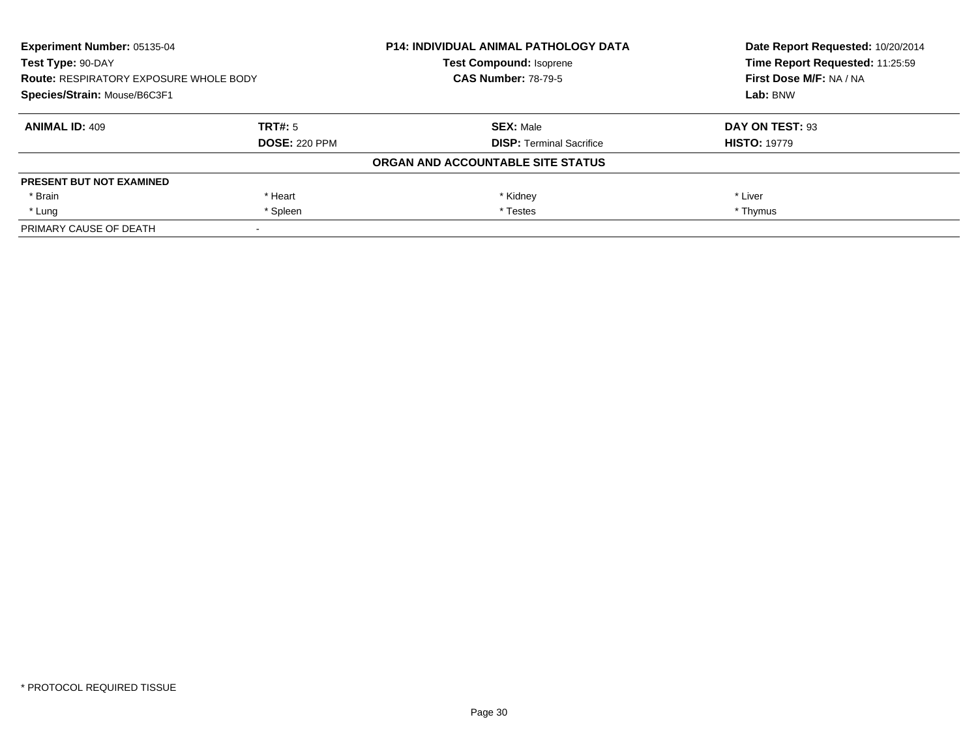| <b>Experiment Number: 05135-04</b><br>Test Type: 90-DAY<br><b>Route: RESPIRATORY EXPOSURE WHOLE BODY</b><br>Species/Strain: Mouse/B6C3F1 |                      | <b>P14: INDIVIDUAL ANIMAL PATHOLOGY DATA</b> | Date Report Requested: 10/20/2014<br>Time Report Requested: 11:25:59<br>First Dose M/F: NA / NA<br>Lab: BNW |
|------------------------------------------------------------------------------------------------------------------------------------------|----------------------|----------------------------------------------|-------------------------------------------------------------------------------------------------------------|
|                                                                                                                                          |                      | <b>Test Compound: Isoprene</b>               |                                                                                                             |
|                                                                                                                                          |                      | <b>CAS Number: 78-79-5</b>                   |                                                                                                             |
|                                                                                                                                          |                      |                                              |                                                                                                             |
| <b>ANIMAL ID: 409</b>                                                                                                                    | TRT#: 5              | <b>SEX: Male</b>                             | DAY ON TEST: 93                                                                                             |
|                                                                                                                                          | <b>DOSE: 220 PPM</b> | <b>DISP:</b> Terminal Sacrifice              | <b>HISTO: 19779</b>                                                                                         |
|                                                                                                                                          |                      | ORGAN AND ACCOUNTABLE SITE STATUS            |                                                                                                             |
| <b>PRESENT BUT NOT EXAMINED</b>                                                                                                          |                      |                                              |                                                                                                             |
| * Brain                                                                                                                                  | * Heart              | * Kidney                                     | * Liver                                                                                                     |
| * Lung                                                                                                                                   | * Spleen             | * Testes                                     | * Thymus                                                                                                    |
| PRIMARY CAUSE OF DEATH                                                                                                                   |                      |                                              |                                                                                                             |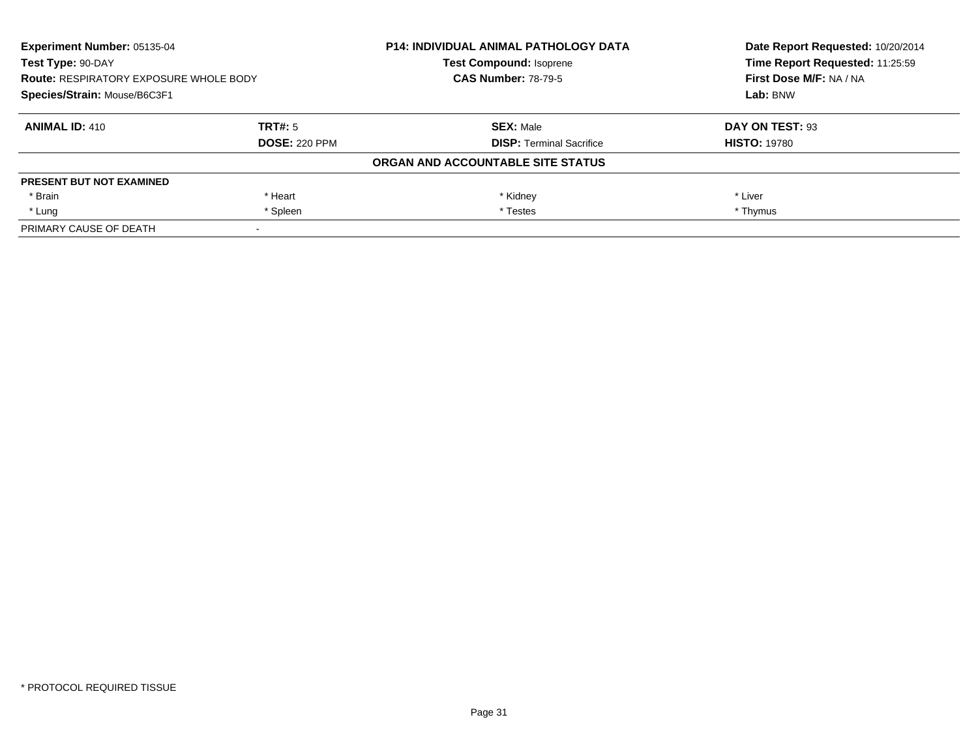| <b>Experiment Number: 05135-04</b><br>Test Type: 90-DAY<br><b>Route: RESPIRATORY EXPOSURE WHOLE BODY</b><br>Species/Strain: Mouse/B6C3F1 |                      | <b>P14: INDIVIDUAL ANIMAL PATHOLOGY DATA</b> | Date Report Requested: 10/20/2014<br>Time Report Requested: 11:25:59<br>First Dose M/F: NA / NA<br>Lab: BNW |
|------------------------------------------------------------------------------------------------------------------------------------------|----------------------|----------------------------------------------|-------------------------------------------------------------------------------------------------------------|
|                                                                                                                                          |                      | <b>Test Compound: Isoprene</b>               |                                                                                                             |
|                                                                                                                                          |                      | <b>CAS Number: 78-79-5</b>                   |                                                                                                             |
|                                                                                                                                          |                      |                                              |                                                                                                             |
| <b>ANIMAL ID: 410</b>                                                                                                                    | TRT#: 5              | <b>SEX: Male</b>                             | DAY ON TEST: 93                                                                                             |
|                                                                                                                                          | <b>DOSE: 220 PPM</b> | <b>DISP:</b> Terminal Sacrifice              | <b>HISTO: 19780</b>                                                                                         |
|                                                                                                                                          |                      | ORGAN AND ACCOUNTABLE SITE STATUS            |                                                                                                             |
| <b>PRESENT BUT NOT EXAMINED</b>                                                                                                          |                      |                                              |                                                                                                             |
| * Brain                                                                                                                                  | * Heart              | * Kidney                                     | * Liver                                                                                                     |
| * Lung                                                                                                                                   | * Spleen             | * Testes                                     | * Thymus                                                                                                    |
| PRIMARY CAUSE OF DEATH                                                                                                                   |                      |                                              |                                                                                                             |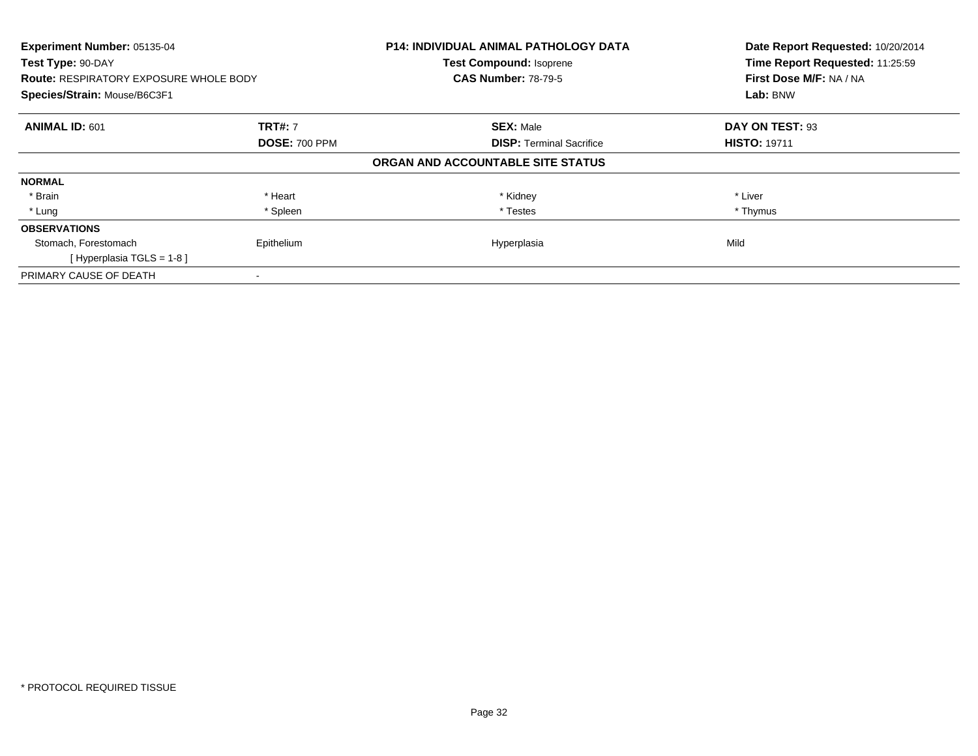| Experiment Number: 05135-04<br>Test Type: 90-DAY<br><b>Route: RESPIRATORY EXPOSURE WHOLE BODY</b><br>Species/Strain: Mouse/B6C3F1 |                      | <b>P14: INDIVIDUAL ANIMAL PATHOLOGY DATA</b><br><b>Test Compound: Isoprene</b><br><b>CAS Number: 78-79-5</b> | Date Report Requested: 10/20/2014<br>Time Report Requested: 11:25:59<br>First Dose M/F: NA / NA<br>Lab: BNW |
|-----------------------------------------------------------------------------------------------------------------------------------|----------------------|--------------------------------------------------------------------------------------------------------------|-------------------------------------------------------------------------------------------------------------|
|                                                                                                                                   |                      |                                                                                                              |                                                                                                             |
| <b>ANIMAL ID: 601</b>                                                                                                             | <b>TRT#: 7</b>       | <b>SEX: Male</b>                                                                                             | DAY ON TEST: 93                                                                                             |
|                                                                                                                                   | <b>DOSE: 700 PPM</b> | <b>DISP:</b> Terminal Sacrifice                                                                              | <b>HISTO: 19711</b>                                                                                         |
|                                                                                                                                   |                      | ORGAN AND ACCOUNTABLE SITE STATUS                                                                            |                                                                                                             |
| <b>NORMAL</b>                                                                                                                     |                      |                                                                                                              |                                                                                                             |
| * Brain                                                                                                                           | * Heart              | * Kidney                                                                                                     | * Liver                                                                                                     |
| * Lung                                                                                                                            | * Spleen             | * Testes                                                                                                     | * Thymus                                                                                                    |
| <b>OBSERVATIONS</b>                                                                                                               |                      |                                                                                                              |                                                                                                             |
| Stomach, Forestomach                                                                                                              | Epithelium           | Hyperplasia                                                                                                  | Mild                                                                                                        |
| [Hyperplasia TGLS = $1-8$ ]                                                                                                       |                      |                                                                                                              |                                                                                                             |
| PRIMARY CAUSE OF DEATH                                                                                                            |                      |                                                                                                              |                                                                                                             |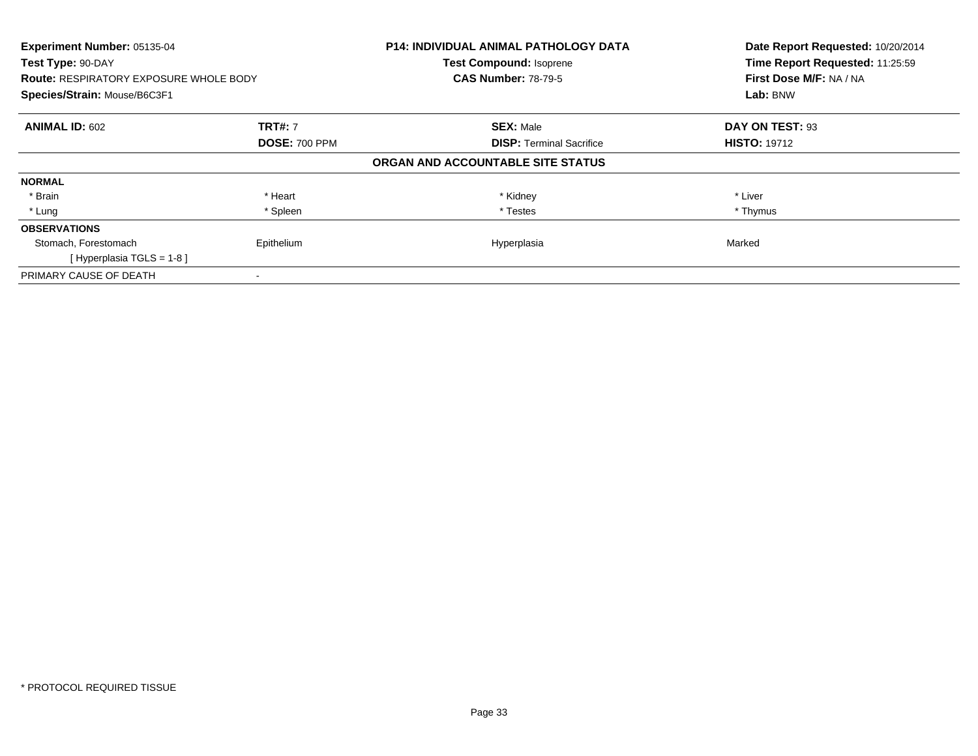| Experiment Number: 05135-04<br>Test Type: 90-DAY<br><b>Route: RESPIRATORY EXPOSURE WHOLE BODY</b> |                      | <b>P14: INDIVIDUAL ANIMAL PATHOLOGY DATA</b><br><b>Test Compound: Isoprene</b><br><b>CAS Number: 78-79-5</b> | Date Report Requested: 10/20/2014<br>Time Report Requested: 11:25:59<br>First Dose M/F: NA / NA |
|---------------------------------------------------------------------------------------------------|----------------------|--------------------------------------------------------------------------------------------------------------|-------------------------------------------------------------------------------------------------|
| Species/Strain: Mouse/B6C3F1                                                                      |                      |                                                                                                              | Lab: BNW                                                                                        |
| <b>ANIMAL ID: 602</b>                                                                             | <b>TRT#: 7</b>       | <b>SEX: Male</b>                                                                                             | DAY ON TEST: 93                                                                                 |
|                                                                                                   | <b>DOSE: 700 PPM</b> | <b>DISP:</b> Terminal Sacrifice                                                                              | <b>HISTO: 19712</b>                                                                             |
|                                                                                                   |                      | ORGAN AND ACCOUNTABLE SITE STATUS                                                                            |                                                                                                 |
| <b>NORMAL</b>                                                                                     |                      |                                                                                                              |                                                                                                 |
| * Brain                                                                                           | * Heart              | * Kidney                                                                                                     | * Liver                                                                                         |
| * Lung                                                                                            | * Spleen             | * Testes                                                                                                     | * Thymus                                                                                        |
| <b>OBSERVATIONS</b>                                                                               |                      |                                                                                                              |                                                                                                 |
| Stomach, Forestomach                                                                              | Epithelium           | Hyperplasia                                                                                                  | Marked                                                                                          |
| [Hyperplasia TGLS = $1-8$ ]                                                                       |                      |                                                                                                              |                                                                                                 |
| PRIMARY CAUSE OF DEATH                                                                            |                      |                                                                                                              |                                                                                                 |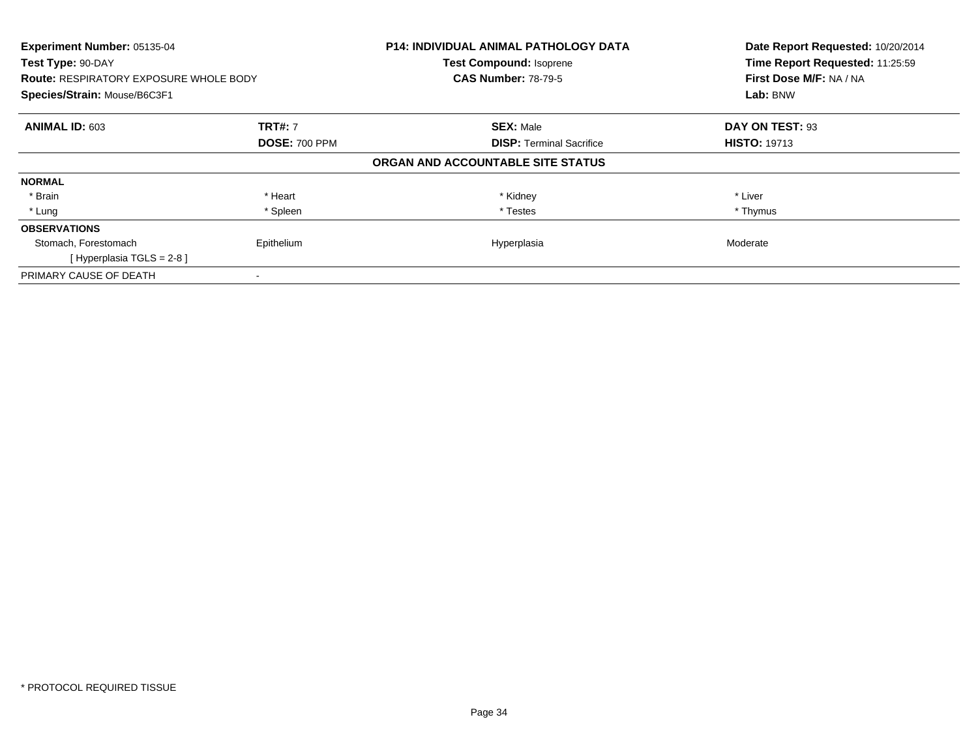| Experiment Number: 05135-04<br>Test Type: 90-DAY<br><b>Route: RESPIRATORY EXPOSURE WHOLE BODY</b><br>Species/Strain: Mouse/B6C3F1 |                      | <b>P14: INDIVIDUAL ANIMAL PATHOLOGY DATA</b><br>Test Compound: Isoprene<br><b>CAS Number: 78-79-5</b> | Date Report Requested: 10/20/2014<br>Time Report Requested: 11:25:59<br>First Dose M/F: NA / NA<br>Lab: BNW |
|-----------------------------------------------------------------------------------------------------------------------------------|----------------------|-------------------------------------------------------------------------------------------------------|-------------------------------------------------------------------------------------------------------------|
| <b>ANIMAL ID: 603</b>                                                                                                             | <b>TRT#: 7</b>       | <b>SEX: Male</b>                                                                                      | DAY ON TEST: 93                                                                                             |
|                                                                                                                                   | <b>DOSE: 700 PPM</b> | <b>DISP:</b> Terminal Sacrifice                                                                       | <b>HISTO: 19713</b>                                                                                         |
|                                                                                                                                   |                      | ORGAN AND ACCOUNTABLE SITE STATUS                                                                     |                                                                                                             |
| <b>NORMAL</b>                                                                                                                     |                      |                                                                                                       |                                                                                                             |
| * Brain                                                                                                                           | * Heart              | * Kidney                                                                                              | * Liver                                                                                                     |
| * Lung                                                                                                                            | * Spleen             | * Testes                                                                                              | * Thymus                                                                                                    |
| <b>OBSERVATIONS</b>                                                                                                               |                      |                                                                                                       |                                                                                                             |
| Stomach, Forestomach                                                                                                              | Epithelium           | Hyperplasia                                                                                           | Moderate                                                                                                    |
| [Hyperplasia TGLS = 2-8]                                                                                                          |                      |                                                                                                       |                                                                                                             |
| PRIMARY CAUSE OF DEATH                                                                                                            |                      |                                                                                                       |                                                                                                             |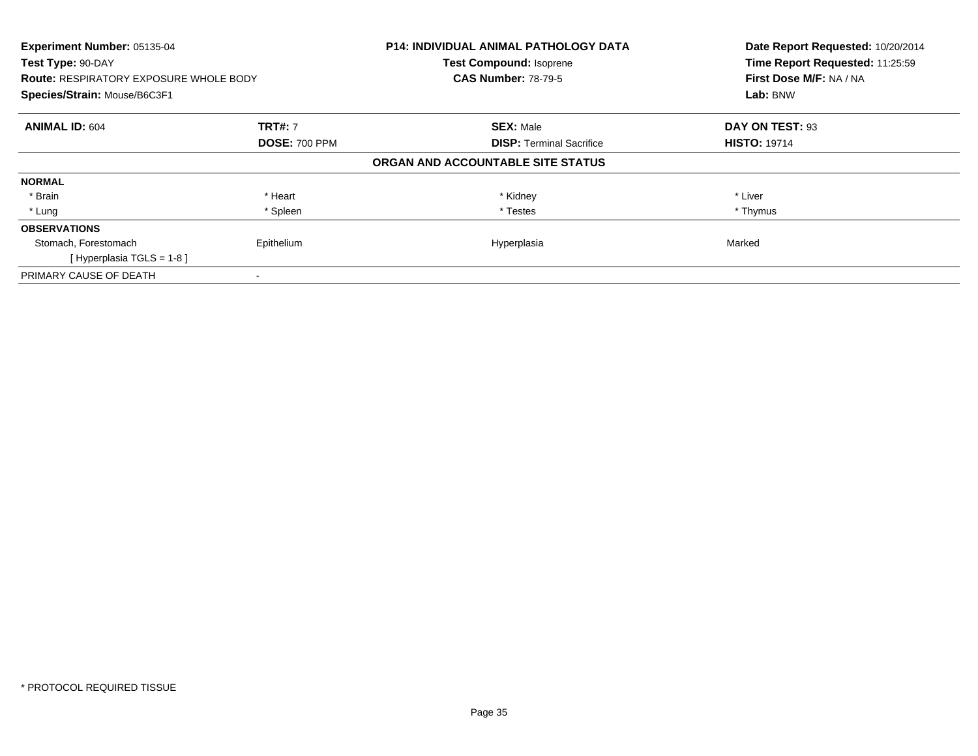| Experiment Number: 05135-04<br>Test Type: 90-DAY<br><b>Route: RESPIRATORY EXPOSURE WHOLE BODY</b><br>Species/Strain: Mouse/B6C3F1 |                      | <b>P14: INDIVIDUAL ANIMAL PATHOLOGY DATA</b><br><b>Test Compound: Isoprene</b><br><b>CAS Number: 78-79-5</b> | Date Report Requested: 10/20/2014<br>Time Report Requested: 11:25:59<br>First Dose M/F: NA / NA<br>Lab: BNW |
|-----------------------------------------------------------------------------------------------------------------------------------|----------------------|--------------------------------------------------------------------------------------------------------------|-------------------------------------------------------------------------------------------------------------|
| <b>ANIMAL ID: 604</b>                                                                                                             | <b>TRT#: 7</b>       | <b>SEX: Male</b>                                                                                             | DAY ON TEST: 93                                                                                             |
|                                                                                                                                   | <b>DOSE: 700 PPM</b> | <b>DISP:</b> Terminal Sacrifice                                                                              | <b>HISTO: 19714</b>                                                                                         |
|                                                                                                                                   |                      | ORGAN AND ACCOUNTABLE SITE STATUS                                                                            |                                                                                                             |
| <b>NORMAL</b>                                                                                                                     |                      |                                                                                                              |                                                                                                             |
| * Brain                                                                                                                           | * Heart              | * Kidney                                                                                                     | * Liver                                                                                                     |
| * Lung                                                                                                                            | * Spleen             | * Testes                                                                                                     | * Thymus                                                                                                    |
| <b>OBSERVATIONS</b>                                                                                                               |                      |                                                                                                              |                                                                                                             |
| Stomach, Forestomach                                                                                                              | Epithelium           | Hyperplasia                                                                                                  | Marked                                                                                                      |
| [Hyperplasia TGLS = 1-8]                                                                                                          |                      |                                                                                                              |                                                                                                             |
| PRIMARY CAUSE OF DEATH                                                                                                            |                      |                                                                                                              |                                                                                                             |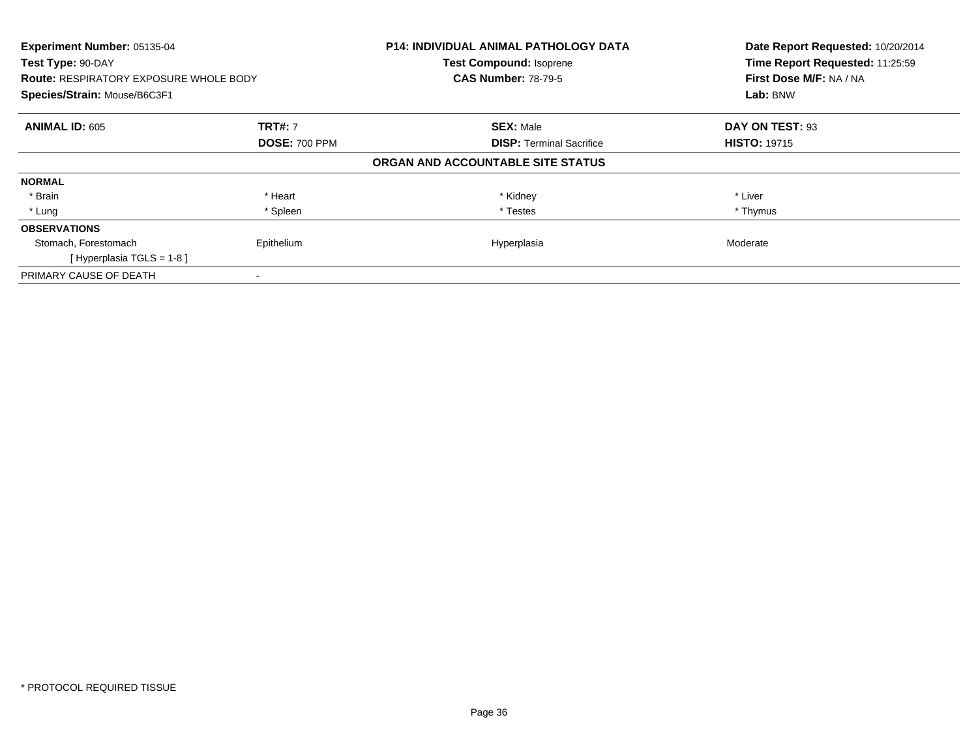| Experiment Number: 05135-04<br>Test Type: 90-DAY<br><b>Route: RESPIRATORY EXPOSURE WHOLE BODY</b><br>Species/Strain: Mouse/B6C3F1 |                      | <b>P14: INDIVIDUAL ANIMAL PATHOLOGY DATA</b><br><b>Test Compound: Isoprene</b><br><b>CAS Number: 78-79-5</b> | Date Report Requested: 10/20/2014<br>Time Report Requested: 11:25:59<br>First Dose M/F: NA / NA<br>Lab: BNW |
|-----------------------------------------------------------------------------------------------------------------------------------|----------------------|--------------------------------------------------------------------------------------------------------------|-------------------------------------------------------------------------------------------------------------|
|                                                                                                                                   |                      |                                                                                                              |                                                                                                             |
| <b>ANIMAL ID: 605</b>                                                                                                             | <b>TRT#: 7</b>       | <b>SEX: Male</b>                                                                                             | DAY ON TEST: 93                                                                                             |
|                                                                                                                                   | <b>DOSE: 700 PPM</b> | <b>DISP:</b> Terminal Sacrifice                                                                              | <b>HISTO: 19715</b>                                                                                         |
|                                                                                                                                   |                      | ORGAN AND ACCOUNTABLE SITE STATUS                                                                            |                                                                                                             |
| <b>NORMAL</b>                                                                                                                     |                      |                                                                                                              |                                                                                                             |
| * Brain                                                                                                                           | * Heart              | * Kidney                                                                                                     | * Liver                                                                                                     |
| * Lung                                                                                                                            | * Spleen             | * Testes                                                                                                     | * Thymus                                                                                                    |
| <b>OBSERVATIONS</b>                                                                                                               |                      |                                                                                                              |                                                                                                             |
| Stomach, Forestomach                                                                                                              | Epithelium           | Hyperplasia                                                                                                  | Moderate                                                                                                    |
| [Hyperplasia TGLS = $1-8$ ]                                                                                                       |                      |                                                                                                              |                                                                                                             |
| PRIMARY CAUSE OF DEATH                                                                                                            |                      |                                                                                                              |                                                                                                             |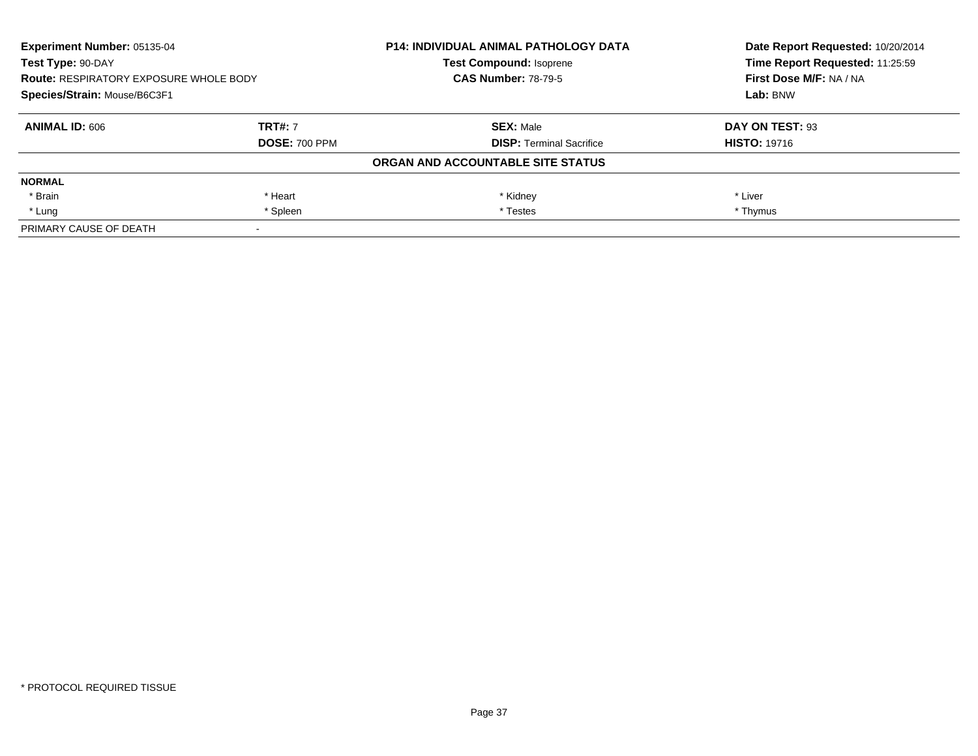| Experiment Number: 05135-04<br>Test Type: 90-DAY<br><b>Route: RESPIRATORY EXPOSURE WHOLE BODY</b><br>Species/Strain: Mouse/B6C3F1 |                      | <b>P14: INDIVIDUAL ANIMAL PATHOLOGY DATA</b> | Date Report Requested: 10/20/2014<br>Time Report Requested: 11:25:59 |
|-----------------------------------------------------------------------------------------------------------------------------------|----------------------|----------------------------------------------|----------------------------------------------------------------------|
|                                                                                                                                   |                      | <b>Test Compound: Isoprene</b>               |                                                                      |
|                                                                                                                                   |                      | <b>CAS Number: 78-79-5</b>                   | First Dose M/F: NA / NA                                              |
|                                                                                                                                   |                      |                                              | Lab: BNW                                                             |
| <b>ANIMAL ID: 606</b>                                                                                                             | <b>TRT#: 7</b>       | <b>SEX: Male</b>                             | DAY ON TEST: 93                                                      |
|                                                                                                                                   | <b>DOSE: 700 PPM</b> | <b>DISP: Terminal Sacrifice</b>              | <b>HISTO: 19716</b>                                                  |
|                                                                                                                                   |                      | ORGAN AND ACCOUNTABLE SITE STATUS            |                                                                      |
| <b>NORMAL</b>                                                                                                                     |                      |                                              |                                                                      |
| * Brain                                                                                                                           | * Heart              | * Kidney                                     | * Liver                                                              |
| * Lung                                                                                                                            | * Spleen             | * Testes                                     | * Thymus                                                             |
| PRIMARY CAUSE OF DEATH                                                                                                            |                      |                                              |                                                                      |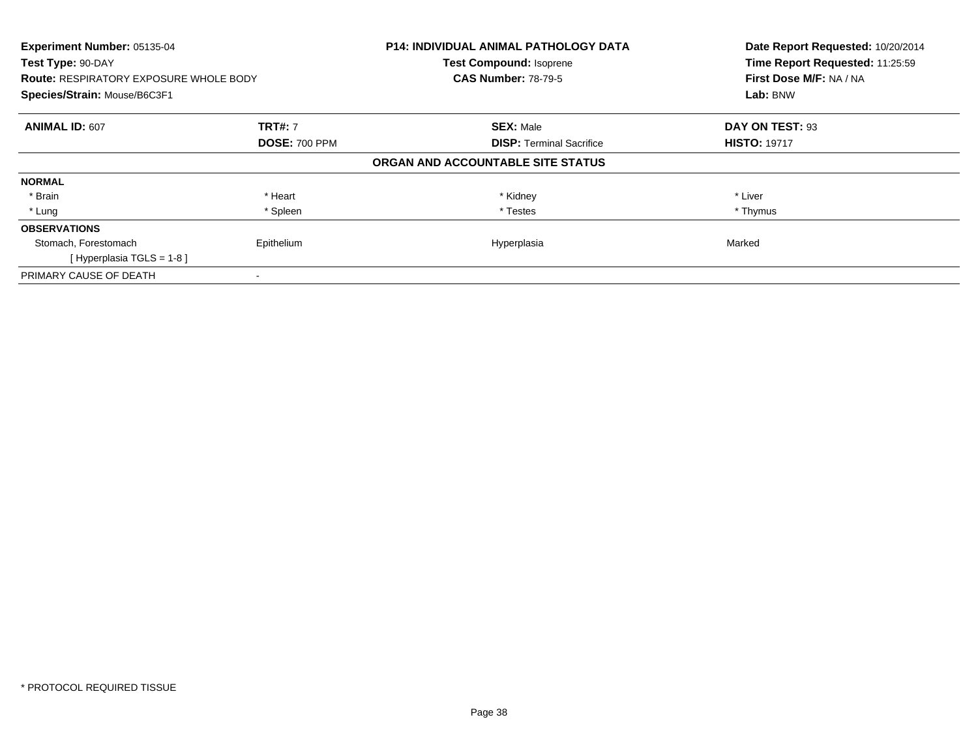| Experiment Number: 05135-04<br>Test Type: 90-DAY<br><b>Route: RESPIRATORY EXPOSURE WHOLE BODY</b><br>Species/Strain: Mouse/B6C3F1 |                      | <b>P14: INDIVIDUAL ANIMAL PATHOLOGY DATA</b><br><b>Test Compound: Isoprene</b><br><b>CAS Number: 78-79-5</b> | Date Report Requested: 10/20/2014<br>Time Report Requested: 11:25:59<br>First Dose M/F: NA / NA<br>Lab: BNW |
|-----------------------------------------------------------------------------------------------------------------------------------|----------------------|--------------------------------------------------------------------------------------------------------------|-------------------------------------------------------------------------------------------------------------|
|                                                                                                                                   |                      |                                                                                                              |                                                                                                             |
| <b>ANIMAL ID: 607</b>                                                                                                             | <b>TRT#: 7</b>       | <b>SEX: Male</b>                                                                                             | DAY ON TEST: 93                                                                                             |
|                                                                                                                                   | <b>DOSE: 700 PPM</b> | <b>DISP:</b> Terminal Sacrifice                                                                              | <b>HISTO: 19717</b>                                                                                         |
|                                                                                                                                   |                      | ORGAN AND ACCOUNTABLE SITE STATUS                                                                            |                                                                                                             |
| <b>NORMAL</b>                                                                                                                     |                      |                                                                                                              |                                                                                                             |
| * Brain                                                                                                                           | * Heart              | * Kidney                                                                                                     | * Liver                                                                                                     |
| * Lung                                                                                                                            | * Spleen             | * Testes                                                                                                     | * Thymus                                                                                                    |
| <b>OBSERVATIONS</b>                                                                                                               |                      |                                                                                                              |                                                                                                             |
| Stomach, Forestomach                                                                                                              | Epithelium           | Hyperplasia                                                                                                  | Marked                                                                                                      |
| [Hyperplasia TGLS = $1-8$ ]                                                                                                       |                      |                                                                                                              |                                                                                                             |
| PRIMARY CAUSE OF DEATH                                                                                                            |                      |                                                                                                              |                                                                                                             |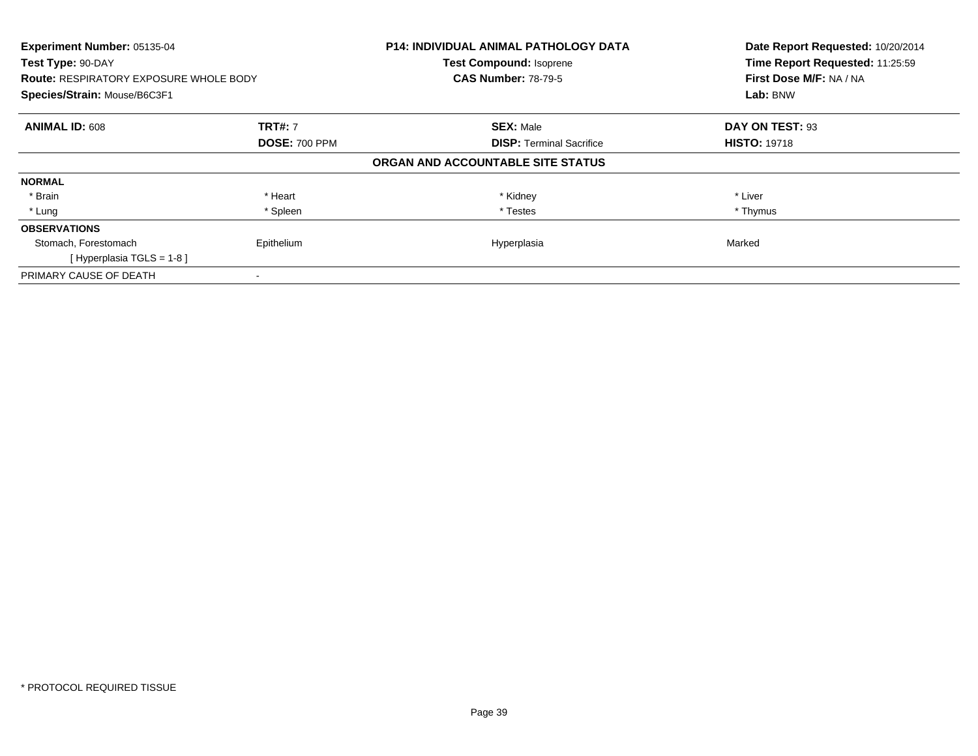| Experiment Number: 05135-04<br>Test Type: 90-DAY<br><b>Route: RESPIRATORY EXPOSURE WHOLE BODY</b><br>Species/Strain: Mouse/B6C3F1 |                      | <b>P14: INDIVIDUAL ANIMAL PATHOLOGY DATA</b><br><b>Test Compound: Isoprene</b><br><b>CAS Number: 78-79-5</b> | Date Report Requested: 10/20/2014<br>Time Report Requested: 11:25:59<br>First Dose M/F: NA / NA<br>Lab: BNW |
|-----------------------------------------------------------------------------------------------------------------------------------|----------------------|--------------------------------------------------------------------------------------------------------------|-------------------------------------------------------------------------------------------------------------|
|                                                                                                                                   |                      |                                                                                                              |                                                                                                             |
| <b>ANIMAL ID: 608</b>                                                                                                             | <b>TRT#: 7</b>       | <b>SEX: Male</b>                                                                                             | DAY ON TEST: 93                                                                                             |
|                                                                                                                                   | <b>DOSE: 700 PPM</b> | <b>DISP:</b> Terminal Sacrifice                                                                              | <b>HISTO: 19718</b>                                                                                         |
|                                                                                                                                   |                      | ORGAN AND ACCOUNTABLE SITE STATUS                                                                            |                                                                                                             |
| <b>NORMAL</b>                                                                                                                     |                      |                                                                                                              |                                                                                                             |
| * Brain                                                                                                                           | * Heart              | * Kidney                                                                                                     | * Liver                                                                                                     |
| * Lung                                                                                                                            | * Spleen             | * Testes                                                                                                     | * Thymus                                                                                                    |
| <b>OBSERVATIONS</b>                                                                                                               |                      |                                                                                                              |                                                                                                             |
| Stomach, Forestomach                                                                                                              | Epithelium           | Hyperplasia                                                                                                  | Marked                                                                                                      |
| [Hyperplasia TGLS = $1-8$ ]                                                                                                       |                      |                                                                                                              |                                                                                                             |
| PRIMARY CAUSE OF DEATH                                                                                                            |                      |                                                                                                              |                                                                                                             |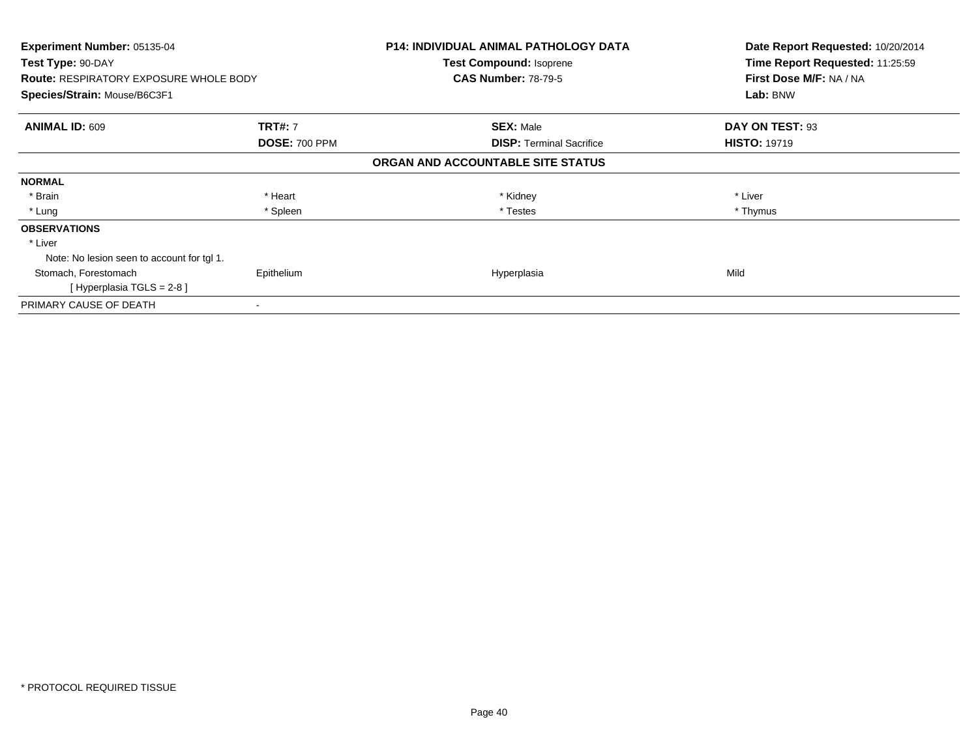| <b>Experiment Number: 05135-04</b><br>Test Type: 90-DAY |                      | <b>P14: INDIVIDUAL ANIMAL PATHOLOGY DATA</b> | Date Report Requested: 10/20/2014 |
|---------------------------------------------------------|----------------------|----------------------------------------------|-----------------------------------|
|                                                         |                      | Test Compound: Isoprene                      | Time Report Requested: 11:25:59   |
| <b>Route: RESPIRATORY EXPOSURE WHOLE BODY</b>           |                      | <b>CAS Number: 78-79-5</b>                   | First Dose M/F: NA / NA           |
| Species/Strain: Mouse/B6C3F1                            |                      |                                              | Lab: BNW                          |
| <b>ANIMAL ID: 609</b>                                   | <b>TRT#: 7</b>       | <b>SEX: Male</b>                             | DAY ON TEST: 93                   |
|                                                         | <b>DOSE: 700 PPM</b> | <b>DISP: Terminal Sacrifice</b>              | <b>HISTO: 19719</b>               |
|                                                         |                      | ORGAN AND ACCOUNTABLE SITE STATUS            |                                   |
| <b>NORMAL</b>                                           |                      |                                              |                                   |
| * Brain                                                 | * Heart              | * Kidney                                     | * Liver                           |
| * Lung                                                  | * Spleen             | * Testes                                     | * Thymus                          |
| <b>OBSERVATIONS</b>                                     |                      |                                              |                                   |
| * Liver                                                 |                      |                                              |                                   |
| Note: No lesion seen to account for tgl 1.              |                      |                                              |                                   |
| Stomach, Forestomach                                    | Epithelium           | Hyperplasia                                  | Mild                              |
| [Hyperplasia TGLS = $2-8$ ]                             |                      |                                              |                                   |
| PRIMARY CAUSE OF DEATH                                  |                      |                                              |                                   |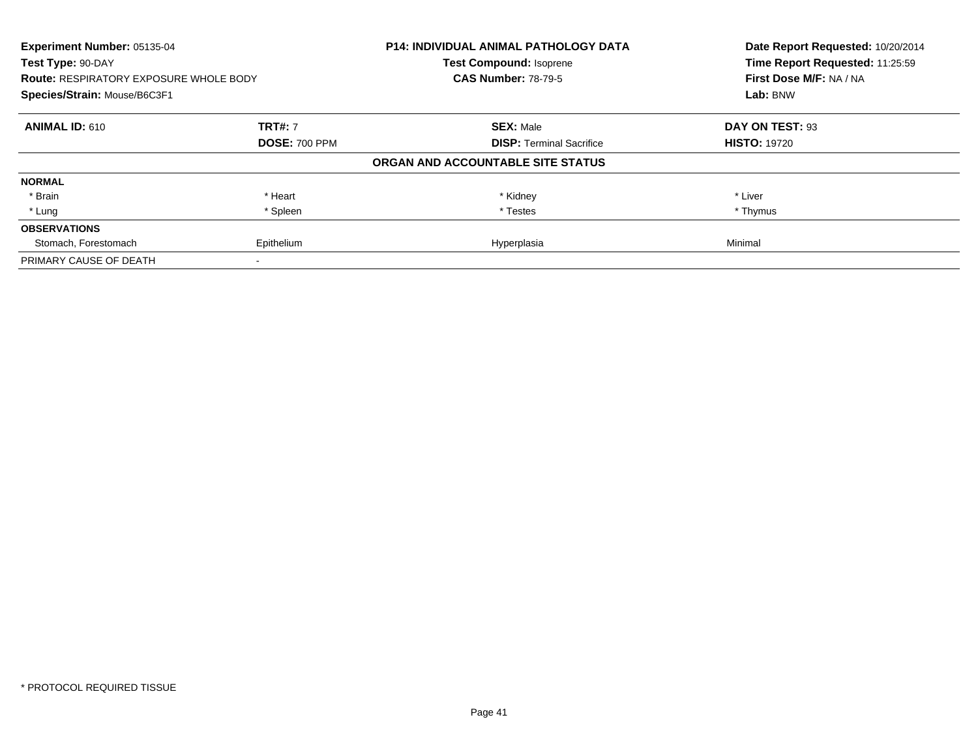| Experiment Number: 05135-04<br>Test Type: 90-DAY<br><b>Route: RESPIRATORY EXPOSURE WHOLE BODY</b><br>Species/Strain: Mouse/B6C3F1 |                      | <b>P14: INDIVIDUAL ANIMAL PATHOLOGY DATA</b><br>Test Compound: Isoprene<br><b>CAS Number: 78-79-5</b> | Date Report Requested: 10/20/2014<br>Time Report Requested: 11:25:59<br>First Dose M/F: NA / NA<br>Lab: BNW |
|-----------------------------------------------------------------------------------------------------------------------------------|----------------------|-------------------------------------------------------------------------------------------------------|-------------------------------------------------------------------------------------------------------------|
|                                                                                                                                   |                      |                                                                                                       |                                                                                                             |
| <b>ANIMAL ID: 610</b>                                                                                                             | <b>TRT#: 7</b>       | <b>SEX: Male</b>                                                                                      | DAY ON TEST: 93                                                                                             |
|                                                                                                                                   | <b>DOSE: 700 PPM</b> | <b>DISP: Terminal Sacrifice</b>                                                                       | <b>HISTO: 19720</b>                                                                                         |
|                                                                                                                                   |                      | ORGAN AND ACCOUNTABLE SITE STATUS                                                                     |                                                                                                             |
| <b>NORMAL</b>                                                                                                                     |                      |                                                                                                       |                                                                                                             |
| * Brain                                                                                                                           | * Heart              | * Kidney                                                                                              | * Liver                                                                                                     |
| * Lung                                                                                                                            | * Spleen             | * Testes                                                                                              | * Thymus                                                                                                    |
| <b>OBSERVATIONS</b>                                                                                                               |                      |                                                                                                       |                                                                                                             |
| Stomach, Forestomach                                                                                                              | Epithelium           | Hyperplasia                                                                                           | Minimal                                                                                                     |
| PRIMARY CAUSE OF DEATH                                                                                                            |                      |                                                                                                       |                                                                                                             |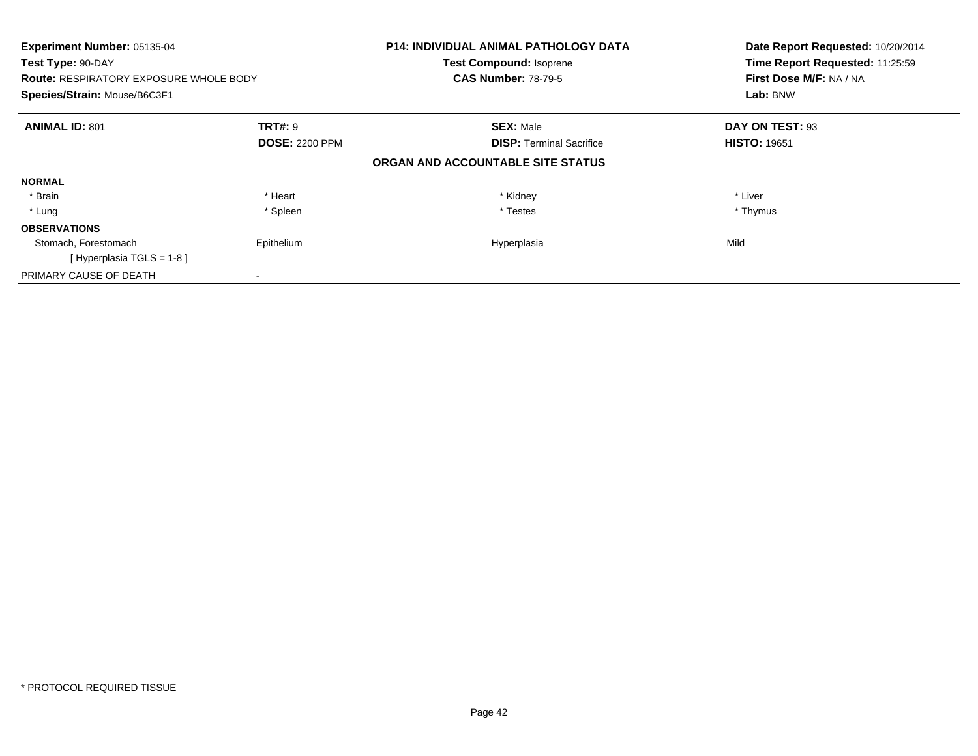| Experiment Number: 05135-04<br>Test Type: 90-DAY<br><b>Route: RESPIRATORY EXPOSURE WHOLE BODY</b><br>Species/Strain: Mouse/B6C3F1 |                       | <b>P14: INDIVIDUAL ANIMAL PATHOLOGY DATA</b><br><b>Test Compound: Isoprene</b><br><b>CAS Number: 78-79-5</b> | Date Report Requested: 10/20/2014<br>Time Report Requested: 11:25:59<br>First Dose M/F: NA / NA<br>Lab: BNW |
|-----------------------------------------------------------------------------------------------------------------------------------|-----------------------|--------------------------------------------------------------------------------------------------------------|-------------------------------------------------------------------------------------------------------------|
| <b>ANIMAL ID: 801</b>                                                                                                             | <b>TRT#: 9</b>        | <b>SEX: Male</b>                                                                                             | DAY ON TEST: 93                                                                                             |
|                                                                                                                                   | <b>DOSE: 2200 PPM</b> | <b>DISP:</b> Terminal Sacrifice                                                                              | <b>HISTO: 19651</b>                                                                                         |
|                                                                                                                                   |                       | ORGAN AND ACCOUNTABLE SITE STATUS                                                                            |                                                                                                             |
| <b>NORMAL</b>                                                                                                                     |                       |                                                                                                              |                                                                                                             |
| * Brain                                                                                                                           | * Heart               | * Kidney                                                                                                     | * Liver                                                                                                     |
| * Lung                                                                                                                            | * Spleen              | * Testes                                                                                                     | * Thymus                                                                                                    |
| <b>OBSERVATIONS</b>                                                                                                               |                       |                                                                                                              |                                                                                                             |
| Stomach, Forestomach                                                                                                              | Epithelium            | Hyperplasia                                                                                                  | Mild                                                                                                        |
| [Hyperplasia TGLS = 1-8]                                                                                                          |                       |                                                                                                              |                                                                                                             |
| PRIMARY CAUSE OF DEATH                                                                                                            |                       |                                                                                                              |                                                                                                             |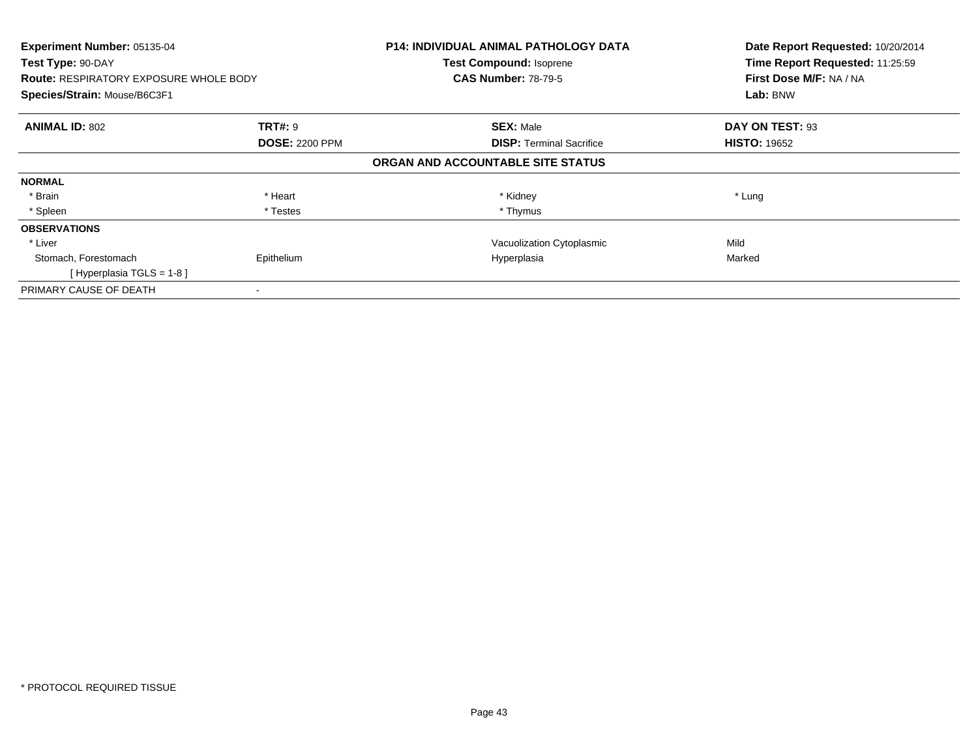| Experiment Number: 05135-04<br>Test Type: 90-DAY<br><b>Route: RESPIRATORY EXPOSURE WHOLE BODY</b><br>Species/Strain: Mouse/B6C3F1 |                                         | <b>P14: INDIVIDUAL ANIMAL PATHOLOGY DATA</b><br><b>Test Compound: Isoprene</b><br><b>CAS Number: 78-79-5</b> | Date Report Requested: 10/20/2014<br>Time Report Requested: 11:25:59<br>First Dose M/F: NA / NA<br>Lab: BNW |
|-----------------------------------------------------------------------------------------------------------------------------------|-----------------------------------------|--------------------------------------------------------------------------------------------------------------|-------------------------------------------------------------------------------------------------------------|
| <b>ANIMAL ID: 802</b>                                                                                                             | <b>TRT#: 9</b><br><b>DOSE: 2200 PPM</b> | <b>SEX: Male</b><br><b>DISP:</b> Terminal Sacrifice                                                          | DAY ON TEST: 93<br><b>HISTO: 19652</b>                                                                      |
|                                                                                                                                   |                                         | ORGAN AND ACCOUNTABLE SITE STATUS                                                                            |                                                                                                             |
| <b>NORMAL</b>                                                                                                                     |                                         |                                                                                                              |                                                                                                             |
| * Brain                                                                                                                           | * Heart                                 | * Kidney                                                                                                     | * Lung                                                                                                      |
| * Spleen                                                                                                                          | * Testes                                | * Thymus                                                                                                     |                                                                                                             |
| <b>OBSERVATIONS</b>                                                                                                               |                                         |                                                                                                              |                                                                                                             |
| * Liver                                                                                                                           |                                         | Vacuolization Cytoplasmic                                                                                    | Mild                                                                                                        |
| Stomach, Forestomach<br>[Hyperplasia TGLS = $1-8$ ]                                                                               | Epithelium                              | Hyperplasia                                                                                                  | Marked                                                                                                      |
| PRIMARY CAUSE OF DEATH                                                                                                            |                                         |                                                                                                              |                                                                                                             |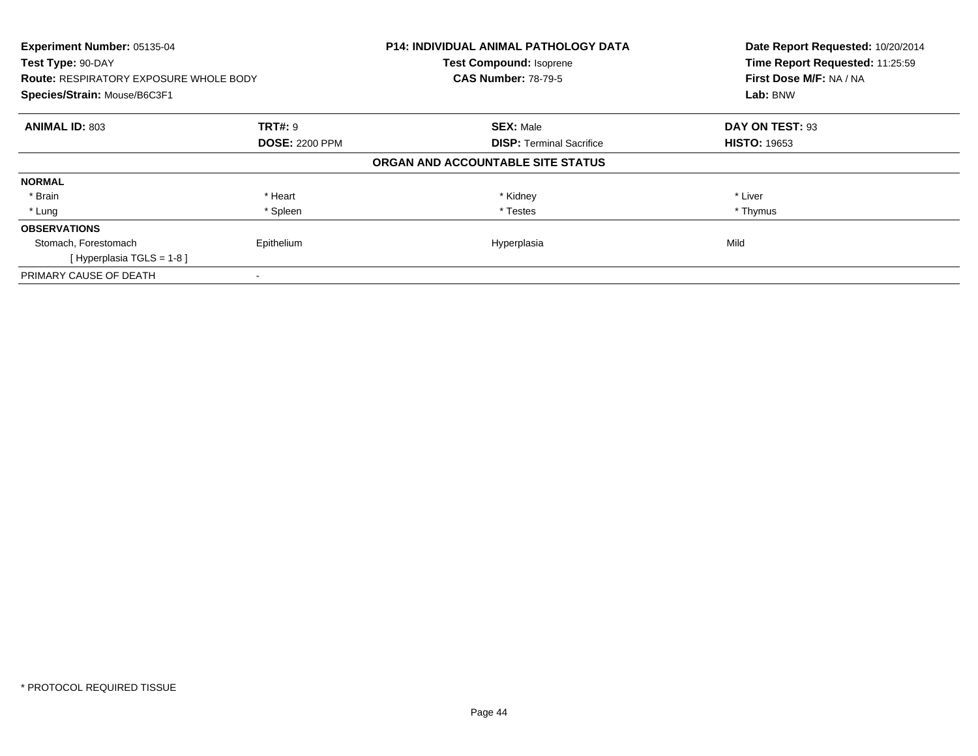| Experiment Number: 05135-04<br>Test Type: 90-DAY<br><b>Route: RESPIRATORY EXPOSURE WHOLE BODY</b> |                       | <b>P14: INDIVIDUAL ANIMAL PATHOLOGY DATA</b><br><b>Test Compound: Isoprene</b><br><b>CAS Number: 78-79-5</b> | Date Report Requested: 10/20/2014<br>Time Report Requested: 11:25:59<br>First Dose M/F: NA / NA |
|---------------------------------------------------------------------------------------------------|-----------------------|--------------------------------------------------------------------------------------------------------------|-------------------------------------------------------------------------------------------------|
| Species/Strain: Mouse/B6C3F1                                                                      |                       |                                                                                                              | Lab: BNW                                                                                        |
| <b>ANIMAL ID: 803</b>                                                                             | <b>TRT#: 9</b>        | <b>SEX: Male</b>                                                                                             | DAY ON TEST: 93                                                                                 |
|                                                                                                   | <b>DOSE: 2200 PPM</b> | <b>DISP:</b> Terminal Sacrifice                                                                              | <b>HISTO: 19653</b>                                                                             |
|                                                                                                   |                       | ORGAN AND ACCOUNTABLE SITE STATUS                                                                            |                                                                                                 |
| <b>NORMAL</b>                                                                                     |                       |                                                                                                              |                                                                                                 |
| * Brain                                                                                           | * Heart               | * Kidney                                                                                                     | * Liver                                                                                         |
| * Lung                                                                                            | * Spleen              | * Testes                                                                                                     | * Thymus                                                                                        |
| <b>OBSERVATIONS</b>                                                                               |                       |                                                                                                              |                                                                                                 |
| Stomach, Forestomach                                                                              | Epithelium            | Hyperplasia                                                                                                  | Mild                                                                                            |
| [Hyperplasia TGLS = $1-8$ ]                                                                       |                       |                                                                                                              |                                                                                                 |
| PRIMARY CAUSE OF DEATH                                                                            |                       |                                                                                                              |                                                                                                 |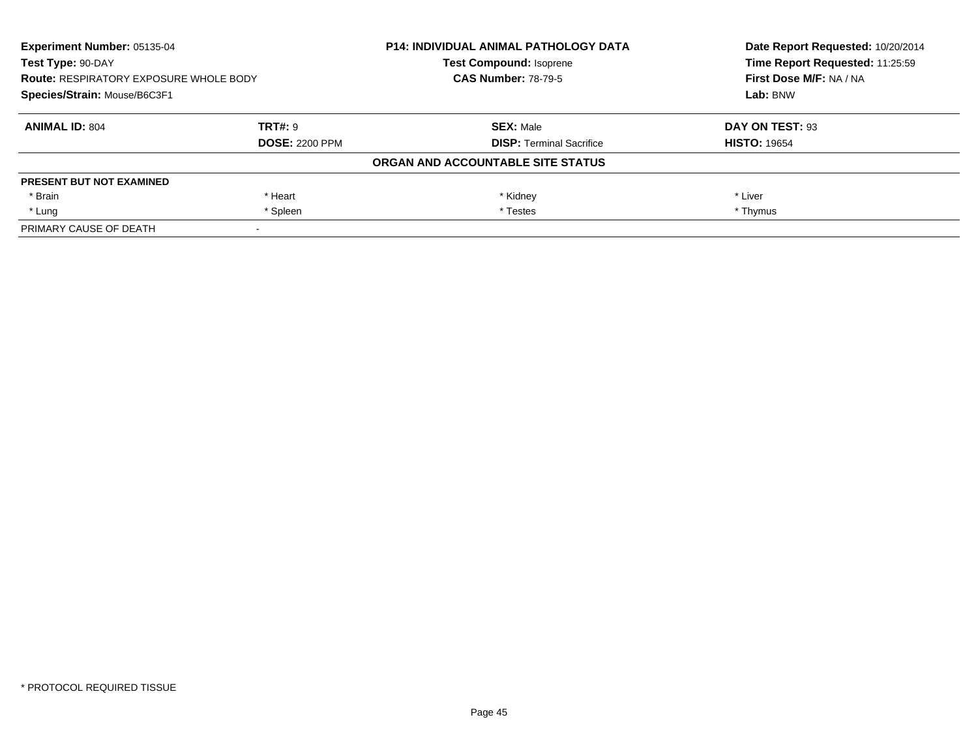| Experiment Number: 05135-04<br>Test Type: 90-DAY<br><b>Route: RESPIRATORY EXPOSURE WHOLE BODY</b><br>Species/Strain: Mouse/B6C3F1 |                       | <b>P14: INDIVIDUAL ANIMAL PATHOLOGY DATA</b> | Date Report Requested: 10/20/2014<br>Time Report Requested: 11:25:59<br>First Dose M/F: NA / NA<br>Lab: BNW |
|-----------------------------------------------------------------------------------------------------------------------------------|-----------------------|----------------------------------------------|-------------------------------------------------------------------------------------------------------------|
|                                                                                                                                   |                       | <b>Test Compound: Isoprene</b>               |                                                                                                             |
|                                                                                                                                   |                       | <b>CAS Number: 78-79-5</b>                   |                                                                                                             |
|                                                                                                                                   |                       |                                              |                                                                                                             |
| <b>ANIMAL ID: 804</b>                                                                                                             | TRT#: 9               | <b>SEX: Male</b>                             | DAY ON TEST: 93                                                                                             |
|                                                                                                                                   | <b>DOSE: 2200 PPM</b> | <b>DISP:</b> Terminal Sacrifice              | <b>HISTO: 19654</b>                                                                                         |
|                                                                                                                                   |                       | ORGAN AND ACCOUNTABLE SITE STATUS            |                                                                                                             |
| <b>PRESENT BUT NOT EXAMINED</b>                                                                                                   |                       |                                              |                                                                                                             |
| * Brain                                                                                                                           | * Heart               | * Kidney                                     | * Liver                                                                                                     |
| * Lung                                                                                                                            | * Spleen              | * Testes                                     | * Thymus                                                                                                    |
| PRIMARY CAUSE OF DEATH                                                                                                            |                       |                                              |                                                                                                             |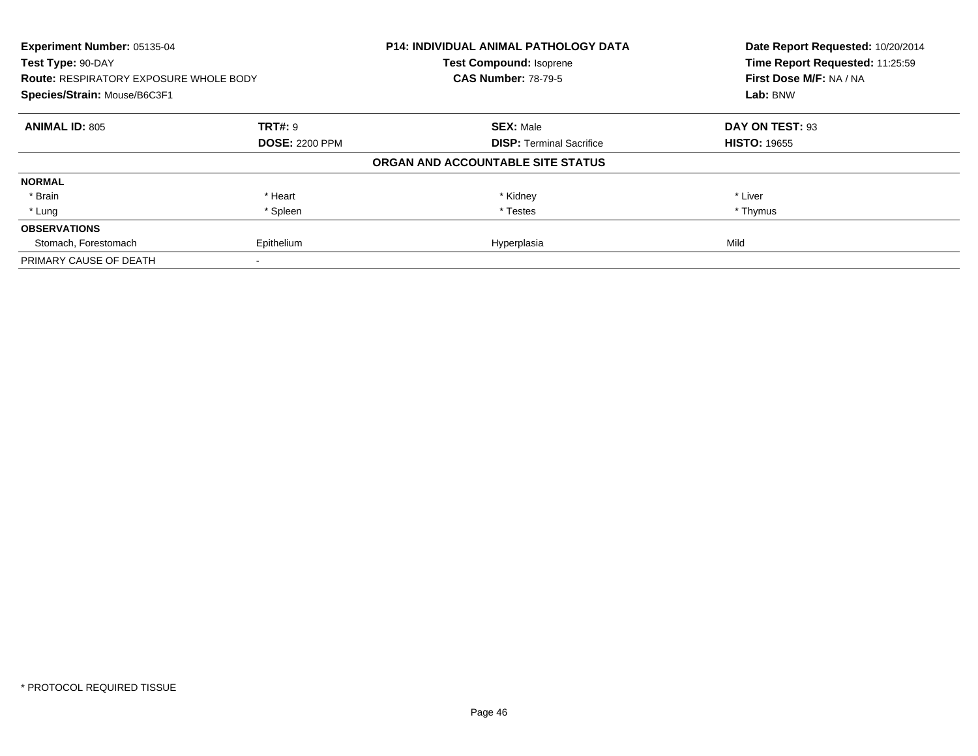| Experiment Number: 05135-04<br>Test Type: 90-DAY<br><b>Route: RESPIRATORY EXPOSURE WHOLE BODY</b><br>Species/Strain: Mouse/B6C3F1 |                       | <b>P14: INDIVIDUAL ANIMAL PATHOLOGY DATA</b><br><b>Test Compound: Isoprene</b><br><b>CAS Number: 78-79-5</b> | Date Report Requested: 10/20/2014<br>Time Report Requested: 11:25:59<br>First Dose M/F: NA / NA<br>Lab: BNW |
|-----------------------------------------------------------------------------------------------------------------------------------|-----------------------|--------------------------------------------------------------------------------------------------------------|-------------------------------------------------------------------------------------------------------------|
|                                                                                                                                   |                       |                                                                                                              |                                                                                                             |
| <b>ANIMAL ID: 805</b>                                                                                                             | <b>TRT#: 9</b>        | <b>SEX: Male</b>                                                                                             | DAY ON TEST: 93                                                                                             |
|                                                                                                                                   | <b>DOSE: 2200 PPM</b> | <b>DISP:</b> Terminal Sacrifice                                                                              | <b>HISTO: 19655</b>                                                                                         |
|                                                                                                                                   |                       | ORGAN AND ACCOUNTABLE SITE STATUS                                                                            |                                                                                                             |
| <b>NORMAL</b>                                                                                                                     |                       |                                                                                                              |                                                                                                             |
| * Brain                                                                                                                           | * Heart               | * Kidney                                                                                                     | * Liver                                                                                                     |
| * Lung                                                                                                                            | * Spleen              | * Testes                                                                                                     | * Thymus                                                                                                    |
| <b>OBSERVATIONS</b>                                                                                                               |                       |                                                                                                              |                                                                                                             |
| Stomach, Forestomach                                                                                                              | Epithelium            | Hyperplasia                                                                                                  | Mild                                                                                                        |
| PRIMARY CAUSE OF DEATH                                                                                                            |                       |                                                                                                              |                                                                                                             |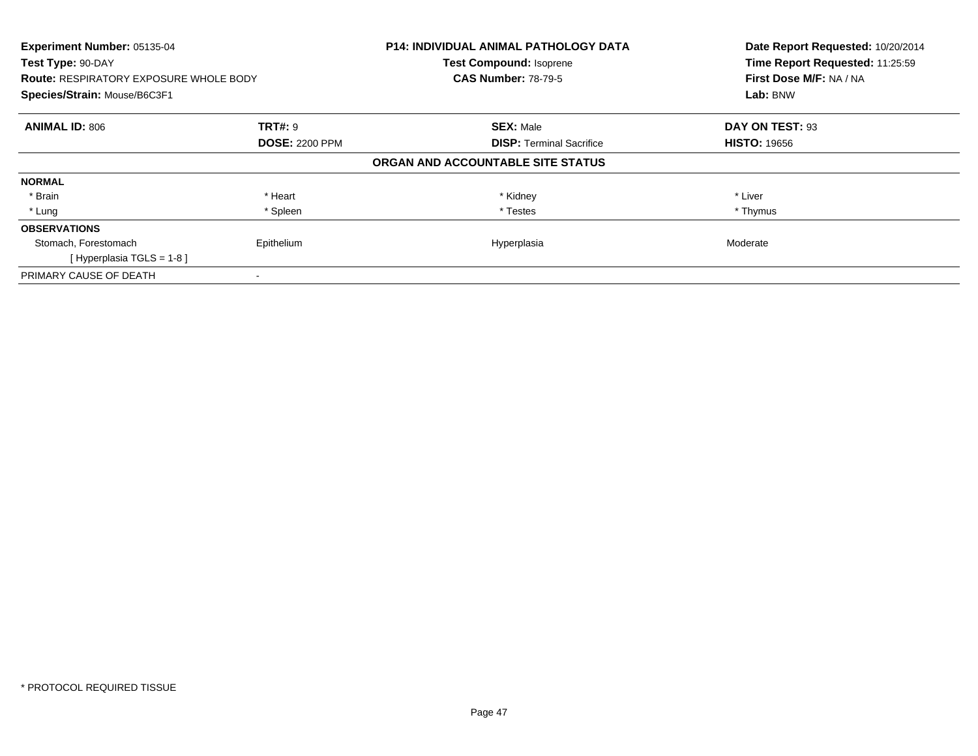| Experiment Number: 05135-04<br>Test Type: 90-DAY<br><b>Route: RESPIRATORY EXPOSURE WHOLE BODY</b><br>Species/Strain: Mouse/B6C3F1 |                       | <b>P14: INDIVIDUAL ANIMAL PATHOLOGY DATA</b><br>Test Compound: Isoprene<br><b>CAS Number: 78-79-5</b> | Date Report Requested: 10/20/2014<br>Time Report Requested: 11:25:59<br>First Dose M/F: NA / NA<br>Lab: BNW |
|-----------------------------------------------------------------------------------------------------------------------------------|-----------------------|-------------------------------------------------------------------------------------------------------|-------------------------------------------------------------------------------------------------------------|
| <b>ANIMAL ID: 806</b>                                                                                                             | <b>TRT#: 9</b>        | <b>SEX: Male</b>                                                                                      | DAY ON TEST: 93                                                                                             |
|                                                                                                                                   | <b>DOSE: 2200 PPM</b> | <b>DISP:</b> Terminal Sacrifice                                                                       | <b>HISTO: 19656</b>                                                                                         |
|                                                                                                                                   |                       | ORGAN AND ACCOUNTABLE SITE STATUS                                                                     |                                                                                                             |
| <b>NORMAL</b>                                                                                                                     |                       |                                                                                                       |                                                                                                             |
| * Brain                                                                                                                           | * Heart               | * Kidney                                                                                              | * Liver                                                                                                     |
| * Lung                                                                                                                            | * Spleen              | * Testes                                                                                              | * Thymus                                                                                                    |
| <b>OBSERVATIONS</b>                                                                                                               |                       |                                                                                                       |                                                                                                             |
| Stomach, Forestomach                                                                                                              | Epithelium            | Hyperplasia                                                                                           | Moderate                                                                                                    |
| [Hyperplasia TGLS = 1-8]                                                                                                          |                       |                                                                                                       |                                                                                                             |
| PRIMARY CAUSE OF DEATH                                                                                                            |                       |                                                                                                       |                                                                                                             |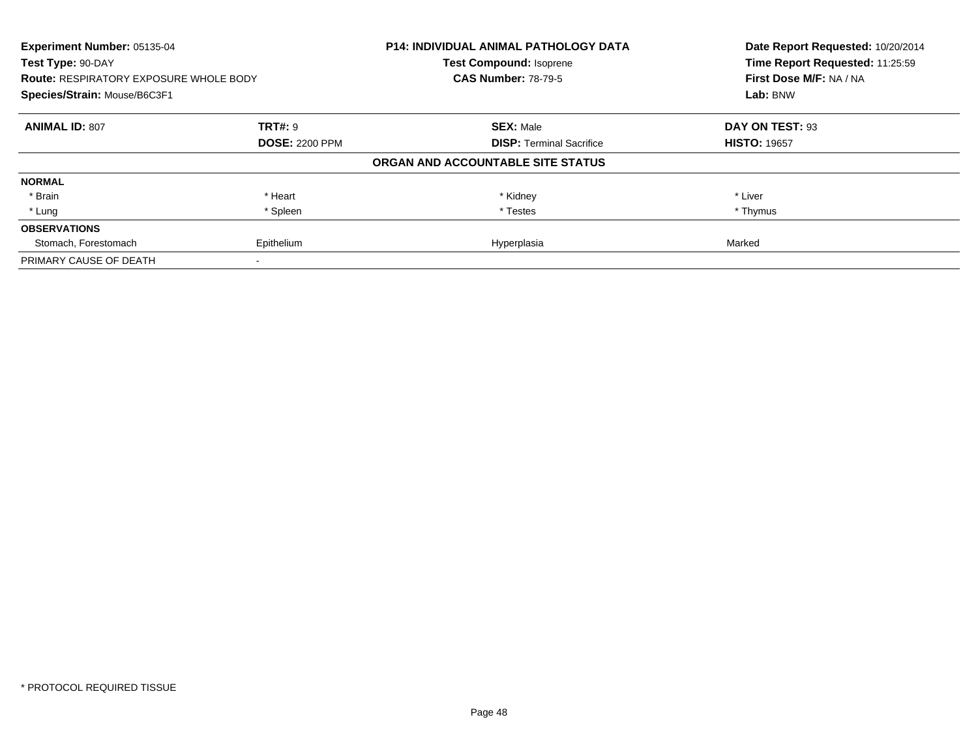| Experiment Number: 05135-04<br>Test Type: 90-DAY<br><b>Route: RESPIRATORY EXPOSURE WHOLE BODY</b><br>Species/Strain: Mouse/B6C3F1 |                       | <b>P14: INDIVIDUAL ANIMAL PATHOLOGY DATA</b><br><b>Test Compound: Isoprene</b><br><b>CAS Number: 78-79-5</b> | Date Report Requested: 10/20/2014<br>Time Report Requested: 11:25:59<br>First Dose M/F: NA / NA<br>Lab: BNW |
|-----------------------------------------------------------------------------------------------------------------------------------|-----------------------|--------------------------------------------------------------------------------------------------------------|-------------------------------------------------------------------------------------------------------------|
|                                                                                                                                   |                       |                                                                                                              |                                                                                                             |
| <b>ANIMAL ID: 807</b>                                                                                                             | <b>TRT#: 9</b>        | <b>SEX: Male</b>                                                                                             | DAY ON TEST: 93                                                                                             |
|                                                                                                                                   | <b>DOSE: 2200 PPM</b> | <b>DISP:</b> Terminal Sacrifice                                                                              | <b>HISTO: 19657</b>                                                                                         |
|                                                                                                                                   |                       | ORGAN AND ACCOUNTABLE SITE STATUS                                                                            |                                                                                                             |
| <b>NORMAL</b>                                                                                                                     |                       |                                                                                                              |                                                                                                             |
| * Brain                                                                                                                           | * Heart               | * Kidney                                                                                                     | * Liver                                                                                                     |
| * Lung                                                                                                                            | * Spleen              | * Testes                                                                                                     | * Thymus                                                                                                    |
| <b>OBSERVATIONS</b>                                                                                                               |                       |                                                                                                              |                                                                                                             |
| Stomach, Forestomach                                                                                                              | Epithelium            | Hyperplasia                                                                                                  | Marked                                                                                                      |
| PRIMARY CAUSE OF DEATH                                                                                                            |                       |                                                                                                              |                                                                                                             |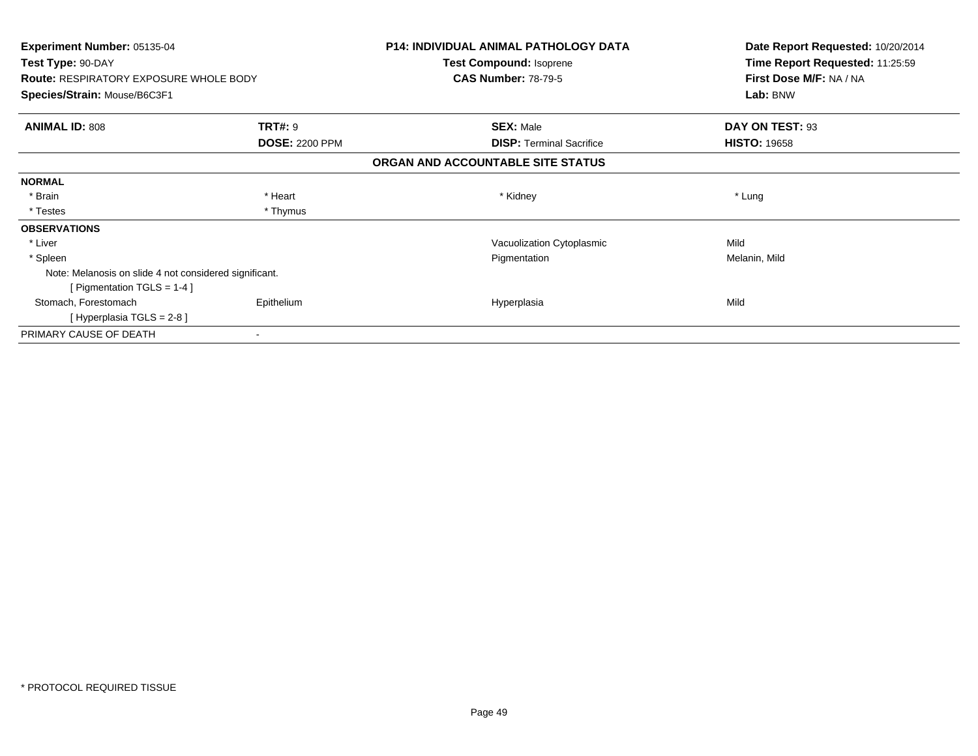| Experiment Number: 05135-04<br>Test Type: 90-DAY<br><b>Route: RESPIRATORY EXPOSURE WHOLE BODY</b> |                       | <b>P14: INDIVIDUAL ANIMAL PATHOLOGY DATA</b><br>Test Compound: Isoprene<br><b>CAS Number: 78-79-5</b> | Date Report Requested: 10/20/2014<br>Time Report Requested: 11:25:59<br>First Dose M/F: NA / NA |  |
|---------------------------------------------------------------------------------------------------|-----------------------|-------------------------------------------------------------------------------------------------------|-------------------------------------------------------------------------------------------------|--|
| Species/Strain: Mouse/B6C3F1                                                                      |                       |                                                                                                       | Lab: BNW                                                                                        |  |
| <b>ANIMAL ID: 808</b>                                                                             | <b>TRT#: 9</b>        | <b>SEX: Male</b>                                                                                      | DAY ON TEST: 93                                                                                 |  |
|                                                                                                   | <b>DOSE: 2200 PPM</b> | <b>DISP:</b> Terminal Sacrifice                                                                       | <b>HISTO: 19658</b>                                                                             |  |
|                                                                                                   |                       | ORGAN AND ACCOUNTABLE SITE STATUS                                                                     |                                                                                                 |  |
| <b>NORMAL</b>                                                                                     |                       |                                                                                                       |                                                                                                 |  |
| * Brain                                                                                           | * Heart               | * Kidney                                                                                              | * Lung                                                                                          |  |
| * Testes                                                                                          | * Thymus              |                                                                                                       |                                                                                                 |  |
| <b>OBSERVATIONS</b>                                                                               |                       |                                                                                                       |                                                                                                 |  |
| * Liver                                                                                           |                       | Vacuolization Cytoplasmic                                                                             | Mild                                                                                            |  |
| * Spleen                                                                                          |                       | Pigmentation                                                                                          | Melanin, Mild                                                                                   |  |
| Note: Melanosis on slide 4 not considered significant.                                            |                       |                                                                                                       |                                                                                                 |  |
| [ Pigmentation TGLS = $1-4$ ]                                                                     |                       |                                                                                                       |                                                                                                 |  |
| Stomach, Forestomach                                                                              | Epithelium            | Hyperplasia                                                                                           | Mild                                                                                            |  |
| [Hyperplasia TGLS = $2-8$ ]                                                                       |                       |                                                                                                       |                                                                                                 |  |
| PRIMARY CAUSE OF DEATH                                                                            |                       |                                                                                                       |                                                                                                 |  |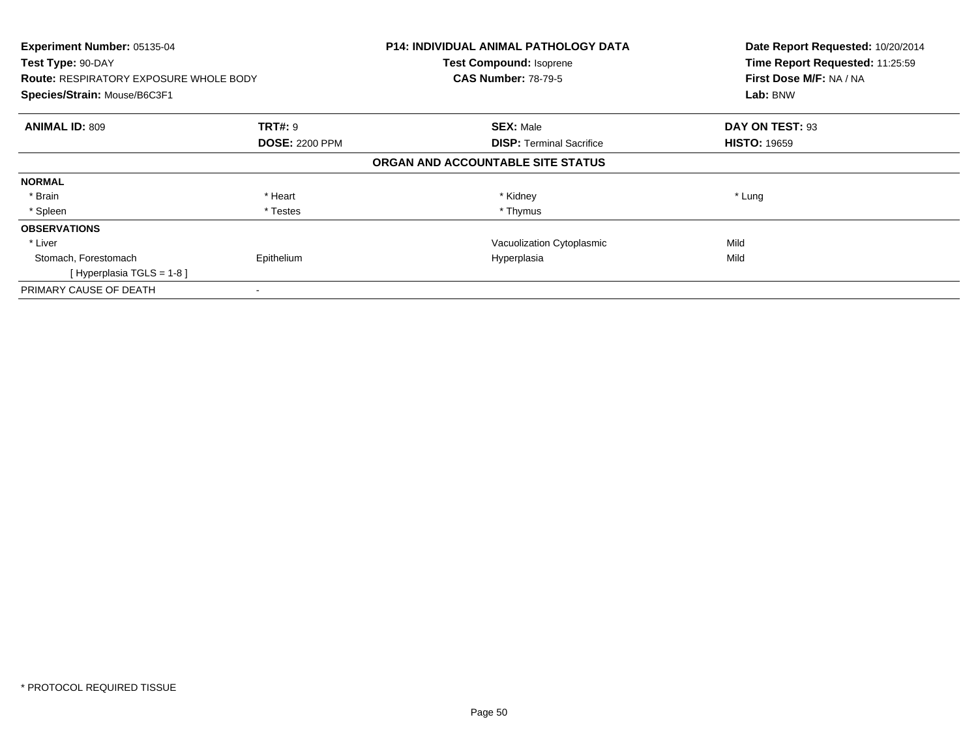| Experiment Number: 05135-04<br>Test Type: 90-DAY |                       | <b>P14: INDIVIDUAL ANIMAL PATHOLOGY DATA</b><br><b>Test Compound: Isoprene</b> | Date Report Requested: 10/20/2014<br>Time Report Requested: 11:25:59 |
|--------------------------------------------------|-----------------------|--------------------------------------------------------------------------------|----------------------------------------------------------------------|
| <b>Route: RESPIRATORY EXPOSURE WHOLE BODY</b>    |                       | <b>CAS Number: 78-79-5</b>                                                     | First Dose M/F: NA / NA                                              |
| Species/Strain: Mouse/B6C3F1                     |                       |                                                                                | Lab: BNW                                                             |
| <b>ANIMAL ID: 809</b>                            | <b>TRT#:</b> 9        | <b>SEX: Male</b>                                                               | DAY ON TEST: 93                                                      |
|                                                  | <b>DOSE: 2200 PPM</b> | <b>DISP:</b> Terminal Sacrifice                                                | <b>HISTO: 19659</b>                                                  |
|                                                  |                       | ORGAN AND ACCOUNTABLE SITE STATUS                                              |                                                                      |
| <b>NORMAL</b>                                    |                       |                                                                                |                                                                      |
| * Brain                                          | * Heart               | * Kidney                                                                       | * Lung                                                               |
| * Spleen                                         | * Testes              | * Thymus                                                                       |                                                                      |
| <b>OBSERVATIONS</b>                              |                       |                                                                                |                                                                      |
| * Liver                                          |                       | Vacuolization Cytoplasmic                                                      | Mild                                                                 |
| Stomach, Forestomach                             | Epithelium            | Hyperplasia                                                                    | Mild                                                                 |
| [Hyperplasia TGLS = $1-8$ ]                      |                       |                                                                                |                                                                      |
| PRIMARY CAUSE OF DEATH                           |                       |                                                                                |                                                                      |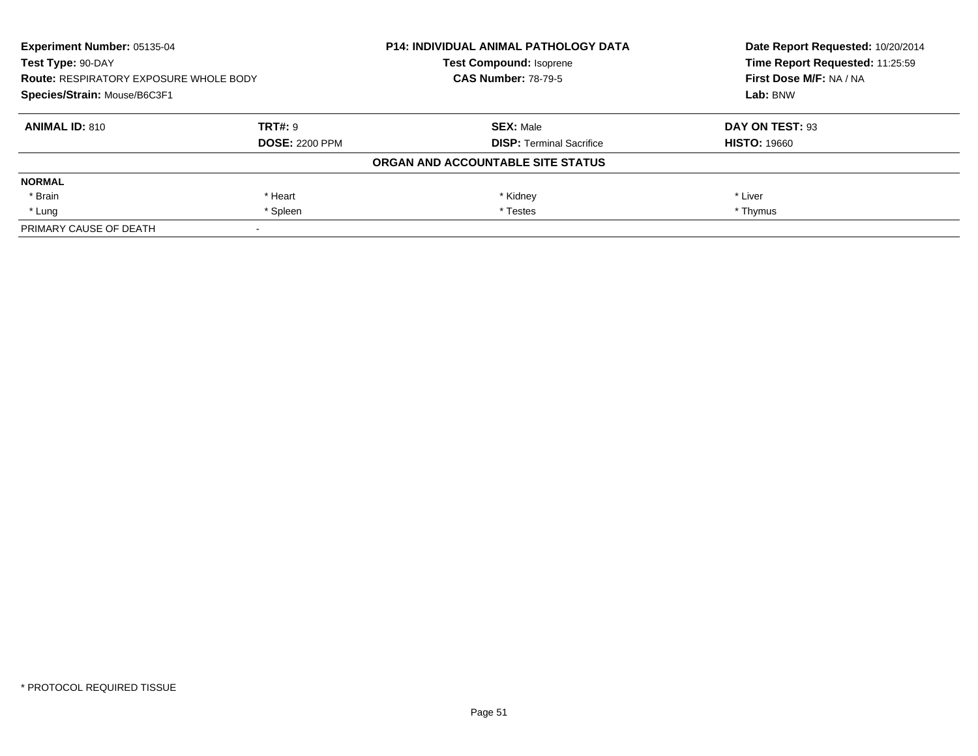| Experiment Number: 05135-04<br>Test Type: 90-DAY<br><b>Route: RESPIRATORY EXPOSURE WHOLE BODY</b><br>Species/Strain: Mouse/B6C3F1 |                       | <b>P14: INDIVIDUAL ANIMAL PATHOLOGY DATA</b> | Date Report Requested: 10/20/2014 |  |
|-----------------------------------------------------------------------------------------------------------------------------------|-----------------------|----------------------------------------------|-----------------------------------|--|
|                                                                                                                                   |                       | <b>Test Compound: Isoprene</b>               | Time Report Requested: 11:25:59   |  |
|                                                                                                                                   |                       | <b>CAS Number: 78-79-5</b>                   | First Dose M/F: NA / NA           |  |
|                                                                                                                                   |                       |                                              | Lab: BNW                          |  |
| <b>ANIMAL ID: 810</b>                                                                                                             | <b>TRT#: 9</b>        | <b>SEX: Male</b>                             | DAY ON TEST: 93                   |  |
|                                                                                                                                   | <b>DOSE: 2200 PPM</b> | <b>DISP: Terminal Sacrifice</b>              | <b>HISTO: 19660</b>               |  |
|                                                                                                                                   |                       | ORGAN AND ACCOUNTABLE SITE STATUS            |                                   |  |
| <b>NORMAL</b>                                                                                                                     |                       |                                              |                                   |  |
| * Brain                                                                                                                           | * Heart               | * Kidney                                     | * Liver                           |  |
| * Lung                                                                                                                            | * Spleen              | * Testes                                     | * Thymus                          |  |
| PRIMARY CAUSE OF DEATH                                                                                                            |                       |                                              |                                   |  |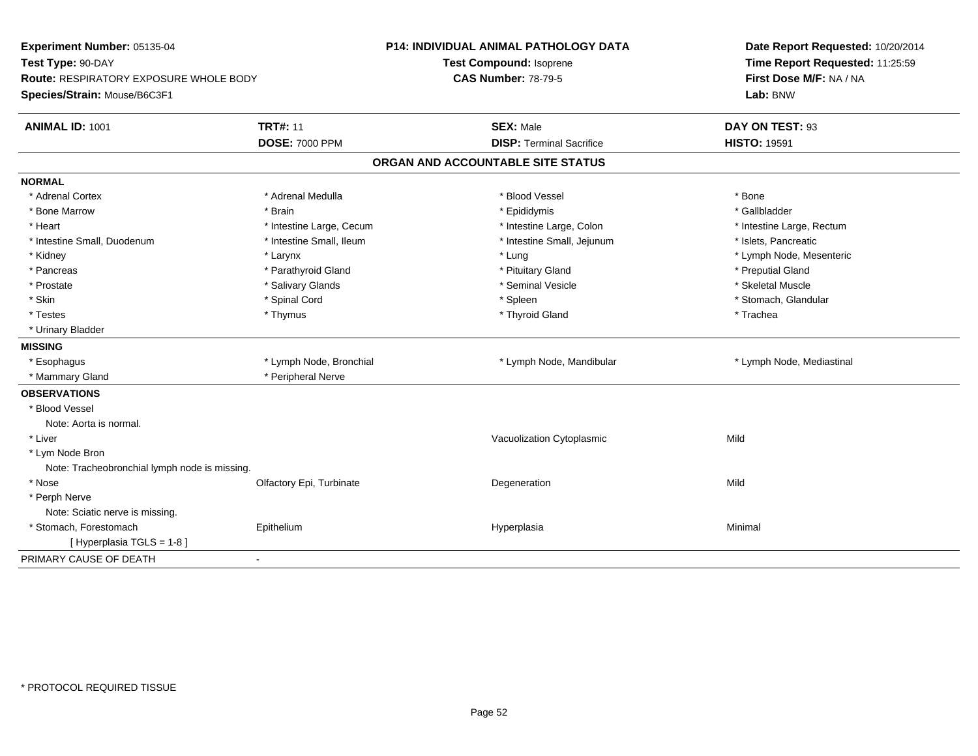| Experiment Number: 05135-04                   |                          | <b>P14: INDIVIDUAL ANIMAL PATHOLOGY DATA</b> | Date Report Requested: 10/20/2014<br>Time Report Requested: 11:25:59 |  |
|-----------------------------------------------|--------------------------|----------------------------------------------|----------------------------------------------------------------------|--|
| Test Type: 90-DAY                             |                          | Test Compound: Isoprene                      |                                                                      |  |
| <b>Route: RESPIRATORY EXPOSURE WHOLE BODY</b> |                          | <b>CAS Number: 78-79-5</b>                   | First Dose M/F: NA / NA                                              |  |
| Species/Strain: Mouse/B6C3F1                  |                          |                                              | Lab: BNW                                                             |  |
| <b>ANIMAL ID: 1001</b>                        | <b>TRT#: 11</b>          | <b>SEX: Male</b>                             | DAY ON TEST: 93                                                      |  |
|                                               | <b>DOSE: 7000 PPM</b>    | <b>DISP: Terminal Sacrifice</b>              | <b>HISTO: 19591</b>                                                  |  |
|                                               |                          | ORGAN AND ACCOUNTABLE SITE STATUS            |                                                                      |  |
| <b>NORMAL</b>                                 |                          |                                              |                                                                      |  |
| * Adrenal Cortex                              | * Adrenal Medulla        | * Blood Vessel                               | * Bone                                                               |  |
| * Bone Marrow                                 | * Brain                  | * Epididymis                                 | * Gallbladder                                                        |  |
| * Heart                                       | * Intestine Large, Cecum | * Intestine Large, Colon                     | * Intestine Large, Rectum                                            |  |
| * Intestine Small, Duodenum                   | * Intestine Small, Ileum | * Intestine Small, Jejunum                   | * Islets, Pancreatic                                                 |  |
| * Kidney                                      | * Larynx                 | * Lung                                       | * Lymph Node, Mesenteric                                             |  |
| * Pancreas                                    | * Parathyroid Gland      | * Pituitary Gland                            | * Preputial Gland                                                    |  |
| * Prostate                                    | * Salivary Glands        | * Seminal Vesicle                            | * Skeletal Muscle                                                    |  |
| * Skin                                        | * Spinal Cord            | * Spleen                                     | * Stomach, Glandular                                                 |  |
| * Testes                                      | * Thymus                 | * Thyroid Gland                              | * Trachea                                                            |  |
| * Urinary Bladder                             |                          |                                              |                                                                      |  |
| <b>MISSING</b>                                |                          |                                              |                                                                      |  |
| * Esophagus                                   | * Lymph Node, Bronchial  | * Lymph Node, Mandibular                     | * Lymph Node, Mediastinal                                            |  |
| * Mammary Gland                               | * Peripheral Nerve       |                                              |                                                                      |  |
| <b>OBSERVATIONS</b>                           |                          |                                              |                                                                      |  |
| * Blood Vessel                                |                          |                                              |                                                                      |  |
| Note: Aorta is normal.                        |                          |                                              |                                                                      |  |
| * Liver                                       |                          | Vacuolization Cytoplasmic                    | Mild                                                                 |  |
| * Lym Node Bron                               |                          |                                              |                                                                      |  |
| Note: Tracheobronchial lymph node is missing. |                          |                                              |                                                                      |  |
| * Nose                                        | Olfactory Epi, Turbinate | Degeneration                                 | Mild                                                                 |  |
| * Perph Nerve                                 |                          |                                              |                                                                      |  |
| Note: Sciatic nerve is missing.               |                          |                                              |                                                                      |  |
| * Stomach, Forestomach                        | Epithelium               | Hyperplasia                                  | Minimal                                                              |  |
| [Hyperplasia TGLS = 1-8]                      |                          |                                              |                                                                      |  |
| PRIMARY CAUSE OF DEATH                        |                          |                                              |                                                                      |  |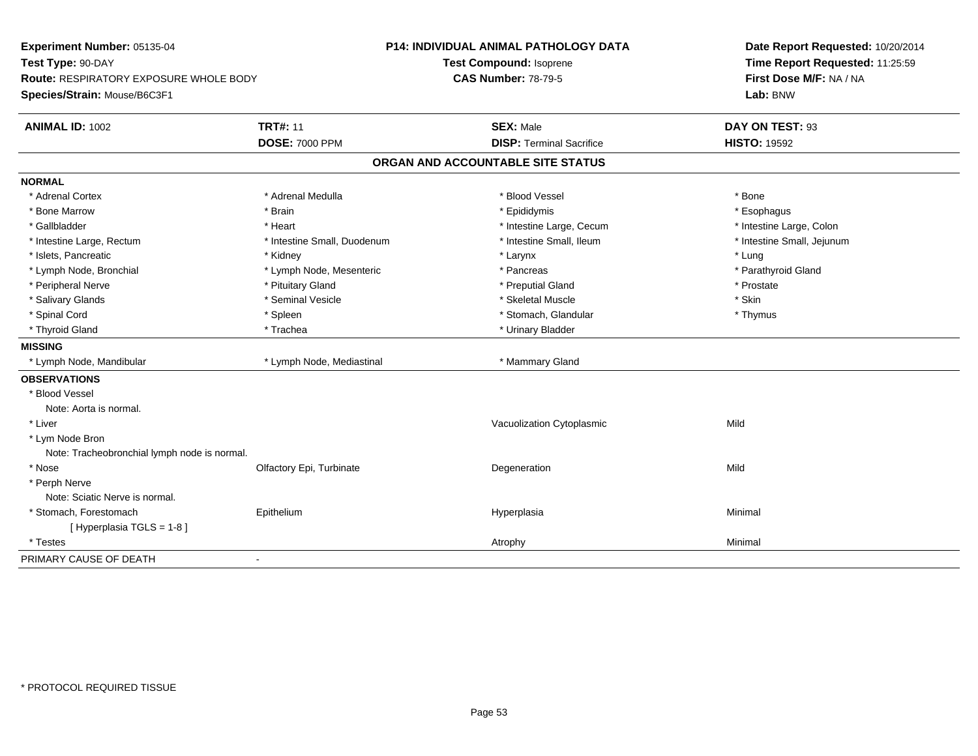| Experiment Number: 05135-04<br>Test Type: 90-DAY |                             | P14: INDIVIDUAL ANIMAL PATHOLOGY DATA | Date Report Requested: 10/20/2014<br>Time Report Requested: 11:25:59 |  |
|--------------------------------------------------|-----------------------------|---------------------------------------|----------------------------------------------------------------------|--|
|                                                  |                             | Test Compound: Isoprene               |                                                                      |  |
| <b>Route: RESPIRATORY EXPOSURE WHOLE BODY</b>    |                             | <b>CAS Number: 78-79-5</b>            | First Dose M/F: NA / NA                                              |  |
| Species/Strain: Mouse/B6C3F1                     |                             |                                       | Lab: BNW                                                             |  |
| <b>ANIMAL ID: 1002</b>                           | <b>TRT#: 11</b>             | <b>SEX: Male</b>                      | DAY ON TEST: 93                                                      |  |
|                                                  | <b>DOSE: 7000 PPM</b>       | <b>DISP: Terminal Sacrifice</b>       | <b>HISTO: 19592</b>                                                  |  |
|                                                  |                             | ORGAN AND ACCOUNTABLE SITE STATUS     |                                                                      |  |
| <b>NORMAL</b>                                    |                             |                                       |                                                                      |  |
| * Adrenal Cortex                                 | * Adrenal Medulla           | * Blood Vessel                        | * Bone                                                               |  |
| * Bone Marrow                                    | * Brain                     | * Epididymis                          | * Esophagus                                                          |  |
| * Gallbladder                                    | * Heart                     | * Intestine Large, Cecum              | * Intestine Large, Colon                                             |  |
| * Intestine Large, Rectum                        | * Intestine Small, Duodenum | * Intestine Small, Ileum              | * Intestine Small, Jejunum                                           |  |
| * Islets, Pancreatic                             | * Kidney                    | * Larynx                              | * Lung                                                               |  |
| * Lymph Node, Bronchial                          | * Lymph Node, Mesenteric    | * Pancreas                            | * Parathyroid Gland                                                  |  |
| * Peripheral Nerve                               | * Pituitary Gland           | * Preputial Gland                     | * Prostate                                                           |  |
| * Salivary Glands                                | * Seminal Vesicle           | * Skeletal Muscle                     | * Skin                                                               |  |
| * Spinal Cord                                    | * Spleen                    | * Stomach, Glandular                  | * Thymus                                                             |  |
| * Thyroid Gland                                  | * Trachea                   | * Urinary Bladder                     |                                                                      |  |
| <b>MISSING</b>                                   |                             |                                       |                                                                      |  |
| * Lymph Node, Mandibular                         | * Lymph Node, Mediastinal   | * Mammary Gland                       |                                                                      |  |
| <b>OBSERVATIONS</b>                              |                             |                                       |                                                                      |  |
| * Blood Vessel                                   |                             |                                       |                                                                      |  |
| Note: Aorta is normal.                           |                             |                                       |                                                                      |  |
| * Liver                                          |                             | Vacuolization Cytoplasmic             | Mild                                                                 |  |
| * Lym Node Bron                                  |                             |                                       |                                                                      |  |
| Note: Tracheobronchial lymph node is normal.     |                             |                                       |                                                                      |  |
| * Nose                                           | Olfactory Epi, Turbinate    | Degeneration                          | Mild                                                                 |  |
| * Perph Nerve                                    |                             |                                       |                                                                      |  |
| Note: Sciatic Nerve is normal.                   |                             |                                       |                                                                      |  |
| * Stomach, Forestomach                           | Epithelium                  | Hyperplasia                           | Minimal                                                              |  |
| [ Hyperplasia TGLS = 1-8]                        |                             |                                       |                                                                      |  |
| * Testes                                         |                             | Atrophy                               | Minimal                                                              |  |
| PRIMARY CAUSE OF DEATH                           | $\blacksquare$              |                                       |                                                                      |  |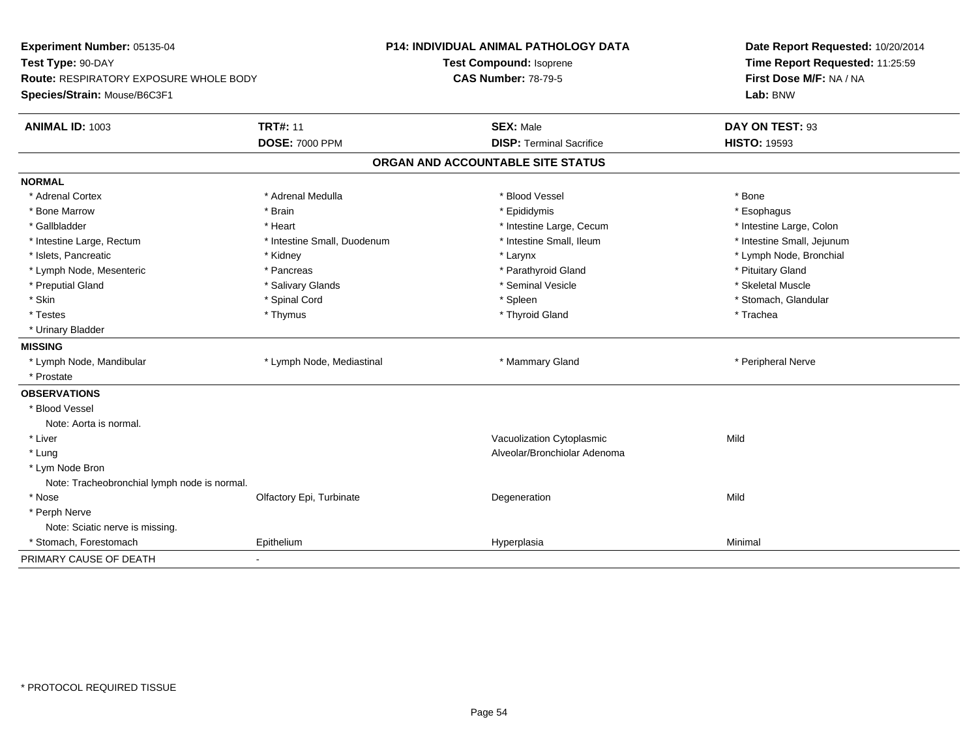| Experiment Number: 05135-04                   |                             | <b>P14: INDIVIDUAL ANIMAL PATHOLOGY DATA</b> | Date Report Requested: 10/20/2014 |  |
|-----------------------------------------------|-----------------------------|----------------------------------------------|-----------------------------------|--|
| Test Type: 90-DAY                             |                             | Test Compound: Isoprene                      | Time Report Requested: 11:25:59   |  |
| <b>Route: RESPIRATORY EXPOSURE WHOLE BODY</b> |                             | <b>CAS Number: 78-79-5</b>                   | First Dose M/F: NA / NA           |  |
| Species/Strain: Mouse/B6C3F1                  |                             |                                              | Lab: BNW                          |  |
| <b>ANIMAL ID: 1003</b>                        | <b>TRT#: 11</b>             | <b>SEX: Male</b>                             | DAY ON TEST: 93                   |  |
|                                               | <b>DOSE: 7000 PPM</b>       | <b>DISP: Terminal Sacrifice</b>              | <b>HISTO: 19593</b>               |  |
|                                               |                             | ORGAN AND ACCOUNTABLE SITE STATUS            |                                   |  |
| <b>NORMAL</b>                                 |                             |                                              |                                   |  |
| * Adrenal Cortex                              | * Adrenal Medulla           | * Blood Vessel                               | * Bone                            |  |
| * Bone Marrow                                 | * Brain                     | * Epididymis                                 | * Esophagus                       |  |
| * Gallbladder                                 | * Heart                     | * Intestine Large, Cecum                     | * Intestine Large, Colon          |  |
| * Intestine Large, Rectum                     | * Intestine Small, Duodenum | * Intestine Small, Ileum                     | * Intestine Small, Jejunum        |  |
| * Islets, Pancreatic                          | * Kidney                    | * Larynx                                     | * Lymph Node, Bronchial           |  |
| * Lymph Node, Mesenteric                      | * Pancreas                  | * Parathyroid Gland                          | * Pituitary Gland                 |  |
| * Preputial Gland                             | * Salivary Glands           | * Seminal Vesicle                            | * Skeletal Muscle                 |  |
| * Skin                                        | * Spinal Cord               | * Spleen                                     | * Stomach, Glandular              |  |
| * Testes                                      | * Thymus                    | * Thyroid Gland                              | * Trachea                         |  |
| * Urinary Bladder                             |                             |                                              |                                   |  |
| <b>MISSING</b>                                |                             |                                              |                                   |  |
| * Lymph Node, Mandibular                      | * Lymph Node, Mediastinal   | * Mammary Gland                              | * Peripheral Nerve                |  |
| * Prostate                                    |                             |                                              |                                   |  |
| <b>OBSERVATIONS</b>                           |                             |                                              |                                   |  |
| * Blood Vessel                                |                             |                                              |                                   |  |
| Note: Aorta is normal.                        |                             |                                              |                                   |  |
| * Liver                                       |                             | Vacuolization Cytoplasmic                    | Mild                              |  |
| * Lung                                        |                             | Alveolar/Bronchiolar Adenoma                 |                                   |  |
| * Lym Node Bron                               |                             |                                              |                                   |  |
| Note: Tracheobronchial lymph node is normal.  |                             |                                              |                                   |  |
| * Nose                                        | Olfactory Epi, Turbinate    | Degeneration                                 | Mild                              |  |
| * Perph Nerve                                 |                             |                                              |                                   |  |
| Note: Sciatic nerve is missing.               |                             |                                              |                                   |  |
| * Stomach, Forestomach                        | Epithelium                  | Hyperplasia                                  | Minimal                           |  |
| PRIMARY CAUSE OF DEATH                        | $\blacksquare$              |                                              |                                   |  |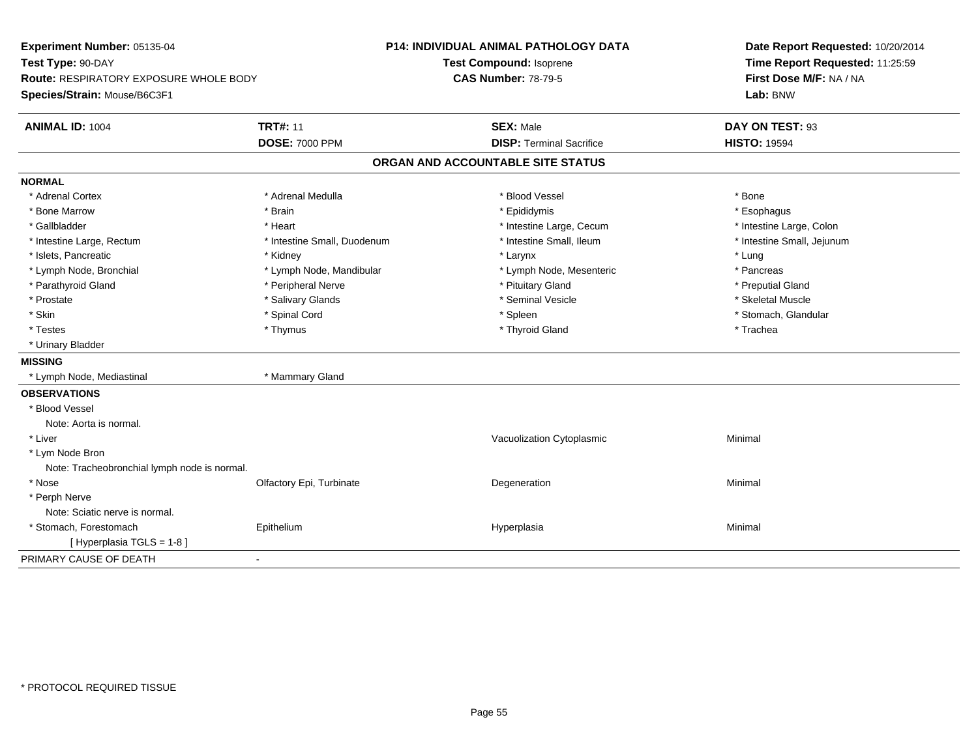| Experiment Number: 05135-04                   |                             | <b>P14: INDIVIDUAL ANIMAL PATHOLOGY DATA</b> | Date Report Requested: 10/20/2014<br>Time Report Requested: 11:25:59<br>First Dose M/F: NA / NA |  |
|-----------------------------------------------|-----------------------------|----------------------------------------------|-------------------------------------------------------------------------------------------------|--|
| Test Type: 90-DAY                             |                             | Test Compound: Isoprene                      |                                                                                                 |  |
| <b>Route: RESPIRATORY EXPOSURE WHOLE BODY</b> |                             | <b>CAS Number: 78-79-5</b>                   |                                                                                                 |  |
| Species/Strain: Mouse/B6C3F1                  |                             |                                              | Lab: BNW                                                                                        |  |
| <b>ANIMAL ID: 1004</b>                        | <b>TRT#: 11</b>             | <b>SEX: Male</b>                             | DAY ON TEST: 93                                                                                 |  |
|                                               | <b>DOSE: 7000 PPM</b>       | <b>DISP: Terminal Sacrifice</b>              | <b>HISTO: 19594</b>                                                                             |  |
|                                               |                             | ORGAN AND ACCOUNTABLE SITE STATUS            |                                                                                                 |  |
| <b>NORMAL</b>                                 |                             |                                              |                                                                                                 |  |
| * Adrenal Cortex                              | * Adrenal Medulla           | * Blood Vessel                               | * Bone                                                                                          |  |
| * Bone Marrow                                 | * Brain                     | * Epididymis                                 | * Esophagus                                                                                     |  |
| * Gallbladder                                 | * Heart                     | * Intestine Large, Cecum                     | * Intestine Large, Colon                                                                        |  |
| * Intestine Large, Rectum                     | * Intestine Small, Duodenum | * Intestine Small, Ileum                     | * Intestine Small, Jejunum                                                                      |  |
| * Islets, Pancreatic                          | * Kidney                    | * Larynx                                     | * Lung                                                                                          |  |
| * Lymph Node, Bronchial                       | * Lymph Node, Mandibular    | * Lymph Node, Mesenteric                     | * Pancreas                                                                                      |  |
| * Parathyroid Gland                           | * Peripheral Nerve          | * Pituitary Gland                            | * Preputial Gland                                                                               |  |
| * Prostate                                    | * Salivary Glands           | * Seminal Vesicle                            | * Skeletal Muscle                                                                               |  |
| * Skin                                        | * Spinal Cord               | * Spleen                                     | * Stomach, Glandular                                                                            |  |
| * Testes                                      | * Thymus                    | * Thyroid Gland                              | * Trachea                                                                                       |  |
| * Urinary Bladder                             |                             |                                              |                                                                                                 |  |
| <b>MISSING</b>                                |                             |                                              |                                                                                                 |  |
| * Lymph Node, Mediastinal                     | * Mammary Gland             |                                              |                                                                                                 |  |
| <b>OBSERVATIONS</b>                           |                             |                                              |                                                                                                 |  |
| * Blood Vessel                                |                             |                                              |                                                                                                 |  |
| Note: Aorta is normal.                        |                             |                                              |                                                                                                 |  |
| * Liver                                       |                             | Vacuolization Cytoplasmic                    | Minimal                                                                                         |  |
| * Lym Node Bron                               |                             |                                              |                                                                                                 |  |
| Note: Tracheobronchial lymph node is normal.  |                             |                                              |                                                                                                 |  |
| * Nose                                        | Olfactory Epi, Turbinate    | Degeneration                                 | Minimal                                                                                         |  |
| * Perph Nerve                                 |                             |                                              |                                                                                                 |  |
| Note: Sciatic nerve is normal.                |                             |                                              |                                                                                                 |  |
| * Stomach, Forestomach                        | Epithelium                  | Hyperplasia                                  | Minimal                                                                                         |  |
| [ Hyperplasia TGLS = 1-8 ]                    |                             |                                              |                                                                                                 |  |
| PRIMARY CAUSE OF DEATH                        |                             |                                              |                                                                                                 |  |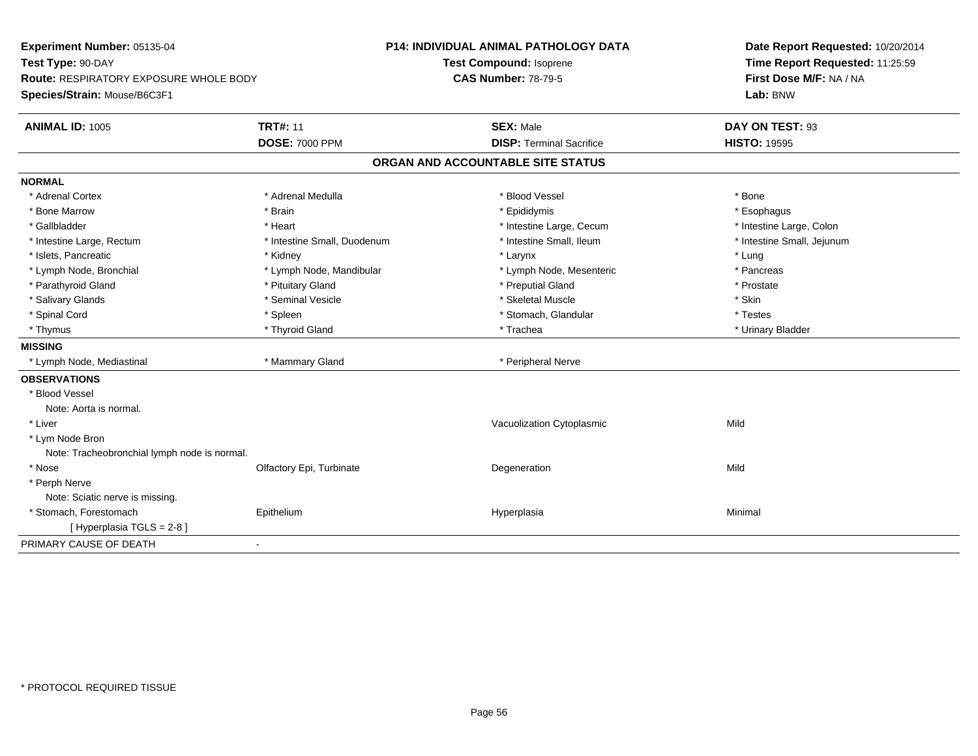| Experiment Number: 05135-04                   |                             | <b>P14: INDIVIDUAL ANIMAL PATHOLOGY DATA</b> | Date Report Requested: 10/20/2014<br>Time Report Requested: 11:25:59<br>First Dose M/F: NA / NA |  |
|-----------------------------------------------|-----------------------------|----------------------------------------------|-------------------------------------------------------------------------------------------------|--|
| Test Type: 90-DAY                             |                             | Test Compound: Isoprene                      |                                                                                                 |  |
| <b>Route: RESPIRATORY EXPOSURE WHOLE BODY</b> |                             | <b>CAS Number: 78-79-5</b>                   |                                                                                                 |  |
| Species/Strain: Mouse/B6C3F1                  |                             |                                              | Lab: BNW                                                                                        |  |
| <b>ANIMAL ID: 1005</b>                        | <b>TRT#: 11</b>             | <b>SEX: Male</b>                             | DAY ON TEST: 93                                                                                 |  |
|                                               | <b>DOSE: 7000 PPM</b>       | <b>DISP: Terminal Sacrifice</b>              | <b>HISTO: 19595</b>                                                                             |  |
|                                               |                             | ORGAN AND ACCOUNTABLE SITE STATUS            |                                                                                                 |  |
| <b>NORMAL</b>                                 |                             |                                              |                                                                                                 |  |
| * Adrenal Cortex                              | * Adrenal Medulla           | * Blood Vessel                               | * Bone                                                                                          |  |
| * Bone Marrow                                 | * Brain                     | * Epididymis                                 | * Esophagus                                                                                     |  |
| * Gallbladder                                 | * Heart                     | * Intestine Large, Cecum                     | * Intestine Large, Colon                                                                        |  |
| * Intestine Large, Rectum                     | * Intestine Small, Duodenum | * Intestine Small, Ileum                     | * Intestine Small, Jejunum                                                                      |  |
| * Islets. Pancreatic                          | * Kidney                    | * Larynx                                     | * Lung                                                                                          |  |
| * Lymph Node, Bronchial                       | * Lymph Node, Mandibular    | * Lymph Node, Mesenteric                     | * Pancreas                                                                                      |  |
| * Parathyroid Gland                           | * Pituitary Gland           | * Preputial Gland                            | * Prostate                                                                                      |  |
| * Salivary Glands                             | * Seminal Vesicle           | * Skeletal Muscle                            | * Skin                                                                                          |  |
| * Spinal Cord                                 | * Spleen                    | * Stomach, Glandular                         | * Testes                                                                                        |  |
| * Thymus                                      | * Thyroid Gland             | * Trachea                                    | * Urinary Bladder                                                                               |  |
| <b>MISSING</b>                                |                             |                                              |                                                                                                 |  |
| * Lymph Node, Mediastinal                     | * Mammary Gland             | * Peripheral Nerve                           |                                                                                                 |  |
| <b>OBSERVATIONS</b>                           |                             |                                              |                                                                                                 |  |
| * Blood Vessel                                |                             |                                              |                                                                                                 |  |
| Note: Aorta is normal.                        |                             |                                              |                                                                                                 |  |
| * Liver                                       |                             | Vacuolization Cytoplasmic                    | Mild                                                                                            |  |
| * Lym Node Bron                               |                             |                                              |                                                                                                 |  |
| Note: Tracheobronchial lymph node is normal.  |                             |                                              |                                                                                                 |  |
| * Nose                                        | Olfactory Epi, Turbinate    | Degeneration                                 | Mild                                                                                            |  |
| * Perph Nerve                                 |                             |                                              |                                                                                                 |  |
| Note: Sciatic nerve is missing.               |                             |                                              |                                                                                                 |  |
| * Stomach, Forestomach                        | Epithelium                  | Hyperplasia                                  | Minimal                                                                                         |  |
| [ Hyperplasia TGLS = 2-8 ]                    |                             |                                              |                                                                                                 |  |
| PRIMARY CAUSE OF DEATH                        | ÷,                          |                                              |                                                                                                 |  |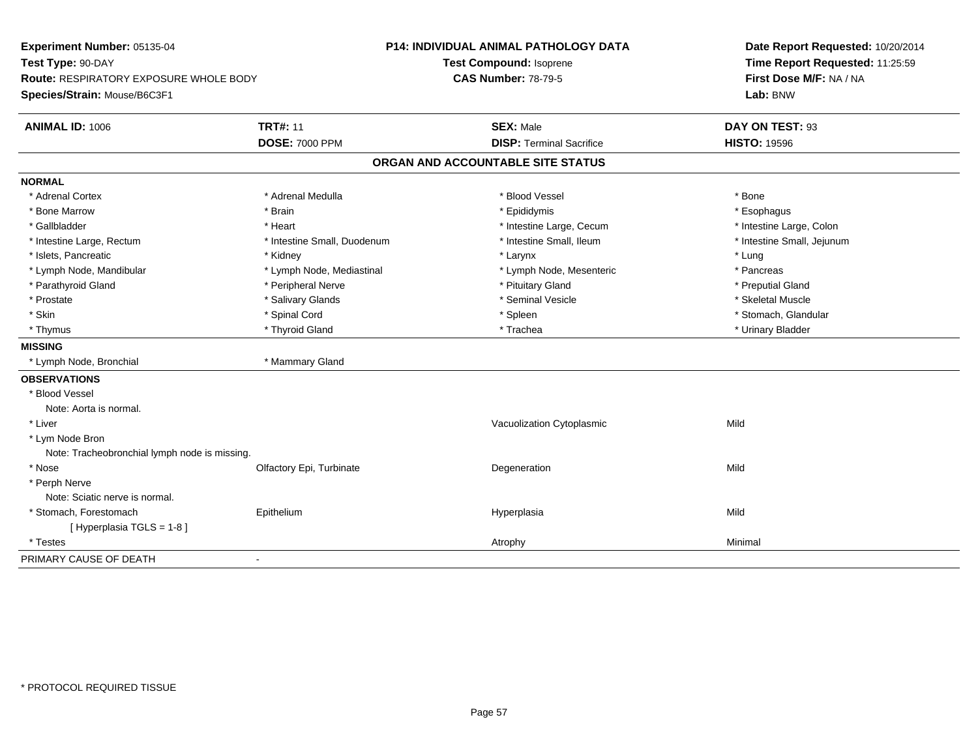| Experiment Number: 05135-04                   |                             | <b>P14: INDIVIDUAL ANIMAL PATHOLOGY DATA</b> | Date Report Requested: 10/20/2014 |  |
|-----------------------------------------------|-----------------------------|----------------------------------------------|-----------------------------------|--|
| Test Type: 90-DAY                             |                             | Test Compound: Isoprene                      | Time Report Requested: 11:25:59   |  |
| <b>Route: RESPIRATORY EXPOSURE WHOLE BODY</b> |                             | <b>CAS Number: 78-79-5</b>                   | First Dose M/F: NA / NA           |  |
| Species/Strain: Mouse/B6C3F1                  |                             |                                              | Lab: BNW                          |  |
| <b>ANIMAL ID: 1006</b>                        | <b>TRT#: 11</b>             | <b>SEX: Male</b>                             | DAY ON TEST: 93                   |  |
|                                               | <b>DOSE: 7000 PPM</b>       | <b>DISP: Terminal Sacrifice</b>              | <b>HISTO: 19596</b>               |  |
|                                               |                             | ORGAN AND ACCOUNTABLE SITE STATUS            |                                   |  |
| <b>NORMAL</b>                                 |                             |                                              |                                   |  |
| * Adrenal Cortex                              | * Adrenal Medulla           | * Blood Vessel                               | * Bone                            |  |
| * Bone Marrow                                 | * Brain                     | * Epididymis                                 | * Esophagus                       |  |
| * Gallbladder                                 | * Heart                     | * Intestine Large, Cecum                     | * Intestine Large, Colon          |  |
| * Intestine Large, Rectum                     | * Intestine Small, Duodenum | * Intestine Small, Ileum                     | * Intestine Small, Jejunum        |  |
| * Islets, Pancreatic                          | * Kidney                    | * Larynx                                     | * Lung                            |  |
| * Lymph Node, Mandibular                      | * Lymph Node, Mediastinal   | * Lymph Node, Mesenteric                     | * Pancreas                        |  |
| * Parathyroid Gland                           | * Peripheral Nerve          | * Pituitary Gland                            | * Preputial Gland                 |  |
| * Prostate                                    | * Salivary Glands           | * Seminal Vesicle                            | * Skeletal Muscle                 |  |
| * Skin                                        | * Spinal Cord               | * Spleen                                     | * Stomach, Glandular              |  |
| * Thymus                                      | * Thyroid Gland             | * Trachea                                    | * Urinary Bladder                 |  |
| <b>MISSING</b>                                |                             |                                              |                                   |  |
| * Lymph Node, Bronchial                       | * Mammary Gland             |                                              |                                   |  |
| <b>OBSERVATIONS</b>                           |                             |                                              |                                   |  |
| * Blood Vessel                                |                             |                                              |                                   |  |
| Note: Aorta is normal.                        |                             |                                              |                                   |  |
| * Liver                                       |                             | Vacuolization Cytoplasmic                    | Mild                              |  |
| * Lym Node Bron                               |                             |                                              |                                   |  |
| Note: Tracheobronchial lymph node is missing. |                             |                                              |                                   |  |
| * Nose                                        | Olfactory Epi, Turbinate    | Degeneration                                 | Mild                              |  |
| * Perph Nerve                                 |                             |                                              |                                   |  |
| Note: Sciatic nerve is normal.                |                             |                                              |                                   |  |
| * Stomach, Forestomach                        | Epithelium                  | Hyperplasia                                  | Mild                              |  |
| [Hyperplasia TGLS = 1-8]                      |                             |                                              |                                   |  |
| * Testes                                      |                             | Atrophy                                      | Minimal                           |  |
| PRIMARY CAUSE OF DEATH                        | $\blacksquare$              |                                              |                                   |  |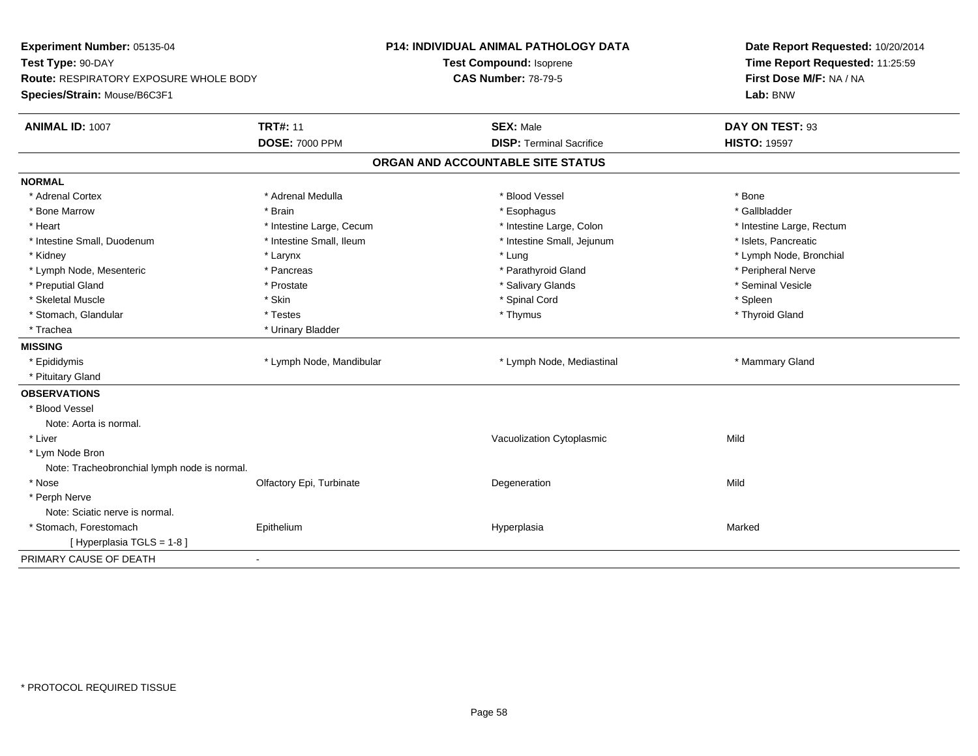| Experiment Number: 05135-04                   |                          | <b>P14: INDIVIDUAL ANIMAL PATHOLOGY DATA</b> | Date Report Requested: 10/20/2014 |  |
|-----------------------------------------------|--------------------------|----------------------------------------------|-----------------------------------|--|
| Test Type: 90-DAY                             |                          | <b>Test Compound: Isoprene</b>               | Time Report Requested: 11:25:59   |  |
| <b>Route: RESPIRATORY EXPOSURE WHOLE BODY</b> |                          | <b>CAS Number: 78-79-5</b>                   | First Dose M/F: NA / NA           |  |
| Species/Strain: Mouse/B6C3F1                  |                          |                                              | Lab: BNW                          |  |
| <b>ANIMAL ID: 1007</b>                        | <b>TRT#: 11</b>          | <b>SEX: Male</b>                             | DAY ON TEST: 93                   |  |
|                                               | <b>DOSE: 7000 PPM</b>    | <b>DISP: Terminal Sacrifice</b>              | <b>HISTO: 19597</b>               |  |
|                                               |                          | ORGAN AND ACCOUNTABLE SITE STATUS            |                                   |  |
| <b>NORMAL</b>                                 |                          |                                              |                                   |  |
| * Adrenal Cortex                              | * Adrenal Medulla        | * Blood Vessel                               | * Bone                            |  |
| * Bone Marrow                                 | * Brain                  | * Esophagus                                  | * Gallbladder                     |  |
| * Heart                                       | * Intestine Large, Cecum | * Intestine Large, Colon                     | * Intestine Large, Rectum         |  |
| * Intestine Small, Duodenum                   | * Intestine Small, Ileum | * Intestine Small, Jejunum                   | * Islets, Pancreatic              |  |
| * Kidney                                      | * Larynx                 | * Lung                                       | * Lymph Node, Bronchial           |  |
| * Lymph Node, Mesenteric                      | * Pancreas               | * Parathyroid Gland                          | * Peripheral Nerve                |  |
| * Preputial Gland                             | * Prostate               | * Salivary Glands                            | * Seminal Vesicle                 |  |
| * Skeletal Muscle                             | * Skin                   | * Spinal Cord                                | * Spleen                          |  |
| * Stomach, Glandular                          | * Testes                 | * Thymus                                     | * Thyroid Gland                   |  |
| * Trachea                                     | * Urinary Bladder        |                                              |                                   |  |
| <b>MISSING</b>                                |                          |                                              |                                   |  |
| * Epididymis                                  | * Lymph Node, Mandibular | * Lymph Node, Mediastinal                    | * Mammary Gland                   |  |
| * Pituitary Gland                             |                          |                                              |                                   |  |
| <b>OBSERVATIONS</b>                           |                          |                                              |                                   |  |
| * Blood Vessel                                |                          |                                              |                                   |  |
| Note: Aorta is normal.                        |                          |                                              |                                   |  |
| * Liver                                       |                          | Vacuolization Cytoplasmic                    | Mild                              |  |
| * Lym Node Bron                               |                          |                                              |                                   |  |
| Note: Tracheobronchial lymph node is normal.  |                          |                                              |                                   |  |
| * Nose                                        | Olfactory Epi, Turbinate | Degeneration                                 | Mild                              |  |
| * Perph Nerve                                 |                          |                                              |                                   |  |
| Note: Sciatic nerve is normal.                |                          |                                              |                                   |  |
| * Stomach, Forestomach                        | Epithelium               | Hyperplasia                                  | Marked                            |  |
| [Hyperplasia TGLS = 1-8]                      |                          |                                              |                                   |  |
| PRIMARY CAUSE OF DEATH                        | $\blacksquare$           |                                              |                                   |  |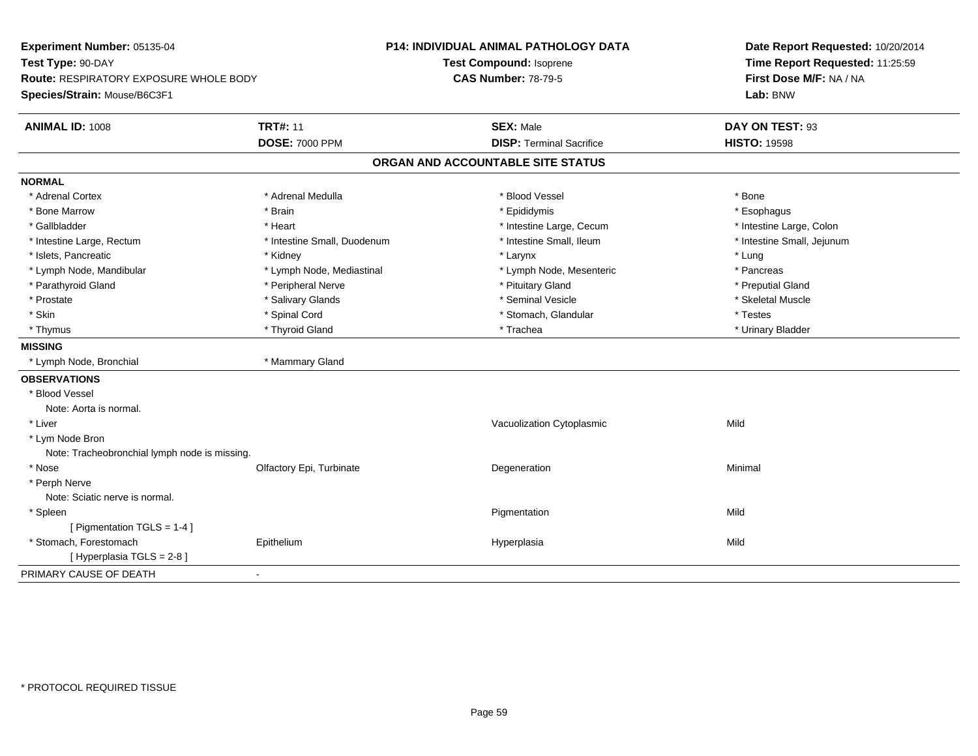| Experiment Number: 05135-04                   |                             | P14: INDIVIDUAL ANIMAL PATHOLOGY DATA | Date Report Requested: 10/20/2014<br>Time Report Requested: 11:25:59 |  |
|-----------------------------------------------|-----------------------------|---------------------------------------|----------------------------------------------------------------------|--|
| Test Type: 90-DAY                             |                             | Test Compound: Isoprene               |                                                                      |  |
| <b>Route: RESPIRATORY EXPOSURE WHOLE BODY</b> |                             | <b>CAS Number: 78-79-5</b>            | First Dose M/F: NA / NA                                              |  |
| Species/Strain: Mouse/B6C3F1                  |                             |                                       | Lab: BNW                                                             |  |
| <b>ANIMAL ID: 1008</b>                        | <b>TRT#: 11</b>             | <b>SEX: Male</b>                      | DAY ON TEST: 93                                                      |  |
|                                               | <b>DOSE: 7000 PPM</b>       | <b>DISP: Terminal Sacrifice</b>       | <b>HISTO: 19598</b>                                                  |  |
|                                               |                             | ORGAN AND ACCOUNTABLE SITE STATUS     |                                                                      |  |
| <b>NORMAL</b>                                 |                             |                                       |                                                                      |  |
| * Adrenal Cortex                              | * Adrenal Medulla           | * Blood Vessel                        | * Bone                                                               |  |
| * Bone Marrow                                 | * Brain                     | * Epididymis                          | * Esophagus                                                          |  |
| * Gallbladder                                 | * Heart                     | * Intestine Large, Cecum              | * Intestine Large, Colon                                             |  |
| * Intestine Large, Rectum                     | * Intestine Small, Duodenum | * Intestine Small, Ileum              | * Intestine Small, Jejunum                                           |  |
| * Islets, Pancreatic                          | * Kidney                    | * Larynx                              | * Lung                                                               |  |
| * Lymph Node, Mandibular                      | * Lymph Node, Mediastinal   | * Lymph Node, Mesenteric              | * Pancreas                                                           |  |
| * Parathyroid Gland                           | * Peripheral Nerve          | * Pituitary Gland                     | * Preputial Gland                                                    |  |
| * Prostate                                    | * Salivary Glands           | * Seminal Vesicle                     | * Skeletal Muscle                                                    |  |
| * Skin                                        | * Spinal Cord               | * Stomach, Glandular                  | * Testes                                                             |  |
| * Thymus                                      | * Thyroid Gland             | * Trachea                             | * Urinary Bladder                                                    |  |
| <b>MISSING</b>                                |                             |                                       |                                                                      |  |
| * Lymph Node, Bronchial                       | * Mammary Gland             |                                       |                                                                      |  |
| <b>OBSERVATIONS</b>                           |                             |                                       |                                                                      |  |
| * Blood Vessel                                |                             |                                       |                                                                      |  |
| Note: Aorta is normal.                        |                             |                                       |                                                                      |  |
| * Liver                                       |                             | Vacuolization Cytoplasmic             | Mild                                                                 |  |
| * Lym Node Bron                               |                             |                                       |                                                                      |  |
| Note: Tracheobronchial lymph node is missing. |                             |                                       |                                                                      |  |
| * Nose                                        | Olfactory Epi, Turbinate    | Degeneration                          | Minimal                                                              |  |
| * Perph Nerve                                 |                             |                                       |                                                                      |  |
| Note: Sciatic nerve is normal.                |                             |                                       |                                                                      |  |
| * Spleen                                      |                             | Pigmentation                          | Mild                                                                 |  |
| [ Pigmentation TGLS = 1-4 ]                   |                             |                                       |                                                                      |  |
| * Stomach, Forestomach                        | Epithelium                  | Hyperplasia                           | Mild                                                                 |  |
| [ Hyperplasia TGLS = 2-8]                     |                             |                                       |                                                                      |  |
| PRIMARY CAUSE OF DEATH                        |                             |                                       |                                                                      |  |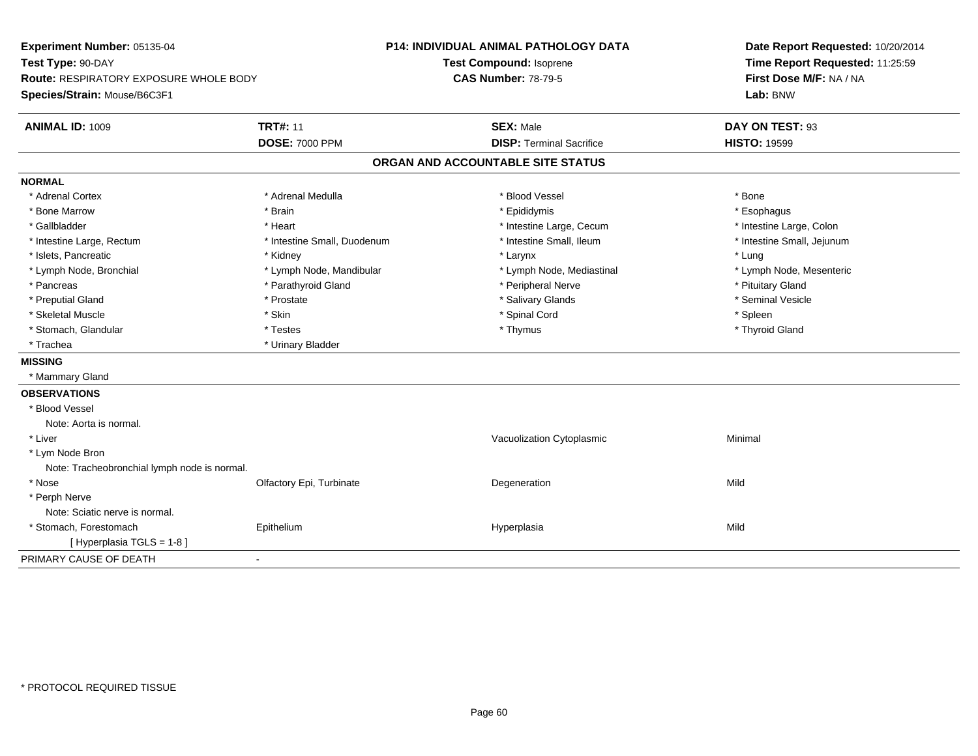| Experiment Number: 05135-04<br>Test Type: 90-DAY                       |                             | <b>P14: INDIVIDUAL ANIMAL PATHOLOGY DATA</b><br>Test Compound: Isoprene |                                   | Date Report Requested: 10/20/2014<br>Time Report Requested: 11:25:59 |  |
|------------------------------------------------------------------------|-----------------------------|-------------------------------------------------------------------------|-----------------------------------|----------------------------------------------------------------------|--|
| Route: RESPIRATORY EXPOSURE WHOLE BODY<br>Species/Strain: Mouse/B6C3F1 |                             | <b>CAS Number: 78-79-5</b>                                              |                                   | First Dose M/F: NA / NA<br>Lab: BNW                                  |  |
|                                                                        |                             |                                                                         |                                   |                                                                      |  |
| ANIMAL ID: 1009                                                        | <b>TRT#: 11</b>             |                                                                         | <b>SEX: Male</b>                  | DAY ON TEST: 93                                                      |  |
|                                                                        | <b>DOSE: 7000 PPM</b>       |                                                                         | <b>DISP: Terminal Sacrifice</b>   | <b>HISTO: 19599</b>                                                  |  |
|                                                                        |                             |                                                                         | ORGAN AND ACCOUNTABLE SITE STATUS |                                                                      |  |
| <b>NORMAL</b>                                                          |                             |                                                                         |                                   |                                                                      |  |
| * Adrenal Cortex                                                       | * Adrenal Medulla           |                                                                         | * Blood Vessel                    | * Bone                                                               |  |
| * Bone Marrow                                                          | * Brain                     |                                                                         | * Epididymis                      | * Esophagus                                                          |  |
| * Gallbladder                                                          | * Heart                     |                                                                         | * Intestine Large, Cecum          | * Intestine Large, Colon                                             |  |
| * Intestine Large, Rectum                                              | * Intestine Small, Duodenum |                                                                         | * Intestine Small, Ileum          | * Intestine Small, Jejunum                                           |  |
| * Islets, Pancreatic                                                   | * Kidney                    |                                                                         | * Larynx                          | * Lung                                                               |  |
| * Lymph Node, Bronchial                                                | * Lymph Node, Mandibular    |                                                                         | * Lymph Node, Mediastinal         | * Lymph Node, Mesenteric                                             |  |
| * Pancreas                                                             | * Parathyroid Gland         |                                                                         | * Peripheral Nerve                | * Pituitary Gland                                                    |  |
| * Preputial Gland                                                      | * Prostate                  |                                                                         | * Salivary Glands                 | * Seminal Vesicle                                                    |  |
| * Skeletal Muscle                                                      | * Skin                      |                                                                         | * Spinal Cord                     | * Spleen                                                             |  |
| * Stomach, Glandular                                                   | * Testes                    |                                                                         | * Thymus                          | * Thyroid Gland                                                      |  |
| * Trachea                                                              | * Urinary Bladder           |                                                                         |                                   |                                                                      |  |
| <b>MISSING</b>                                                         |                             |                                                                         |                                   |                                                                      |  |
| * Mammary Gland                                                        |                             |                                                                         |                                   |                                                                      |  |
| <b>OBSERVATIONS</b>                                                    |                             |                                                                         |                                   |                                                                      |  |
| * Blood Vessel                                                         |                             |                                                                         |                                   |                                                                      |  |
| Note: Aorta is normal.                                                 |                             |                                                                         |                                   |                                                                      |  |
| * Liver                                                                |                             |                                                                         | Vacuolization Cytoplasmic         | Minimal                                                              |  |
| * Lym Node Bron                                                        |                             |                                                                         |                                   |                                                                      |  |
| Note: Tracheobronchial lymph node is normal.                           |                             |                                                                         |                                   |                                                                      |  |
| * Nose                                                                 | Olfactory Epi, Turbinate    |                                                                         | Degeneration                      | Mild                                                                 |  |
| * Perph Nerve                                                          |                             |                                                                         |                                   |                                                                      |  |
| Note: Sciatic nerve is normal.                                         |                             |                                                                         |                                   |                                                                      |  |
| * Stomach, Forestomach                                                 | Epithelium                  |                                                                         | Hyperplasia                       | Mild                                                                 |  |
| [ Hyperplasia TGLS = 1-8 ]                                             |                             |                                                                         |                                   |                                                                      |  |
| PRIMARY CAUSE OF DEATH                                                 | $\sim$                      |                                                                         |                                   |                                                                      |  |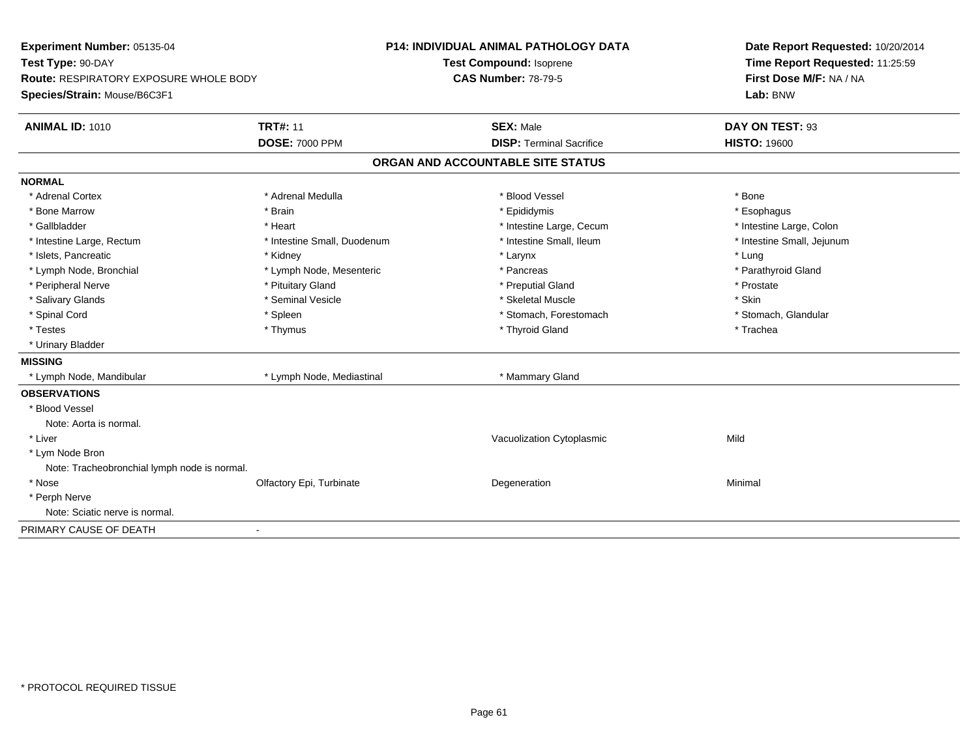| Experiment Number: 05135-04                  |                             | P14: INDIVIDUAL ANIMAL PATHOLOGY DATA | Date Report Requested: 10/20/2014 |
|----------------------------------------------|-----------------------------|---------------------------------------|-----------------------------------|
| Test Type: 90-DAY                            |                             | <b>Test Compound: Isoprene</b>        | Time Report Requested: 11:25:59   |
| Route: RESPIRATORY EXPOSURE WHOLE BODY       |                             | <b>CAS Number: 78-79-5</b>            | First Dose M/F: NA / NA           |
| Species/Strain: Mouse/B6C3F1                 |                             |                                       | Lab: BNW                          |
| <b>ANIMAL ID: 1010</b>                       | <b>TRT#: 11</b>             | <b>SEX: Male</b>                      | DAY ON TEST: 93                   |
|                                              | <b>DOSE: 7000 PPM</b>       | <b>DISP: Terminal Sacrifice</b>       | <b>HISTO: 19600</b>               |
|                                              |                             | ORGAN AND ACCOUNTABLE SITE STATUS     |                                   |
| <b>NORMAL</b>                                |                             |                                       |                                   |
| * Adrenal Cortex                             | * Adrenal Medulla           | * Blood Vessel                        | * Bone                            |
| * Bone Marrow                                | * Brain                     | * Epididymis                          | * Esophagus                       |
| * Gallbladder                                | * Heart                     | * Intestine Large, Cecum              | * Intestine Large, Colon          |
| * Intestine Large, Rectum                    | * Intestine Small, Duodenum | * Intestine Small, Ileum              | * Intestine Small, Jejunum        |
| * Islets, Pancreatic                         | * Kidney                    | * Larynx                              | * Lung                            |
| * Lymph Node, Bronchial                      | * Lymph Node, Mesenteric    | * Pancreas                            | * Parathyroid Gland               |
| * Peripheral Nerve                           | * Pituitary Gland           | * Preputial Gland                     | * Prostate                        |
| * Salivary Glands                            | * Seminal Vesicle           | * Skeletal Muscle                     | * Skin                            |
| * Spinal Cord                                | * Spleen                    | * Stomach, Forestomach                | * Stomach, Glandular              |
| * Testes                                     | * Thymus                    | * Thyroid Gland                       | * Trachea                         |
| * Urinary Bladder                            |                             |                                       |                                   |
| <b>MISSING</b>                               |                             |                                       |                                   |
| * Lymph Node, Mandibular                     | * Lymph Node, Mediastinal   | * Mammary Gland                       |                                   |
| <b>OBSERVATIONS</b>                          |                             |                                       |                                   |
| * Blood Vessel                               |                             |                                       |                                   |
| Note: Aorta is normal.                       |                             |                                       |                                   |
| * Liver                                      |                             | Vacuolization Cytoplasmic             | Mild                              |
| * Lym Node Bron                              |                             |                                       |                                   |
| Note: Tracheobronchial lymph node is normal. |                             |                                       |                                   |
| * Nose                                       | Olfactory Epi, Turbinate    | Degeneration                          | Minimal                           |
| * Perph Nerve                                |                             |                                       |                                   |
| Note: Sciatic nerve is normal.               |                             |                                       |                                   |
| PRIMARY CAUSE OF DEATH                       | $\blacksquare$              |                                       |                                   |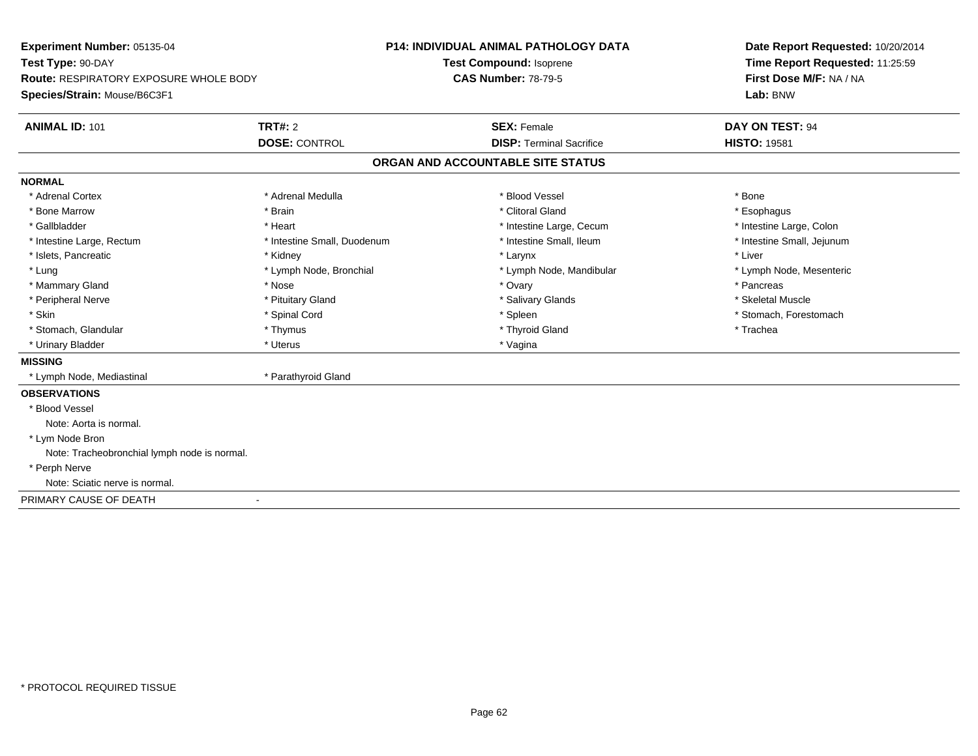| Experiment Number: 05135-04                   |                             | P14: INDIVIDUAL ANIMAL PATHOLOGY DATA | Date Report Requested: 10/20/2014 |  |
|-----------------------------------------------|-----------------------------|---------------------------------------|-----------------------------------|--|
| Test Type: 90-DAY                             |                             | Test Compound: Isoprene               | Time Report Requested: 11:25:59   |  |
| <b>Route: RESPIRATORY EXPOSURE WHOLE BODY</b> |                             | <b>CAS Number: 78-79-5</b>            | First Dose M/F: NA / NA           |  |
| Species/Strain: Mouse/B6C3F1                  |                             |                                       | Lab: BNW                          |  |
| <b>ANIMAL ID: 101</b>                         | <b>TRT#: 2</b>              | <b>SEX: Female</b>                    | <b>DAY ON TEST: 94</b>            |  |
|                                               | <b>DOSE: CONTROL</b>        | <b>DISP: Terminal Sacrifice</b>       | <b>HISTO: 19581</b>               |  |
|                                               |                             | ORGAN AND ACCOUNTABLE SITE STATUS     |                                   |  |
| <b>NORMAL</b>                                 |                             |                                       |                                   |  |
| * Adrenal Cortex                              | * Adrenal Medulla           | * Blood Vessel                        | * Bone                            |  |
| * Bone Marrow                                 | * Brain                     | * Clitoral Gland                      | * Esophagus                       |  |
| * Gallbladder                                 | * Heart                     | * Intestine Large, Cecum              | * Intestine Large, Colon          |  |
| * Intestine Large, Rectum                     | * Intestine Small, Duodenum | * Intestine Small, Ileum              | * Intestine Small, Jejunum        |  |
| * Islets, Pancreatic                          | * Kidney                    | * Larynx                              | * Liver                           |  |
| * Lung                                        | * Lymph Node, Bronchial     | * Lymph Node, Mandibular              | * Lymph Node, Mesenteric          |  |
| * Mammary Gland                               | * Nose                      | * Ovary                               | * Pancreas                        |  |
| * Peripheral Nerve                            | * Pituitary Gland           | * Salivary Glands                     | * Skeletal Muscle                 |  |
| * Skin                                        | * Spinal Cord               | * Spleen                              | * Stomach, Forestomach            |  |
| * Stomach, Glandular                          | * Thymus                    | * Thyroid Gland                       | * Trachea                         |  |
| * Urinary Bladder                             | * Uterus                    | * Vagina                              |                                   |  |
| <b>MISSING</b>                                |                             |                                       |                                   |  |
| * Lymph Node, Mediastinal                     | * Parathyroid Gland         |                                       |                                   |  |
| <b>OBSERVATIONS</b>                           |                             |                                       |                                   |  |
| * Blood Vessel                                |                             |                                       |                                   |  |
| Note: Aorta is normal.                        |                             |                                       |                                   |  |
| * Lym Node Bron                               |                             |                                       |                                   |  |
| Note: Tracheobronchial lymph node is normal.  |                             |                                       |                                   |  |
| * Perph Nerve                                 |                             |                                       |                                   |  |
| Note: Sciatic nerve is normal.                |                             |                                       |                                   |  |
| PRIMARY CAUSE OF DEATH                        |                             |                                       |                                   |  |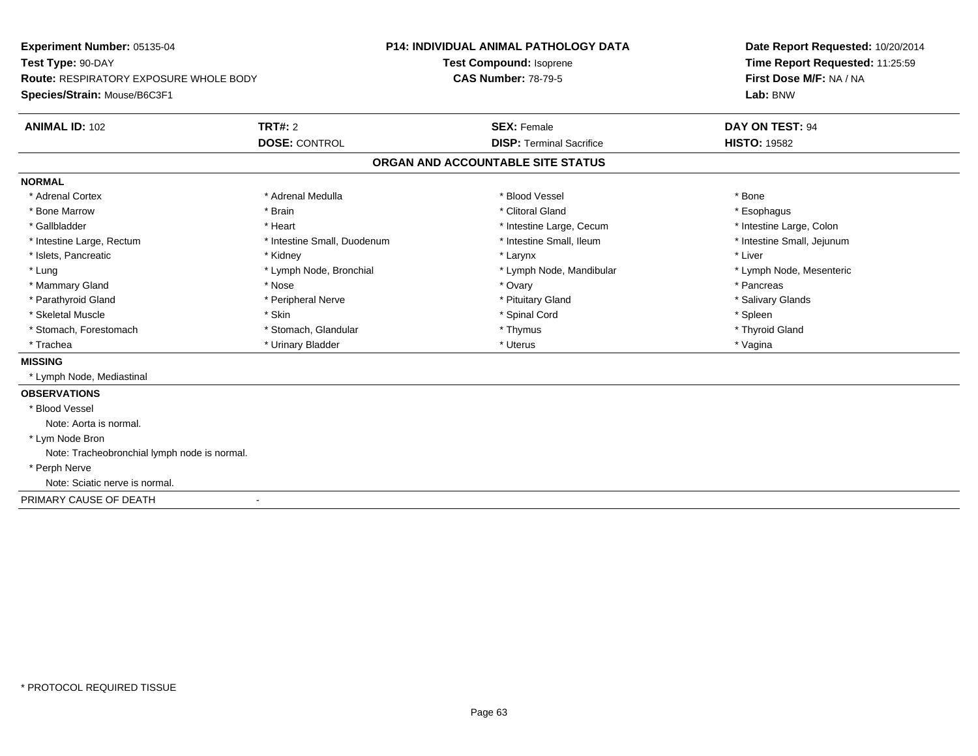| Experiment Number: 05135-04                   |                             | P14: INDIVIDUAL ANIMAL PATHOLOGY DATA | Date Report Requested: 10/20/2014<br>Time Report Requested: 11:25:59 |
|-----------------------------------------------|-----------------------------|---------------------------------------|----------------------------------------------------------------------|
| Test Type: 90-DAY                             |                             | Test Compound: Isoprene               |                                                                      |
| <b>Route: RESPIRATORY EXPOSURE WHOLE BODY</b> |                             | <b>CAS Number: 78-79-5</b>            | First Dose M/F: NA / NA                                              |
| Species/Strain: Mouse/B6C3F1                  |                             |                                       | Lab: BNW                                                             |
| <b>ANIMAL ID: 102</b>                         | TRT#: 2                     | <b>SEX: Female</b>                    | DAY ON TEST: 94                                                      |
|                                               | <b>DOSE: CONTROL</b>        | <b>DISP: Terminal Sacrifice</b>       | <b>HISTO: 19582</b>                                                  |
|                                               |                             | ORGAN AND ACCOUNTABLE SITE STATUS     |                                                                      |
| <b>NORMAL</b>                                 |                             |                                       |                                                                      |
| * Adrenal Cortex                              | * Adrenal Medulla           | * Blood Vessel                        | * Bone                                                               |
| * Bone Marrow                                 | * Brain                     | * Clitoral Gland                      | * Esophagus                                                          |
| * Gallbladder                                 | * Heart                     | * Intestine Large, Cecum              | * Intestine Large, Colon                                             |
| * Intestine Large, Rectum                     | * Intestine Small, Duodenum | * Intestine Small, Ileum              | * Intestine Small, Jejunum                                           |
| * Islets, Pancreatic                          | * Kidney                    | * Larynx                              | * Liver                                                              |
| * Lung                                        | * Lymph Node, Bronchial     | * Lymph Node, Mandibular              | * Lymph Node, Mesenteric                                             |
| * Mammary Gland                               | * Nose                      | * Ovary                               | * Pancreas                                                           |
| * Parathyroid Gland                           | * Peripheral Nerve          | * Pituitary Gland                     | * Salivary Glands                                                    |
| * Skeletal Muscle                             | * Skin                      | * Spinal Cord                         | * Spleen                                                             |
| * Stomach, Forestomach                        | * Stomach, Glandular        | * Thymus                              | * Thyroid Gland                                                      |
| * Trachea                                     | * Urinary Bladder           | * Uterus                              | * Vagina                                                             |
| <b>MISSING</b>                                |                             |                                       |                                                                      |
| * Lymph Node, Mediastinal                     |                             |                                       |                                                                      |
| <b>OBSERVATIONS</b>                           |                             |                                       |                                                                      |
| * Blood Vessel                                |                             |                                       |                                                                      |
| Note: Aorta is normal.                        |                             |                                       |                                                                      |
| * Lym Node Bron                               |                             |                                       |                                                                      |
| Note: Tracheobronchial lymph node is normal.  |                             |                                       |                                                                      |
| * Perph Nerve                                 |                             |                                       |                                                                      |
| Note: Sciatic nerve is normal.                |                             |                                       |                                                                      |
| PRIMARY CAUSE OF DEATH                        |                             |                                       |                                                                      |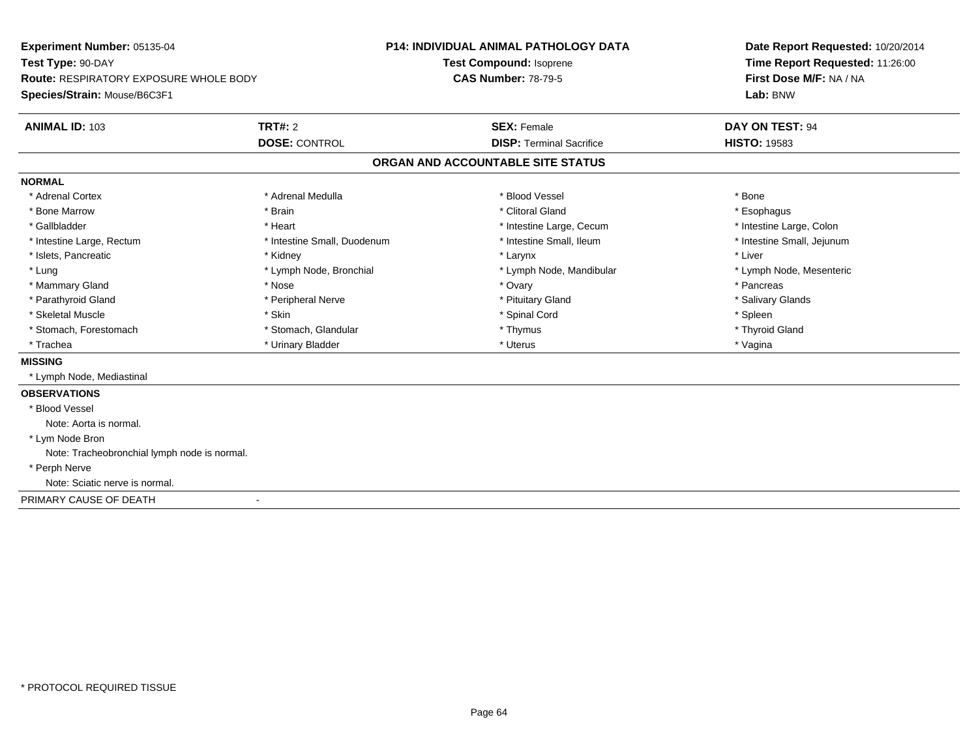| Experiment Number: 05135-04                   |                             | P14: INDIVIDUAL ANIMAL PATHOLOGY DATA | Date Report Requested: 10/20/2014<br>Time Report Requested: 11:26:00 |
|-----------------------------------------------|-----------------------------|---------------------------------------|----------------------------------------------------------------------|
| Test Type: 90-DAY                             |                             | Test Compound: Isoprene               |                                                                      |
| <b>Route: RESPIRATORY EXPOSURE WHOLE BODY</b> |                             | <b>CAS Number: 78-79-5</b>            | First Dose M/F: NA / NA                                              |
| Species/Strain: Mouse/B6C3F1                  |                             |                                       | Lab: BNW                                                             |
| <b>ANIMAL ID: 103</b>                         | <b>TRT#: 2</b>              | <b>SEX: Female</b>                    | <b>DAY ON TEST: 94</b>                                               |
|                                               | <b>DOSE: CONTROL</b>        | <b>DISP: Terminal Sacrifice</b>       | <b>HISTO: 19583</b>                                                  |
|                                               |                             | ORGAN AND ACCOUNTABLE SITE STATUS     |                                                                      |
| <b>NORMAL</b>                                 |                             |                                       |                                                                      |
| * Adrenal Cortex                              | * Adrenal Medulla           | * Blood Vessel                        | * Bone                                                               |
| * Bone Marrow                                 | * Brain                     | * Clitoral Gland                      | * Esophagus                                                          |
| * Gallbladder                                 | * Heart                     | * Intestine Large, Cecum              | * Intestine Large, Colon                                             |
| * Intestine Large, Rectum                     | * Intestine Small, Duodenum | * Intestine Small, Ileum              | * Intestine Small, Jejunum                                           |
| * Islets, Pancreatic                          | * Kidney                    | * Larynx                              | * Liver                                                              |
| * Lung                                        | * Lymph Node, Bronchial     | * Lymph Node, Mandibular              | * Lymph Node, Mesenteric                                             |
| * Mammary Gland                               | * Nose                      | * Ovary                               | * Pancreas                                                           |
| * Parathyroid Gland                           | * Peripheral Nerve          | * Pituitary Gland                     | * Salivary Glands                                                    |
| * Skeletal Muscle                             | * Skin                      | * Spinal Cord                         | * Spleen                                                             |
| * Stomach, Forestomach                        | * Stomach, Glandular        | * Thymus                              | * Thyroid Gland                                                      |
| * Trachea                                     | * Urinary Bladder           | * Uterus                              | * Vagina                                                             |
| <b>MISSING</b>                                |                             |                                       |                                                                      |
| * Lymph Node, Mediastinal                     |                             |                                       |                                                                      |
| <b>OBSERVATIONS</b>                           |                             |                                       |                                                                      |
| * Blood Vessel                                |                             |                                       |                                                                      |
| Note: Aorta is normal.                        |                             |                                       |                                                                      |
| * Lym Node Bron                               |                             |                                       |                                                                      |
| Note: Tracheobronchial lymph node is normal.  |                             |                                       |                                                                      |
| * Perph Nerve                                 |                             |                                       |                                                                      |
| Note: Sciatic nerve is normal.                |                             |                                       |                                                                      |
| PRIMARY CAUSE OF DEATH                        |                             |                                       |                                                                      |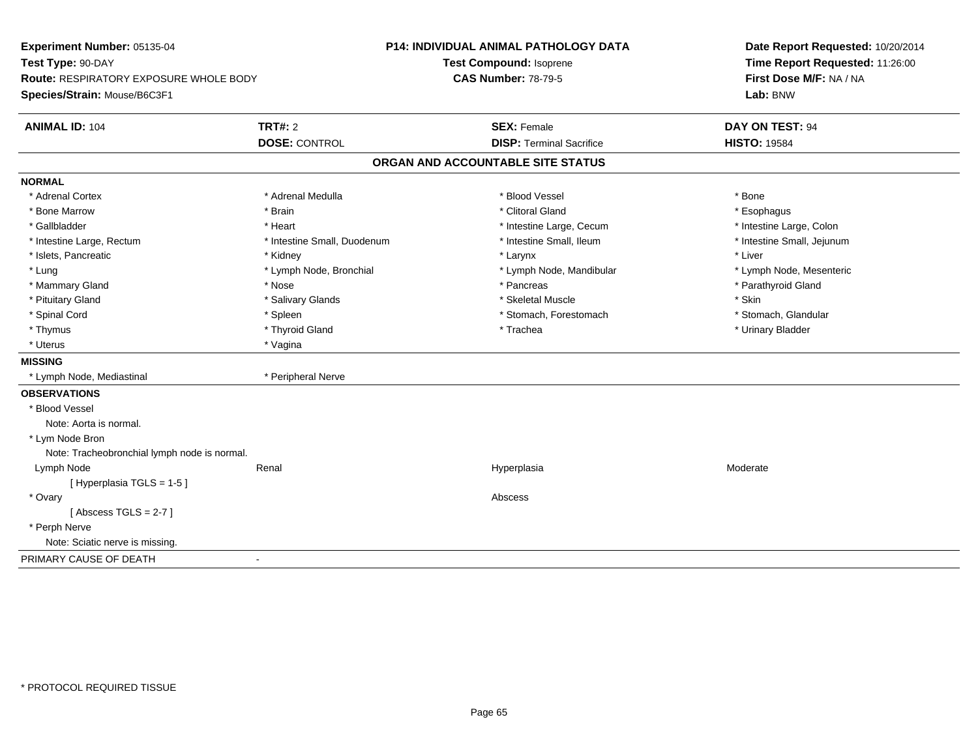| Experiment Number: 05135-04                   |                             | P14: INDIVIDUAL ANIMAL PATHOLOGY DATA | Date Report Requested: 10/20/2014<br>Time Report Requested: 11:26:00 |
|-----------------------------------------------|-----------------------------|---------------------------------------|----------------------------------------------------------------------|
| Test Type: 90-DAY                             |                             | Test Compound: Isoprene               |                                                                      |
| <b>Route: RESPIRATORY EXPOSURE WHOLE BODY</b> |                             | <b>CAS Number: 78-79-5</b>            | First Dose M/F: NA / NA                                              |
| Species/Strain: Mouse/B6C3F1                  |                             |                                       | Lab: BNW                                                             |
| <b>ANIMAL ID: 104</b>                         | <b>TRT#: 2</b>              | <b>SEX: Female</b>                    | DAY ON TEST: 94                                                      |
|                                               | <b>DOSE: CONTROL</b>        | <b>DISP: Terminal Sacrifice</b>       | <b>HISTO: 19584</b>                                                  |
|                                               |                             | ORGAN AND ACCOUNTABLE SITE STATUS     |                                                                      |
| <b>NORMAL</b>                                 |                             |                                       |                                                                      |
| * Adrenal Cortex                              | * Adrenal Medulla           | * Blood Vessel                        | * Bone                                                               |
| * Bone Marrow                                 | * Brain                     | * Clitoral Gland                      | * Esophagus                                                          |
| * Gallbladder                                 | * Heart                     | * Intestine Large, Cecum              | * Intestine Large, Colon                                             |
| * Intestine Large, Rectum                     | * Intestine Small, Duodenum | * Intestine Small, Ileum              | * Intestine Small, Jejunum                                           |
| * Islets, Pancreatic                          | * Kidney                    | * Larynx                              | * Liver                                                              |
| * Lung                                        | * Lymph Node, Bronchial     | * Lymph Node, Mandibular              | * Lymph Node, Mesenteric                                             |
| * Mammary Gland                               | * Nose                      | * Pancreas                            | * Parathyroid Gland                                                  |
| * Pituitary Gland                             | * Salivary Glands           | * Skeletal Muscle                     | * Skin                                                               |
| * Spinal Cord                                 | * Spleen                    | * Stomach, Forestomach                | * Stomach, Glandular                                                 |
| * Thymus                                      | * Thyroid Gland             | * Trachea                             | * Urinary Bladder                                                    |
| * Uterus                                      | * Vagina                    |                                       |                                                                      |
| <b>MISSING</b>                                |                             |                                       |                                                                      |
| * Lymph Node, Mediastinal                     | * Peripheral Nerve          |                                       |                                                                      |
| <b>OBSERVATIONS</b>                           |                             |                                       |                                                                      |
| * Blood Vessel                                |                             |                                       |                                                                      |
| Note: Aorta is normal.                        |                             |                                       |                                                                      |
| * Lym Node Bron                               |                             |                                       |                                                                      |
| Note: Tracheobronchial lymph node is normal.  |                             |                                       |                                                                      |
| Lymph Node                                    | Renal                       | Hyperplasia                           | Moderate                                                             |
| [ Hyperplasia TGLS = 1-5 ]                    |                             |                                       |                                                                      |
| * Ovary                                       |                             | Abscess                               |                                                                      |
| [Abscess TGLS = $2-7$ ]                       |                             |                                       |                                                                      |
| * Perph Nerve                                 |                             |                                       |                                                                      |
| Note: Sciatic nerve is missing.               |                             |                                       |                                                                      |
| PRIMARY CAUSE OF DEATH                        | $\blacksquare$              |                                       |                                                                      |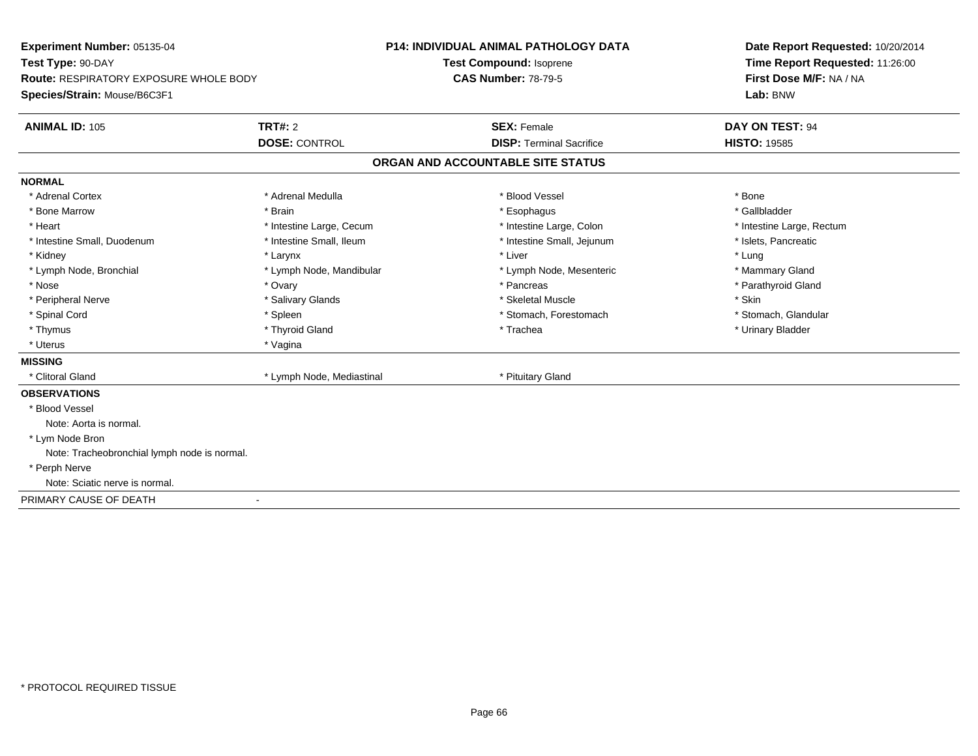| Experiment Number: 05135-04                   |                           | P14: INDIVIDUAL ANIMAL PATHOLOGY DATA | Date Report Requested: 10/20/2014 |  |
|-----------------------------------------------|---------------------------|---------------------------------------|-----------------------------------|--|
| Test Type: 90-DAY                             | Test Compound: Isoprene   |                                       | Time Report Requested: 11:26:00   |  |
| <b>Route: RESPIRATORY EXPOSURE WHOLE BODY</b> |                           | <b>CAS Number: 78-79-5</b>            | First Dose M/F: NA / NA           |  |
| Species/Strain: Mouse/B6C3F1                  |                           |                                       | Lab: BNW                          |  |
| <b>ANIMAL ID: 105</b>                         | <b>TRT#: 2</b>            | <b>SEX: Female</b>                    | <b>DAY ON TEST: 94</b>            |  |
|                                               | <b>DOSE: CONTROL</b>      | <b>DISP: Terminal Sacrifice</b>       | <b>HISTO: 19585</b>               |  |
|                                               |                           | ORGAN AND ACCOUNTABLE SITE STATUS     |                                   |  |
| <b>NORMAL</b>                                 |                           |                                       |                                   |  |
| * Adrenal Cortex                              | * Adrenal Medulla         | * Blood Vessel                        | * Bone                            |  |
| * Bone Marrow                                 | * Brain                   | * Esophagus                           | * Gallbladder                     |  |
| * Heart                                       | * Intestine Large, Cecum  | * Intestine Large, Colon              | * Intestine Large, Rectum         |  |
| * Intestine Small, Duodenum                   | * Intestine Small, Ileum  | * Intestine Small, Jejunum            | * Islets, Pancreatic              |  |
| * Kidney                                      | * Larynx                  | * Liver                               | * Lung                            |  |
| * Lymph Node, Bronchial                       | * Lymph Node, Mandibular  | * Lymph Node, Mesenteric              | * Mammary Gland                   |  |
| * Nose                                        | * Ovary                   | * Pancreas                            | * Parathyroid Gland               |  |
| * Peripheral Nerve                            | * Salivary Glands         | * Skeletal Muscle                     | * Skin                            |  |
| * Spinal Cord                                 | * Spleen                  | * Stomach, Forestomach                | * Stomach, Glandular              |  |
| * Thymus                                      | * Thyroid Gland           | * Trachea                             | * Urinary Bladder                 |  |
| * Uterus                                      | * Vagina                  |                                       |                                   |  |
| <b>MISSING</b>                                |                           |                                       |                                   |  |
| * Clitoral Gland                              | * Lymph Node, Mediastinal | * Pituitary Gland                     |                                   |  |
| <b>OBSERVATIONS</b>                           |                           |                                       |                                   |  |
| * Blood Vessel                                |                           |                                       |                                   |  |
| Note: Aorta is normal.                        |                           |                                       |                                   |  |
| * Lym Node Bron                               |                           |                                       |                                   |  |
| Note: Tracheobronchial lymph node is normal.  |                           |                                       |                                   |  |
| * Perph Nerve                                 |                           |                                       |                                   |  |
| Note: Sciatic nerve is normal.                |                           |                                       |                                   |  |
| PRIMARY CAUSE OF DEATH                        |                           |                                       |                                   |  |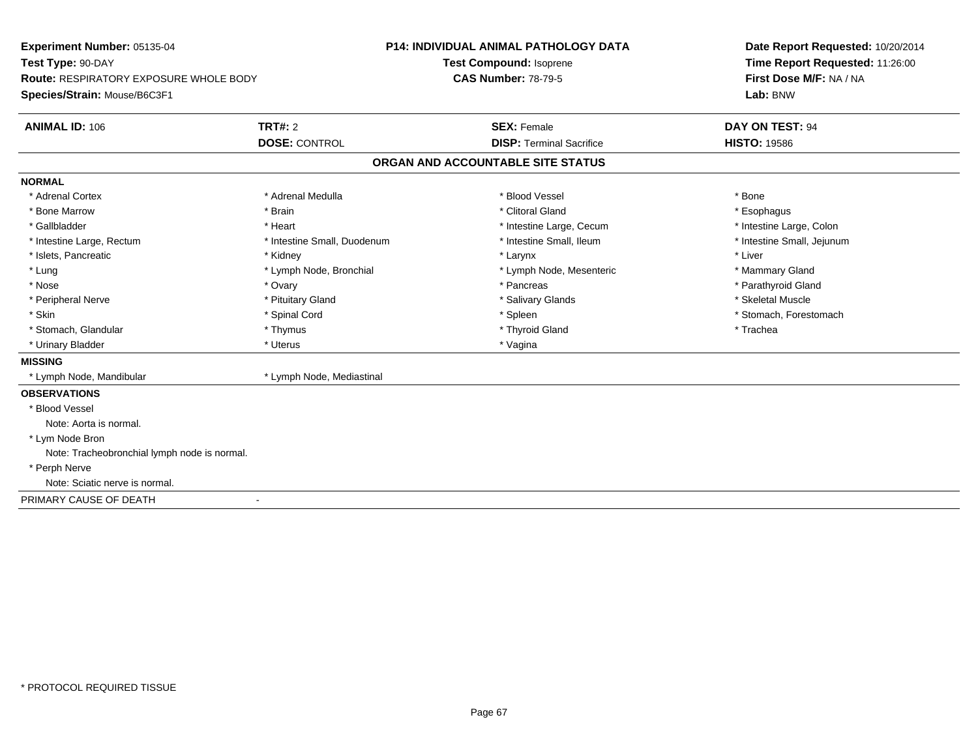| Experiment Number: 05135-04                   |                             | <b>P14: INDIVIDUAL ANIMAL PATHOLOGY DATA</b> | Date Report Requested: 10/20/2014 |
|-----------------------------------------------|-----------------------------|----------------------------------------------|-----------------------------------|
| Test Type: 90-DAY                             | Test Compound: Isoprene     |                                              | Time Report Requested: 11:26:00   |
| <b>Route: RESPIRATORY EXPOSURE WHOLE BODY</b> |                             | <b>CAS Number: 78-79-5</b>                   | First Dose M/F: NA / NA           |
| Species/Strain: Mouse/B6C3F1                  |                             |                                              | Lab: BNW                          |
| <b>ANIMAL ID: 106</b>                         | TRT#: 2                     | <b>SEX: Female</b>                           | DAY ON TEST: 94                   |
|                                               | <b>DOSE: CONTROL</b>        | <b>DISP: Terminal Sacrifice</b>              | <b>HISTO: 19586</b>               |
|                                               |                             | ORGAN AND ACCOUNTABLE SITE STATUS            |                                   |
| <b>NORMAL</b>                                 |                             |                                              |                                   |
| * Adrenal Cortex                              | * Adrenal Medulla           | * Blood Vessel                               | * Bone                            |
| * Bone Marrow                                 | * Brain                     | * Clitoral Gland                             | * Esophagus                       |
| * Gallbladder                                 | * Heart                     | * Intestine Large, Cecum                     | * Intestine Large, Colon          |
| * Intestine Large, Rectum                     | * Intestine Small, Duodenum | * Intestine Small, Ileum                     | * Intestine Small, Jejunum        |
| * Islets, Pancreatic                          | * Kidney                    | * Larynx                                     | * Liver                           |
| * Lung                                        | * Lymph Node, Bronchial     | * Lymph Node, Mesenteric                     | * Mammary Gland                   |
| * Nose                                        | * Ovary                     | * Pancreas                                   | * Parathyroid Gland               |
| * Peripheral Nerve                            | * Pituitary Gland           | * Salivary Glands                            | * Skeletal Muscle                 |
| * Skin                                        | * Spinal Cord               | * Spleen                                     | * Stomach, Forestomach            |
| * Stomach, Glandular                          | * Thymus                    | * Thyroid Gland                              | * Trachea                         |
| * Urinary Bladder                             | * Uterus                    | * Vagina                                     |                                   |
| <b>MISSING</b>                                |                             |                                              |                                   |
| * Lymph Node, Mandibular                      | * Lymph Node, Mediastinal   |                                              |                                   |
| <b>OBSERVATIONS</b>                           |                             |                                              |                                   |
| * Blood Vessel                                |                             |                                              |                                   |
| Note: Aorta is normal.                        |                             |                                              |                                   |
| * Lym Node Bron                               |                             |                                              |                                   |
| Note: Tracheobronchial lymph node is normal.  |                             |                                              |                                   |
| * Perph Nerve                                 |                             |                                              |                                   |
| Note: Sciatic nerve is normal.                |                             |                                              |                                   |
| PRIMARY CAUSE OF DEATH                        |                             |                                              |                                   |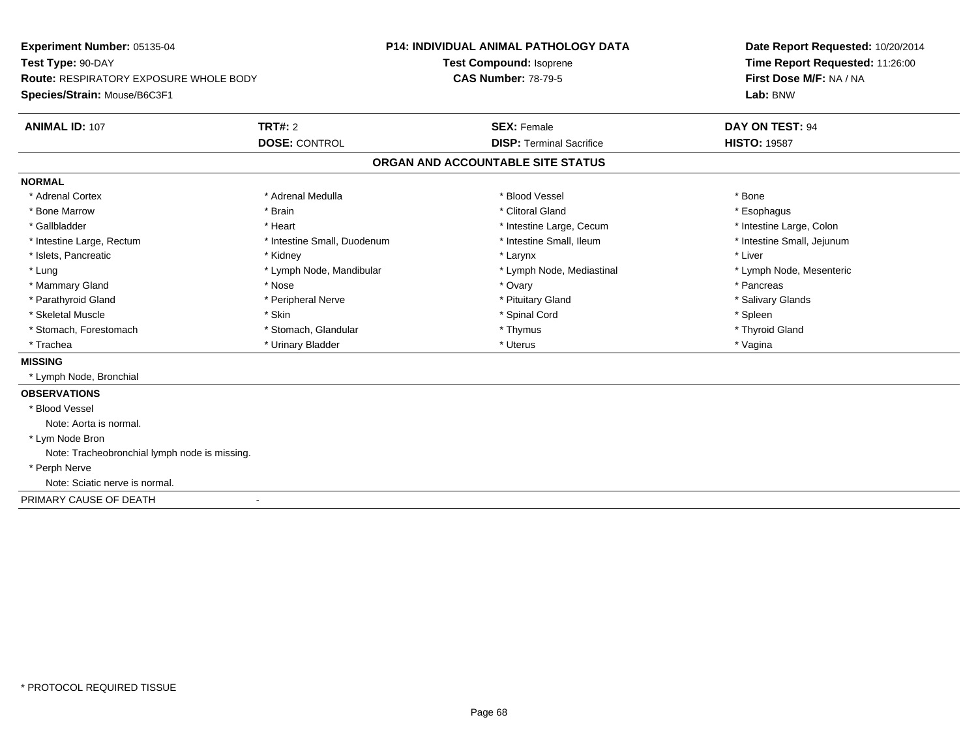| Experiment Number: 05135-04                   |                             | P14: INDIVIDUAL ANIMAL PATHOLOGY DATA | Date Report Requested: 10/20/2014 |
|-----------------------------------------------|-----------------------------|---------------------------------------|-----------------------------------|
| Test Type: 90-DAY                             | Test Compound: Isoprene     |                                       | Time Report Requested: 11:26:00   |
| <b>Route: RESPIRATORY EXPOSURE WHOLE BODY</b> |                             | <b>CAS Number: 78-79-5</b>            | First Dose M/F: NA / NA           |
| Species/Strain: Mouse/B6C3F1                  |                             |                                       | Lab: BNW                          |
| <b>ANIMAL ID: 107</b>                         | <b>TRT#: 2</b>              | <b>SEX: Female</b>                    | <b>DAY ON TEST: 94</b>            |
|                                               | <b>DOSE: CONTROL</b>        | <b>DISP: Terminal Sacrifice</b>       | <b>HISTO: 19587</b>               |
|                                               |                             | ORGAN AND ACCOUNTABLE SITE STATUS     |                                   |
| <b>NORMAL</b>                                 |                             |                                       |                                   |
| * Adrenal Cortex                              | * Adrenal Medulla           | * Blood Vessel                        | * Bone                            |
| * Bone Marrow                                 | * Brain                     | * Clitoral Gland                      | * Esophagus                       |
| * Gallbladder                                 | * Heart                     | * Intestine Large, Cecum              | * Intestine Large, Colon          |
| * Intestine Large, Rectum                     | * Intestine Small, Duodenum | * Intestine Small, Ileum              | * Intestine Small, Jejunum        |
| * Islets, Pancreatic                          | * Kidney                    | * Larynx                              | * Liver                           |
| * Lung                                        | * Lymph Node, Mandibular    | * Lymph Node, Mediastinal             | * Lymph Node, Mesenteric          |
| * Mammary Gland                               | * Nose                      | * Ovary                               | * Pancreas                        |
| * Parathyroid Gland                           | * Peripheral Nerve          | * Pituitary Gland                     | * Salivary Glands                 |
| * Skeletal Muscle                             | * Skin                      | * Spinal Cord                         | * Spleen                          |
| * Stomach, Forestomach                        | * Stomach, Glandular        | * Thymus                              | * Thyroid Gland                   |
| * Trachea                                     | * Urinary Bladder           | * Uterus                              | * Vagina                          |
| <b>MISSING</b>                                |                             |                                       |                                   |
| * Lymph Node, Bronchial                       |                             |                                       |                                   |
| <b>OBSERVATIONS</b>                           |                             |                                       |                                   |
| * Blood Vessel                                |                             |                                       |                                   |
| Note: Aorta is normal.                        |                             |                                       |                                   |
| * Lym Node Bron                               |                             |                                       |                                   |
| Note: Tracheobronchial lymph node is missing. |                             |                                       |                                   |
| * Perph Nerve                                 |                             |                                       |                                   |
| Note: Sciatic nerve is normal.                |                             |                                       |                                   |
| PRIMARY CAUSE OF DEATH                        |                             |                                       |                                   |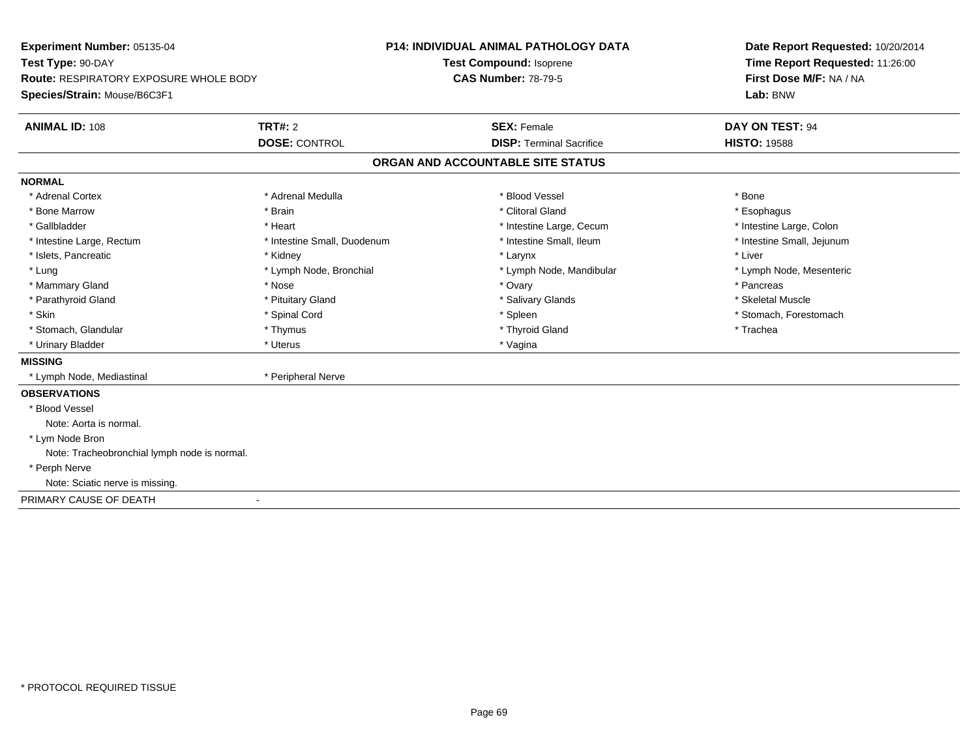| Experiment Number: 05135-04                   |                             | P14: INDIVIDUAL ANIMAL PATHOLOGY DATA | Date Report Requested: 10/20/2014 |  |
|-----------------------------------------------|-----------------------------|---------------------------------------|-----------------------------------|--|
| Test Type: 90-DAY                             | Test Compound: Isoprene     |                                       | Time Report Requested: 11:26:00   |  |
| <b>Route: RESPIRATORY EXPOSURE WHOLE BODY</b> |                             | <b>CAS Number: 78-79-5</b>            | First Dose M/F: NA / NA           |  |
| Species/Strain: Mouse/B6C3F1                  |                             |                                       | Lab: BNW                          |  |
| <b>ANIMAL ID: 108</b>                         | <b>TRT#: 2</b>              | <b>SEX: Female</b>                    | DAY ON TEST: 94                   |  |
|                                               | <b>DOSE: CONTROL</b>        | <b>DISP: Terminal Sacrifice</b>       | <b>HISTO: 19588</b>               |  |
|                                               |                             | ORGAN AND ACCOUNTABLE SITE STATUS     |                                   |  |
| <b>NORMAL</b>                                 |                             |                                       |                                   |  |
| * Adrenal Cortex                              | * Adrenal Medulla           | * Blood Vessel                        | * Bone                            |  |
| * Bone Marrow                                 | * Brain                     | * Clitoral Gland                      | * Esophagus                       |  |
| * Gallbladder                                 | * Heart                     | * Intestine Large, Cecum              | * Intestine Large, Colon          |  |
| * Intestine Large, Rectum                     | * Intestine Small, Duodenum | * Intestine Small, Ileum              | * Intestine Small, Jejunum        |  |
| * Islets, Pancreatic                          | * Kidney                    | * Larynx                              | * Liver                           |  |
| * Lung                                        | * Lymph Node, Bronchial     | * Lymph Node, Mandibular              | * Lymph Node, Mesenteric          |  |
| * Mammary Gland                               | * Nose                      | * Ovary                               | * Pancreas                        |  |
| * Parathyroid Gland                           | * Pituitary Gland           | * Salivary Glands                     | * Skeletal Muscle                 |  |
| * Skin                                        | * Spinal Cord               | * Spleen                              | * Stomach, Forestomach            |  |
| * Stomach, Glandular                          | * Thymus                    | * Thyroid Gland                       | * Trachea                         |  |
| * Urinary Bladder                             | * Uterus                    | * Vagina                              |                                   |  |
| <b>MISSING</b>                                |                             |                                       |                                   |  |
| * Lymph Node, Mediastinal                     | * Peripheral Nerve          |                                       |                                   |  |
| <b>OBSERVATIONS</b>                           |                             |                                       |                                   |  |
| * Blood Vessel                                |                             |                                       |                                   |  |
| Note: Aorta is normal.                        |                             |                                       |                                   |  |
| * Lym Node Bron                               |                             |                                       |                                   |  |
| Note: Tracheobronchial lymph node is normal.  |                             |                                       |                                   |  |
| * Perph Nerve                                 |                             |                                       |                                   |  |
| Note: Sciatic nerve is missing.               |                             |                                       |                                   |  |
| PRIMARY CAUSE OF DEATH                        |                             |                                       |                                   |  |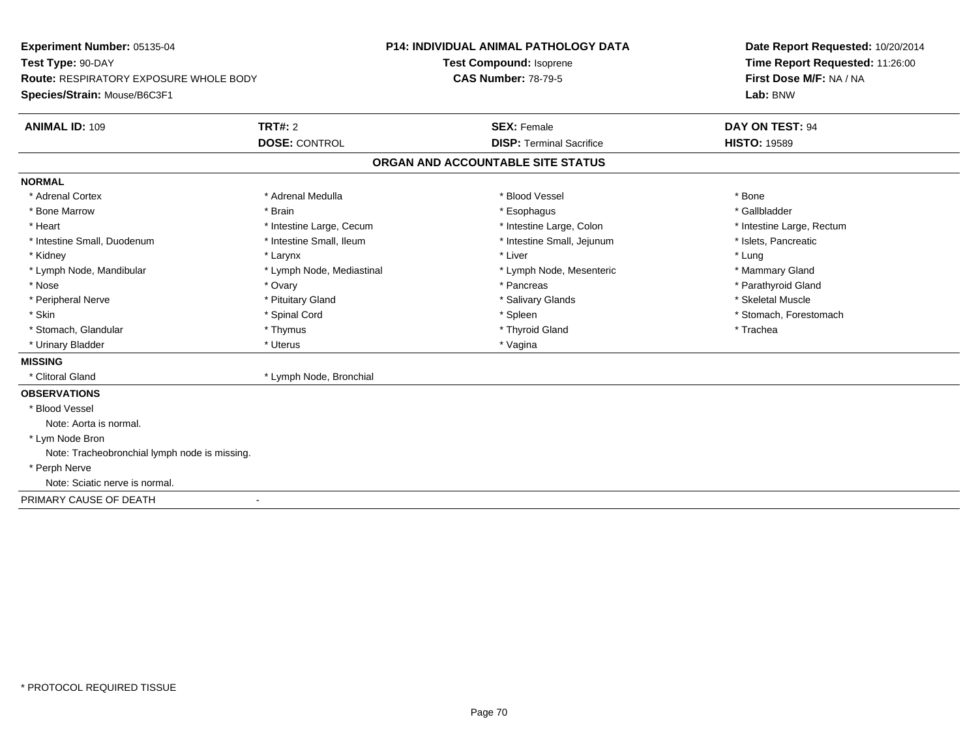| Experiment Number: 05135-04                   |                           | <b>P14: INDIVIDUAL ANIMAL PATHOLOGY DATA</b> | Date Report Requested: 10/20/2014 |
|-----------------------------------------------|---------------------------|----------------------------------------------|-----------------------------------|
| Test Type: 90-DAY                             |                           | Test Compound: Isoprene                      | Time Report Requested: 11:26:00   |
| <b>Route: RESPIRATORY EXPOSURE WHOLE BODY</b> |                           | <b>CAS Number: 78-79-5</b>                   | First Dose M/F: NA / NA           |
| Species/Strain: Mouse/B6C3F1                  |                           |                                              | Lab: BNW                          |
| <b>ANIMAL ID: 109</b>                         | TRT#: 2                   | <b>SEX: Female</b>                           | DAY ON TEST: 94                   |
|                                               | <b>DOSE: CONTROL</b>      | <b>DISP: Terminal Sacrifice</b>              | <b>HISTO: 19589</b>               |
|                                               |                           | ORGAN AND ACCOUNTABLE SITE STATUS            |                                   |
| <b>NORMAL</b>                                 |                           |                                              |                                   |
| * Adrenal Cortex                              | * Adrenal Medulla         | * Blood Vessel                               | * Bone                            |
| * Bone Marrow                                 | * Brain                   | * Esophagus                                  | * Gallbladder                     |
| * Heart                                       | * Intestine Large, Cecum  | * Intestine Large, Colon                     | * Intestine Large, Rectum         |
| * Intestine Small, Duodenum                   | * Intestine Small, Ileum  | * Intestine Small, Jejunum                   | * Islets, Pancreatic              |
| * Kidney                                      | * Larynx                  | * Liver                                      | * Lung                            |
| * Lymph Node, Mandibular                      | * Lymph Node, Mediastinal | * Lymph Node, Mesenteric                     | * Mammary Gland                   |
| * Nose                                        | * Ovary                   | * Pancreas                                   | * Parathyroid Gland               |
| * Peripheral Nerve                            | * Pituitary Gland         | * Salivary Glands                            | * Skeletal Muscle                 |
| * Skin                                        | * Spinal Cord             | * Spleen                                     | * Stomach, Forestomach            |
| * Stomach, Glandular                          | * Thymus                  | * Thyroid Gland                              | * Trachea                         |
| * Urinary Bladder                             | * Uterus                  | * Vagina                                     |                                   |
| <b>MISSING</b>                                |                           |                                              |                                   |
| * Clitoral Gland                              | * Lymph Node, Bronchial   |                                              |                                   |
| <b>OBSERVATIONS</b>                           |                           |                                              |                                   |
| * Blood Vessel                                |                           |                                              |                                   |
| Note: Aorta is normal.                        |                           |                                              |                                   |
| * Lym Node Bron                               |                           |                                              |                                   |
| Note: Tracheobronchial lymph node is missing. |                           |                                              |                                   |
| * Perph Nerve                                 |                           |                                              |                                   |
| Note: Sciatic nerve is normal.                |                           |                                              |                                   |
| PRIMARY CAUSE OF DEATH                        |                           |                                              |                                   |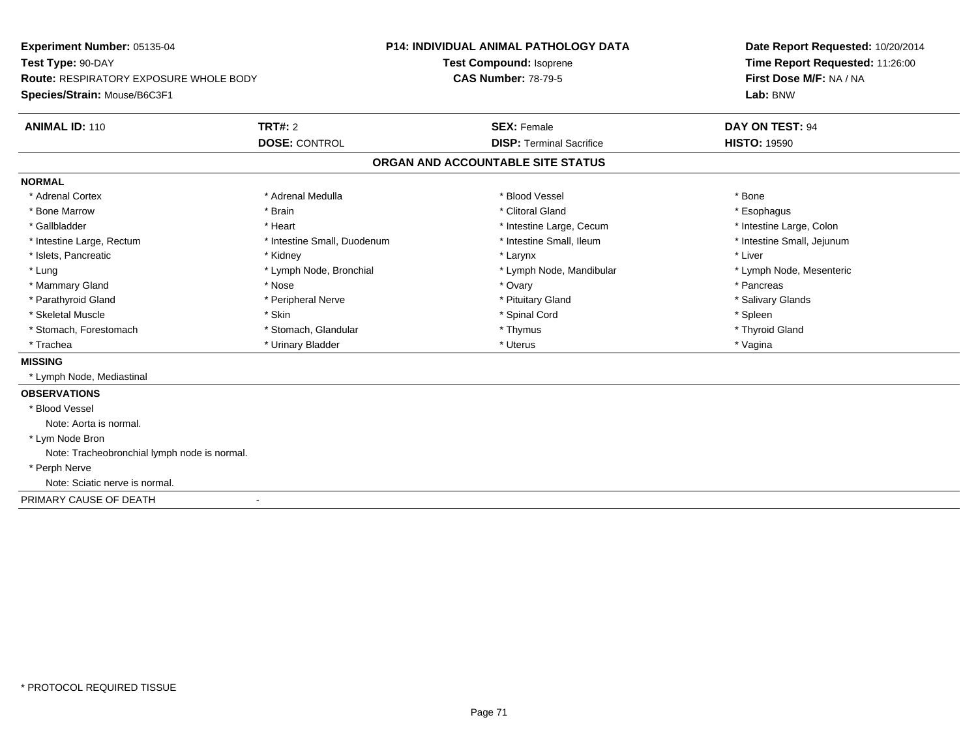| Experiment Number: 05135-04                   |                             | <b>P14: INDIVIDUAL ANIMAL PATHOLOGY DATA</b> | Date Report Requested: 10/20/2014<br>Time Report Requested: 11:26:00 |  |
|-----------------------------------------------|-----------------------------|----------------------------------------------|----------------------------------------------------------------------|--|
| Test Type: 90-DAY                             |                             | Test Compound: Isoprene                      |                                                                      |  |
| <b>Route: RESPIRATORY EXPOSURE WHOLE BODY</b> |                             | <b>CAS Number: 78-79-5</b>                   | First Dose M/F: NA / NA                                              |  |
| Species/Strain: Mouse/B6C3F1                  |                             |                                              | Lab: BNW                                                             |  |
| <b>ANIMAL ID: 110</b>                         | <b>TRT#: 2</b>              | <b>SEX: Female</b>                           | DAY ON TEST: 94                                                      |  |
|                                               | <b>DOSE: CONTROL</b>        | <b>DISP: Terminal Sacrifice</b>              | <b>HISTO: 19590</b>                                                  |  |
|                                               |                             | ORGAN AND ACCOUNTABLE SITE STATUS            |                                                                      |  |
| <b>NORMAL</b>                                 |                             |                                              |                                                                      |  |
| * Adrenal Cortex                              | * Adrenal Medulla           | * Blood Vessel                               | * Bone                                                               |  |
| * Bone Marrow                                 | * Brain                     | * Clitoral Gland                             | * Esophagus                                                          |  |
| * Gallbladder                                 | * Heart                     | * Intestine Large, Cecum                     | * Intestine Large, Colon                                             |  |
| * Intestine Large, Rectum                     | * Intestine Small, Duodenum | * Intestine Small, Ileum                     | * Intestine Small, Jejunum                                           |  |
| * Islets, Pancreatic                          | * Kidney                    | * Larynx                                     | * Liver                                                              |  |
| * Lung                                        | * Lymph Node, Bronchial     | * Lymph Node, Mandibular                     | * Lymph Node, Mesenteric                                             |  |
| * Mammary Gland                               | * Nose                      | * Ovary                                      | * Pancreas                                                           |  |
| * Parathyroid Gland                           | * Peripheral Nerve          | * Pituitary Gland                            | * Salivary Glands                                                    |  |
| * Skeletal Muscle                             | * Skin                      | * Spinal Cord                                | * Spleen                                                             |  |
| * Stomach, Forestomach                        | * Stomach, Glandular        | * Thymus                                     | * Thyroid Gland                                                      |  |
| * Trachea                                     | * Urinary Bladder           | * Uterus                                     | * Vagina                                                             |  |
| <b>MISSING</b>                                |                             |                                              |                                                                      |  |
| * Lymph Node, Mediastinal                     |                             |                                              |                                                                      |  |
| <b>OBSERVATIONS</b>                           |                             |                                              |                                                                      |  |
| * Blood Vessel                                |                             |                                              |                                                                      |  |
| Note: Aorta is normal.                        |                             |                                              |                                                                      |  |
| * Lym Node Bron                               |                             |                                              |                                                                      |  |
| Note: Tracheobronchial lymph node is normal.  |                             |                                              |                                                                      |  |
| * Perph Nerve                                 |                             |                                              |                                                                      |  |
| Note: Sciatic nerve is normal.                |                             |                                              |                                                                      |  |
| PRIMARY CAUSE OF DEATH                        |                             |                                              |                                                                      |  |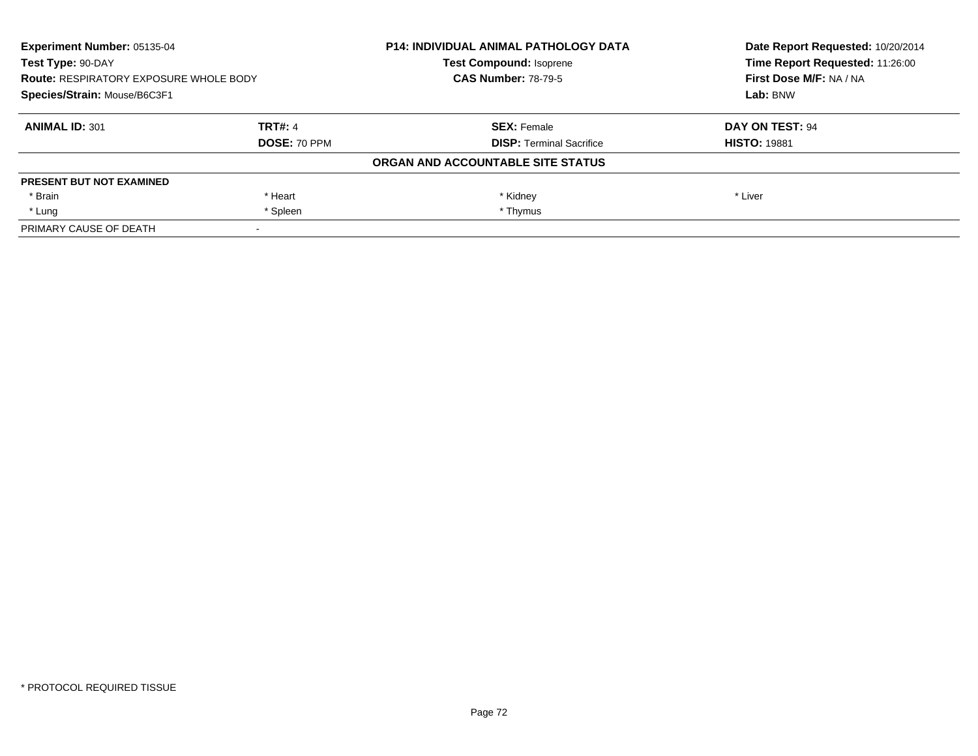| <b>Experiment Number: 05135-04</b><br>Test Type: 90-DAY<br><b>Route: RESPIRATORY EXPOSURE WHOLE BODY</b><br>Species/Strain: Mouse/B6C3F1 |                | <b>P14: INDIVIDUAL ANIMAL PATHOLOGY DATA</b> | Date Report Requested: 10/20/2014<br>Time Report Requested: 11:26:00 |
|------------------------------------------------------------------------------------------------------------------------------------------|----------------|----------------------------------------------|----------------------------------------------------------------------|
|                                                                                                                                          |                | <b>Test Compound: Isoprene</b>               |                                                                      |
|                                                                                                                                          |                | <b>CAS Number: 78-79-5</b>                   | First Dose M/F: NA / NA                                              |
|                                                                                                                                          |                |                                              | Lab: BNW                                                             |
| <b>ANIMAL ID: 301</b>                                                                                                                    | <b>TRT#: 4</b> | <b>SEX: Female</b>                           | DAY ON TEST: 94                                                      |
|                                                                                                                                          | DOSE: 70 PPM   | <b>DISP:</b> Terminal Sacrifice              | <b>HISTO: 19881</b>                                                  |
|                                                                                                                                          |                | ORGAN AND ACCOUNTABLE SITE STATUS            |                                                                      |
| <b>PRESENT BUT NOT EXAMINED</b>                                                                                                          |                |                                              |                                                                      |
| * Brain                                                                                                                                  | * Heart        | * Kidney                                     | * Liver                                                              |
| * Lung                                                                                                                                   | * Spleen       | * Thymus                                     |                                                                      |
| PRIMARY CAUSE OF DEATH                                                                                                                   |                |                                              |                                                                      |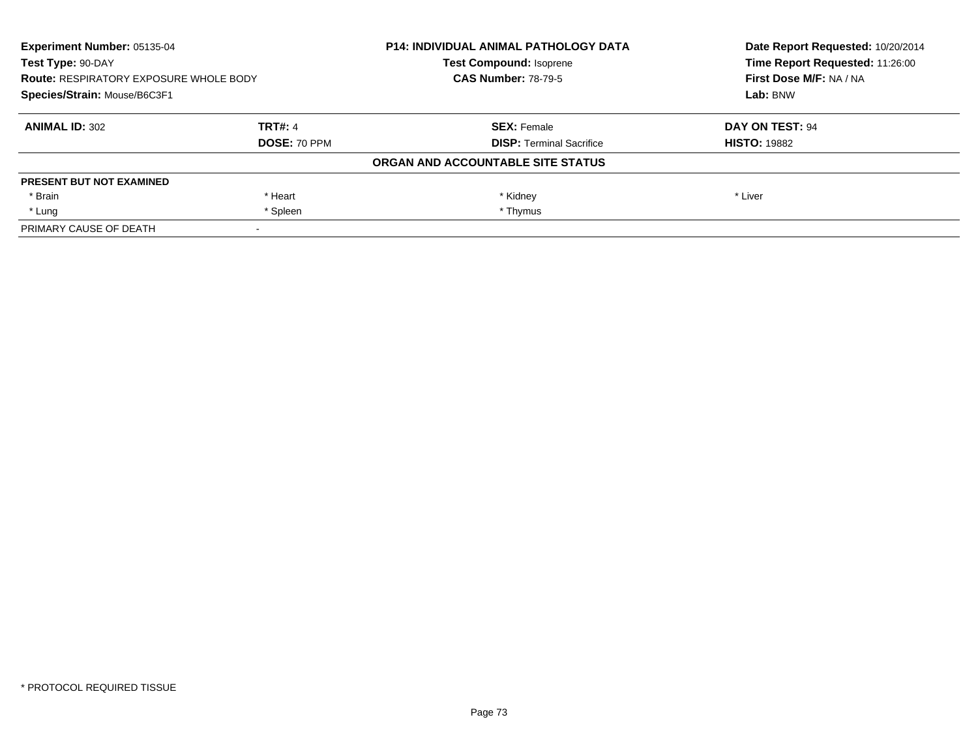| <b>Experiment Number: 05135-04</b><br>Test Type: 90-DAY<br><b>Route: RESPIRATORY EXPOSURE WHOLE BODY</b><br>Species/Strain: Mouse/B6C3F1 |                | <b>P14: INDIVIDUAL ANIMAL PATHOLOGY DATA</b> | Date Report Requested: 10/20/2014<br>Time Report Requested: 11:26:00<br>First Dose M/F: NA / NA<br>Lab: BNW |
|------------------------------------------------------------------------------------------------------------------------------------------|----------------|----------------------------------------------|-------------------------------------------------------------------------------------------------------------|
|                                                                                                                                          |                | <b>Test Compound: Isoprene</b>               |                                                                                                             |
|                                                                                                                                          |                | <b>CAS Number: 78-79-5</b>                   |                                                                                                             |
|                                                                                                                                          |                |                                              |                                                                                                             |
| <b>ANIMAL ID: 302</b>                                                                                                                    | <b>TRT#: 4</b> | <b>SEX: Female</b>                           | DAY ON TEST: 94                                                                                             |
|                                                                                                                                          | DOSE: 70 PPM   | <b>DISP:</b> Terminal Sacrifice              | <b>HISTO: 19882</b>                                                                                         |
|                                                                                                                                          |                | ORGAN AND ACCOUNTABLE SITE STATUS            |                                                                                                             |
| <b>PRESENT BUT NOT EXAMINED</b>                                                                                                          |                |                                              |                                                                                                             |
| * Brain                                                                                                                                  | * Heart        | * Kidney                                     | * Liver                                                                                                     |
| * Lung                                                                                                                                   | * Spleen       | * Thymus                                     |                                                                                                             |
| PRIMARY CAUSE OF DEATH                                                                                                                   |                |                                              |                                                                                                             |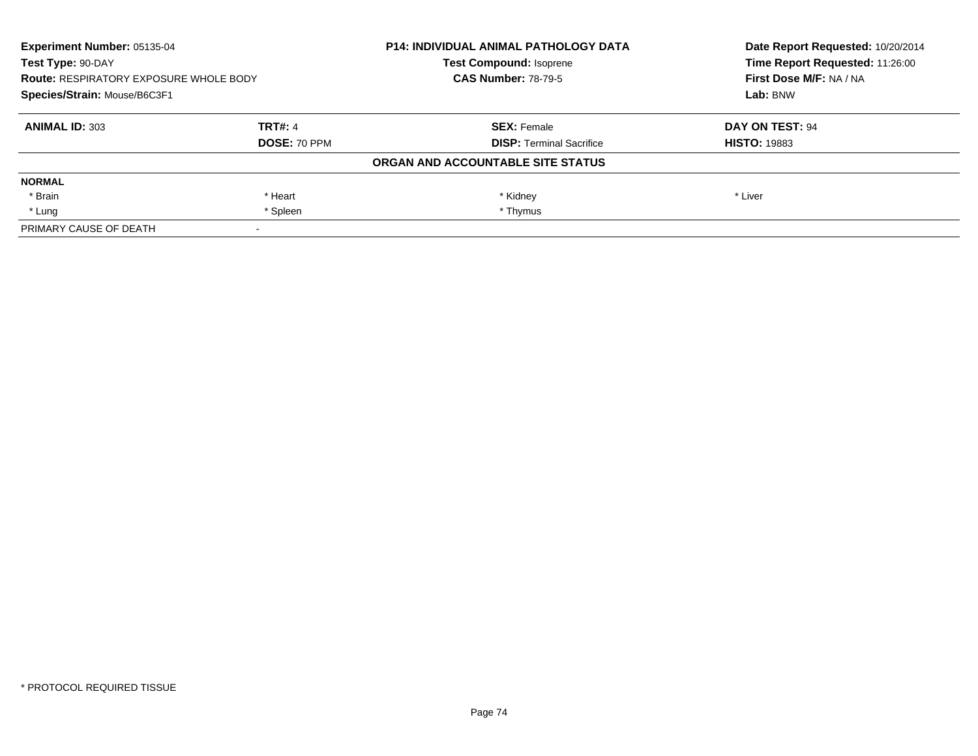| Experiment Number: 05135-04<br>Test Type: 90-DAY<br><b>Route: RESPIRATORY EXPOSURE WHOLE BODY</b><br>Species/Strain: Mouse/B6C3F1 |                     | <b>P14: INDIVIDUAL ANIMAL PATHOLOGY DATA</b> | Date Report Requested: 10/20/2014<br>Time Report Requested: 11:26:00 |
|-----------------------------------------------------------------------------------------------------------------------------------|---------------------|----------------------------------------------|----------------------------------------------------------------------|
|                                                                                                                                   |                     | <b>Test Compound: Isoprene</b>               |                                                                      |
|                                                                                                                                   |                     | <b>CAS Number: 78-79-5</b>                   | First Dose M/F: NA / NA                                              |
|                                                                                                                                   |                     |                                              | Lab: BNW                                                             |
| <b>ANIMAL ID: 303</b>                                                                                                             | <b>TRT#: 4</b>      | <b>SEX: Female</b>                           | DAY ON TEST: 94                                                      |
|                                                                                                                                   | <b>DOSE: 70 PPM</b> | <b>DISP:</b> Terminal Sacrifice              | <b>HISTO: 19883</b>                                                  |
|                                                                                                                                   |                     | ORGAN AND ACCOUNTABLE SITE STATUS            |                                                                      |
| <b>NORMAL</b>                                                                                                                     |                     |                                              |                                                                      |
| * Brain                                                                                                                           | * Heart             | * Kidney                                     | * Liver                                                              |
| * Lung                                                                                                                            | * Spleen            | * Thymus                                     |                                                                      |
| PRIMARY CAUSE OF DEATH                                                                                                            |                     |                                              |                                                                      |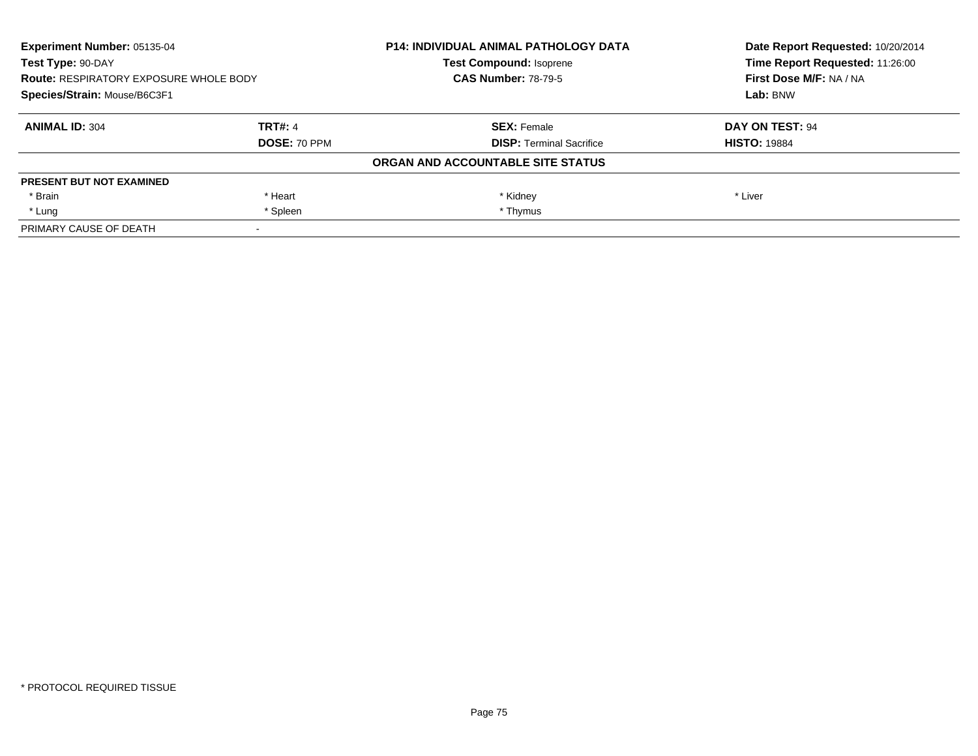| <b>Experiment Number: 05135-04</b><br>Test Type: 90-DAY<br><b>Route: RESPIRATORY EXPOSURE WHOLE BODY</b><br>Species/Strain: Mouse/B6C3F1 |                | <b>P14: INDIVIDUAL ANIMAL PATHOLOGY DATA</b> | Date Report Requested: 10/20/2014<br>Time Report Requested: 11:26:00 |
|------------------------------------------------------------------------------------------------------------------------------------------|----------------|----------------------------------------------|----------------------------------------------------------------------|
|                                                                                                                                          |                | <b>Test Compound: Isoprene</b>               |                                                                      |
|                                                                                                                                          |                | <b>CAS Number: 78-79-5</b>                   | First Dose M/F: NA / NA                                              |
|                                                                                                                                          |                |                                              | Lab: BNW                                                             |
| <b>ANIMAL ID: 304</b>                                                                                                                    | <b>TRT#: 4</b> | <b>SEX: Female</b>                           | DAY ON TEST: 94                                                      |
|                                                                                                                                          | DOSE: 70 PPM   | <b>DISP:</b> Terminal Sacrifice              | <b>HISTO: 19884</b>                                                  |
|                                                                                                                                          |                | ORGAN AND ACCOUNTABLE SITE STATUS            |                                                                      |
| <b>PRESENT BUT NOT EXAMINED</b>                                                                                                          |                |                                              |                                                                      |
| * Brain                                                                                                                                  | * Heart        | * Kidney                                     | * Liver                                                              |
| * Lung                                                                                                                                   | * Spleen       | * Thymus                                     |                                                                      |
| PRIMARY CAUSE OF DEATH                                                                                                                   |                |                                              |                                                                      |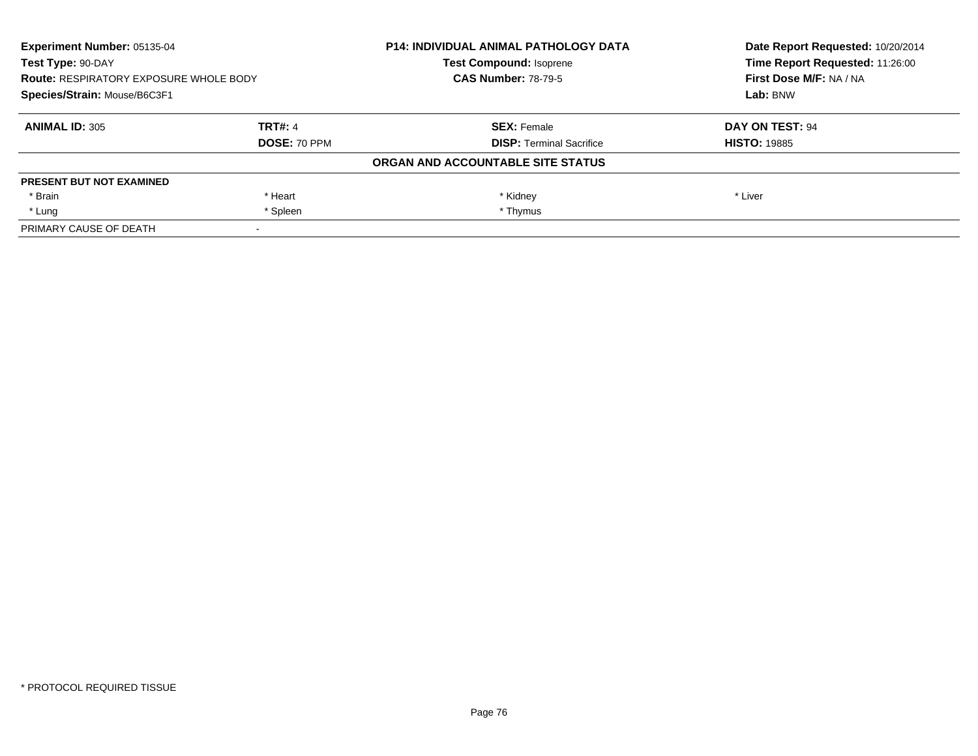| <b>Experiment Number: 05135-04</b><br>Test Type: 90-DAY<br><b>Route: RESPIRATORY EXPOSURE WHOLE BODY</b><br>Species/Strain: Mouse/B6C3F1 |                | <b>P14: INDIVIDUAL ANIMAL PATHOLOGY DATA</b> | Date Report Requested: 10/20/2014<br>Time Report Requested: 11:26:00<br>First Dose M/F: NA / NA<br>Lab: BNW |
|------------------------------------------------------------------------------------------------------------------------------------------|----------------|----------------------------------------------|-------------------------------------------------------------------------------------------------------------|
|                                                                                                                                          |                | <b>Test Compound: Isoprene</b>               |                                                                                                             |
|                                                                                                                                          |                | <b>CAS Number: 78-79-5</b>                   |                                                                                                             |
|                                                                                                                                          |                |                                              |                                                                                                             |
| <b>ANIMAL ID: 305</b>                                                                                                                    | <b>TRT#: 4</b> | <b>SEX: Female</b>                           | DAY ON TEST: 94                                                                                             |
|                                                                                                                                          | DOSE: 70 PPM   | <b>DISP:</b> Terminal Sacrifice              | <b>HISTO: 19885</b>                                                                                         |
|                                                                                                                                          |                | ORGAN AND ACCOUNTABLE SITE STATUS            |                                                                                                             |
| <b>PRESENT BUT NOT EXAMINED</b>                                                                                                          |                |                                              |                                                                                                             |
| * Brain                                                                                                                                  | * Heart        | * Kidney                                     | * Liver                                                                                                     |
| * Lung                                                                                                                                   | * Spleen       | * Thymus                                     |                                                                                                             |
| PRIMARY CAUSE OF DEATH                                                                                                                   |                |                                              |                                                                                                             |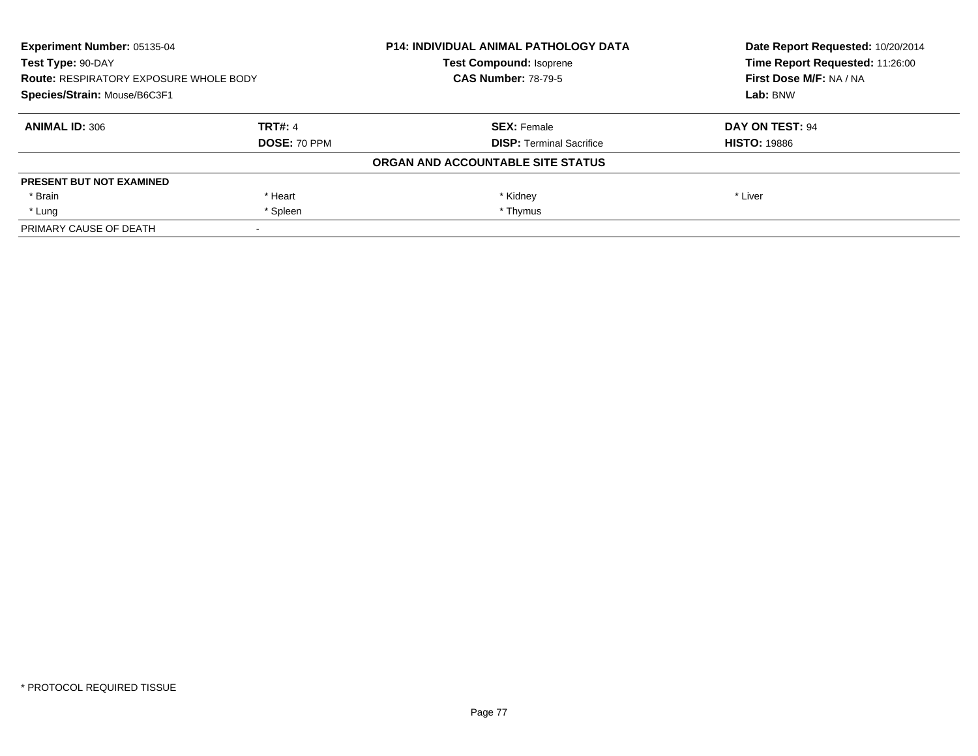| <b>Experiment Number: 05135-04</b><br>Test Type: 90-DAY<br><b>Route: RESPIRATORY EXPOSURE WHOLE BODY</b><br>Species/Strain: Mouse/B6C3F1 |                | <b>P14: INDIVIDUAL ANIMAL PATHOLOGY DATA</b> | Date Report Requested: 10/20/2014<br>Time Report Requested: 11:26:00 |
|------------------------------------------------------------------------------------------------------------------------------------------|----------------|----------------------------------------------|----------------------------------------------------------------------|
|                                                                                                                                          |                | <b>Test Compound: Isoprene</b>               |                                                                      |
|                                                                                                                                          |                | <b>CAS Number: 78-79-5</b>                   | First Dose M/F: NA / NA                                              |
|                                                                                                                                          |                |                                              | Lab: BNW                                                             |
| <b>ANIMAL ID: 306</b>                                                                                                                    | <b>TRT#: 4</b> | <b>SEX: Female</b>                           | DAY ON TEST: 94                                                      |
|                                                                                                                                          | DOSE: 70 PPM   | <b>DISP:</b> Terminal Sacrifice              | <b>HISTO: 19886</b>                                                  |
|                                                                                                                                          |                | ORGAN AND ACCOUNTABLE SITE STATUS            |                                                                      |
| <b>PRESENT BUT NOT EXAMINED</b>                                                                                                          |                |                                              |                                                                      |
| * Brain                                                                                                                                  | * Heart        | * Kidney                                     | * Liver                                                              |
| * Lung                                                                                                                                   | * Spleen       | * Thymus                                     |                                                                      |
| PRIMARY CAUSE OF DEATH                                                                                                                   |                |                                              |                                                                      |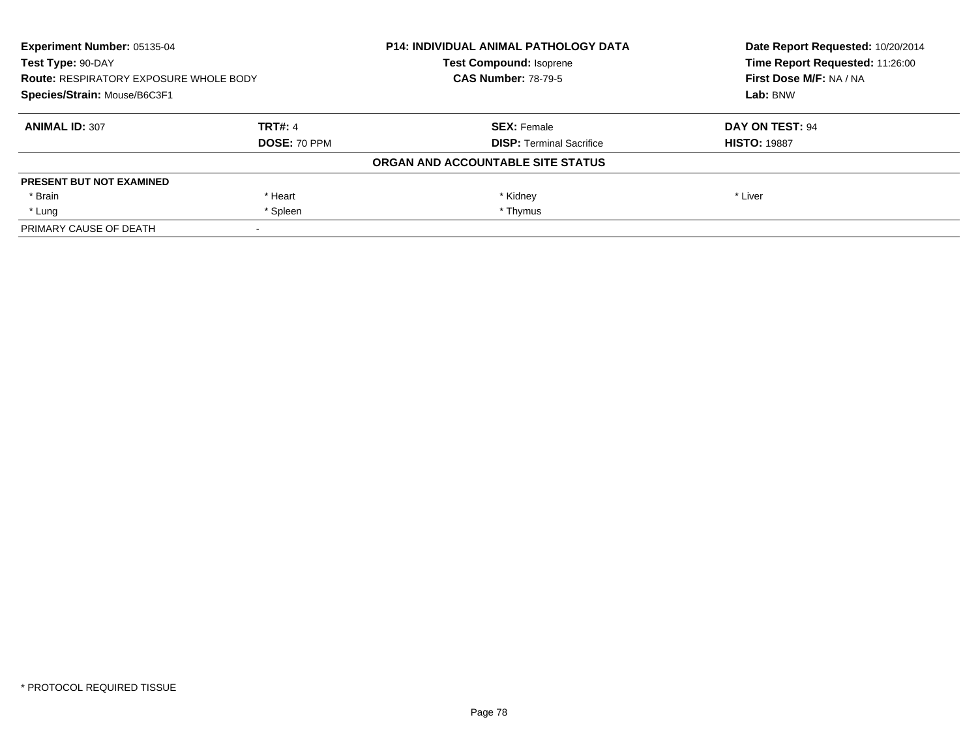| <b>Experiment Number: 05135-04</b><br>Test Type: 90-DAY<br><b>Route: RESPIRATORY EXPOSURE WHOLE BODY</b><br>Species/Strain: Mouse/B6C3F1 |                | <b>P14: INDIVIDUAL ANIMAL PATHOLOGY DATA</b> | Date Report Requested: 10/20/2014<br>Time Report Requested: 11:26:00<br>First Dose M/F: NA / NA<br>Lab: BNW |
|------------------------------------------------------------------------------------------------------------------------------------------|----------------|----------------------------------------------|-------------------------------------------------------------------------------------------------------------|
|                                                                                                                                          |                | <b>Test Compound: Isoprene</b>               |                                                                                                             |
|                                                                                                                                          |                | <b>CAS Number: 78-79-5</b>                   |                                                                                                             |
|                                                                                                                                          |                |                                              |                                                                                                             |
| <b>ANIMAL ID: 307</b>                                                                                                                    | <b>TRT#: 4</b> | <b>SEX: Female</b>                           | DAY ON TEST: 94                                                                                             |
|                                                                                                                                          | DOSE: 70 PPM   | <b>DISP:</b> Terminal Sacrifice              | <b>HISTO: 19887</b>                                                                                         |
|                                                                                                                                          |                | ORGAN AND ACCOUNTABLE SITE STATUS            |                                                                                                             |
| <b>PRESENT BUT NOT EXAMINED</b>                                                                                                          |                |                                              |                                                                                                             |
| * Brain                                                                                                                                  | * Heart        | * Kidney                                     | * Liver                                                                                                     |
| * Lung                                                                                                                                   | * Spleen       | * Thymus                                     |                                                                                                             |
| PRIMARY CAUSE OF DEATH                                                                                                                   |                |                                              |                                                                                                             |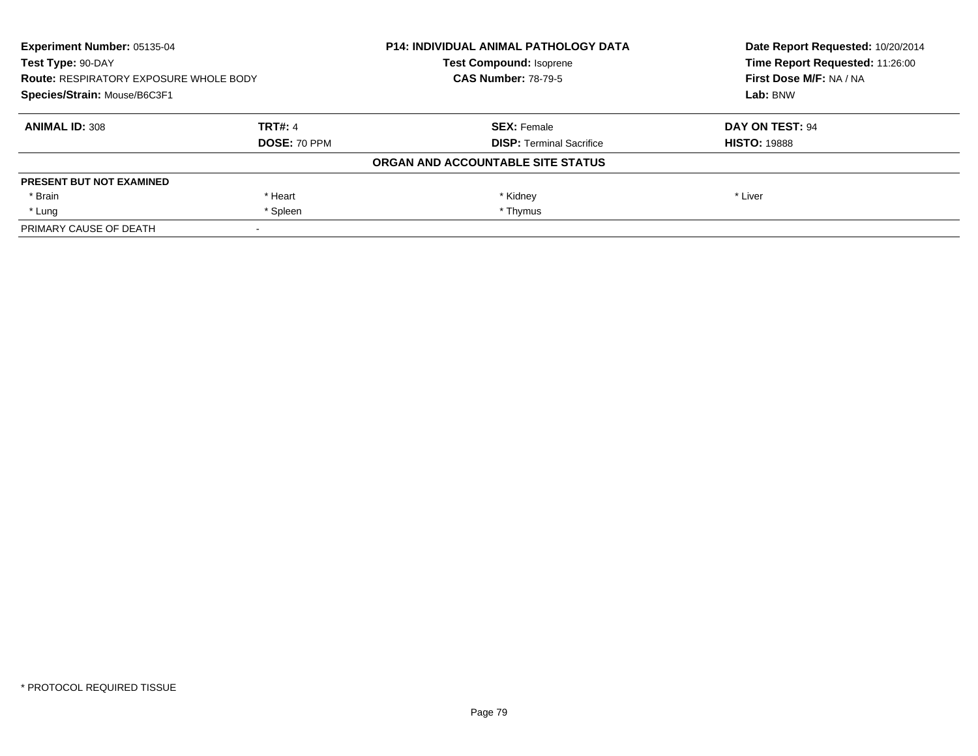| <b>Experiment Number: 05135-04</b><br>Test Type: 90-DAY<br><b>Route: RESPIRATORY EXPOSURE WHOLE BODY</b><br>Species/Strain: Mouse/B6C3F1 |                | <b>P14: INDIVIDUAL ANIMAL PATHOLOGY DATA</b> | Date Report Requested: 10/20/2014<br>Time Report Requested: 11:26:00<br>First Dose M/F: NA / NA<br>Lab: BNW |
|------------------------------------------------------------------------------------------------------------------------------------------|----------------|----------------------------------------------|-------------------------------------------------------------------------------------------------------------|
|                                                                                                                                          |                | <b>Test Compound: Isoprene</b>               |                                                                                                             |
|                                                                                                                                          |                | <b>CAS Number: 78-79-5</b>                   |                                                                                                             |
|                                                                                                                                          |                |                                              |                                                                                                             |
| <b>ANIMAL ID: 308</b>                                                                                                                    | <b>TRT#: 4</b> | <b>SEX: Female</b>                           | DAY ON TEST: 94                                                                                             |
|                                                                                                                                          | DOSE: 70 PPM   | <b>DISP:</b> Terminal Sacrifice              | <b>HISTO: 19888</b>                                                                                         |
|                                                                                                                                          |                | ORGAN AND ACCOUNTABLE SITE STATUS            |                                                                                                             |
| <b>PRESENT BUT NOT EXAMINED</b>                                                                                                          |                |                                              |                                                                                                             |
| * Brain                                                                                                                                  | * Heart        | * Kidney                                     | * Liver                                                                                                     |
| * Lung                                                                                                                                   | * Spleen       | * Thymus                                     |                                                                                                             |
| PRIMARY CAUSE OF DEATH                                                                                                                   |                |                                              |                                                                                                             |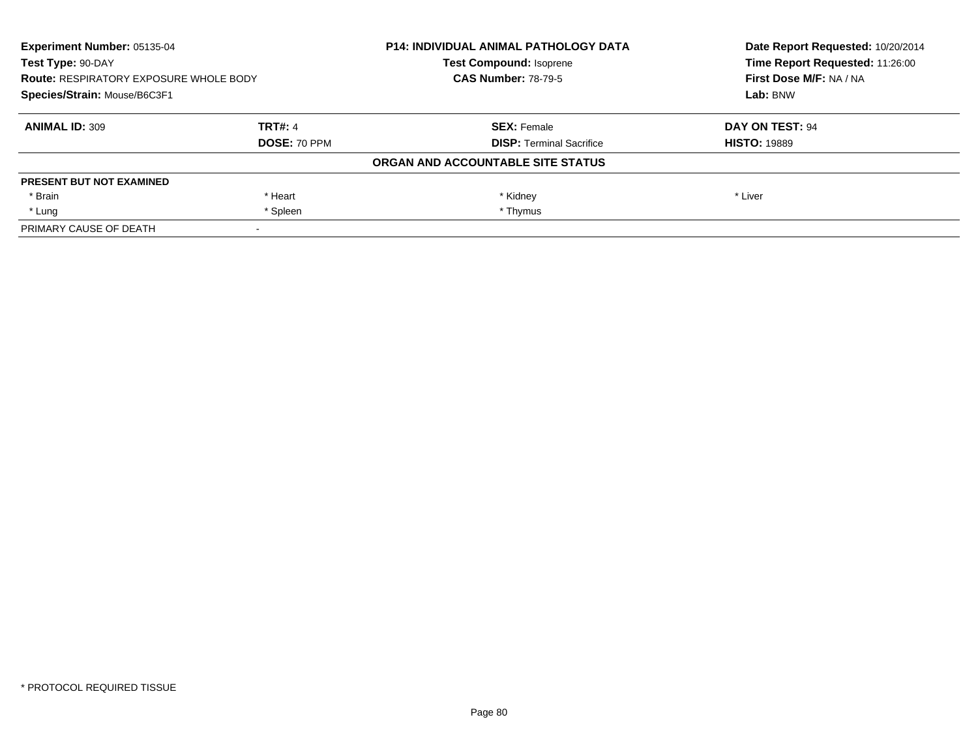| <b>Experiment Number: 05135-04</b><br>Test Type: 90-DAY<br><b>Route: RESPIRATORY EXPOSURE WHOLE BODY</b><br>Species/Strain: Mouse/B6C3F1 |                | <b>P14: INDIVIDUAL ANIMAL PATHOLOGY DATA</b> | Date Report Requested: 10/20/2014<br>Time Report Requested: 11:26:00<br>First Dose M/F: NA / NA<br>Lab: BNW |
|------------------------------------------------------------------------------------------------------------------------------------------|----------------|----------------------------------------------|-------------------------------------------------------------------------------------------------------------|
|                                                                                                                                          |                | <b>Test Compound: Isoprene</b>               |                                                                                                             |
|                                                                                                                                          |                | <b>CAS Number: 78-79-5</b>                   |                                                                                                             |
|                                                                                                                                          |                |                                              |                                                                                                             |
| <b>ANIMAL ID: 309</b>                                                                                                                    | <b>TRT#: 4</b> | <b>SEX: Female</b>                           | DAY ON TEST: 94                                                                                             |
|                                                                                                                                          | DOSE: 70 PPM   | <b>DISP:</b> Terminal Sacrifice              | <b>HISTO: 19889</b>                                                                                         |
|                                                                                                                                          |                | ORGAN AND ACCOUNTABLE SITE STATUS            |                                                                                                             |
| <b>PRESENT BUT NOT EXAMINED</b>                                                                                                          |                |                                              |                                                                                                             |
| * Brain                                                                                                                                  | * Heart        | * Kidney                                     | * Liver                                                                                                     |
| * Lung                                                                                                                                   | * Spleen       | * Thymus                                     |                                                                                                             |
| PRIMARY CAUSE OF DEATH                                                                                                                   |                |                                              |                                                                                                             |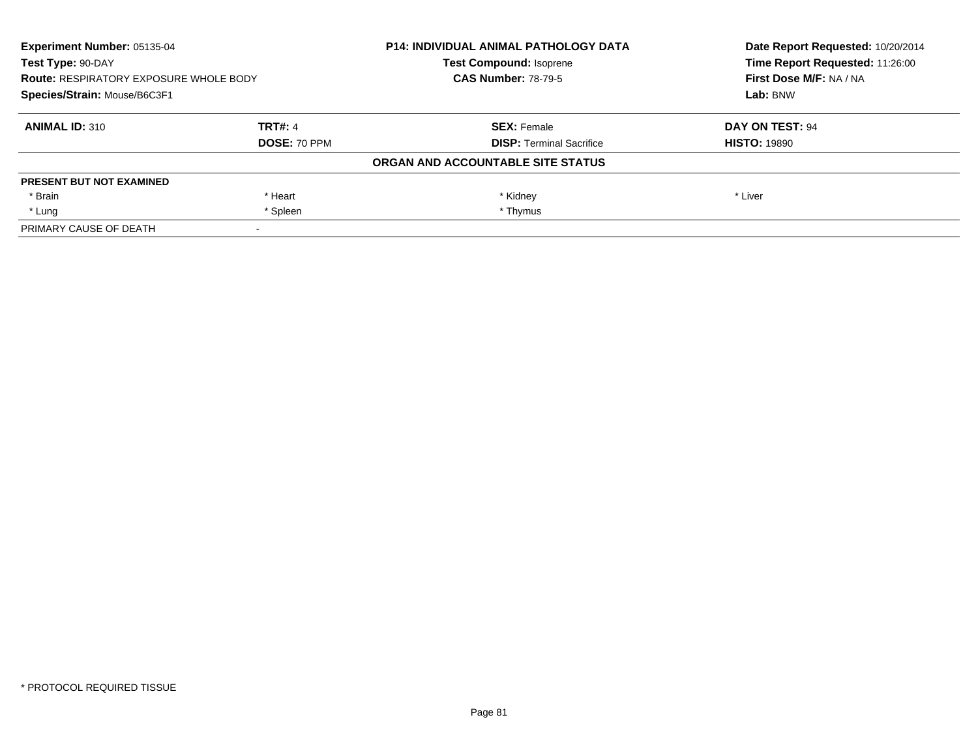| <b>Experiment Number: 05135-04</b><br>Test Type: 90-DAY<br><b>Route: RESPIRATORY EXPOSURE WHOLE BODY</b><br>Species/Strain: Mouse/B6C3F1 |                | <b>P14: INDIVIDUAL ANIMAL PATHOLOGY DATA</b> | Date Report Requested: 10/20/2014<br>Time Report Requested: 11:26:00 |
|------------------------------------------------------------------------------------------------------------------------------------------|----------------|----------------------------------------------|----------------------------------------------------------------------|
|                                                                                                                                          |                | <b>Test Compound: Isoprene</b>               |                                                                      |
|                                                                                                                                          |                | <b>CAS Number: 78-79-5</b>                   | First Dose M/F: NA / NA                                              |
|                                                                                                                                          |                |                                              | Lab: BNW                                                             |
| <b>ANIMAL ID: 310</b>                                                                                                                    | <b>TRT#: 4</b> | <b>SEX: Female</b>                           | DAY ON TEST: 94                                                      |
|                                                                                                                                          | DOSE: 70 PPM   | <b>DISP:</b> Terminal Sacrifice              | <b>HISTO: 19890</b>                                                  |
|                                                                                                                                          |                | ORGAN AND ACCOUNTABLE SITE STATUS            |                                                                      |
| <b>PRESENT BUT NOT EXAMINED</b>                                                                                                          |                |                                              |                                                                      |
| * Brain                                                                                                                                  | * Heart        | * Kidney                                     | * Liver                                                              |
| * Lung                                                                                                                                   | * Spleen       | * Thymus                                     |                                                                      |
| PRIMARY CAUSE OF DEATH                                                                                                                   |                |                                              |                                                                      |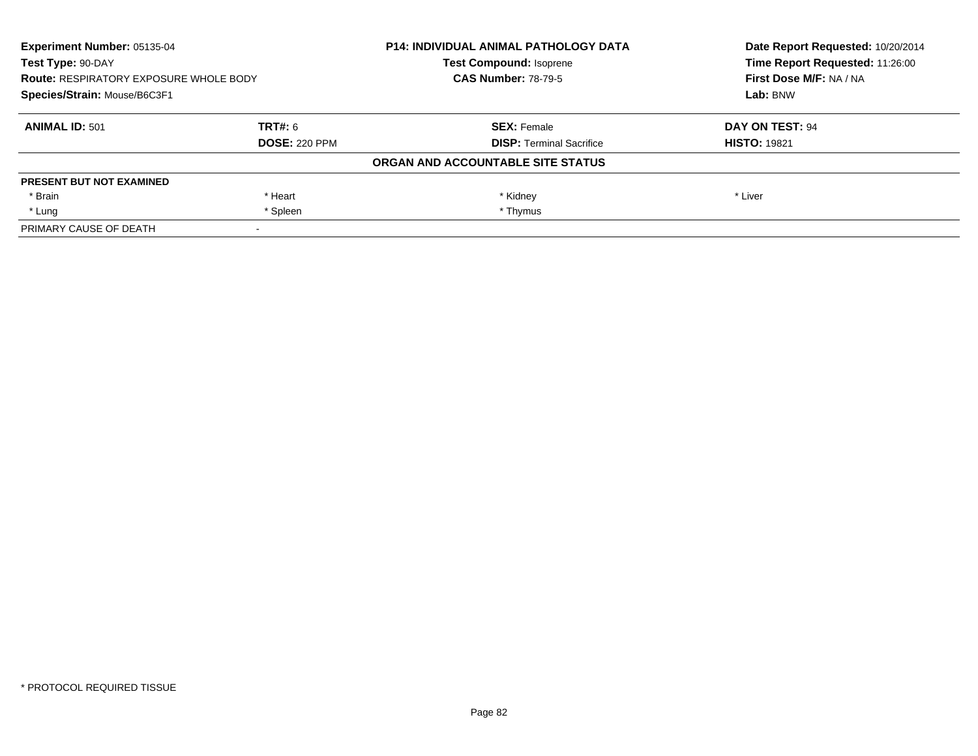| <b>Experiment Number: 05135-04</b><br>Test Type: 90-DAY<br><b>Route: RESPIRATORY EXPOSURE WHOLE BODY</b><br>Species/Strain: Mouse/B6C3F1 |                      | <b>P14: INDIVIDUAL ANIMAL PATHOLOGY DATA</b> | Date Report Requested: 10/20/2014<br>Time Report Requested: 11:26:00 |
|------------------------------------------------------------------------------------------------------------------------------------------|----------------------|----------------------------------------------|----------------------------------------------------------------------|
|                                                                                                                                          |                      | <b>Test Compound: Isoprene</b>               |                                                                      |
|                                                                                                                                          |                      | <b>CAS Number: 78-79-5</b>                   | First Dose M/F: NA / NA                                              |
|                                                                                                                                          |                      |                                              | Lab: BNW                                                             |
| <b>ANIMAL ID: 501</b>                                                                                                                    | TRT#: 6              | <b>SEX: Female</b>                           | DAY ON TEST: 94                                                      |
|                                                                                                                                          | <b>DOSE: 220 PPM</b> | <b>DISP:</b> Terminal Sacrifice              | <b>HISTO: 19821</b>                                                  |
|                                                                                                                                          |                      | ORGAN AND ACCOUNTABLE SITE STATUS            |                                                                      |
| <b>PRESENT BUT NOT EXAMINED</b>                                                                                                          |                      |                                              |                                                                      |
| * Brain                                                                                                                                  | * Heart              | * Kidney                                     | * Liver                                                              |
| * Lung                                                                                                                                   | * Spleen             | * Thymus                                     |                                                                      |
| PRIMARY CAUSE OF DEATH                                                                                                                   |                      |                                              |                                                                      |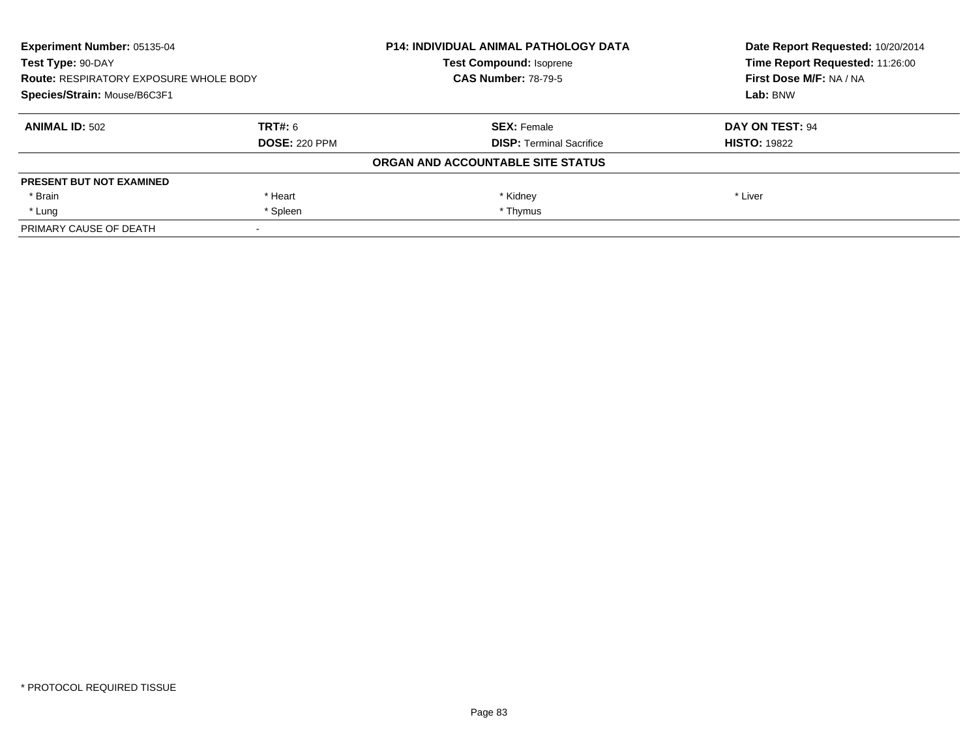| <b>Experiment Number: 05135-04</b><br>Test Type: 90-DAY<br><b>Route: RESPIRATORY EXPOSURE WHOLE BODY</b><br>Species/Strain: Mouse/B6C3F1 |                      | <b>P14: INDIVIDUAL ANIMAL PATHOLOGY DATA</b> | Date Report Requested: 10/20/2014<br>Time Report Requested: 11:26:00 |
|------------------------------------------------------------------------------------------------------------------------------------------|----------------------|----------------------------------------------|----------------------------------------------------------------------|
|                                                                                                                                          |                      | <b>Test Compound: Isoprene</b>               |                                                                      |
|                                                                                                                                          |                      | <b>CAS Number: 78-79-5</b>                   | First Dose M/F: NA / NA                                              |
|                                                                                                                                          |                      |                                              | Lab: BNW                                                             |
| <b>ANIMAL ID: 502</b>                                                                                                                    | TRT#: 6              | <b>SEX: Female</b>                           | DAY ON TEST: 94                                                      |
|                                                                                                                                          | <b>DOSE: 220 PPM</b> | <b>DISP:</b> Terminal Sacrifice              | <b>HISTO: 19822</b>                                                  |
|                                                                                                                                          |                      | ORGAN AND ACCOUNTABLE SITE STATUS            |                                                                      |
| <b>PRESENT BUT NOT EXAMINED</b>                                                                                                          |                      |                                              |                                                                      |
| * Brain                                                                                                                                  | * Heart              | * Kidney                                     | * Liver                                                              |
| * Lung                                                                                                                                   | * Spleen             | * Thymus                                     |                                                                      |
| PRIMARY CAUSE OF DEATH                                                                                                                   |                      |                                              |                                                                      |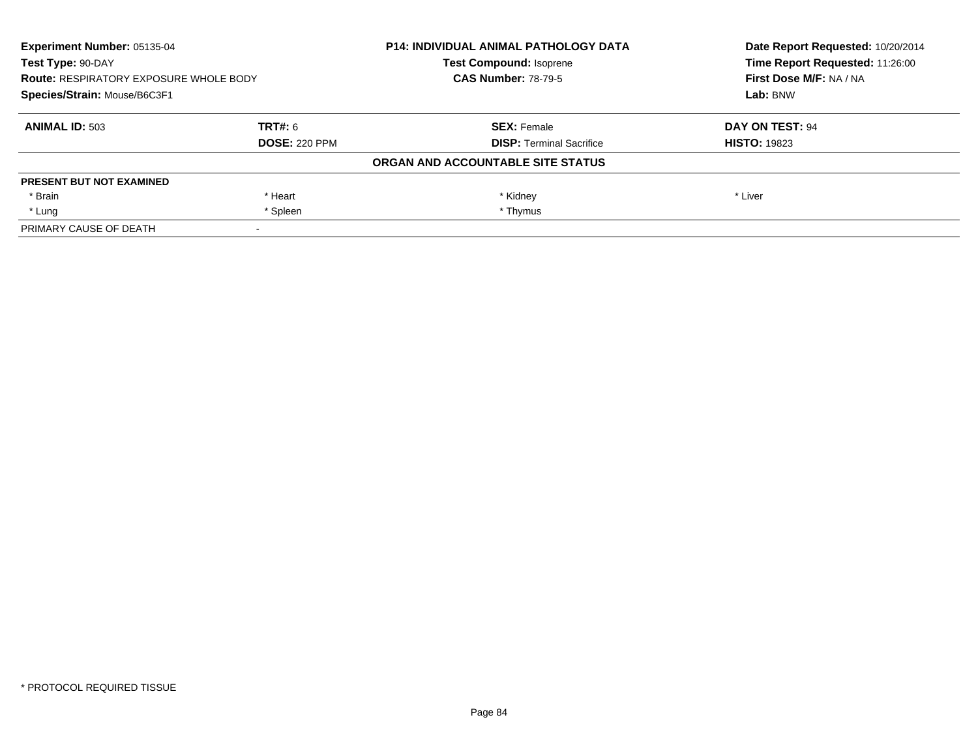| <b>Experiment Number: 05135-04</b><br>Test Type: 90-DAY<br><b>Route: RESPIRATORY EXPOSURE WHOLE BODY</b><br>Species/Strain: Mouse/B6C3F1 |                      | <b>P14: INDIVIDUAL ANIMAL PATHOLOGY DATA</b> | Date Report Requested: 10/20/2014<br>Time Report Requested: 11:26:00 |
|------------------------------------------------------------------------------------------------------------------------------------------|----------------------|----------------------------------------------|----------------------------------------------------------------------|
|                                                                                                                                          |                      | <b>Test Compound: Isoprene</b>               |                                                                      |
|                                                                                                                                          |                      | <b>CAS Number: 78-79-5</b>                   | First Dose M/F: NA / NA                                              |
|                                                                                                                                          |                      |                                              | Lab: BNW                                                             |
| <b>ANIMAL ID: 503</b>                                                                                                                    | TRT#: 6              | <b>SEX: Female</b>                           | DAY ON TEST: 94                                                      |
|                                                                                                                                          | <b>DOSE: 220 PPM</b> | <b>DISP:</b> Terminal Sacrifice              | <b>HISTO: 19823</b>                                                  |
|                                                                                                                                          |                      | ORGAN AND ACCOUNTABLE SITE STATUS            |                                                                      |
| <b>PRESENT BUT NOT EXAMINED</b>                                                                                                          |                      |                                              |                                                                      |
| * Brain                                                                                                                                  | * Heart              | * Kidney                                     | * Liver                                                              |
| * Lung                                                                                                                                   | * Spleen             | * Thymus                                     |                                                                      |
| PRIMARY CAUSE OF DEATH                                                                                                                   |                      |                                              |                                                                      |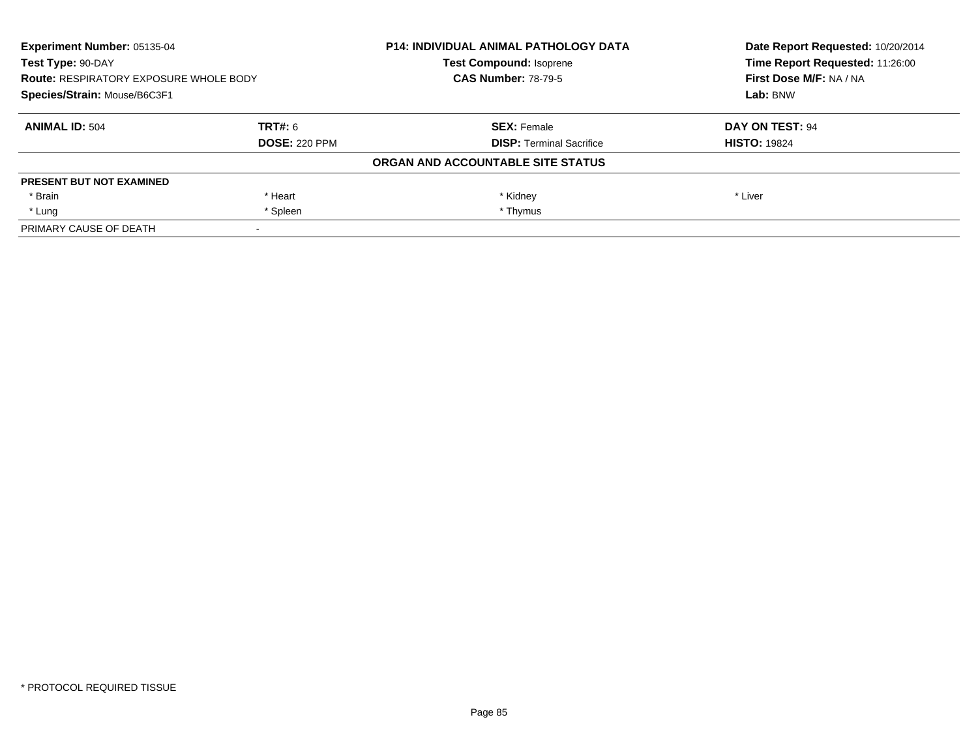| <b>Experiment Number: 05135-04</b><br>Test Type: 90-DAY<br><b>Route: RESPIRATORY EXPOSURE WHOLE BODY</b><br>Species/Strain: Mouse/B6C3F1 |                      | <b>P14: INDIVIDUAL ANIMAL PATHOLOGY DATA</b> | Date Report Requested: 10/20/2014<br>Time Report Requested: 11:26:00 |
|------------------------------------------------------------------------------------------------------------------------------------------|----------------------|----------------------------------------------|----------------------------------------------------------------------|
|                                                                                                                                          |                      | <b>Test Compound: Isoprene</b>               |                                                                      |
|                                                                                                                                          |                      | <b>CAS Number: 78-79-5</b>                   | First Dose M/F: NA / NA                                              |
|                                                                                                                                          |                      |                                              | Lab: BNW                                                             |
| <b>ANIMAL ID: 504</b>                                                                                                                    | TRT#: 6              | <b>SEX: Female</b>                           | DAY ON TEST: 94                                                      |
|                                                                                                                                          | <b>DOSE: 220 PPM</b> | <b>DISP:</b> Terminal Sacrifice              | <b>HISTO: 19824</b>                                                  |
|                                                                                                                                          |                      | ORGAN AND ACCOUNTABLE SITE STATUS            |                                                                      |
| <b>PRESENT BUT NOT EXAMINED</b>                                                                                                          |                      |                                              |                                                                      |
| * Brain                                                                                                                                  | * Heart              | * Kidney                                     | * Liver                                                              |
| * Lung                                                                                                                                   | * Spleen             | * Thymus                                     |                                                                      |
| PRIMARY CAUSE OF DEATH                                                                                                                   |                      |                                              |                                                                      |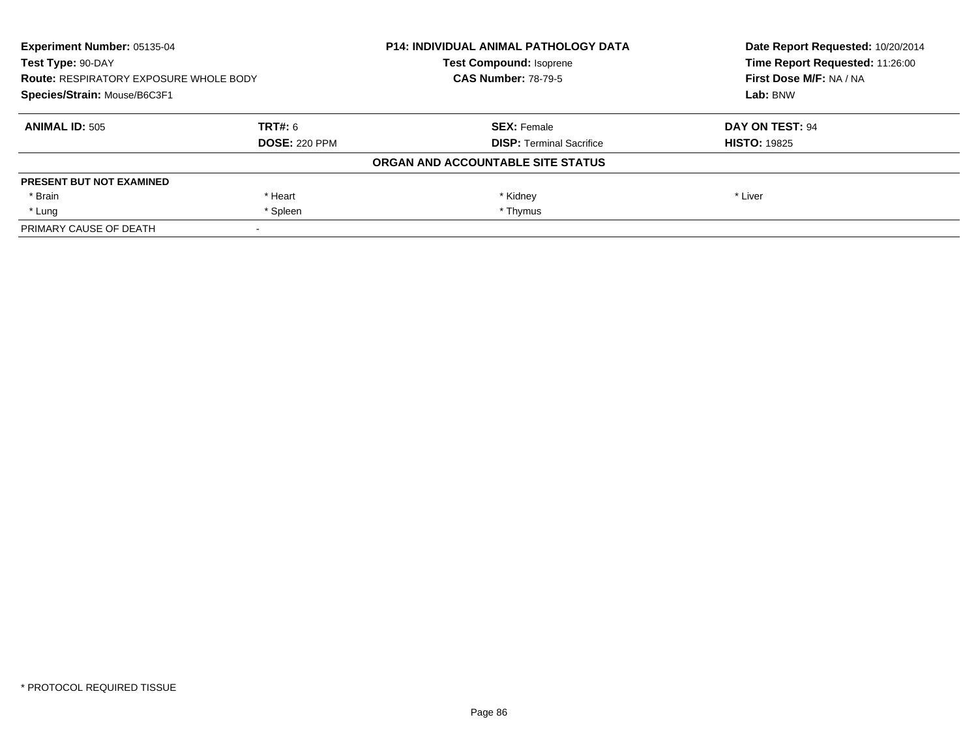| <b>Experiment Number: 05135-04</b><br>Test Type: 90-DAY<br><b>Route: RESPIRATORY EXPOSURE WHOLE BODY</b><br>Species/Strain: Mouse/B6C3F1 |                      | <b>P14: INDIVIDUAL ANIMAL PATHOLOGY DATA</b> | Date Report Requested: 10/20/2014<br>Time Report Requested: 11:26:00<br>First Dose M/F: NA / NA<br>Lab: BNW |
|------------------------------------------------------------------------------------------------------------------------------------------|----------------------|----------------------------------------------|-------------------------------------------------------------------------------------------------------------|
|                                                                                                                                          |                      | <b>Test Compound: Isoprene</b>               |                                                                                                             |
|                                                                                                                                          |                      | <b>CAS Number: 78-79-5</b>                   |                                                                                                             |
|                                                                                                                                          |                      |                                              |                                                                                                             |
| <b>ANIMAL ID: 505</b>                                                                                                                    | TRT#: 6              | <b>SEX: Female</b>                           | DAY ON TEST: 94                                                                                             |
|                                                                                                                                          | <b>DOSE: 220 PPM</b> | <b>DISP:</b> Terminal Sacrifice              | <b>HISTO: 19825</b>                                                                                         |
|                                                                                                                                          |                      | ORGAN AND ACCOUNTABLE SITE STATUS            |                                                                                                             |
| <b>PRESENT BUT NOT EXAMINED</b>                                                                                                          |                      |                                              |                                                                                                             |
| * Brain                                                                                                                                  | * Heart              | * Kidney                                     | * Liver                                                                                                     |
| * Lung                                                                                                                                   | * Spleen             | * Thymus                                     |                                                                                                             |
| PRIMARY CAUSE OF DEATH                                                                                                                   |                      |                                              |                                                                                                             |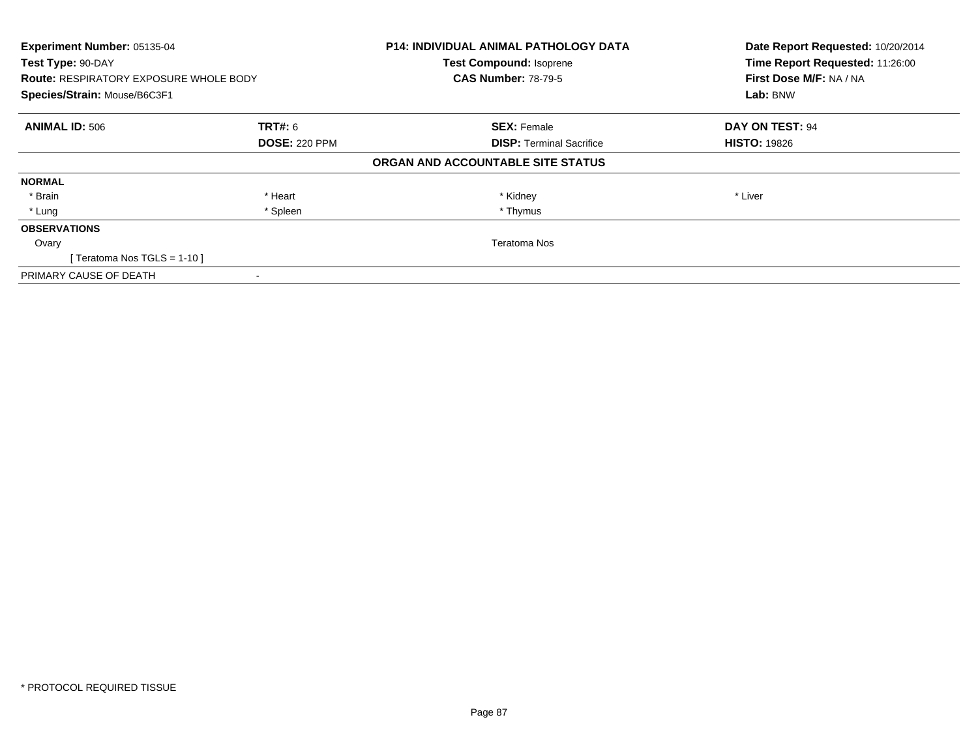| Experiment Number: 05135-04                   |                      | <b>P14: INDIVIDUAL ANIMAL PATHOLOGY DATA</b> | Date Report Requested: 10/20/2014 |
|-----------------------------------------------|----------------------|----------------------------------------------|-----------------------------------|
| Test Type: 90-DAY                             |                      | <b>Test Compound: Isoprene</b>               | Time Report Requested: 11:26:00   |
| <b>Route: RESPIRATORY EXPOSURE WHOLE BODY</b> |                      | <b>CAS Number: 78-79-5</b>                   | First Dose M/F: NA / NA           |
| Species/Strain: Mouse/B6C3F1                  |                      |                                              | Lab: BNW                          |
| <b>ANIMAL ID: 506</b>                         | <b>TRT#: 6</b>       | <b>SEX: Female</b>                           | DAY ON TEST: 94                   |
|                                               | <b>DOSE: 220 PPM</b> | <b>DISP:</b> Terminal Sacrifice              | <b>HISTO: 19826</b>               |
|                                               |                      | ORGAN AND ACCOUNTABLE SITE STATUS            |                                   |
| <b>NORMAL</b>                                 |                      |                                              |                                   |
| * Brain                                       | * Heart              | * Kidney                                     | * Liver                           |
| * Lung                                        | * Spleen             | * Thymus                                     |                                   |
| <b>OBSERVATIONS</b>                           |                      |                                              |                                   |
| Ovary                                         |                      | Teratoma Nos                                 |                                   |
| [Teratoma Nos TGLS = 1-10]                    |                      |                                              |                                   |
| PRIMARY CAUSE OF DEATH                        |                      |                                              |                                   |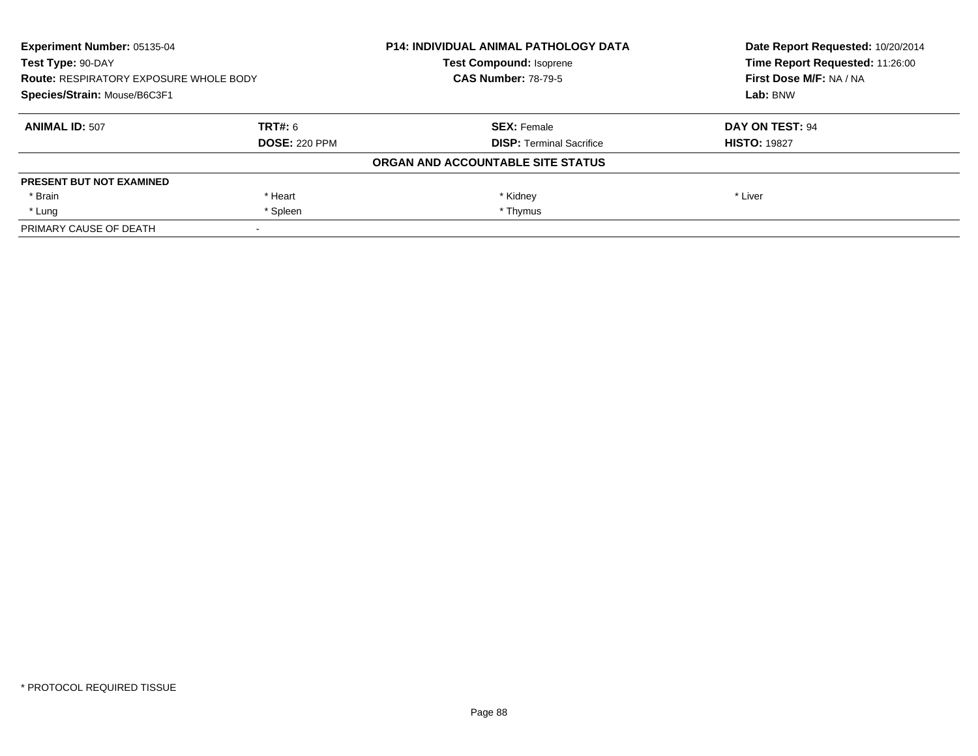| Experiment Number: 05135-04<br>Test Type: 90-DAY<br><b>Route: RESPIRATORY EXPOSURE WHOLE BODY</b><br>Species/Strain: Mouse/B6C3F1 |                      | <b>P14: INDIVIDUAL ANIMAL PATHOLOGY DATA</b> | Date Report Requested: 10/20/2014<br>Time Report Requested: 11:26:00 |
|-----------------------------------------------------------------------------------------------------------------------------------|----------------------|----------------------------------------------|----------------------------------------------------------------------|
|                                                                                                                                   |                      | <b>Test Compound: Isoprene</b>               |                                                                      |
|                                                                                                                                   |                      | <b>CAS Number: 78-79-5</b>                   | First Dose M/F: NA / NA                                              |
|                                                                                                                                   |                      |                                              | Lab: BNW                                                             |
| <b>ANIMAL ID: 507</b>                                                                                                             | <b>TRT#: 6</b>       | <b>SEX: Female</b>                           | DAY ON TEST: 94                                                      |
|                                                                                                                                   | <b>DOSE: 220 PPM</b> | <b>DISP:</b> Terminal Sacrifice              | <b>HISTO: 19827</b>                                                  |
|                                                                                                                                   |                      | ORGAN AND ACCOUNTABLE SITE STATUS            |                                                                      |
| <b>PRESENT BUT NOT EXAMINED</b>                                                                                                   |                      |                                              |                                                                      |
| * Brain                                                                                                                           | * Heart              | * Kidney                                     | * Liver                                                              |
| * Lung                                                                                                                            | * Spleen             | * Thymus                                     |                                                                      |
| PRIMARY CAUSE OF DEATH                                                                                                            |                      |                                              |                                                                      |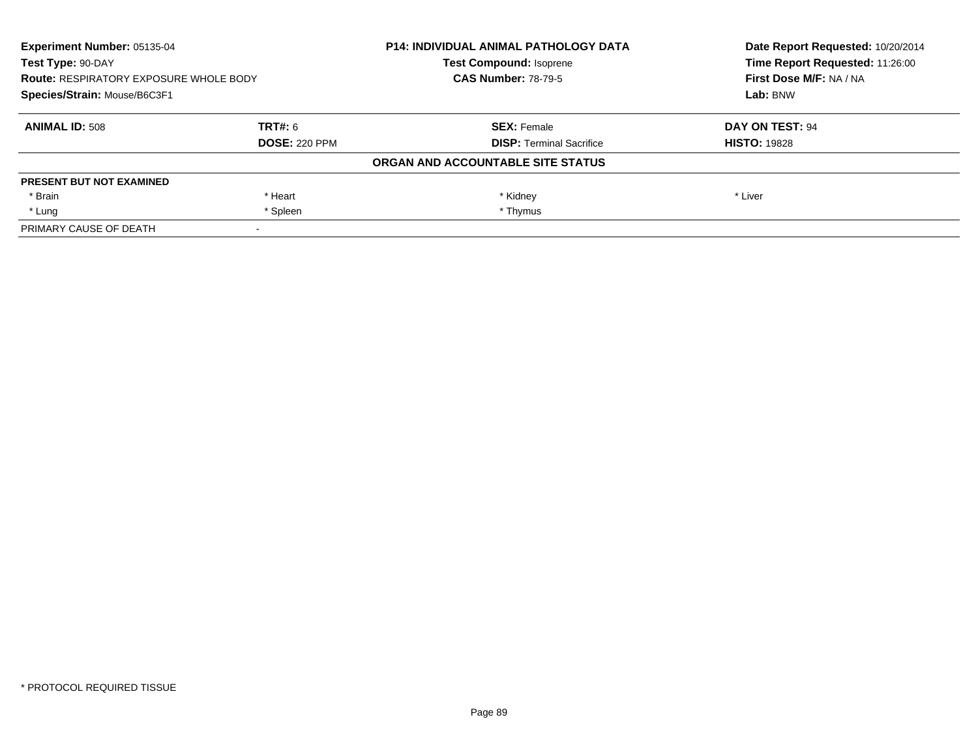| <b>Experiment Number: 05135-04</b><br>Test Type: 90-DAY<br><b>Route: RESPIRATORY EXPOSURE WHOLE BODY</b><br>Species/Strain: Mouse/B6C3F1 |                      | <b>P14: INDIVIDUAL ANIMAL PATHOLOGY DATA</b> | Date Report Requested: 10/20/2014<br>Time Report Requested: 11:26:00<br>First Dose M/F: NA / NA<br>Lab: BNW |
|------------------------------------------------------------------------------------------------------------------------------------------|----------------------|----------------------------------------------|-------------------------------------------------------------------------------------------------------------|
|                                                                                                                                          |                      | <b>Test Compound: Isoprene</b>               |                                                                                                             |
|                                                                                                                                          |                      | <b>CAS Number: 78-79-5</b>                   |                                                                                                             |
|                                                                                                                                          |                      |                                              |                                                                                                             |
| <b>ANIMAL ID: 508</b>                                                                                                                    | TRT#: 6              | <b>SEX: Female</b>                           | DAY ON TEST: 94                                                                                             |
|                                                                                                                                          | <b>DOSE: 220 PPM</b> | <b>DISP:</b> Terminal Sacrifice              | <b>HISTO: 19828</b>                                                                                         |
|                                                                                                                                          |                      | ORGAN AND ACCOUNTABLE SITE STATUS            |                                                                                                             |
| <b>PRESENT BUT NOT EXAMINED</b>                                                                                                          |                      |                                              |                                                                                                             |
| * Brain                                                                                                                                  | * Heart              | * Kidney                                     | * Liver                                                                                                     |
| * Lung                                                                                                                                   | * Spleen             | * Thymus                                     |                                                                                                             |
| PRIMARY CAUSE OF DEATH                                                                                                                   |                      |                                              |                                                                                                             |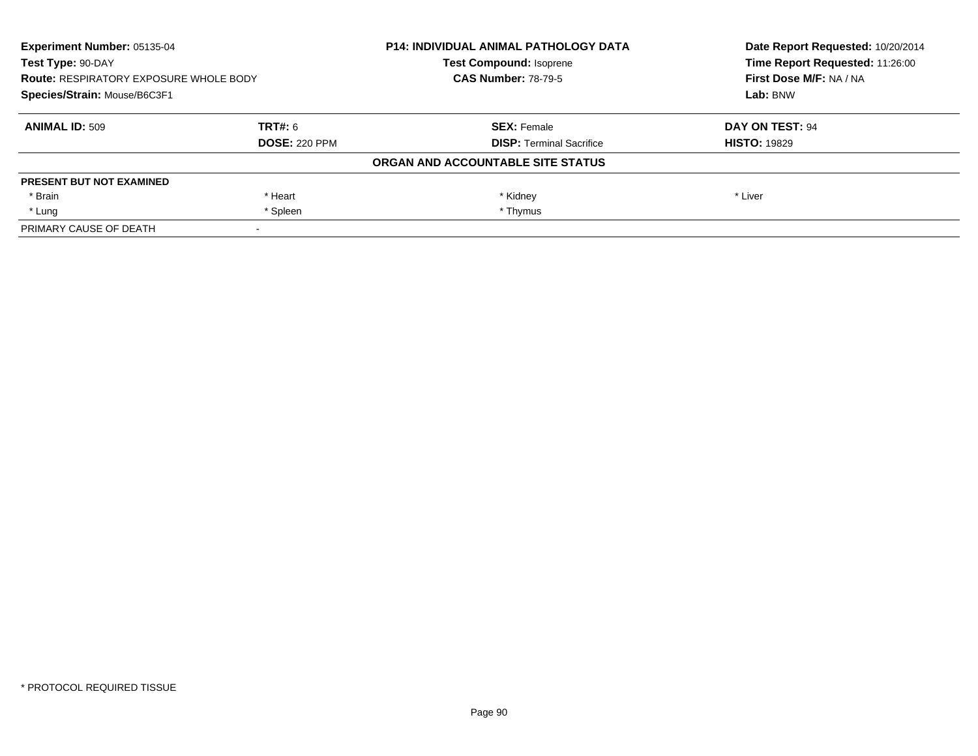| <b>Experiment Number: 05135-04</b><br>Test Type: 90-DAY<br><b>Route: RESPIRATORY EXPOSURE WHOLE BODY</b><br>Species/Strain: Mouse/B6C3F1 |                      | <b>P14: INDIVIDUAL ANIMAL PATHOLOGY DATA</b> | Date Report Requested: 10/20/2014<br>Time Report Requested: 11:26:00 |
|------------------------------------------------------------------------------------------------------------------------------------------|----------------------|----------------------------------------------|----------------------------------------------------------------------|
|                                                                                                                                          |                      | <b>Test Compound: Isoprene</b>               |                                                                      |
|                                                                                                                                          |                      | <b>CAS Number: 78-79-5</b>                   | First Dose M/F: NA / NA                                              |
|                                                                                                                                          |                      |                                              | Lab: BNW                                                             |
| <b>ANIMAL ID: 509</b>                                                                                                                    | TRT#: 6              | <b>SEX: Female</b>                           | DAY ON TEST: 94                                                      |
|                                                                                                                                          | <b>DOSE: 220 PPM</b> | <b>DISP:</b> Terminal Sacrifice              | <b>HISTO: 19829</b>                                                  |
|                                                                                                                                          |                      | ORGAN AND ACCOUNTABLE SITE STATUS            |                                                                      |
| <b>PRESENT BUT NOT EXAMINED</b>                                                                                                          |                      |                                              |                                                                      |
| * Brain                                                                                                                                  | * Heart              | * Kidney                                     | * Liver                                                              |
| * Lung                                                                                                                                   | * Spleen             | * Thymus                                     |                                                                      |
| PRIMARY CAUSE OF DEATH                                                                                                                   |                      |                                              |                                                                      |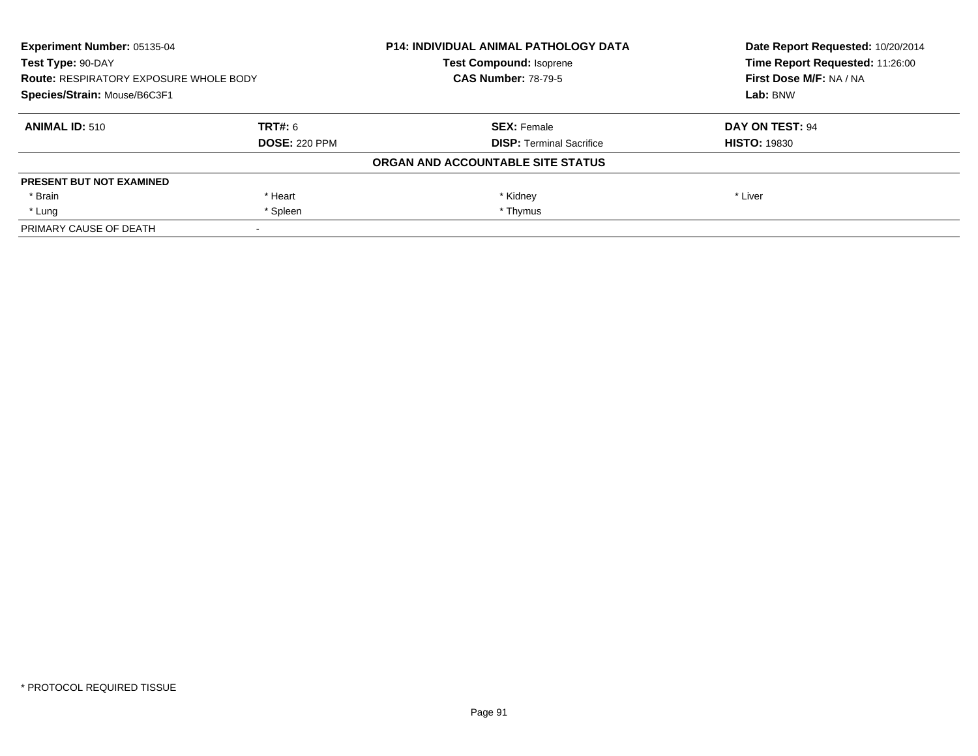| <b>Experiment Number: 05135-04</b><br>Test Type: 90-DAY<br><b>Route: RESPIRATORY EXPOSURE WHOLE BODY</b><br>Species/Strain: Mouse/B6C3F1 |                      | <b>P14: INDIVIDUAL ANIMAL PATHOLOGY DATA</b> | Date Report Requested: 10/20/2014<br>Time Report Requested: 11:26:00 |
|------------------------------------------------------------------------------------------------------------------------------------------|----------------------|----------------------------------------------|----------------------------------------------------------------------|
|                                                                                                                                          |                      | <b>Test Compound: Isoprene</b>               |                                                                      |
|                                                                                                                                          |                      | <b>CAS Number: 78-79-5</b>                   | First Dose M/F: NA / NA                                              |
|                                                                                                                                          |                      |                                              | Lab: BNW                                                             |
| <b>ANIMAL ID: 510</b>                                                                                                                    | TRT#: 6              | <b>SEX: Female</b>                           | DAY ON TEST: 94                                                      |
|                                                                                                                                          | <b>DOSE: 220 PPM</b> | <b>DISP:</b> Terminal Sacrifice              | <b>HISTO: 19830</b>                                                  |
|                                                                                                                                          |                      | ORGAN AND ACCOUNTABLE SITE STATUS            |                                                                      |
| <b>PRESENT BUT NOT EXAMINED</b>                                                                                                          |                      |                                              |                                                                      |
| * Brain                                                                                                                                  | * Heart              | * Kidney                                     | * Liver                                                              |
| * Lung                                                                                                                                   | * Spleen             | * Thymus                                     |                                                                      |
| PRIMARY CAUSE OF DEATH                                                                                                                   |                      |                                              |                                                                      |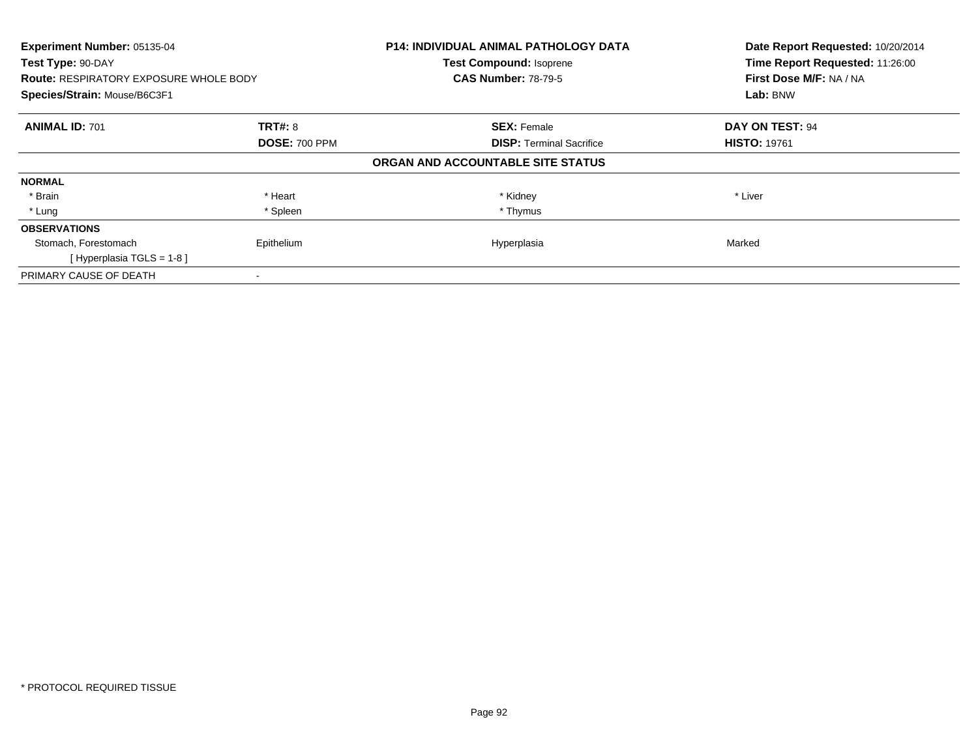| Experiment Number: 05135-04<br>Test Type: 90-DAY<br><b>Route: RESPIRATORY EXPOSURE WHOLE BODY</b> |                      | <b>P14: INDIVIDUAL ANIMAL PATHOLOGY DATA</b><br><b>Test Compound: Isoprene</b><br><b>CAS Number: 78-79-5</b> | Date Report Requested: 10/20/2014<br>Time Report Requested: 11:26:00<br>First Dose M/F: NA / NA |
|---------------------------------------------------------------------------------------------------|----------------------|--------------------------------------------------------------------------------------------------------------|-------------------------------------------------------------------------------------------------|
| Species/Strain: Mouse/B6C3F1                                                                      |                      |                                                                                                              | Lab: BNW                                                                                        |
| <b>ANIMAL ID: 701</b>                                                                             | <b>TRT#: 8</b>       | <b>SEX: Female</b>                                                                                           | DAY ON TEST: 94                                                                                 |
|                                                                                                   | <b>DOSE: 700 PPM</b> | <b>DISP:</b> Terminal Sacrifice                                                                              | <b>HISTO: 19761</b>                                                                             |
|                                                                                                   |                      | ORGAN AND ACCOUNTABLE SITE STATUS                                                                            |                                                                                                 |
| <b>NORMAL</b>                                                                                     |                      |                                                                                                              |                                                                                                 |
| * Brain                                                                                           | * Heart              | * Kidney                                                                                                     | * Liver                                                                                         |
| * Lung                                                                                            | * Spleen             | * Thymus                                                                                                     |                                                                                                 |
| <b>OBSERVATIONS</b>                                                                               |                      |                                                                                                              |                                                                                                 |
| Stomach, Forestomach                                                                              | Epithelium           | Hyperplasia                                                                                                  | Marked                                                                                          |
| [Hyperplasia TGLS = $1-8$ ]                                                                       |                      |                                                                                                              |                                                                                                 |
| PRIMARY CAUSE OF DEATH                                                                            |                      |                                                                                                              |                                                                                                 |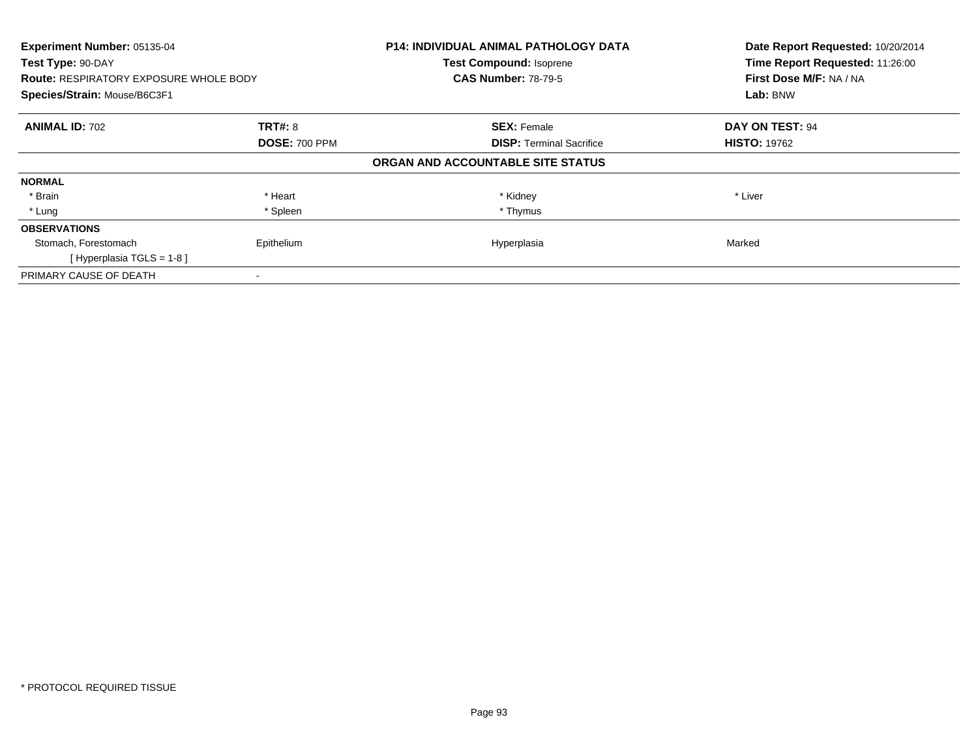| Experiment Number: 05135-04<br>Test Type: 90-DAY<br><b>Route: RESPIRATORY EXPOSURE WHOLE BODY</b> |                      | <b>P14: INDIVIDUAL ANIMAL PATHOLOGY DATA</b><br><b>Test Compound: Isoprene</b><br><b>CAS Number: 78-79-5</b> | Date Report Requested: 10/20/2014<br>Time Report Requested: 11:26:00<br>First Dose M/F: NA / NA |
|---------------------------------------------------------------------------------------------------|----------------------|--------------------------------------------------------------------------------------------------------------|-------------------------------------------------------------------------------------------------|
| Species/Strain: Mouse/B6C3F1                                                                      |                      |                                                                                                              | Lab: BNW                                                                                        |
| <b>ANIMAL ID: 702</b>                                                                             | <b>TRT#: 8</b>       | <b>SEX: Female</b>                                                                                           | DAY ON TEST: 94                                                                                 |
|                                                                                                   | <b>DOSE: 700 PPM</b> | <b>DISP:</b> Terminal Sacrifice                                                                              | <b>HISTO: 19762</b>                                                                             |
|                                                                                                   |                      | ORGAN AND ACCOUNTABLE SITE STATUS                                                                            |                                                                                                 |
| <b>NORMAL</b>                                                                                     |                      |                                                                                                              |                                                                                                 |
| * Brain                                                                                           | * Heart              | * Kidney                                                                                                     | * Liver                                                                                         |
| * Lung                                                                                            | * Spleen             | * Thymus                                                                                                     |                                                                                                 |
| <b>OBSERVATIONS</b>                                                                               |                      |                                                                                                              |                                                                                                 |
| Stomach, Forestomach                                                                              | Epithelium           | Hyperplasia                                                                                                  | Marked                                                                                          |
| [Hyperplasia TGLS = $1-8$ ]                                                                       |                      |                                                                                                              |                                                                                                 |
| PRIMARY CAUSE OF DEATH                                                                            |                      |                                                                                                              |                                                                                                 |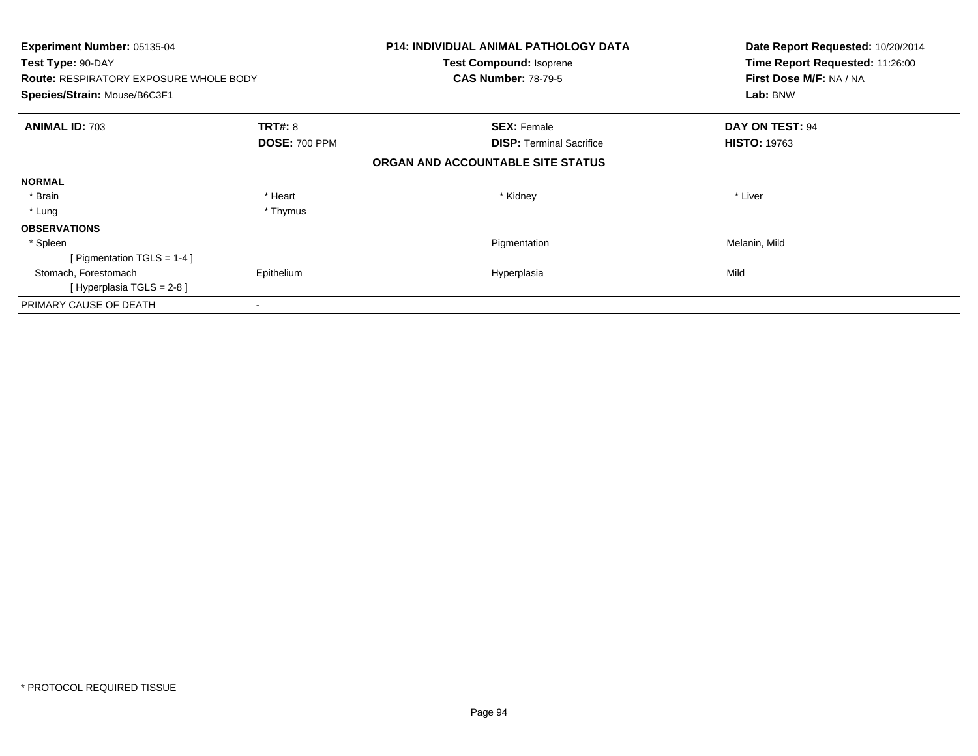| <b>Experiment Number: 05135-04</b><br>Test Type: 90-DAY |                      | <b>P14: INDIVIDUAL ANIMAL PATHOLOGY DATA</b> | Date Report Requested: 10/20/2014<br>Time Report Requested: 11:26:00 |
|---------------------------------------------------------|----------------------|----------------------------------------------|----------------------------------------------------------------------|
|                                                         |                      | Test Compound: Isoprene                      |                                                                      |
| <b>Route: RESPIRATORY EXPOSURE WHOLE BODY</b>           |                      | <b>CAS Number: 78-79-5</b>                   | First Dose M/F: NA / NA                                              |
| Species/Strain: Mouse/B6C3F1                            |                      |                                              | Lab: BNW                                                             |
| <b>ANIMAL ID: 703</b>                                   | <b>TRT#: 8</b>       | <b>SEX: Female</b>                           | DAY ON TEST: 94                                                      |
|                                                         | <b>DOSE: 700 PPM</b> | <b>DISP:</b> Terminal Sacrifice              | <b>HISTO: 19763</b>                                                  |
|                                                         |                      | ORGAN AND ACCOUNTABLE SITE STATUS            |                                                                      |
| <b>NORMAL</b>                                           |                      |                                              |                                                                      |
| * Brain                                                 | * Heart              | * Kidney                                     | * Liver                                                              |
| * Lung                                                  | * Thymus             |                                              |                                                                      |
| <b>OBSERVATIONS</b>                                     |                      |                                              |                                                                      |
| * Spleen                                                |                      | Pigmentation                                 | Melanin, Mild                                                        |
| [Pigmentation TGLS = $1-4$ ]                            |                      |                                              |                                                                      |
| Stomach, Forestomach                                    | Epithelium           | Hyperplasia                                  | Mild                                                                 |
| [Hyperplasia TGLS = $2-8$ ]                             |                      |                                              |                                                                      |
| PRIMARY CAUSE OF DEATH                                  |                      |                                              |                                                                      |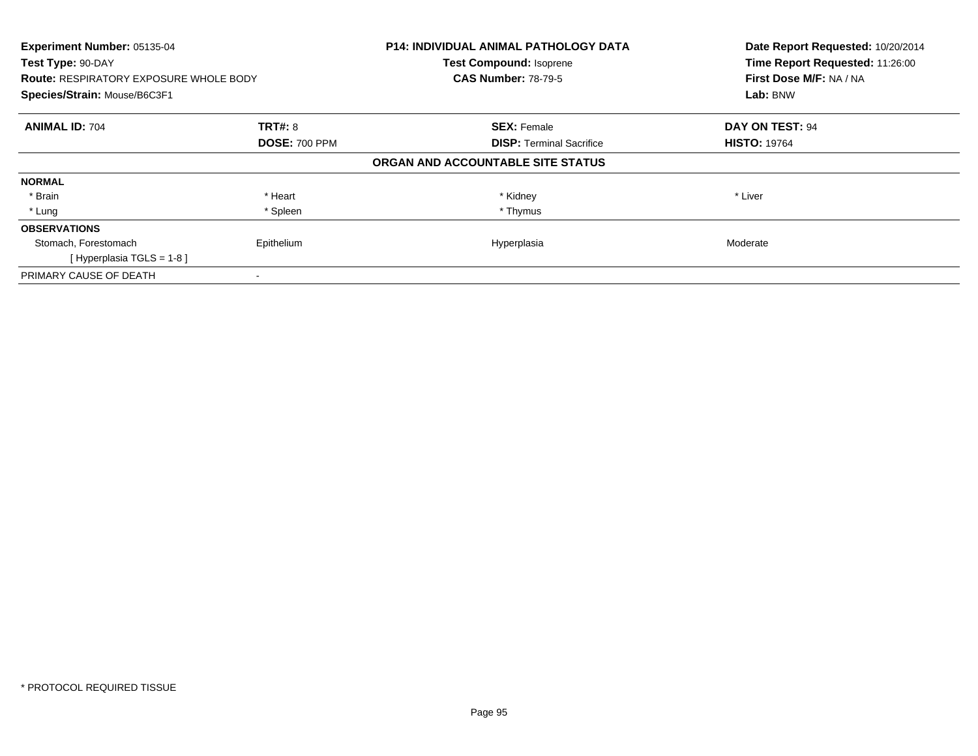| Experiment Number: 05135-04<br>Test Type: 90-DAY<br><b>Route: RESPIRATORY EXPOSURE WHOLE BODY</b> |                      | <b>P14: INDIVIDUAL ANIMAL PATHOLOGY DATA</b><br><b>Test Compound: Isoprene</b><br><b>CAS Number: 78-79-5</b> | Date Report Requested: 10/20/2014<br>Time Report Requested: 11:26:00<br>First Dose M/F: NA / NA |
|---------------------------------------------------------------------------------------------------|----------------------|--------------------------------------------------------------------------------------------------------------|-------------------------------------------------------------------------------------------------|
| Species/Strain: Mouse/B6C3F1                                                                      |                      |                                                                                                              | Lab: BNW                                                                                        |
| <b>ANIMAL ID: 704</b>                                                                             | <b>TRT#: 8</b>       | <b>SEX: Female</b>                                                                                           | DAY ON TEST: 94                                                                                 |
|                                                                                                   | <b>DOSE: 700 PPM</b> | <b>DISP:</b> Terminal Sacrifice                                                                              | <b>HISTO: 19764</b>                                                                             |
|                                                                                                   |                      | ORGAN AND ACCOUNTABLE SITE STATUS                                                                            |                                                                                                 |
| <b>NORMAL</b>                                                                                     |                      |                                                                                                              |                                                                                                 |
| * Brain                                                                                           | * Heart              | * Kidney                                                                                                     | * Liver                                                                                         |
| * Lung                                                                                            | * Spleen             | * Thymus                                                                                                     |                                                                                                 |
| <b>OBSERVATIONS</b>                                                                               |                      |                                                                                                              |                                                                                                 |
| Stomach, Forestomach                                                                              | Epithelium           | Hyperplasia                                                                                                  | Moderate                                                                                        |
| [Hyperplasia TGLS = $1-8$ ]                                                                       |                      |                                                                                                              |                                                                                                 |
| PRIMARY CAUSE OF DEATH                                                                            |                      |                                                                                                              |                                                                                                 |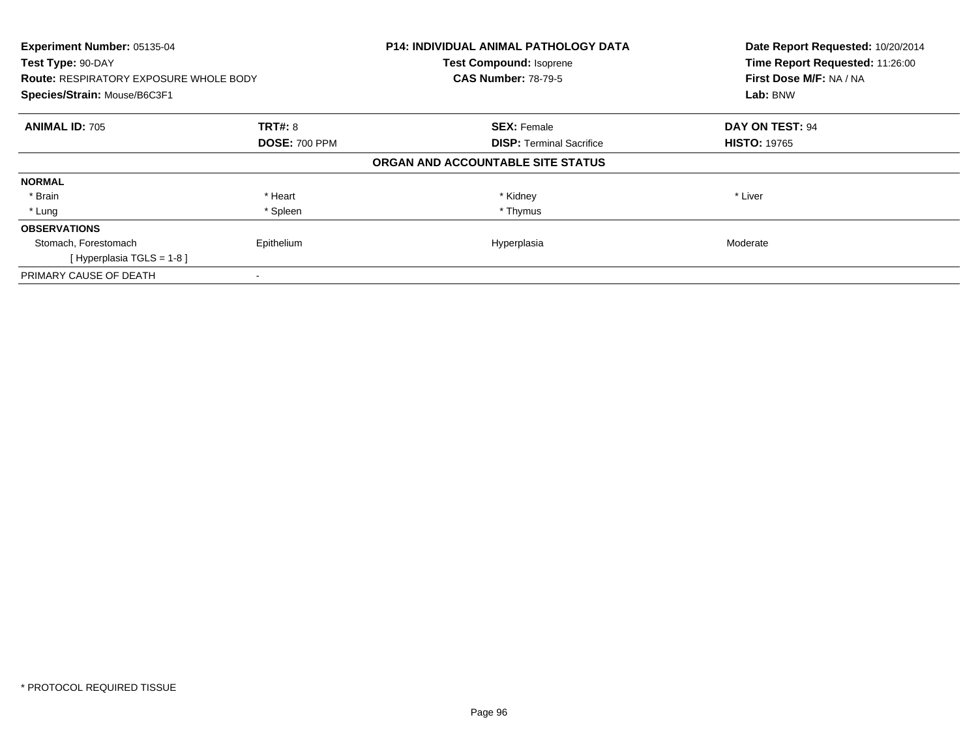| Experiment Number: 05135-04<br>Test Type: 90-DAY<br><b>Route: RESPIRATORY EXPOSURE WHOLE BODY</b> |                      | <b>P14: INDIVIDUAL ANIMAL PATHOLOGY DATA</b><br><b>Test Compound: Isoprene</b><br><b>CAS Number: 78-79-5</b> | Date Report Requested: 10/20/2014<br>Time Report Requested: 11:26:00<br>First Dose M/F: NA / NA<br>Lab: BNW |
|---------------------------------------------------------------------------------------------------|----------------------|--------------------------------------------------------------------------------------------------------------|-------------------------------------------------------------------------------------------------------------|
| Species/Strain: Mouse/B6C3F1                                                                      |                      |                                                                                                              |                                                                                                             |
| <b>ANIMAL ID: 705</b>                                                                             | <b>TRT#: 8</b>       | <b>SEX: Female</b>                                                                                           | DAY ON TEST: 94                                                                                             |
|                                                                                                   | <b>DOSE: 700 PPM</b> | <b>DISP:</b> Terminal Sacrifice                                                                              | <b>HISTO: 19765</b>                                                                                         |
|                                                                                                   |                      | ORGAN AND ACCOUNTABLE SITE STATUS                                                                            |                                                                                                             |
| <b>NORMAL</b>                                                                                     |                      |                                                                                                              |                                                                                                             |
| * Brain                                                                                           | * Heart              | * Kidney                                                                                                     | * Liver                                                                                                     |
| * Lung                                                                                            | * Spleen             | * Thymus                                                                                                     |                                                                                                             |
| <b>OBSERVATIONS</b>                                                                               |                      |                                                                                                              |                                                                                                             |
| Stomach, Forestomach                                                                              | Epithelium           | Hyperplasia                                                                                                  | Moderate                                                                                                    |
| [Hyperplasia TGLS = $1-8$ ]                                                                       |                      |                                                                                                              |                                                                                                             |
| PRIMARY CAUSE OF DEATH                                                                            |                      |                                                                                                              |                                                                                                             |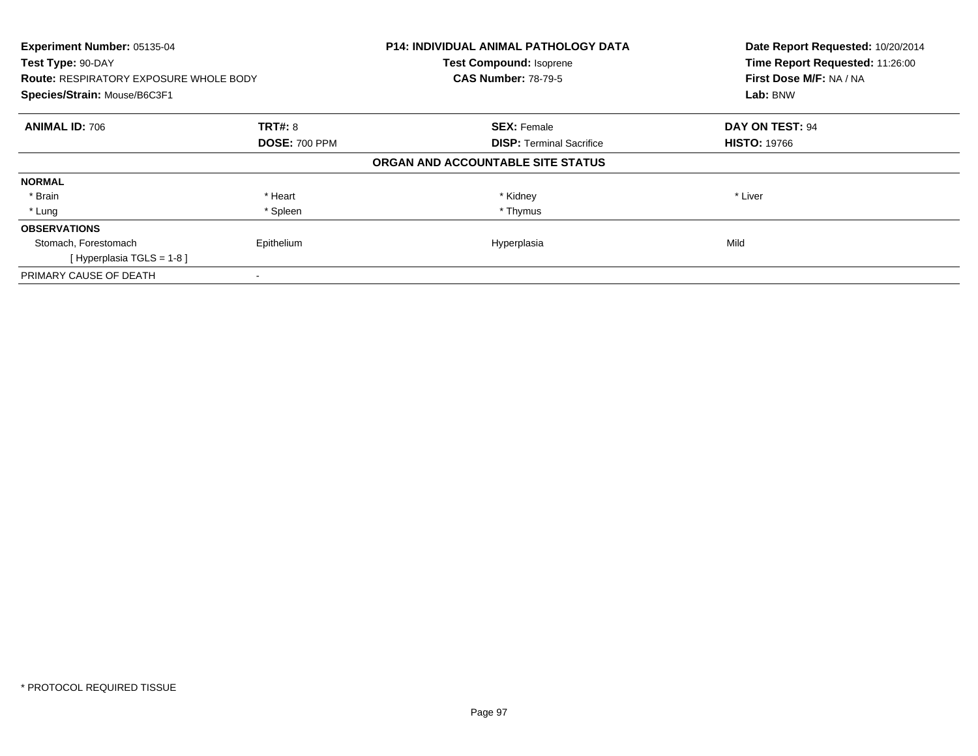| Experiment Number: 05135-04<br>Test Type: 90-DAY<br><b>Route: RESPIRATORY EXPOSURE WHOLE BODY</b> |                      | <b>P14: INDIVIDUAL ANIMAL PATHOLOGY DATA</b><br><b>Test Compound: Isoprene</b><br><b>CAS Number: 78-79-5</b> | Date Report Requested: 10/20/2014<br>Time Report Requested: 11:26:00<br>First Dose M/F: NA / NA |
|---------------------------------------------------------------------------------------------------|----------------------|--------------------------------------------------------------------------------------------------------------|-------------------------------------------------------------------------------------------------|
| Species/Strain: Mouse/B6C3F1                                                                      |                      |                                                                                                              | Lab: BNW                                                                                        |
| <b>ANIMAL ID: 706</b>                                                                             | <b>TRT#: 8</b>       | <b>SEX: Female</b>                                                                                           | DAY ON TEST: 94                                                                                 |
|                                                                                                   | <b>DOSE: 700 PPM</b> | <b>DISP:</b> Terminal Sacrifice                                                                              | <b>HISTO: 19766</b>                                                                             |
|                                                                                                   |                      | ORGAN AND ACCOUNTABLE SITE STATUS                                                                            |                                                                                                 |
| <b>NORMAL</b>                                                                                     |                      |                                                                                                              |                                                                                                 |
| * Brain                                                                                           | * Heart              | * Kidney                                                                                                     | * Liver                                                                                         |
| * Lung                                                                                            | * Spleen             | * Thymus                                                                                                     |                                                                                                 |
| <b>OBSERVATIONS</b>                                                                               |                      |                                                                                                              |                                                                                                 |
| Stomach, Forestomach                                                                              | Epithelium           | Hyperplasia                                                                                                  | Mild                                                                                            |
| [Hyperplasia TGLS = $1-8$ ]                                                                       |                      |                                                                                                              |                                                                                                 |
| PRIMARY CAUSE OF DEATH                                                                            |                      |                                                                                                              |                                                                                                 |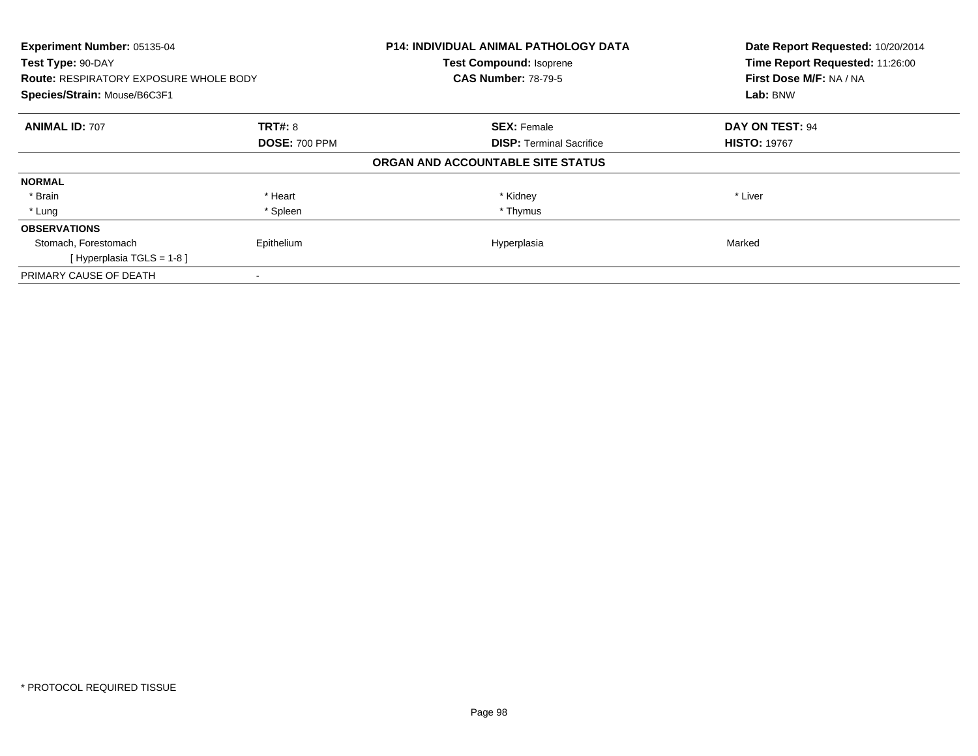| Experiment Number: 05135-04<br>Test Type: 90-DAY<br><b>Route: RESPIRATORY EXPOSURE WHOLE BODY</b> |                      | <b>P14: INDIVIDUAL ANIMAL PATHOLOGY DATA</b><br><b>Test Compound: Isoprene</b><br><b>CAS Number: 78-79-5</b> | Date Report Requested: 10/20/2014<br>Time Report Requested: 11:26:00<br>First Dose M/F: NA / NA |
|---------------------------------------------------------------------------------------------------|----------------------|--------------------------------------------------------------------------------------------------------------|-------------------------------------------------------------------------------------------------|
| Species/Strain: Mouse/B6C3F1                                                                      |                      |                                                                                                              | Lab: BNW                                                                                        |
| <b>ANIMAL ID: 707</b>                                                                             | <b>TRT#: 8</b>       | <b>SEX: Female</b>                                                                                           | DAY ON TEST: 94                                                                                 |
|                                                                                                   | <b>DOSE: 700 PPM</b> | <b>DISP:</b> Terminal Sacrifice                                                                              | <b>HISTO: 19767</b>                                                                             |
|                                                                                                   |                      | ORGAN AND ACCOUNTABLE SITE STATUS                                                                            |                                                                                                 |
| <b>NORMAL</b>                                                                                     |                      |                                                                                                              |                                                                                                 |
| * Brain                                                                                           | * Heart              | * Kidney                                                                                                     | * Liver                                                                                         |
| * Lung                                                                                            | * Spleen             | * Thymus                                                                                                     |                                                                                                 |
| <b>OBSERVATIONS</b>                                                                               |                      |                                                                                                              |                                                                                                 |
| Stomach, Forestomach                                                                              | Epithelium           | Hyperplasia                                                                                                  | Marked                                                                                          |
| [Hyperplasia TGLS = $1-8$ ]                                                                       |                      |                                                                                                              |                                                                                                 |
| PRIMARY CAUSE OF DEATH                                                                            |                      |                                                                                                              |                                                                                                 |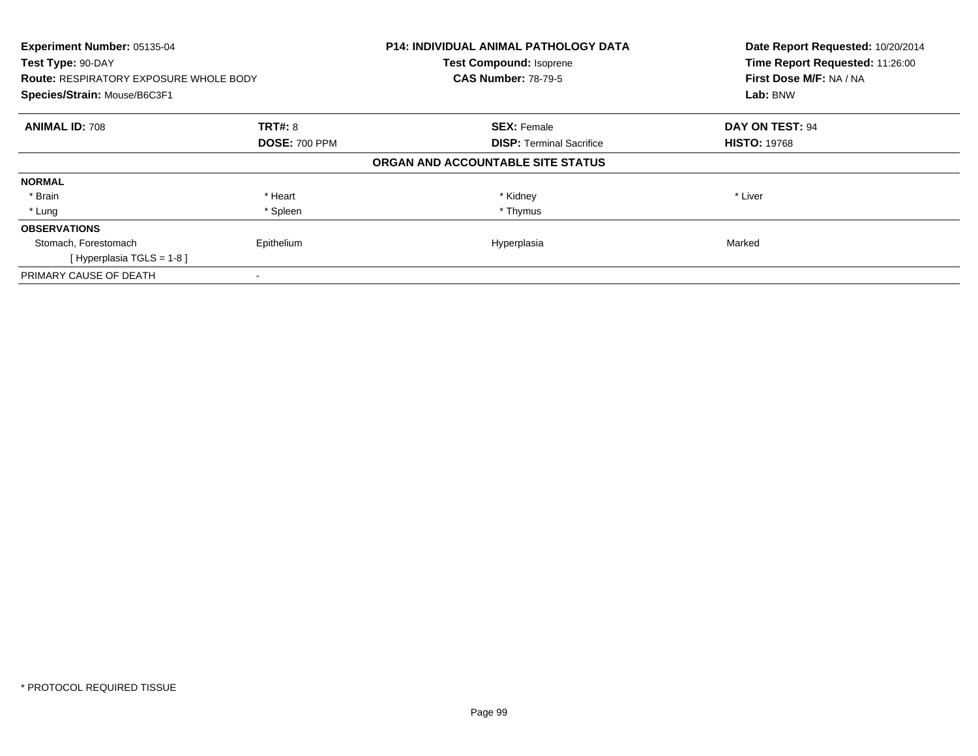| Experiment Number: 05135-04<br>Test Type: 90-DAY<br><b>Route: RESPIRATORY EXPOSURE WHOLE BODY</b> |                      | <b>P14: INDIVIDUAL ANIMAL PATHOLOGY DATA</b><br><b>Test Compound: Isoprene</b><br><b>CAS Number: 78-79-5</b> | Date Report Requested: 10/20/2014<br>Time Report Requested: 11:26:00<br>First Dose M/F: NA / NA |
|---------------------------------------------------------------------------------------------------|----------------------|--------------------------------------------------------------------------------------------------------------|-------------------------------------------------------------------------------------------------|
| Species/Strain: Mouse/B6C3F1                                                                      |                      |                                                                                                              | Lab: BNW                                                                                        |
| <b>ANIMAL ID: 708</b>                                                                             | <b>TRT#: 8</b>       | <b>SEX: Female</b>                                                                                           | DAY ON TEST: 94                                                                                 |
|                                                                                                   | <b>DOSE: 700 PPM</b> | <b>DISP:</b> Terminal Sacrifice                                                                              | <b>HISTO: 19768</b>                                                                             |
|                                                                                                   |                      | ORGAN AND ACCOUNTABLE SITE STATUS                                                                            |                                                                                                 |
| <b>NORMAL</b>                                                                                     |                      |                                                                                                              |                                                                                                 |
| * Brain                                                                                           | * Heart              | * Kidney                                                                                                     | * Liver                                                                                         |
| * Lung                                                                                            | * Spleen             | * Thymus                                                                                                     |                                                                                                 |
| <b>OBSERVATIONS</b>                                                                               |                      |                                                                                                              |                                                                                                 |
| Stomach, Forestomach                                                                              | Epithelium           | Hyperplasia                                                                                                  | Marked                                                                                          |
| [Hyperplasia TGLS = $1-8$ ]                                                                       |                      |                                                                                                              |                                                                                                 |
| PRIMARY CAUSE OF DEATH                                                                            |                      |                                                                                                              |                                                                                                 |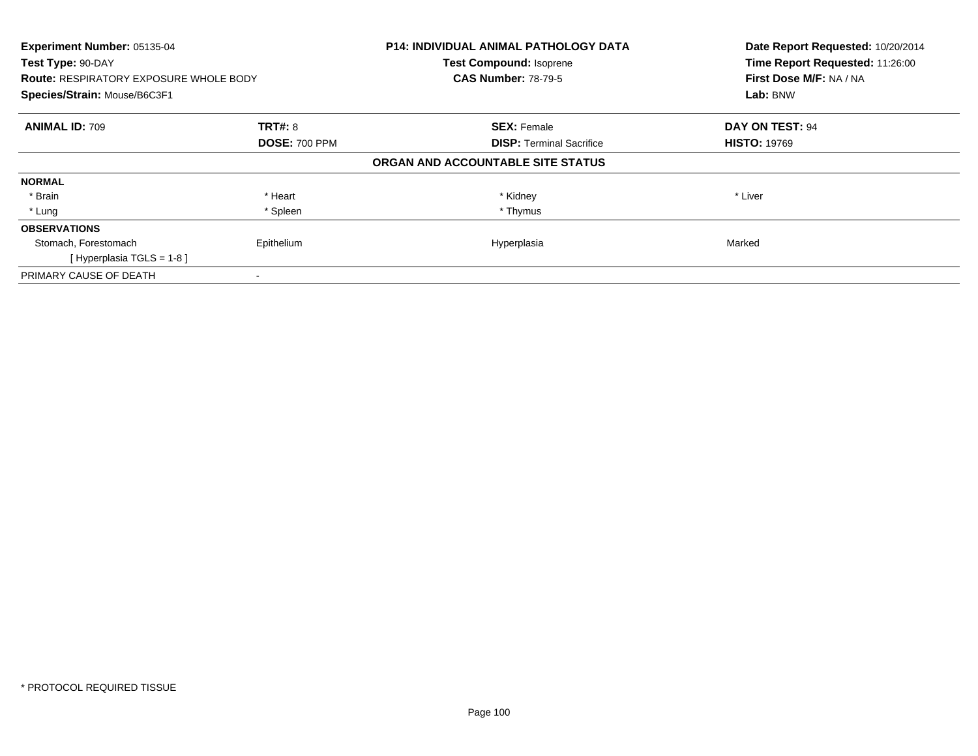| Experiment Number: 05135-04<br>Test Type: 90-DAY<br><b>Route: RESPIRATORY EXPOSURE WHOLE BODY</b> |                      | <b>P14: INDIVIDUAL ANIMAL PATHOLOGY DATA</b><br><b>Test Compound: Isoprene</b><br><b>CAS Number: 78-79-5</b> | Date Report Requested: 10/20/2014<br>Time Report Requested: 11:26:00<br>First Dose M/F: NA / NA |
|---------------------------------------------------------------------------------------------------|----------------------|--------------------------------------------------------------------------------------------------------------|-------------------------------------------------------------------------------------------------|
| Species/Strain: Mouse/B6C3F1                                                                      |                      |                                                                                                              | Lab: BNW                                                                                        |
| <b>ANIMAL ID: 709</b>                                                                             | <b>TRT#: 8</b>       | <b>SEX: Female</b>                                                                                           | DAY ON TEST: 94                                                                                 |
|                                                                                                   | <b>DOSE: 700 PPM</b> | <b>DISP:</b> Terminal Sacrifice                                                                              | <b>HISTO: 19769</b>                                                                             |
|                                                                                                   |                      | ORGAN AND ACCOUNTABLE SITE STATUS                                                                            |                                                                                                 |
| <b>NORMAL</b>                                                                                     |                      |                                                                                                              |                                                                                                 |
| * Brain                                                                                           | * Heart              | * Kidney                                                                                                     | * Liver                                                                                         |
| * Lung                                                                                            | * Spleen             | * Thymus                                                                                                     |                                                                                                 |
| <b>OBSERVATIONS</b>                                                                               |                      |                                                                                                              |                                                                                                 |
| Stomach, Forestomach                                                                              | Epithelium           | Hyperplasia                                                                                                  | Marked                                                                                          |
| [Hyperplasia TGLS = $1-8$ ]                                                                       |                      |                                                                                                              |                                                                                                 |
| PRIMARY CAUSE OF DEATH                                                                            |                      |                                                                                                              |                                                                                                 |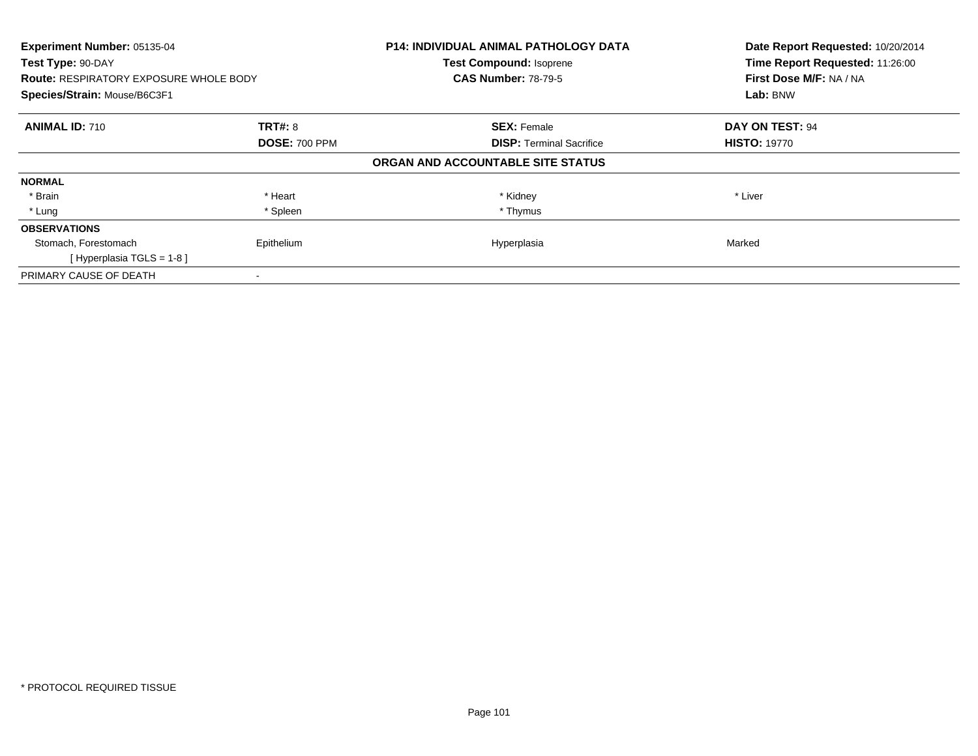| Experiment Number: 05135-04<br>Test Type: 90-DAY<br><b>Route: RESPIRATORY EXPOSURE WHOLE BODY</b> |                      | <b>P14: INDIVIDUAL ANIMAL PATHOLOGY DATA</b><br><b>Test Compound: Isoprene</b><br><b>CAS Number: 78-79-5</b> | Date Report Requested: 10/20/2014<br>Time Report Requested: 11:26:00<br>First Dose M/F: NA / NA |
|---------------------------------------------------------------------------------------------------|----------------------|--------------------------------------------------------------------------------------------------------------|-------------------------------------------------------------------------------------------------|
| Species/Strain: Mouse/B6C3F1                                                                      |                      |                                                                                                              | Lab: BNW                                                                                        |
| <b>ANIMAL ID: 710</b>                                                                             | <b>TRT#: 8</b>       | <b>SEX: Female</b>                                                                                           | DAY ON TEST: 94                                                                                 |
|                                                                                                   | <b>DOSE: 700 PPM</b> | <b>DISP:</b> Terminal Sacrifice                                                                              | <b>HISTO: 19770</b>                                                                             |
|                                                                                                   |                      | ORGAN AND ACCOUNTABLE SITE STATUS                                                                            |                                                                                                 |
| <b>NORMAL</b>                                                                                     |                      |                                                                                                              |                                                                                                 |
| * Brain                                                                                           | * Heart              | * Kidney                                                                                                     | * Liver                                                                                         |
| * Lung                                                                                            | * Spleen             | * Thymus                                                                                                     |                                                                                                 |
| <b>OBSERVATIONS</b>                                                                               |                      |                                                                                                              |                                                                                                 |
| Stomach, Forestomach                                                                              | Epithelium           | Hyperplasia                                                                                                  | Marked                                                                                          |
| [Hyperplasia TGLS = 1-8]                                                                          |                      |                                                                                                              |                                                                                                 |
| PRIMARY CAUSE OF DEATH                                                                            |                      |                                                                                                              |                                                                                                 |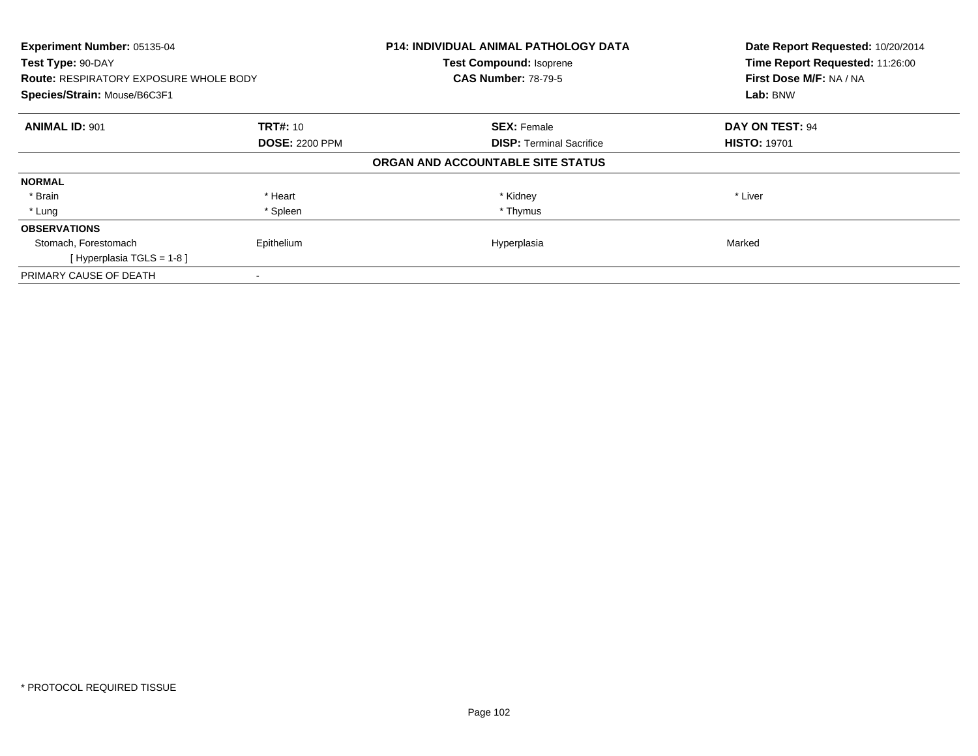| Experiment Number: 05135-04<br>Test Type: 90-DAY<br><b>Route: RESPIRATORY EXPOSURE WHOLE BODY</b> |                       | <b>P14: INDIVIDUAL ANIMAL PATHOLOGY DATA</b><br><b>Test Compound: Isoprene</b><br><b>CAS Number: 78-79-5</b> | Date Report Requested: 10/20/2014<br>Time Report Requested: 11:26:00<br>First Dose M/F: NA / NA |
|---------------------------------------------------------------------------------------------------|-----------------------|--------------------------------------------------------------------------------------------------------------|-------------------------------------------------------------------------------------------------|
| Species/Strain: Mouse/B6C3F1                                                                      |                       |                                                                                                              | Lab: BNW                                                                                        |
| <b>ANIMAL ID: 901</b>                                                                             | <b>TRT#: 10</b>       | <b>SEX: Female</b>                                                                                           | DAY ON TEST: 94                                                                                 |
|                                                                                                   | <b>DOSE: 2200 PPM</b> | <b>DISP:</b> Terminal Sacrifice                                                                              | <b>HISTO: 19701</b>                                                                             |
|                                                                                                   |                       | ORGAN AND ACCOUNTABLE SITE STATUS                                                                            |                                                                                                 |
| <b>NORMAL</b>                                                                                     |                       |                                                                                                              |                                                                                                 |
| * Brain                                                                                           | * Heart               | * Kidney                                                                                                     | * Liver                                                                                         |
| * Lung                                                                                            | * Spleen              | * Thymus                                                                                                     |                                                                                                 |
| <b>OBSERVATIONS</b>                                                                               |                       |                                                                                                              |                                                                                                 |
| Stomach, Forestomach                                                                              | Epithelium            | Hyperplasia                                                                                                  | Marked                                                                                          |
| [Hyperplasia TGLS = $1-8$ ]                                                                       |                       |                                                                                                              |                                                                                                 |
| PRIMARY CAUSE OF DEATH                                                                            |                       |                                                                                                              |                                                                                                 |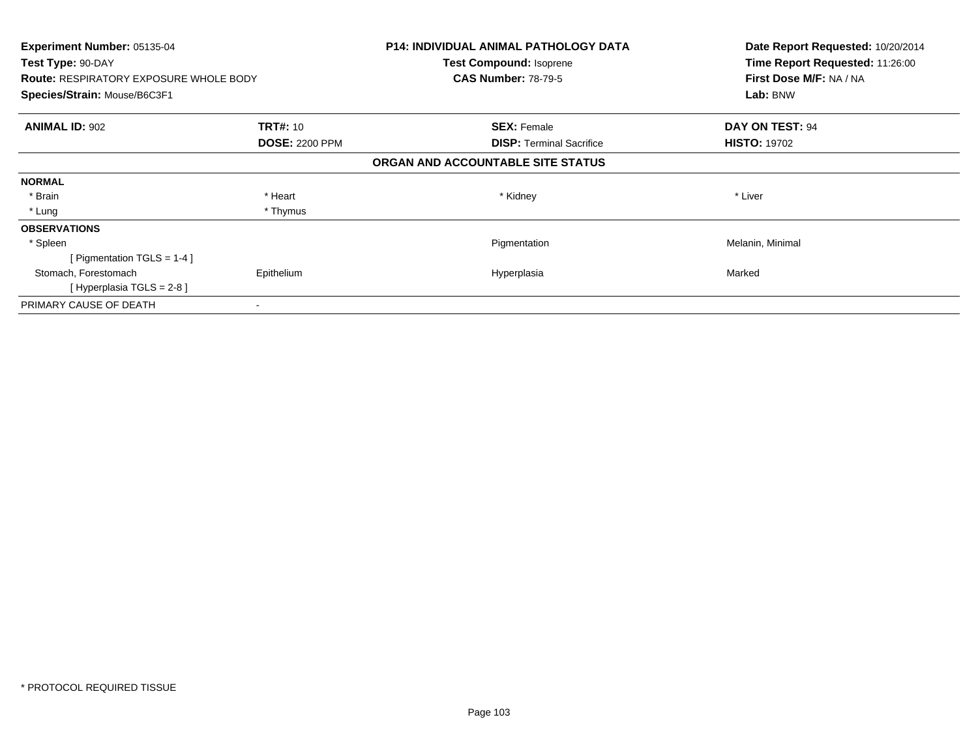| <b>Experiment Number: 05135-04</b>            |                       | <b>P14: INDIVIDUAL ANIMAL PATHOLOGY DATA</b> | Date Report Requested: 10/20/2014 |
|-----------------------------------------------|-----------------------|----------------------------------------------|-----------------------------------|
| Test Type: 90-DAY                             |                       | Test Compound: Isoprene                      | Time Report Requested: 11:26:00   |
| <b>Route: RESPIRATORY EXPOSURE WHOLE BODY</b> |                       | <b>CAS Number: 78-79-5</b>                   | First Dose M/F: NA / NA           |
| Species/Strain: Mouse/B6C3F1                  |                       |                                              | Lab: BNW                          |
| <b>ANIMAL ID: 902</b>                         | <b>TRT#: 10</b>       | <b>SEX: Female</b>                           | <b>DAY ON TEST: 94</b>            |
|                                               | <b>DOSE: 2200 PPM</b> | <b>DISP:</b> Terminal Sacrifice              | <b>HISTO: 19702</b>               |
|                                               |                       | ORGAN AND ACCOUNTABLE SITE STATUS            |                                   |
| <b>NORMAL</b>                                 |                       |                                              |                                   |
| * Brain                                       | * Heart               | * Kidney                                     | * Liver                           |
| * Lung                                        | * Thymus              |                                              |                                   |
| <b>OBSERVATIONS</b>                           |                       |                                              |                                   |
| * Spleen                                      |                       | Pigmentation                                 | Melanin, Minimal                  |
| [Pigmentation TGLS = $1-4$ ]                  |                       |                                              |                                   |
| Stomach, Forestomach                          | Epithelium            | Hyperplasia                                  | Marked                            |
| [Hyperplasia TGLS = $2-8$ ]                   |                       |                                              |                                   |
| PRIMARY CAUSE OF DEATH                        | $\,$                  |                                              |                                   |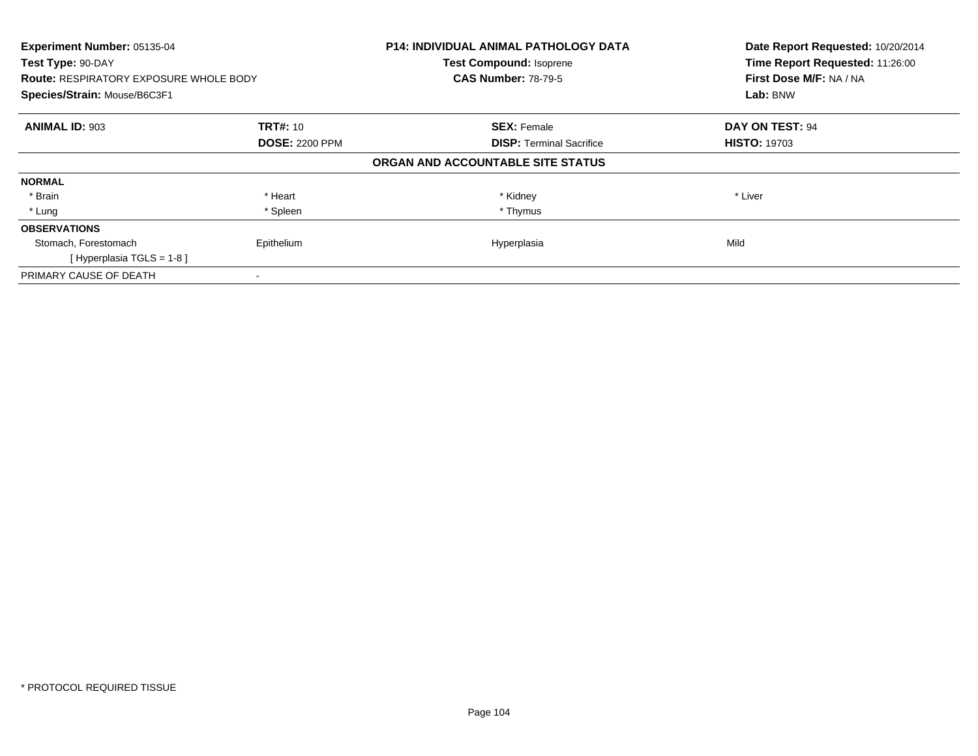| Experiment Number: 05135-04<br>Test Type: 90-DAY<br><b>Route: RESPIRATORY EXPOSURE WHOLE BODY</b> |                       | <b>P14: INDIVIDUAL ANIMAL PATHOLOGY DATA</b><br><b>Test Compound: Isoprene</b><br><b>CAS Number: 78-79-5</b> | Date Report Requested: 10/20/2014<br>Time Report Requested: 11:26:00<br>First Dose M/F: NA / NA |
|---------------------------------------------------------------------------------------------------|-----------------------|--------------------------------------------------------------------------------------------------------------|-------------------------------------------------------------------------------------------------|
| Species/Strain: Mouse/B6C3F1                                                                      |                       |                                                                                                              | Lab: BNW                                                                                        |
| <b>ANIMAL ID: 903</b>                                                                             | <b>TRT#: 10</b>       | <b>SEX: Female</b>                                                                                           | DAY ON TEST: 94                                                                                 |
|                                                                                                   | <b>DOSE: 2200 PPM</b> | <b>DISP:</b> Terminal Sacrifice                                                                              | <b>HISTO: 19703</b>                                                                             |
|                                                                                                   |                       | ORGAN AND ACCOUNTABLE SITE STATUS                                                                            |                                                                                                 |
| <b>NORMAL</b>                                                                                     |                       |                                                                                                              |                                                                                                 |
| * Brain                                                                                           | * Heart               | * Kidney                                                                                                     | * Liver                                                                                         |
| * Lung                                                                                            | * Spleen              | * Thymus                                                                                                     |                                                                                                 |
| <b>OBSERVATIONS</b>                                                                               |                       |                                                                                                              |                                                                                                 |
| Stomach, Forestomach                                                                              | Epithelium            | Hyperplasia                                                                                                  | Mild                                                                                            |
| [Hyperplasia TGLS = $1-8$ ]                                                                       |                       |                                                                                                              |                                                                                                 |
| PRIMARY CAUSE OF DEATH                                                                            |                       |                                                                                                              |                                                                                                 |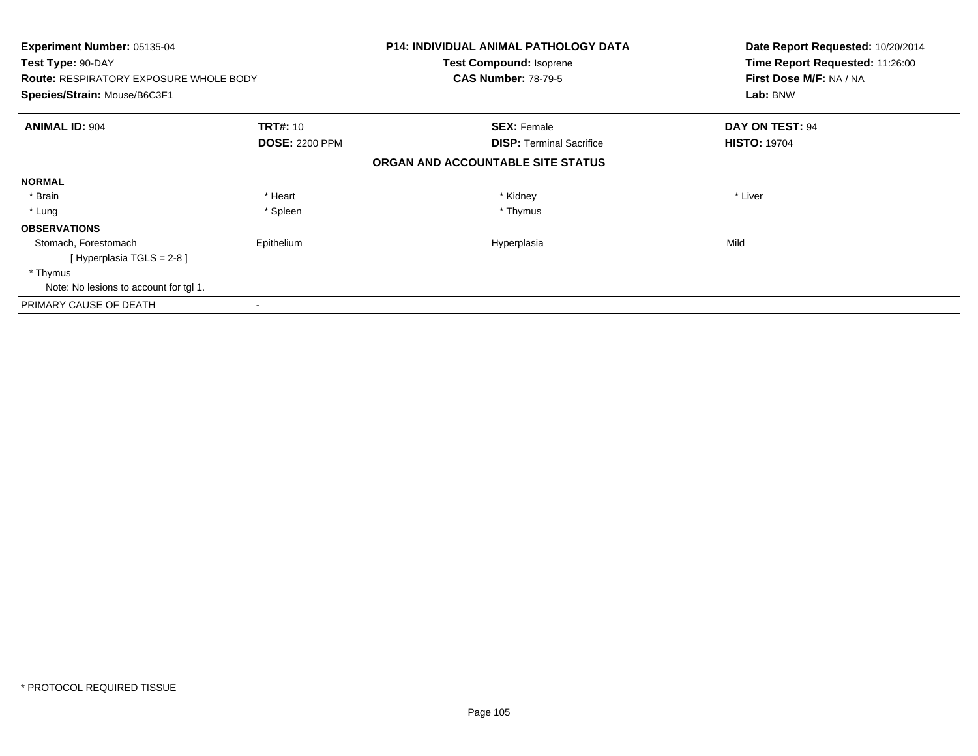| <b>Experiment Number: 05135-04</b><br>Test Type: 90-DAY |                       | <b>P14: INDIVIDUAL ANIMAL PATHOLOGY DATA</b> | Date Report Requested: 10/20/2014<br>Time Report Requested: 11:26:00 |
|---------------------------------------------------------|-----------------------|----------------------------------------------|----------------------------------------------------------------------|
|                                                         |                       | Test Compound: Isoprene                      |                                                                      |
| <b>Route: RESPIRATORY EXPOSURE WHOLE BODY</b>           |                       | <b>CAS Number: 78-79-5</b>                   | First Dose M/F: NA / NA                                              |
| Species/Strain: Mouse/B6C3F1                            |                       |                                              | Lab: BNW                                                             |
| <b>ANIMAL ID: 904</b>                                   | <b>TRT#: 10</b>       | <b>SEX: Female</b>                           | DAY ON TEST: 94                                                      |
|                                                         | <b>DOSE: 2200 PPM</b> | <b>DISP:</b> Terminal Sacrifice              | <b>HISTO: 19704</b>                                                  |
|                                                         |                       | ORGAN AND ACCOUNTABLE SITE STATUS            |                                                                      |
| <b>NORMAL</b>                                           |                       |                                              |                                                                      |
| * Brain                                                 | * Heart               | * Kidney                                     | * Liver                                                              |
| * Lung                                                  | * Spleen              | * Thymus                                     |                                                                      |
| <b>OBSERVATIONS</b>                                     |                       |                                              |                                                                      |
| Stomach, Forestomach                                    | Epithelium            | Hyperplasia                                  | Mild                                                                 |
| [Hyperplasia TGLS = $2-8$ ]                             |                       |                                              |                                                                      |
| * Thymus                                                |                       |                                              |                                                                      |
| Note: No lesions to account for tgl 1.                  |                       |                                              |                                                                      |
| PRIMARY CAUSE OF DEATH                                  |                       |                                              |                                                                      |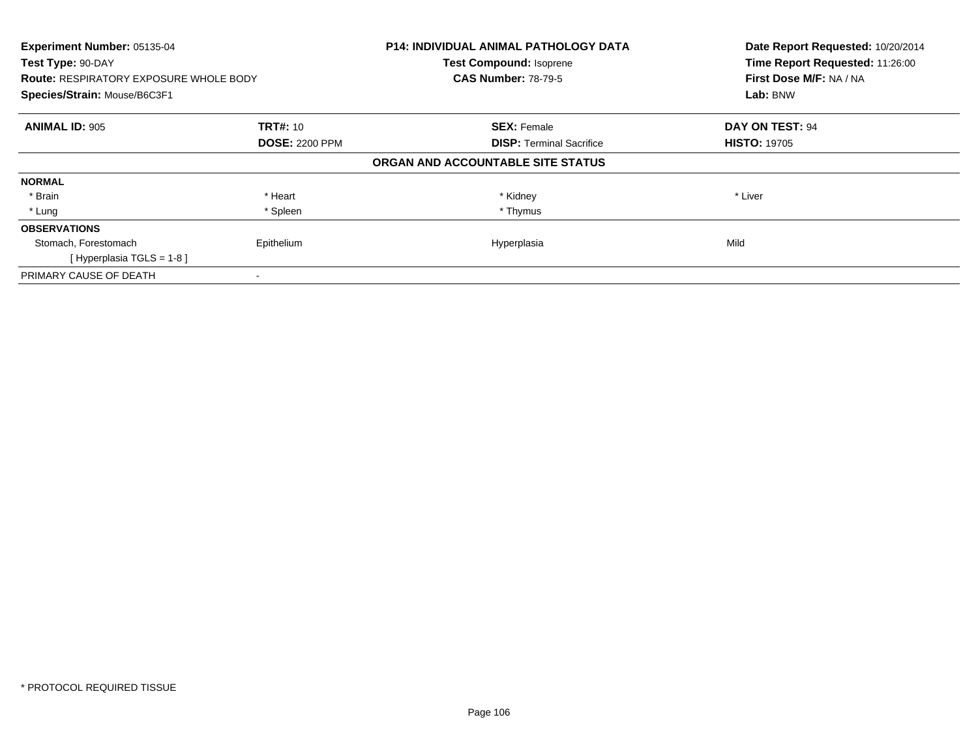| Experiment Number: 05135-04<br>Test Type: 90-DAY<br><b>Route: RESPIRATORY EXPOSURE WHOLE BODY</b> |                       | <b>P14: INDIVIDUAL ANIMAL PATHOLOGY DATA</b><br><b>Test Compound: Isoprene</b><br><b>CAS Number: 78-79-5</b> | Date Report Requested: 10/20/2014<br>Time Report Requested: 11:26:00<br>First Dose M/F: NA / NA |
|---------------------------------------------------------------------------------------------------|-----------------------|--------------------------------------------------------------------------------------------------------------|-------------------------------------------------------------------------------------------------|
| Species/Strain: Mouse/B6C3F1                                                                      |                       |                                                                                                              | Lab: BNW                                                                                        |
| <b>ANIMAL ID: 905</b>                                                                             | <b>TRT#: 10</b>       | <b>SEX: Female</b>                                                                                           | DAY ON TEST: 94                                                                                 |
|                                                                                                   | <b>DOSE: 2200 PPM</b> | <b>DISP:</b> Terminal Sacrifice                                                                              | <b>HISTO: 19705</b>                                                                             |
|                                                                                                   |                       | ORGAN AND ACCOUNTABLE SITE STATUS                                                                            |                                                                                                 |
| <b>NORMAL</b>                                                                                     |                       |                                                                                                              |                                                                                                 |
| * Brain                                                                                           | * Heart               | * Kidney                                                                                                     | * Liver                                                                                         |
| * Lung                                                                                            | * Spleen              | * Thymus                                                                                                     |                                                                                                 |
| <b>OBSERVATIONS</b>                                                                               |                       |                                                                                                              |                                                                                                 |
| Stomach, Forestomach                                                                              | Epithelium            | Hyperplasia                                                                                                  | Mild                                                                                            |
| [Hyperplasia TGLS = 1-8]                                                                          |                       |                                                                                                              |                                                                                                 |
| PRIMARY CAUSE OF DEATH                                                                            |                       |                                                                                                              |                                                                                                 |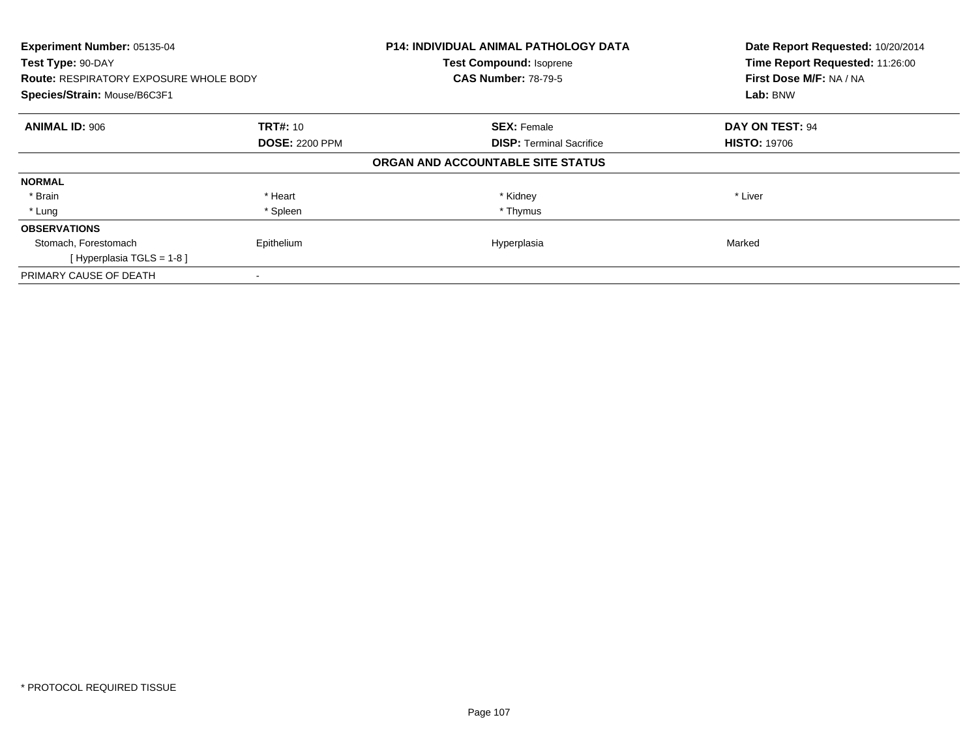| Experiment Number: 05135-04<br>Test Type: 90-DAY<br><b>Route: RESPIRATORY EXPOSURE WHOLE BODY</b> |                       | <b>P14: INDIVIDUAL ANIMAL PATHOLOGY DATA</b><br><b>Test Compound: Isoprene</b><br><b>CAS Number: 78-79-5</b> | Date Report Requested: 10/20/2014<br>Time Report Requested: 11:26:00<br>First Dose M/F: NA / NA |
|---------------------------------------------------------------------------------------------------|-----------------------|--------------------------------------------------------------------------------------------------------------|-------------------------------------------------------------------------------------------------|
| Species/Strain: Mouse/B6C3F1                                                                      |                       |                                                                                                              | Lab: BNW                                                                                        |
| <b>ANIMAL ID: 906</b>                                                                             | <b>TRT#: 10</b>       | <b>SEX: Female</b>                                                                                           | DAY ON TEST: 94                                                                                 |
|                                                                                                   | <b>DOSE: 2200 PPM</b> | <b>DISP:</b> Terminal Sacrifice                                                                              | <b>HISTO: 19706</b>                                                                             |
|                                                                                                   |                       | ORGAN AND ACCOUNTABLE SITE STATUS                                                                            |                                                                                                 |
| <b>NORMAL</b>                                                                                     |                       |                                                                                                              |                                                                                                 |
| * Brain                                                                                           | * Heart               | * Kidney                                                                                                     | * Liver                                                                                         |
| * Lung                                                                                            | * Spleen              | * Thymus                                                                                                     |                                                                                                 |
| <b>OBSERVATIONS</b>                                                                               |                       |                                                                                                              |                                                                                                 |
| Stomach, Forestomach                                                                              | Epithelium            | Hyperplasia                                                                                                  | Marked                                                                                          |
| [Hyperplasia TGLS = $1-8$ ]                                                                       |                       |                                                                                                              |                                                                                                 |
| PRIMARY CAUSE OF DEATH                                                                            |                       |                                                                                                              |                                                                                                 |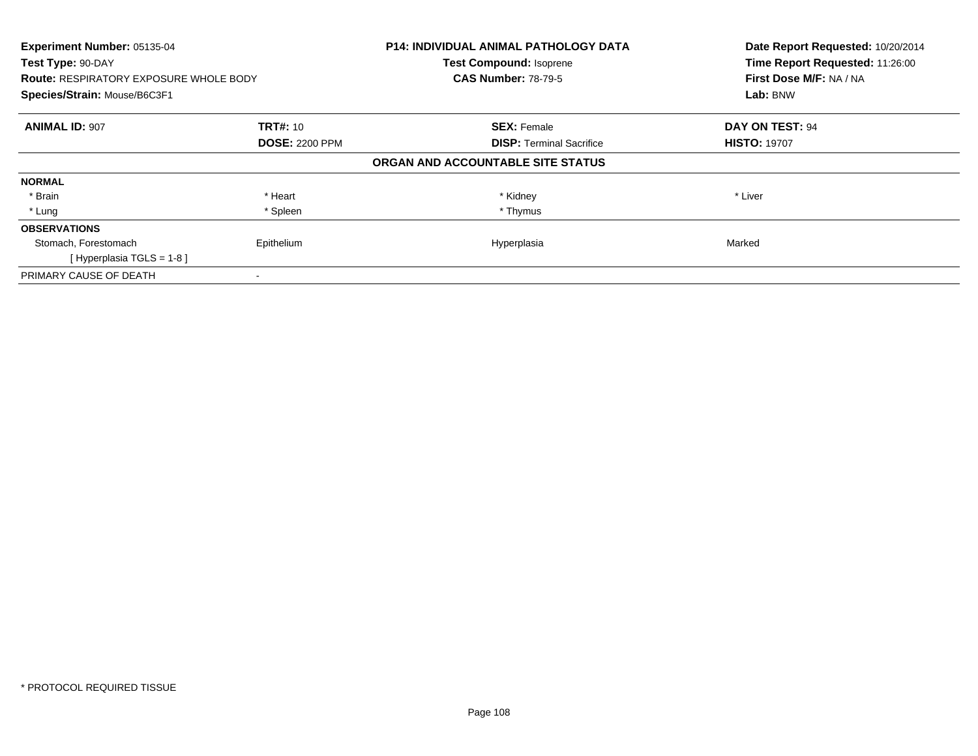| Experiment Number: 05135-04<br>Test Type: 90-DAY<br><b>Route: RESPIRATORY EXPOSURE WHOLE BODY</b> |                       | <b>P14: INDIVIDUAL ANIMAL PATHOLOGY DATA</b><br><b>Test Compound: Isoprene</b><br><b>CAS Number: 78-79-5</b> | Date Report Requested: 10/20/2014<br>Time Report Requested: 11:26:00<br>First Dose M/F: NA / NA |
|---------------------------------------------------------------------------------------------------|-----------------------|--------------------------------------------------------------------------------------------------------------|-------------------------------------------------------------------------------------------------|
| Species/Strain: Mouse/B6C3F1                                                                      |                       |                                                                                                              | Lab: BNW                                                                                        |
| <b>ANIMAL ID: 907</b>                                                                             | <b>TRT#: 10</b>       | <b>SEX: Female</b>                                                                                           | DAY ON TEST: 94                                                                                 |
|                                                                                                   | <b>DOSE: 2200 PPM</b> | <b>DISP:</b> Terminal Sacrifice                                                                              | <b>HISTO: 19707</b>                                                                             |
|                                                                                                   |                       | ORGAN AND ACCOUNTABLE SITE STATUS                                                                            |                                                                                                 |
| <b>NORMAL</b>                                                                                     |                       |                                                                                                              |                                                                                                 |
| * Brain                                                                                           | * Heart               | * Kidney                                                                                                     | * Liver                                                                                         |
| * Lung                                                                                            | * Spleen              | * Thymus                                                                                                     |                                                                                                 |
| <b>OBSERVATIONS</b>                                                                               |                       |                                                                                                              |                                                                                                 |
| Stomach, Forestomach                                                                              | Epithelium            | Hyperplasia                                                                                                  | Marked                                                                                          |
| [Hyperplasia TGLS = $1-8$ ]                                                                       |                       |                                                                                                              |                                                                                                 |
| PRIMARY CAUSE OF DEATH                                                                            |                       |                                                                                                              |                                                                                                 |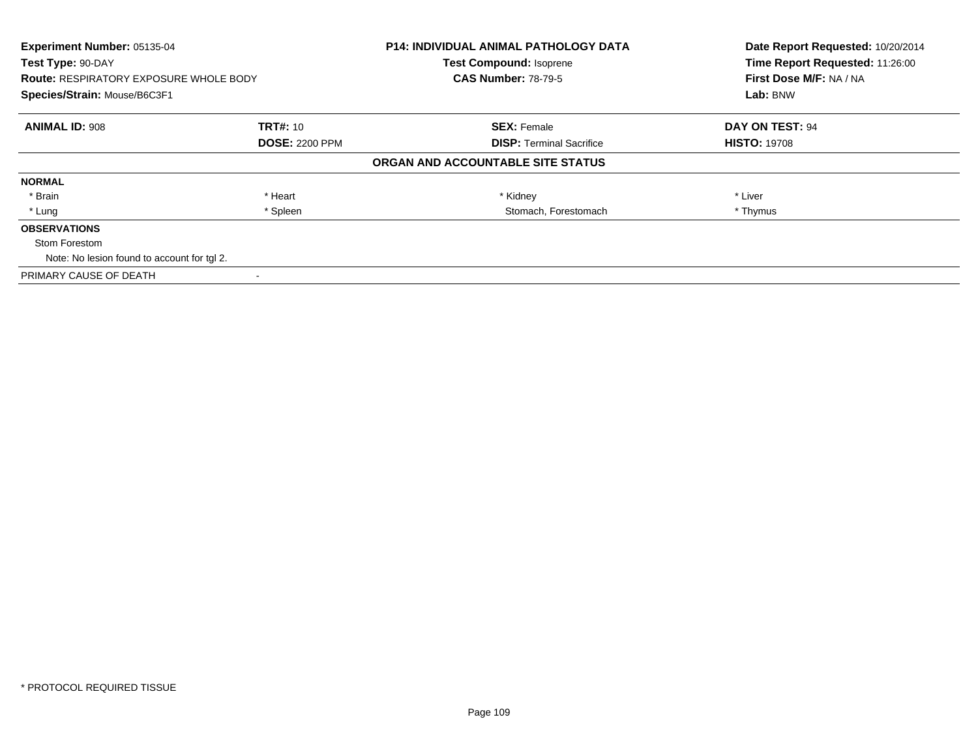| Experiment Number: 05135-04<br>Test Type: 90-DAY |                       | <b>P14: INDIVIDUAL ANIMAL PATHOLOGY DATA</b> | Date Report Requested: 10/20/2014 |
|--------------------------------------------------|-----------------------|----------------------------------------------|-----------------------------------|
|                                                  |                       | <b>Test Compound: Isoprene</b>               | Time Report Requested: 11:26:00   |
| <b>Route: RESPIRATORY EXPOSURE WHOLE BODY</b>    |                       | <b>CAS Number: 78-79-5</b>                   | First Dose M/F: NA / NA           |
| Species/Strain: Mouse/B6C3F1                     |                       |                                              | Lab: BNW                          |
| <b>ANIMAL ID: 908</b>                            | <b>TRT#: 10</b>       | <b>SEX: Female</b>                           | DAY ON TEST: 94                   |
|                                                  | <b>DOSE: 2200 PPM</b> | <b>DISP:</b> Terminal Sacrifice              | <b>HISTO: 19708</b>               |
|                                                  |                       | ORGAN AND ACCOUNTABLE SITE STATUS            |                                   |
| <b>NORMAL</b>                                    |                       |                                              |                                   |
| * Brain                                          | * Heart               | * Kidney                                     | * Liver                           |
| * Lung                                           | * Spleen              | Stomach, Forestomach                         | * Thymus                          |
| <b>OBSERVATIONS</b>                              |                       |                                              |                                   |
| Stom Forestom                                    |                       |                                              |                                   |
| Note: No lesion found to account for tgl 2.      |                       |                                              |                                   |
| PRIMARY CAUSE OF DEATH                           |                       |                                              |                                   |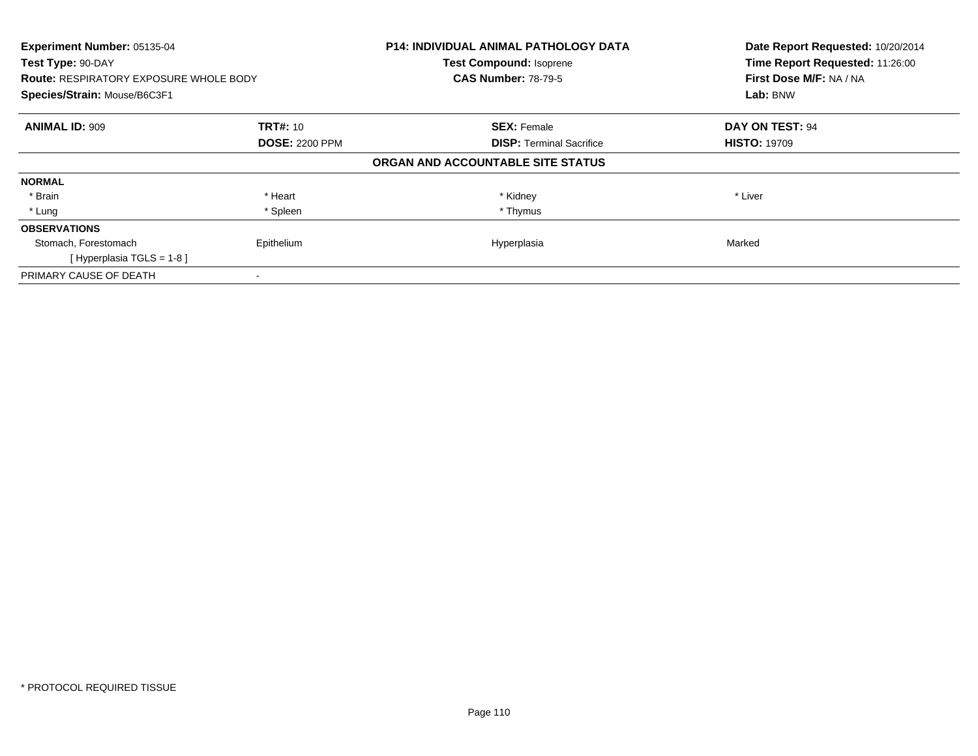| Experiment Number: 05135-04<br>Test Type: 90-DAY<br><b>Route: RESPIRATORY EXPOSURE WHOLE BODY</b> |                       | <b>P14: INDIVIDUAL ANIMAL PATHOLOGY DATA</b><br><b>Test Compound: Isoprene</b><br><b>CAS Number: 78-79-5</b> | Date Report Requested: 10/20/2014<br>Time Report Requested: 11:26:00<br>First Dose M/F: NA / NA |  |
|---------------------------------------------------------------------------------------------------|-----------------------|--------------------------------------------------------------------------------------------------------------|-------------------------------------------------------------------------------------------------|--|
| Species/Strain: Mouse/B6C3F1                                                                      |                       |                                                                                                              | Lab: BNW                                                                                        |  |
| <b>ANIMAL ID: 909</b>                                                                             | <b>TRT#: 10</b>       | <b>SEX: Female</b>                                                                                           | DAY ON TEST: 94                                                                                 |  |
|                                                                                                   | <b>DOSE: 2200 PPM</b> | <b>DISP:</b> Terminal Sacrifice                                                                              | <b>HISTO: 19709</b>                                                                             |  |
|                                                                                                   |                       | ORGAN AND ACCOUNTABLE SITE STATUS                                                                            |                                                                                                 |  |
| <b>NORMAL</b>                                                                                     |                       |                                                                                                              |                                                                                                 |  |
| * Brain                                                                                           | * Heart               | * Kidney                                                                                                     | * Liver                                                                                         |  |
| * Lung                                                                                            | * Spleen              | * Thymus                                                                                                     |                                                                                                 |  |
| <b>OBSERVATIONS</b>                                                                               |                       |                                                                                                              |                                                                                                 |  |
| Stomach, Forestomach                                                                              | Epithelium            | Hyperplasia                                                                                                  | Marked                                                                                          |  |
| [Hyperplasia TGLS = $1-8$ ]                                                                       |                       |                                                                                                              |                                                                                                 |  |
| PRIMARY CAUSE OF DEATH                                                                            |                       |                                                                                                              |                                                                                                 |  |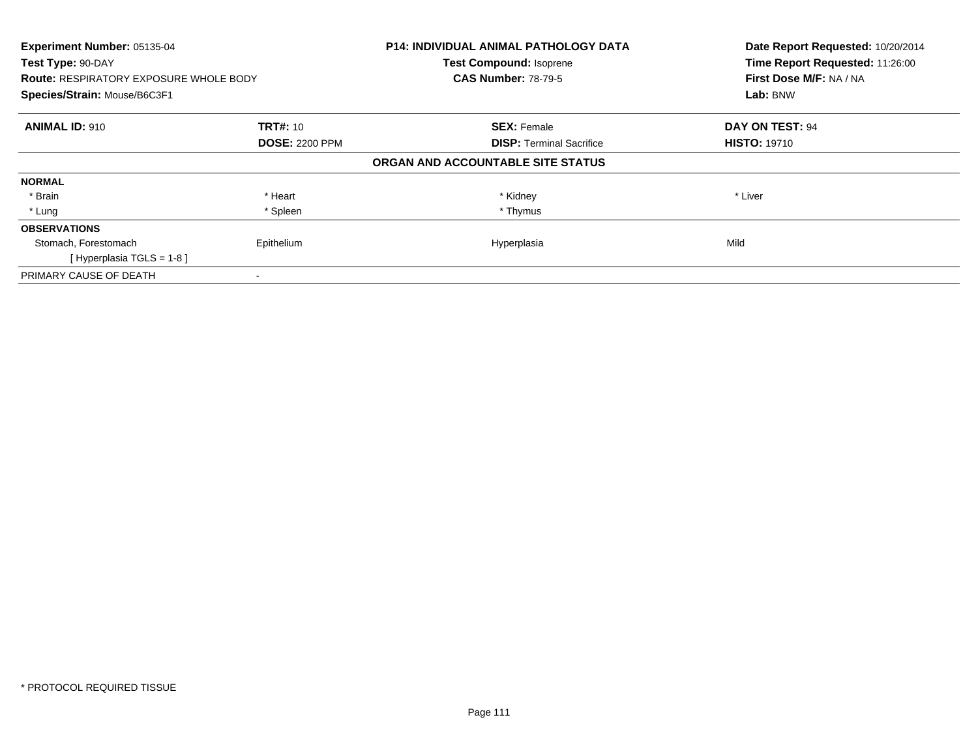| Experiment Number: 05135-04<br>Test Type: 90-DAY<br><b>Route: RESPIRATORY EXPOSURE WHOLE BODY</b> |                       | <b>P14: INDIVIDUAL ANIMAL PATHOLOGY DATA</b><br><b>Test Compound: Isoprene</b><br><b>CAS Number: 78-79-5</b> | Date Report Requested: 10/20/2014<br>Time Report Requested: 11:26:00<br>First Dose M/F: NA / NA |  |
|---------------------------------------------------------------------------------------------------|-----------------------|--------------------------------------------------------------------------------------------------------------|-------------------------------------------------------------------------------------------------|--|
| Species/Strain: Mouse/B6C3F1                                                                      |                       |                                                                                                              | Lab: BNW                                                                                        |  |
| <b>ANIMAL ID: 910</b>                                                                             | <b>TRT#: 10</b>       | <b>SEX: Female</b>                                                                                           | DAY ON TEST: 94                                                                                 |  |
|                                                                                                   | <b>DOSE: 2200 PPM</b> | <b>DISP:</b> Terminal Sacrifice                                                                              | <b>HISTO: 19710</b>                                                                             |  |
|                                                                                                   |                       | ORGAN AND ACCOUNTABLE SITE STATUS                                                                            |                                                                                                 |  |
| <b>NORMAL</b>                                                                                     |                       |                                                                                                              |                                                                                                 |  |
| * Brain                                                                                           | * Heart               | * Kidney                                                                                                     | * Liver                                                                                         |  |
| * Lung                                                                                            | * Spleen              | * Thymus                                                                                                     |                                                                                                 |  |
| <b>OBSERVATIONS</b>                                                                               |                       |                                                                                                              |                                                                                                 |  |
| Stomach, Forestomach                                                                              | Epithelium            | Hyperplasia                                                                                                  | Mild                                                                                            |  |
| [Hyperplasia TGLS = $1-8$ ]                                                                       |                       |                                                                                                              |                                                                                                 |  |
| PRIMARY CAUSE OF DEATH                                                                            |                       |                                                                                                              |                                                                                                 |  |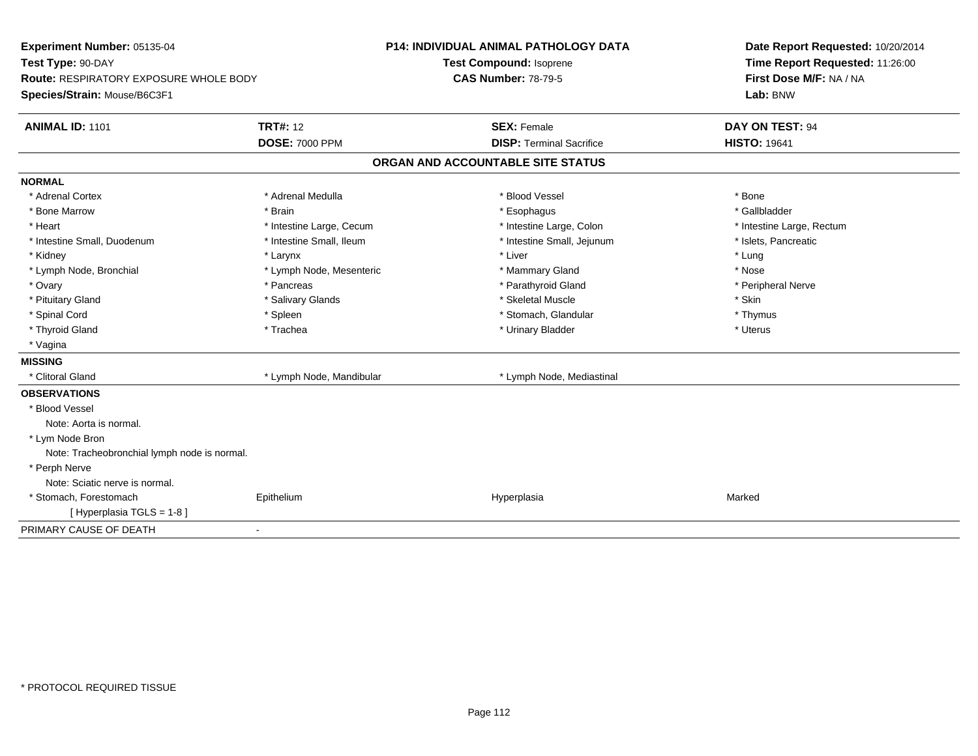| Experiment Number: 05135-04                  |                          | <b>P14: INDIVIDUAL ANIMAL PATHOLOGY DATA</b> |                                   |                     | Date Report Requested: 10/20/2014 |  |  |
|----------------------------------------------|--------------------------|----------------------------------------------|-----------------------------------|---------------------|-----------------------------------|--|--|
| Test Type: 90-DAY                            |                          |                                              | Test Compound: Isoprene           |                     | Time Report Requested: 11:26:00   |  |  |
| Route: RESPIRATORY EXPOSURE WHOLE BODY       |                          | <b>CAS Number: 78-79-5</b>                   |                                   |                     | First Dose M/F: NA / NA           |  |  |
| Species/Strain: Mouse/B6C3F1                 |                          |                                              |                                   |                     | Lab: BNW                          |  |  |
| <b>ANIMAL ID: 1101</b>                       | <b>TRT#: 12</b>          |                                              | <b>SEX: Female</b>                |                     | <b>DAY ON TEST: 94</b>            |  |  |
|                                              | <b>DOSE: 7000 PPM</b>    |                                              | <b>DISP: Terminal Sacrifice</b>   | <b>HISTO: 19641</b> |                                   |  |  |
|                                              |                          |                                              | ORGAN AND ACCOUNTABLE SITE STATUS |                     |                                   |  |  |
| <b>NORMAL</b>                                |                          |                                              |                                   |                     |                                   |  |  |
| * Adrenal Cortex                             | * Adrenal Medulla        |                                              | * Blood Vessel                    | * Bone              |                                   |  |  |
| * Bone Marrow                                | * Brain                  |                                              | * Esophagus                       | * Gallbladder       |                                   |  |  |
| * Heart                                      | * Intestine Large, Cecum |                                              | * Intestine Large, Colon          |                     | * Intestine Large, Rectum         |  |  |
| * Intestine Small, Duodenum                  | * Intestine Small, Ileum |                                              | * Intestine Small, Jejunum        |                     | * Islets, Pancreatic              |  |  |
| * Kidney                                     | * Larynx                 |                                              | * Liver                           | * Lung              |                                   |  |  |
| * Lymph Node, Bronchial                      | * Lymph Node, Mesenteric |                                              | * Mammary Gland                   | * Nose              |                                   |  |  |
| * Ovary                                      | * Pancreas               |                                              | * Parathyroid Gland               |                     | * Peripheral Nerve                |  |  |
| * Pituitary Gland                            | * Salivary Glands        |                                              | * Skeletal Muscle                 | * Skin              |                                   |  |  |
| * Spinal Cord                                | * Spleen                 |                                              | * Stomach, Glandular              | * Thymus            |                                   |  |  |
| * Thyroid Gland                              | * Trachea                |                                              | * Urinary Bladder                 | * Uterus            |                                   |  |  |
| * Vagina                                     |                          |                                              |                                   |                     |                                   |  |  |
| <b>MISSING</b>                               |                          |                                              |                                   |                     |                                   |  |  |
| * Clitoral Gland                             | * Lymph Node, Mandibular |                                              | * Lymph Node, Mediastinal         |                     |                                   |  |  |
| <b>OBSERVATIONS</b>                          |                          |                                              |                                   |                     |                                   |  |  |
| * Blood Vessel                               |                          |                                              |                                   |                     |                                   |  |  |
| Note: Aorta is normal.                       |                          |                                              |                                   |                     |                                   |  |  |
| * Lym Node Bron                              |                          |                                              |                                   |                     |                                   |  |  |
| Note: Tracheobronchial lymph node is normal. |                          |                                              |                                   |                     |                                   |  |  |
| * Perph Nerve                                |                          |                                              |                                   |                     |                                   |  |  |
| Note: Sciatic nerve is normal.               |                          |                                              |                                   |                     |                                   |  |  |
| * Stomach, Forestomach                       | Epithelium               |                                              | Hyperplasia                       | Marked              |                                   |  |  |
| [Hyperplasia TGLS = 1-8]                     |                          |                                              |                                   |                     |                                   |  |  |
| PRIMARY CAUSE OF DEATH                       | ä,                       |                                              |                                   |                     |                                   |  |  |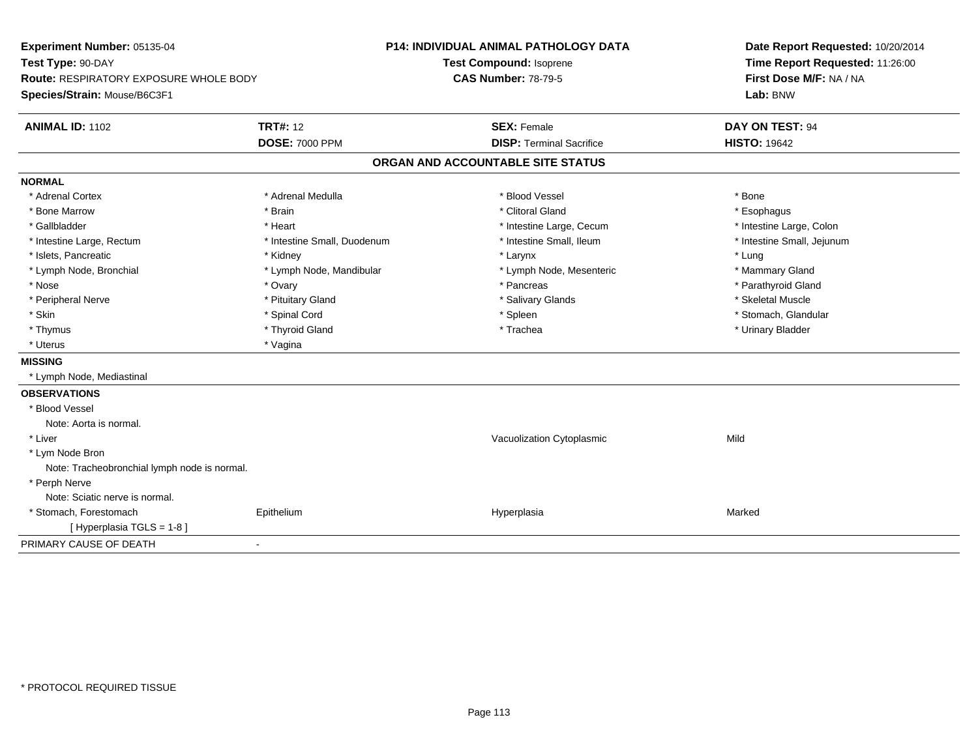| Experiment Number: 05135-04<br>Test Type: 90-DAY |                             | P14: INDIVIDUAL ANIMAL PATHOLOGY DATA |                                   |  | Date Report Requested: 10/20/2014 |  |  |
|--------------------------------------------------|-----------------------------|---------------------------------------|-----------------------------------|--|-----------------------------------|--|--|
|                                                  |                             |                                       | Test Compound: Isoprene           |  | Time Report Requested: 11:26:00   |  |  |
| <b>Route: RESPIRATORY EXPOSURE WHOLE BODY</b>    |                             |                                       | <b>CAS Number: 78-79-5</b>        |  | First Dose M/F: NA / NA           |  |  |
| Species/Strain: Mouse/B6C3F1                     |                             |                                       |                                   |  | Lab: BNW                          |  |  |
| <b>ANIMAL ID: 1102</b>                           | <b>TRT#: 12</b>             |                                       | <b>SEX: Female</b>                |  | DAY ON TEST: 94                   |  |  |
|                                                  | <b>DOSE: 7000 PPM</b>       |                                       | <b>DISP: Terminal Sacrifice</b>   |  | <b>HISTO: 19642</b>               |  |  |
|                                                  |                             |                                       | ORGAN AND ACCOUNTABLE SITE STATUS |  |                                   |  |  |
| <b>NORMAL</b>                                    |                             |                                       |                                   |  |                                   |  |  |
| * Adrenal Cortex                                 | * Adrenal Medulla           |                                       | * Blood Vessel                    |  | * Bone                            |  |  |
| * Bone Marrow                                    | * Brain                     |                                       | * Clitoral Gland                  |  | * Esophagus                       |  |  |
| * Gallbladder                                    | * Heart                     |                                       | * Intestine Large, Cecum          |  | * Intestine Large, Colon          |  |  |
| * Intestine Large, Rectum                        | * Intestine Small, Duodenum |                                       | * Intestine Small, Ileum          |  | * Intestine Small, Jejunum        |  |  |
| * Islets, Pancreatic                             | * Kidney                    |                                       | * Larynx                          |  | * Lung                            |  |  |
| * Lymph Node, Bronchial                          | * Lymph Node, Mandibular    |                                       | * Lymph Node, Mesenteric          |  | * Mammary Gland                   |  |  |
| * Nose                                           | * Ovary                     |                                       | * Pancreas                        |  | * Parathyroid Gland               |  |  |
| * Peripheral Nerve                               | * Pituitary Gland           |                                       | * Salivary Glands                 |  | * Skeletal Muscle                 |  |  |
| * Skin                                           | * Spinal Cord               |                                       | * Spleen                          |  | * Stomach, Glandular              |  |  |
| * Thymus                                         | * Thyroid Gland             |                                       | * Trachea                         |  | * Urinary Bladder                 |  |  |
| * Uterus                                         | * Vagina                    |                                       |                                   |  |                                   |  |  |
| <b>MISSING</b>                                   |                             |                                       |                                   |  |                                   |  |  |
| * Lymph Node, Mediastinal                        |                             |                                       |                                   |  |                                   |  |  |
| <b>OBSERVATIONS</b>                              |                             |                                       |                                   |  |                                   |  |  |
| * Blood Vessel                                   |                             |                                       |                                   |  |                                   |  |  |
| Note: Aorta is normal.                           |                             |                                       |                                   |  |                                   |  |  |
| * Liver                                          |                             |                                       | Vacuolization Cytoplasmic         |  | Mild                              |  |  |
| * Lym Node Bron                                  |                             |                                       |                                   |  |                                   |  |  |
| Note: Tracheobronchial lymph node is normal.     |                             |                                       |                                   |  |                                   |  |  |
| * Perph Nerve                                    |                             |                                       |                                   |  |                                   |  |  |
| Note: Sciatic nerve is normal.                   |                             |                                       |                                   |  |                                   |  |  |
| * Stomach, Forestomach                           | Epithelium                  |                                       | Hyperplasia                       |  | Marked                            |  |  |
| [ Hyperplasia TGLS = 1-8 ]                       |                             |                                       |                                   |  |                                   |  |  |
| PRIMARY CAUSE OF DEATH                           |                             |                                       |                                   |  |                                   |  |  |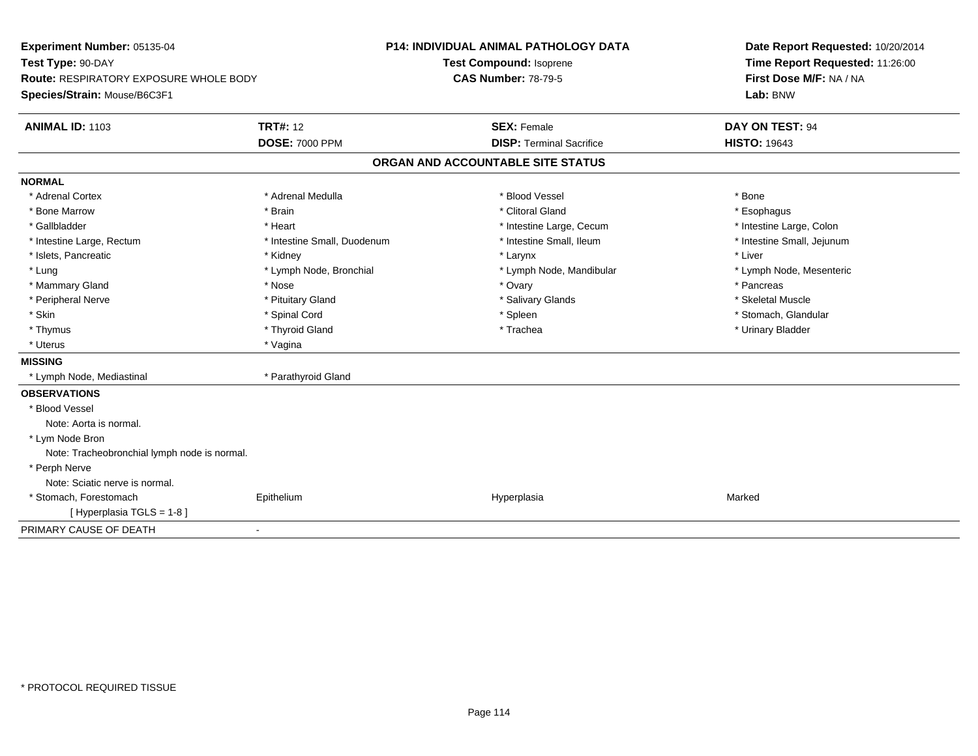| Experiment Number: 05135-04                  |                             | <b>P14: INDIVIDUAL ANIMAL PATHOLOGY DATA</b> | Date Report Requested: 10/20/2014 |  |  |
|----------------------------------------------|-----------------------------|----------------------------------------------|-----------------------------------|--|--|
| Test Type: 90-DAY                            |                             | Test Compound: Isoprene                      | Time Report Requested: 11:26:00   |  |  |
| Route: RESPIRATORY EXPOSURE WHOLE BODY       |                             | <b>CAS Number: 78-79-5</b>                   | First Dose M/F: NA / NA           |  |  |
| Species/Strain: Mouse/B6C3F1                 |                             |                                              | Lab: BNW                          |  |  |
| <b>ANIMAL ID: 1103</b>                       | <b>TRT#: 12</b>             | <b>SEX: Female</b>                           | <b>DAY ON TEST: 94</b>            |  |  |
|                                              | <b>DOSE: 7000 PPM</b>       | <b>DISP: Terminal Sacrifice</b>              | <b>HISTO: 19643</b>               |  |  |
|                                              |                             | ORGAN AND ACCOUNTABLE SITE STATUS            |                                   |  |  |
| <b>NORMAL</b>                                |                             |                                              |                                   |  |  |
| * Adrenal Cortex                             | * Adrenal Medulla           | * Blood Vessel                               | * Bone                            |  |  |
| * Bone Marrow                                | * Brain                     | * Clitoral Gland                             | * Esophagus                       |  |  |
| * Gallbladder                                | * Heart                     | * Intestine Large, Cecum                     | * Intestine Large, Colon          |  |  |
| * Intestine Large, Rectum                    | * Intestine Small, Duodenum | * Intestine Small, Ileum                     | * Intestine Small, Jejunum        |  |  |
| * Islets, Pancreatic                         | * Kidney                    | * Larynx                                     | * Liver                           |  |  |
| * Lung                                       | * Lymph Node, Bronchial     | * Lymph Node, Mandibular                     | * Lymph Node, Mesenteric          |  |  |
| * Mammary Gland                              | * Nose                      | * Ovary                                      | * Pancreas                        |  |  |
| * Peripheral Nerve                           | * Pituitary Gland           | * Salivary Glands                            | * Skeletal Muscle                 |  |  |
| * Skin                                       | * Spinal Cord               | * Spleen                                     | * Stomach, Glandular              |  |  |
| * Thymus                                     | * Thyroid Gland             | * Trachea                                    | * Urinary Bladder                 |  |  |
| * Uterus                                     | * Vagina                    |                                              |                                   |  |  |
| <b>MISSING</b>                               |                             |                                              |                                   |  |  |
| * Lymph Node, Mediastinal                    | * Parathyroid Gland         |                                              |                                   |  |  |
| <b>OBSERVATIONS</b>                          |                             |                                              |                                   |  |  |
| * Blood Vessel                               |                             |                                              |                                   |  |  |
| Note: Aorta is normal.                       |                             |                                              |                                   |  |  |
| * Lym Node Bron                              |                             |                                              |                                   |  |  |
| Note: Tracheobronchial lymph node is normal. |                             |                                              |                                   |  |  |
| * Perph Nerve                                |                             |                                              |                                   |  |  |
| Note: Sciatic nerve is normal.               |                             |                                              |                                   |  |  |
| * Stomach, Forestomach                       | Epithelium                  | Hyperplasia                                  | Marked                            |  |  |
| [Hyperplasia TGLS = 1-8]                     |                             |                                              |                                   |  |  |
| PRIMARY CAUSE OF DEATH                       | ä,                          |                                              |                                   |  |  |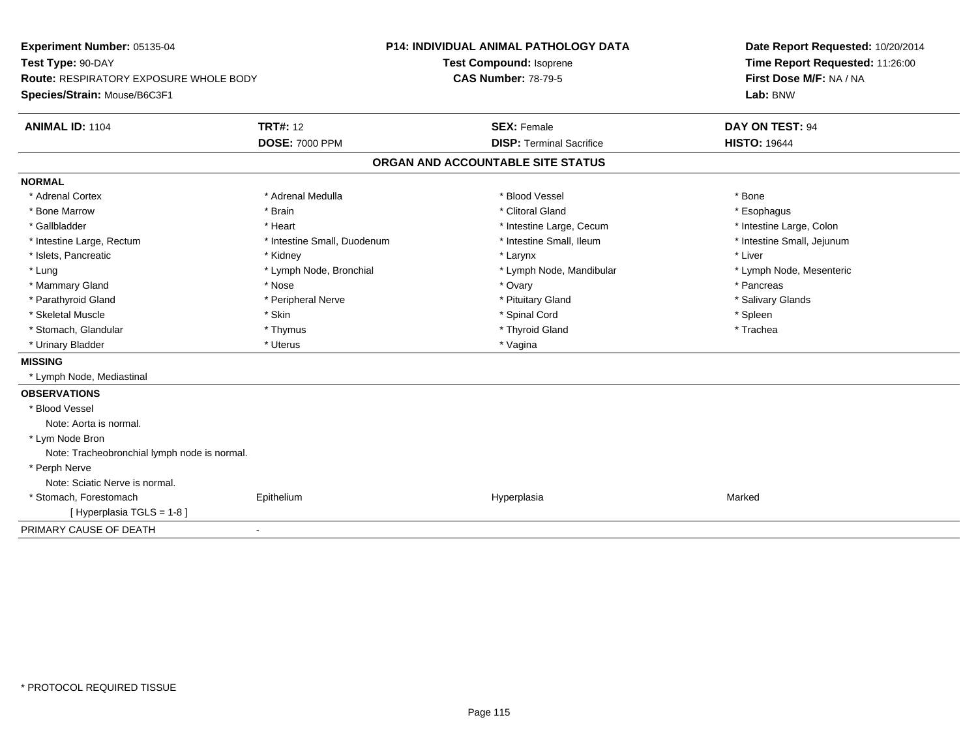| Experiment Number: 05135-04                  |                             | P14: INDIVIDUAL ANIMAL PATHOLOGY DATA |                                   |  | Date Report Requested: 10/20/2014 |  |  |
|----------------------------------------------|-----------------------------|---------------------------------------|-----------------------------------|--|-----------------------------------|--|--|
| Test Type: 90-DAY                            |                             | <b>Test Compound: Isoprene</b>        |                                   |  | Time Report Requested: 11:26:00   |  |  |
| Route: RESPIRATORY EXPOSURE WHOLE BODY       |                             | <b>CAS Number: 78-79-5</b>            |                                   |  | First Dose M/F: NA / NA           |  |  |
| Species/Strain: Mouse/B6C3F1                 |                             |                                       |                                   |  | Lab: BNW                          |  |  |
| <b>ANIMAL ID: 1104</b>                       | <b>TRT#: 12</b>             |                                       | <b>SEX: Female</b>                |  | DAY ON TEST: 94                   |  |  |
|                                              | <b>DOSE: 7000 PPM</b>       |                                       | <b>DISP: Terminal Sacrifice</b>   |  | <b>HISTO: 19644</b>               |  |  |
|                                              |                             |                                       | ORGAN AND ACCOUNTABLE SITE STATUS |  |                                   |  |  |
| <b>NORMAL</b>                                |                             |                                       |                                   |  |                                   |  |  |
| * Adrenal Cortex                             | * Adrenal Medulla           |                                       | * Blood Vessel                    |  | * Bone                            |  |  |
| * Bone Marrow                                | * Brain                     |                                       | * Clitoral Gland                  |  | * Esophagus                       |  |  |
| * Gallbladder                                | * Heart                     |                                       | * Intestine Large, Cecum          |  | * Intestine Large, Colon          |  |  |
| * Intestine Large, Rectum                    | * Intestine Small, Duodenum |                                       | * Intestine Small, Ileum          |  | * Intestine Small, Jejunum        |  |  |
| * Islets, Pancreatic                         | * Kidney                    |                                       | * Larynx                          |  | * Liver                           |  |  |
| * Lung                                       | * Lymph Node, Bronchial     |                                       | * Lymph Node, Mandibular          |  | * Lymph Node, Mesenteric          |  |  |
| * Mammary Gland                              | * Nose                      |                                       | * Ovary                           |  | * Pancreas                        |  |  |
| * Parathyroid Gland                          | * Peripheral Nerve          |                                       | * Pituitary Gland                 |  | * Salivary Glands                 |  |  |
| * Skeletal Muscle                            | * Skin                      |                                       | * Spinal Cord                     |  | * Spleen                          |  |  |
| * Stomach, Glandular                         | * Thymus                    |                                       | * Thyroid Gland                   |  | * Trachea                         |  |  |
| * Urinary Bladder                            | * Uterus                    |                                       | * Vagina                          |  |                                   |  |  |
| <b>MISSING</b>                               |                             |                                       |                                   |  |                                   |  |  |
| * Lymph Node, Mediastinal                    |                             |                                       |                                   |  |                                   |  |  |
| <b>OBSERVATIONS</b>                          |                             |                                       |                                   |  |                                   |  |  |
| * Blood Vessel                               |                             |                                       |                                   |  |                                   |  |  |
| Note: Aorta is normal.                       |                             |                                       |                                   |  |                                   |  |  |
| * Lym Node Bron                              |                             |                                       |                                   |  |                                   |  |  |
| Note: Tracheobronchial lymph node is normal. |                             |                                       |                                   |  |                                   |  |  |
| * Perph Nerve                                |                             |                                       |                                   |  |                                   |  |  |
| Note: Sciatic Nerve is normal.               |                             |                                       |                                   |  |                                   |  |  |
| * Stomach, Forestomach                       | Epithelium                  |                                       | Hyperplasia                       |  | Marked                            |  |  |
| [ Hyperplasia TGLS = 1-8 ]                   |                             |                                       |                                   |  |                                   |  |  |
| PRIMARY CAUSE OF DEATH                       | $\blacksquare$              |                                       |                                   |  |                                   |  |  |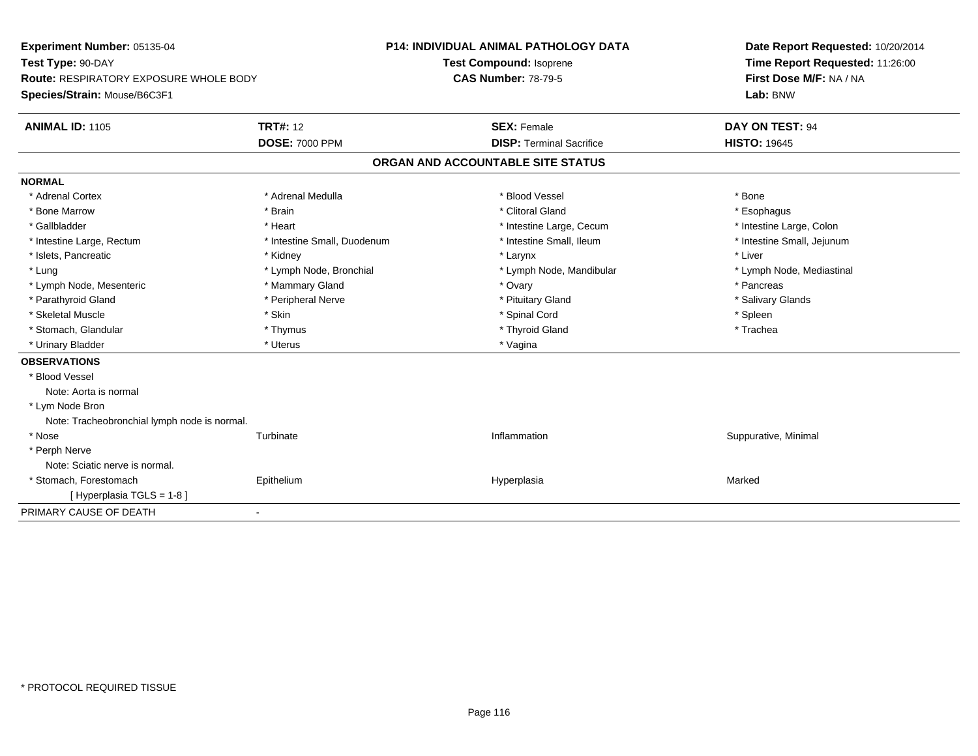| Experiment Number: 05135-04<br>Test Type: 90-DAY |                             | <b>P14: INDIVIDUAL ANIMAL PATHOLOGY DATA</b> |                                   |  | Date Report Requested: 10/20/2014 |  |  |
|--------------------------------------------------|-----------------------------|----------------------------------------------|-----------------------------------|--|-----------------------------------|--|--|
|                                                  |                             |                                              | Test Compound: Isoprene           |  | Time Report Requested: 11:26:00   |  |  |
| <b>Route: RESPIRATORY EXPOSURE WHOLE BODY</b>    |                             |                                              | <b>CAS Number: 78-79-5</b>        |  | First Dose M/F: NA / NA           |  |  |
| Species/Strain: Mouse/B6C3F1                     |                             |                                              |                                   |  | Lab: BNW                          |  |  |
| <b>ANIMAL ID: 1105</b>                           | <b>TRT#: 12</b>             |                                              | <b>SEX: Female</b>                |  | DAY ON TEST: 94                   |  |  |
|                                                  | <b>DOSE: 7000 PPM</b>       |                                              | <b>DISP: Terminal Sacrifice</b>   |  | <b>HISTO: 19645</b>               |  |  |
|                                                  |                             |                                              | ORGAN AND ACCOUNTABLE SITE STATUS |  |                                   |  |  |
| <b>NORMAL</b>                                    |                             |                                              |                                   |  |                                   |  |  |
| * Adrenal Cortex                                 | * Adrenal Medulla           |                                              | * Blood Vessel                    |  | * Bone                            |  |  |
| * Bone Marrow                                    | * Brain                     |                                              | * Clitoral Gland                  |  | * Esophagus                       |  |  |
| * Gallbladder                                    | * Heart                     |                                              | * Intestine Large, Cecum          |  | * Intestine Large, Colon          |  |  |
| * Intestine Large, Rectum                        | * Intestine Small, Duodenum |                                              | * Intestine Small, Ileum          |  | * Intestine Small, Jejunum        |  |  |
| * Islets, Pancreatic                             | * Kidney                    |                                              | * Larynx                          |  | * Liver                           |  |  |
| * Lung                                           | * Lymph Node, Bronchial     |                                              | * Lymph Node, Mandibular          |  | * Lymph Node, Mediastinal         |  |  |
| * Lymph Node, Mesenteric                         | * Mammary Gland             |                                              | * Ovary                           |  | * Pancreas                        |  |  |
| * Parathyroid Gland                              | * Peripheral Nerve          |                                              | * Pituitary Gland                 |  | * Salivary Glands                 |  |  |
| * Skeletal Muscle                                | * Skin                      |                                              | * Spinal Cord                     |  | * Spleen                          |  |  |
| * Stomach, Glandular                             | * Thymus                    |                                              | * Thyroid Gland                   |  | * Trachea                         |  |  |
| * Urinary Bladder                                | * Uterus                    |                                              | * Vagina                          |  |                                   |  |  |
| <b>OBSERVATIONS</b>                              |                             |                                              |                                   |  |                                   |  |  |
| * Blood Vessel                                   |                             |                                              |                                   |  |                                   |  |  |
| Note: Aorta is normal                            |                             |                                              |                                   |  |                                   |  |  |
| * Lym Node Bron                                  |                             |                                              |                                   |  |                                   |  |  |
| Note: Tracheobronchial lymph node is normal.     |                             |                                              |                                   |  |                                   |  |  |
| * Nose                                           | Turbinate                   |                                              | Inflammation                      |  | Suppurative, Minimal              |  |  |
| * Perph Nerve                                    |                             |                                              |                                   |  |                                   |  |  |
| Note: Sciatic nerve is normal.                   |                             |                                              |                                   |  |                                   |  |  |
| * Stomach, Forestomach                           | Epithelium                  |                                              | Hyperplasia                       |  | Marked                            |  |  |
| [Hyperplasia TGLS = 1-8]                         |                             |                                              |                                   |  |                                   |  |  |
| PRIMARY CAUSE OF DEATH                           | $\blacksquare$              |                                              |                                   |  |                                   |  |  |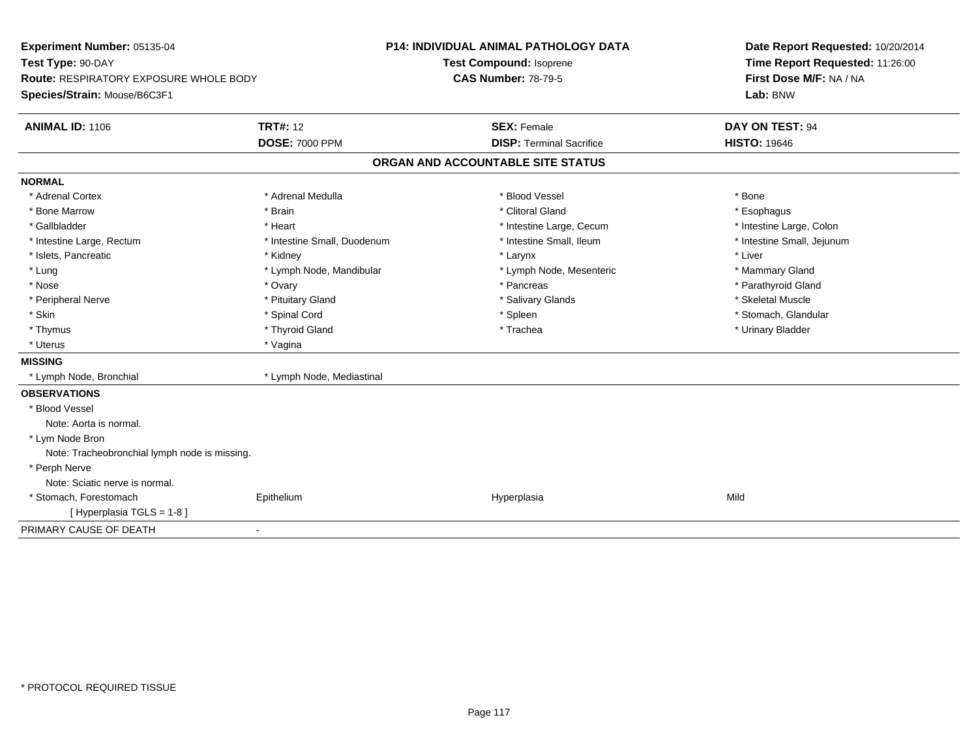| Experiment Number: 05135-04                   |                             | <b>P14: INDIVIDUAL ANIMAL PATHOLOGY DATA</b><br>Test Compound: Isoprene<br><b>CAS Number: 78-79-5</b> |                                   |  | Date Report Requested: 10/20/2014<br>Time Report Requested: 11:26:00 |  |  |
|-----------------------------------------------|-----------------------------|-------------------------------------------------------------------------------------------------------|-----------------------------------|--|----------------------------------------------------------------------|--|--|
| Test Type: 90-DAY                             |                             |                                                                                                       |                                   |  |                                                                      |  |  |
| Route: RESPIRATORY EXPOSURE WHOLE BODY        |                             |                                                                                                       |                                   |  | First Dose M/F: NA / NA                                              |  |  |
| Species/Strain: Mouse/B6C3F1                  |                             |                                                                                                       |                                   |  | Lab: BNW                                                             |  |  |
| <b>ANIMAL ID: 1106</b>                        | <b>TRT#: 12</b>             |                                                                                                       | <b>SEX: Female</b>                |  | DAY ON TEST: 94                                                      |  |  |
|                                               | <b>DOSE: 7000 PPM</b>       |                                                                                                       | <b>DISP: Terminal Sacrifice</b>   |  | <b>HISTO: 19646</b>                                                  |  |  |
|                                               |                             |                                                                                                       | ORGAN AND ACCOUNTABLE SITE STATUS |  |                                                                      |  |  |
| <b>NORMAL</b>                                 |                             |                                                                                                       |                                   |  |                                                                      |  |  |
| * Adrenal Cortex                              | * Adrenal Medulla           |                                                                                                       | * Blood Vessel                    |  | * Bone                                                               |  |  |
| * Bone Marrow                                 | * Brain                     |                                                                                                       | * Clitoral Gland                  |  | * Esophagus                                                          |  |  |
| * Gallbladder                                 | * Heart                     |                                                                                                       | * Intestine Large, Cecum          |  | * Intestine Large, Colon                                             |  |  |
| * Intestine Large, Rectum                     | * Intestine Small, Duodenum |                                                                                                       | * Intestine Small, Ileum          |  | * Intestine Small, Jejunum                                           |  |  |
| * Islets, Pancreatic                          | * Kidney                    |                                                                                                       | * Larynx                          |  | * Liver                                                              |  |  |
| * Lung                                        | * Lymph Node, Mandibular    |                                                                                                       | * Lymph Node, Mesenteric          |  | * Mammary Gland                                                      |  |  |
| * Nose                                        | * Ovary                     |                                                                                                       | * Pancreas                        |  | * Parathyroid Gland                                                  |  |  |
| * Peripheral Nerve                            | * Pituitary Gland           |                                                                                                       | * Salivary Glands                 |  | * Skeletal Muscle                                                    |  |  |
| * Skin                                        | * Spinal Cord               |                                                                                                       | * Spleen                          |  | * Stomach, Glandular                                                 |  |  |
| * Thymus                                      | * Thyroid Gland             |                                                                                                       | * Trachea                         |  | * Urinary Bladder                                                    |  |  |
| * Uterus                                      | * Vagina                    |                                                                                                       |                                   |  |                                                                      |  |  |
| <b>MISSING</b>                                |                             |                                                                                                       |                                   |  |                                                                      |  |  |
| * Lymph Node, Bronchial                       | * Lymph Node, Mediastinal   |                                                                                                       |                                   |  |                                                                      |  |  |
| <b>OBSERVATIONS</b>                           |                             |                                                                                                       |                                   |  |                                                                      |  |  |
| * Blood Vessel                                |                             |                                                                                                       |                                   |  |                                                                      |  |  |
| Note: Aorta is normal.                        |                             |                                                                                                       |                                   |  |                                                                      |  |  |
| * Lym Node Bron                               |                             |                                                                                                       |                                   |  |                                                                      |  |  |
| Note: Tracheobronchial lymph node is missing. |                             |                                                                                                       |                                   |  |                                                                      |  |  |
| * Perph Nerve                                 |                             |                                                                                                       |                                   |  |                                                                      |  |  |
| Note: Sciatic nerve is normal.                |                             |                                                                                                       |                                   |  |                                                                      |  |  |
| * Stomach, Forestomach                        | Epithelium                  |                                                                                                       | Hyperplasia                       |  | Mild                                                                 |  |  |
| [Hyperplasia TGLS = 1-8]                      |                             |                                                                                                       |                                   |  |                                                                      |  |  |
| PRIMARY CAUSE OF DEATH                        | $\blacksquare$              |                                                                                                       |                                   |  |                                                                      |  |  |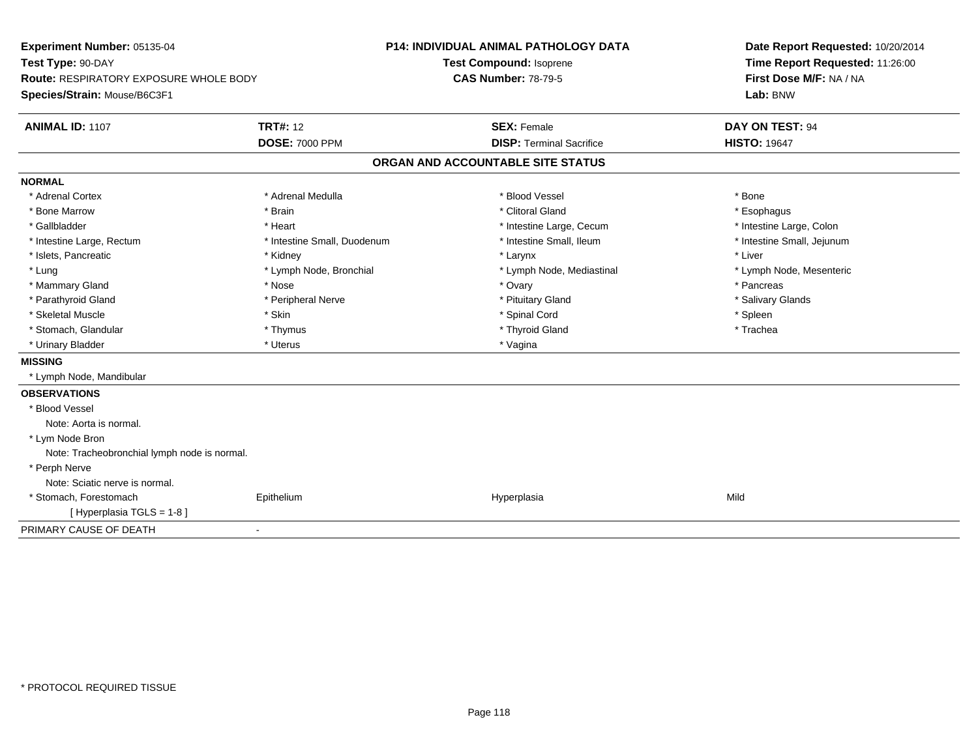| Experiment Number: 05135-04                  |                             | P14: INDIVIDUAL ANIMAL PATHOLOGY DATA |                                   |  | Date Report Requested: 10/20/2014 |  |  |
|----------------------------------------------|-----------------------------|---------------------------------------|-----------------------------------|--|-----------------------------------|--|--|
| Test Type: 90-DAY                            |                             |                                       | <b>Test Compound: Isoprene</b>    |  | Time Report Requested: 11:26:00   |  |  |
| Route: RESPIRATORY EXPOSURE WHOLE BODY       |                             | <b>CAS Number: 78-79-5</b>            |                                   |  | First Dose M/F: NA / NA           |  |  |
| Species/Strain: Mouse/B6C3F1                 |                             |                                       |                                   |  | Lab: BNW                          |  |  |
| <b>ANIMAL ID: 1107</b>                       | <b>TRT#: 12</b>             |                                       | <b>SEX: Female</b>                |  | DAY ON TEST: 94                   |  |  |
|                                              | <b>DOSE: 7000 PPM</b>       |                                       | <b>DISP: Terminal Sacrifice</b>   |  | <b>HISTO: 19647</b>               |  |  |
|                                              |                             |                                       | ORGAN AND ACCOUNTABLE SITE STATUS |  |                                   |  |  |
| <b>NORMAL</b>                                |                             |                                       |                                   |  |                                   |  |  |
| * Adrenal Cortex                             | * Adrenal Medulla           |                                       | * Blood Vessel                    |  | * Bone                            |  |  |
| * Bone Marrow                                | * Brain                     |                                       | * Clitoral Gland                  |  | * Esophagus                       |  |  |
| * Gallbladder                                | * Heart                     |                                       | * Intestine Large, Cecum          |  | * Intestine Large, Colon          |  |  |
| * Intestine Large, Rectum                    | * Intestine Small, Duodenum |                                       | * Intestine Small, Ileum          |  | * Intestine Small, Jejunum        |  |  |
| * Islets, Pancreatic                         | * Kidney                    |                                       | * Larynx                          |  | * Liver                           |  |  |
| * Lung                                       | * Lymph Node, Bronchial     |                                       | * Lymph Node, Mediastinal         |  | * Lymph Node, Mesenteric          |  |  |
| * Mammary Gland                              | * Nose                      |                                       | * Ovary                           |  | * Pancreas                        |  |  |
| * Parathyroid Gland                          | * Peripheral Nerve          |                                       | * Pituitary Gland                 |  | * Salivary Glands                 |  |  |
| * Skeletal Muscle                            | * Skin                      |                                       | * Spinal Cord                     |  | * Spleen                          |  |  |
| * Stomach, Glandular                         | * Thymus                    |                                       | * Thyroid Gland                   |  | * Trachea                         |  |  |
| * Urinary Bladder                            | * Uterus                    |                                       | * Vagina                          |  |                                   |  |  |
| <b>MISSING</b>                               |                             |                                       |                                   |  |                                   |  |  |
| * Lymph Node, Mandibular                     |                             |                                       |                                   |  |                                   |  |  |
| <b>OBSERVATIONS</b>                          |                             |                                       |                                   |  |                                   |  |  |
| * Blood Vessel                               |                             |                                       |                                   |  |                                   |  |  |
| Note: Aorta is normal.                       |                             |                                       |                                   |  |                                   |  |  |
| * Lym Node Bron                              |                             |                                       |                                   |  |                                   |  |  |
| Note: Tracheobronchial lymph node is normal. |                             |                                       |                                   |  |                                   |  |  |
| * Perph Nerve                                |                             |                                       |                                   |  |                                   |  |  |
| Note: Sciatic nerve is normal.               |                             |                                       |                                   |  |                                   |  |  |
| * Stomach, Forestomach                       | Epithelium                  |                                       | Hyperplasia                       |  | Mild                              |  |  |
| [ Hyperplasia TGLS = 1-8 ]                   |                             |                                       |                                   |  |                                   |  |  |
| PRIMARY CAUSE OF DEATH                       | $\blacksquare$              |                                       |                                   |  |                                   |  |  |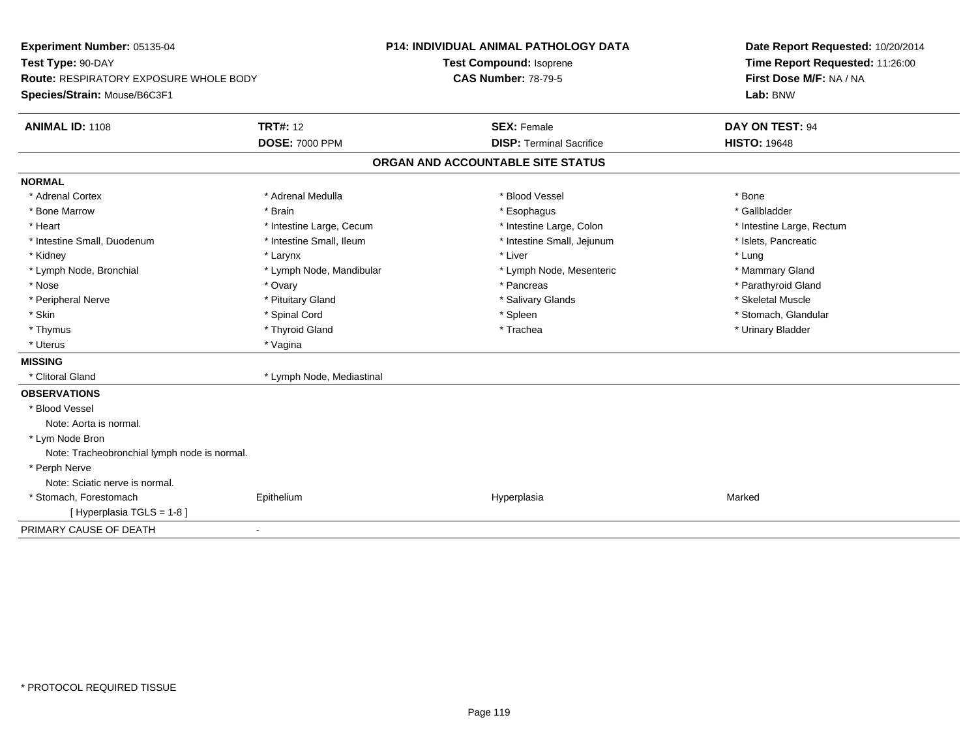| Experiment Number: 05135-04<br>Test Type: 90-DAY |                           | <b>P14: INDIVIDUAL ANIMAL PATHOLOGY DATA</b> |                                   |  | Date Report Requested: 10/20/2014 |  |  |
|--------------------------------------------------|---------------------------|----------------------------------------------|-----------------------------------|--|-----------------------------------|--|--|
|                                                  |                           |                                              | Test Compound: Isoprene           |  | Time Report Requested: 11:26:00   |  |  |
| Route: RESPIRATORY EXPOSURE WHOLE BODY           |                           | <b>CAS Number: 78-79-5</b>                   |                                   |  | First Dose M/F: NA / NA           |  |  |
| Species/Strain: Mouse/B6C3F1                     |                           |                                              |                                   |  | Lab: BNW                          |  |  |
| <b>ANIMAL ID: 1108</b>                           | <b>TRT#: 12</b>           |                                              | <b>SEX: Female</b>                |  | DAY ON TEST: 94                   |  |  |
|                                                  | <b>DOSE: 7000 PPM</b>     |                                              | <b>DISP: Terminal Sacrifice</b>   |  | <b>HISTO: 19648</b>               |  |  |
|                                                  |                           |                                              | ORGAN AND ACCOUNTABLE SITE STATUS |  |                                   |  |  |
| <b>NORMAL</b>                                    |                           |                                              |                                   |  |                                   |  |  |
| * Adrenal Cortex                                 | * Adrenal Medulla         |                                              | * Blood Vessel                    |  | * Bone                            |  |  |
| * Bone Marrow                                    | * Brain                   |                                              | * Esophagus                       |  | * Gallbladder                     |  |  |
| * Heart                                          | * Intestine Large, Cecum  |                                              | * Intestine Large, Colon          |  | * Intestine Large, Rectum         |  |  |
| * Intestine Small, Duodenum                      | * Intestine Small, Ileum  |                                              | * Intestine Small, Jejunum        |  | * Islets, Pancreatic              |  |  |
| * Kidney                                         | * Larynx                  |                                              | * Liver                           |  | * Lung                            |  |  |
| * Lymph Node, Bronchial                          | * Lymph Node, Mandibular  |                                              | * Lymph Node, Mesenteric          |  | * Mammary Gland                   |  |  |
| * Nose                                           | * Ovary                   |                                              | * Pancreas                        |  | * Parathyroid Gland               |  |  |
| * Peripheral Nerve                               | * Pituitary Gland         |                                              | * Salivary Glands                 |  | * Skeletal Muscle                 |  |  |
| * Skin                                           | * Spinal Cord             |                                              | * Spleen                          |  | * Stomach, Glandular              |  |  |
| * Thymus                                         | * Thyroid Gland           |                                              | * Trachea                         |  | * Urinary Bladder                 |  |  |
| * Uterus                                         | * Vagina                  |                                              |                                   |  |                                   |  |  |
| <b>MISSING</b>                                   |                           |                                              |                                   |  |                                   |  |  |
| * Clitoral Gland                                 | * Lymph Node, Mediastinal |                                              |                                   |  |                                   |  |  |
| <b>OBSERVATIONS</b>                              |                           |                                              |                                   |  |                                   |  |  |
| * Blood Vessel                                   |                           |                                              |                                   |  |                                   |  |  |
| Note: Aorta is normal.                           |                           |                                              |                                   |  |                                   |  |  |
| * Lym Node Bron                                  |                           |                                              |                                   |  |                                   |  |  |
| Note: Tracheobronchial lymph node is normal.     |                           |                                              |                                   |  |                                   |  |  |
| * Perph Nerve                                    |                           |                                              |                                   |  |                                   |  |  |
| Note: Sciatic nerve is normal.                   |                           |                                              |                                   |  |                                   |  |  |
| * Stomach, Forestomach                           | Epithelium                |                                              | Hyperplasia                       |  | Marked                            |  |  |
| [Hyperplasia TGLS = 1-8]                         |                           |                                              |                                   |  |                                   |  |  |
| PRIMARY CAUSE OF DEATH                           | $\blacksquare$            |                                              |                                   |  |                                   |  |  |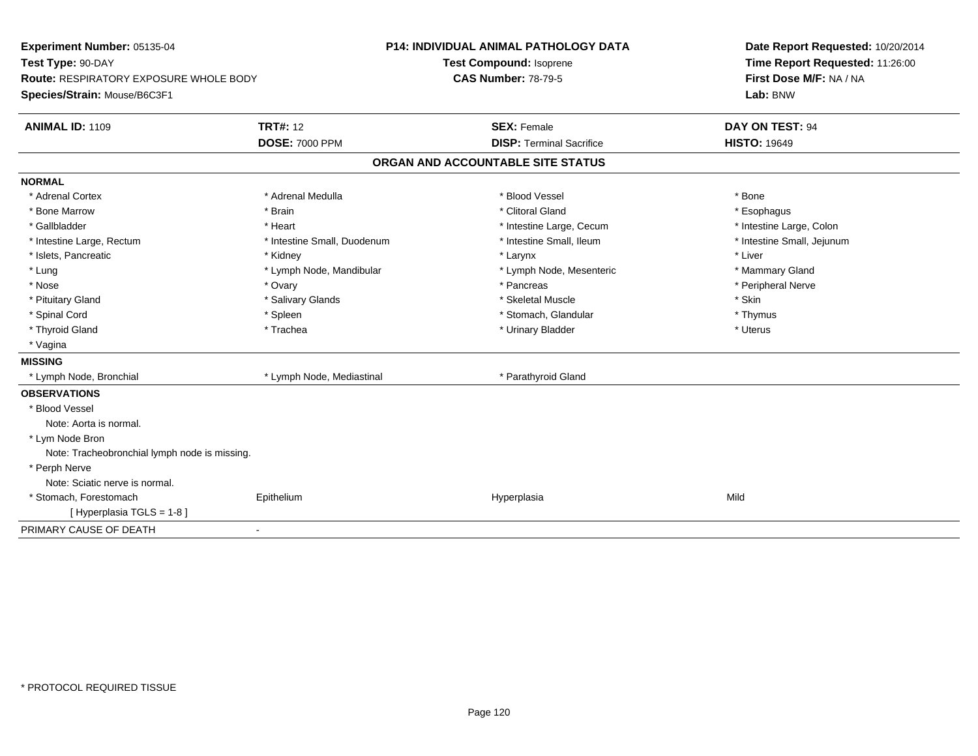| Experiment Number: 05135-04                   |                             | <b>P14: INDIVIDUAL ANIMAL PATHOLOGY DATA</b> | Date Report Requested: 10/20/2014<br>Time Report Requested: 11:26:00 |  |  |
|-----------------------------------------------|-----------------------------|----------------------------------------------|----------------------------------------------------------------------|--|--|
| Test Type: 90-DAY                             |                             | <b>Test Compound: Isoprene</b>               |                                                                      |  |  |
| Route: RESPIRATORY EXPOSURE WHOLE BODY        |                             | <b>CAS Number: 78-79-5</b>                   | First Dose M/F: NA / NA                                              |  |  |
| Species/Strain: Mouse/B6C3F1                  |                             |                                              | Lab: BNW                                                             |  |  |
| <b>ANIMAL ID: 1109</b>                        | <b>TRT#: 12</b>             | <b>SEX: Female</b>                           | DAY ON TEST: 94                                                      |  |  |
|                                               | <b>DOSE: 7000 PPM</b>       | <b>DISP: Terminal Sacrifice</b>              | <b>HISTO: 19649</b>                                                  |  |  |
|                                               |                             | ORGAN AND ACCOUNTABLE SITE STATUS            |                                                                      |  |  |
| <b>NORMAL</b>                                 |                             |                                              |                                                                      |  |  |
| * Adrenal Cortex                              | * Adrenal Medulla           | * Blood Vessel                               | * Bone                                                               |  |  |
| * Bone Marrow                                 | * Brain                     | * Clitoral Gland                             | * Esophagus                                                          |  |  |
| * Gallbladder                                 | * Heart                     | * Intestine Large, Cecum                     | * Intestine Large, Colon                                             |  |  |
| * Intestine Large, Rectum                     | * Intestine Small, Duodenum | * Intestine Small, Ileum                     | * Intestine Small, Jejunum                                           |  |  |
| * Islets, Pancreatic                          | * Kidney                    | * Larynx                                     | * Liver                                                              |  |  |
| * Lung                                        | * Lymph Node, Mandibular    | * Lymph Node, Mesenteric                     | * Mammary Gland                                                      |  |  |
| * Nose                                        | * Ovary                     | * Pancreas                                   | * Peripheral Nerve                                                   |  |  |
| * Pituitary Gland                             | * Salivary Glands           | * Skeletal Muscle                            | * Skin                                                               |  |  |
| * Spinal Cord                                 | * Spleen                    | * Stomach, Glandular                         | * Thymus                                                             |  |  |
| * Thyroid Gland                               | * Trachea                   | * Urinary Bladder                            | * Uterus                                                             |  |  |
| * Vagina                                      |                             |                                              |                                                                      |  |  |
| <b>MISSING</b>                                |                             |                                              |                                                                      |  |  |
| * Lymph Node, Bronchial                       | * Lymph Node, Mediastinal   | * Parathyroid Gland                          |                                                                      |  |  |
| <b>OBSERVATIONS</b>                           |                             |                                              |                                                                      |  |  |
| * Blood Vessel                                |                             |                                              |                                                                      |  |  |
| Note: Aorta is normal.                        |                             |                                              |                                                                      |  |  |
| * Lym Node Bron                               |                             |                                              |                                                                      |  |  |
| Note: Tracheobronchial lymph node is missing. |                             |                                              |                                                                      |  |  |
| * Perph Nerve                                 |                             |                                              |                                                                      |  |  |
| Note: Sciatic nerve is normal.                |                             |                                              |                                                                      |  |  |
| * Stomach, Forestomach                        | Epithelium                  | Hyperplasia                                  | Mild                                                                 |  |  |
| [Hyperplasia TGLS = 1-8]                      |                             |                                              |                                                                      |  |  |
| PRIMARY CAUSE OF DEATH                        | ä,                          |                                              |                                                                      |  |  |